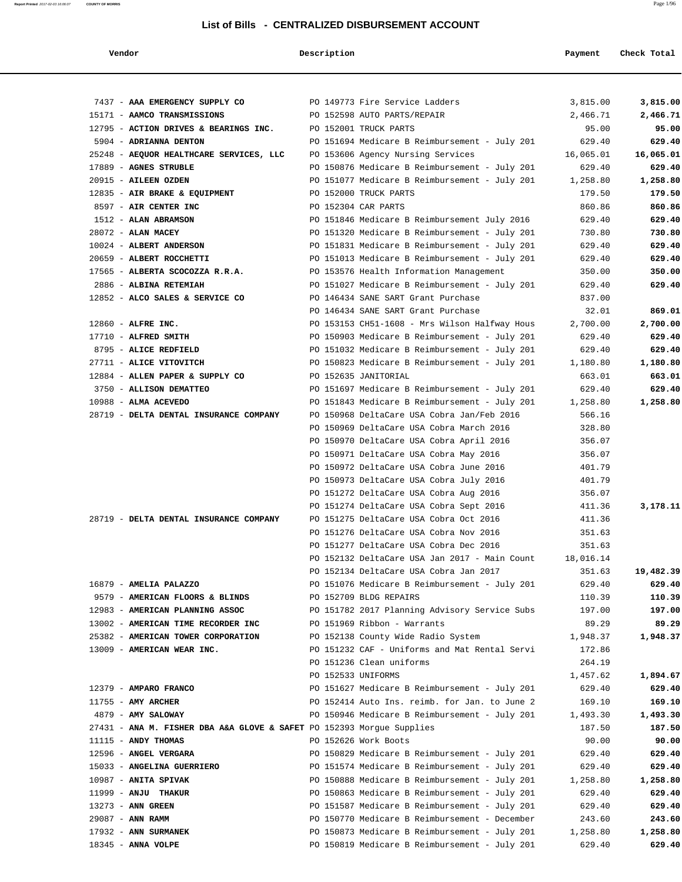**Report Printed** 2017-02-03 16:06:07 **COUNTY OF MORRIS** Page 1/96

### **List of Bills - CENTRALIZED DISBURSEMENT ACCOUNT**

 **Vendor Description Payment Check Total**

| 7437 - AAA EMERGENCY SUPPLY CO<br>PO 149773 Fire Service Ladders          |                    |                                                                                                | 3,815.00         | 3,815.00         |
|---------------------------------------------------------------------------|--------------------|------------------------------------------------------------------------------------------------|------------------|------------------|
| 15171 - AAMCO TRANSMISSIONS                                               |                    | PO 152598 AUTO PARTS/REPAIR                                                                    | 2,466.71         | 2,466.71         |
| 12795 - ACTION DRIVES & BEARINGS INC.                                     |                    | PO 152001 TRUCK PARTS                                                                          | 95.00            | 95.00            |
| 5904 - ADRIANNA DENTON                                                    |                    | PO 151694 Medicare B Reimbursement - July 201                                                  | 629.40           | 629.40           |
| 25248 - AEQUOR HEALTHCARE SERVICES, LLC PO 153606 Agency Nursing Services |                    |                                                                                                | 16,065.01        | 16,065.01        |
| 17889 - AGNES STRUBLE                                                     |                    | PO 150876 Medicare B Reimbursement - July 201                                                  | 629.40           | 629.40           |
| 20915 - AILEEN OZDEN                                                      |                    | PO 151077 Medicare B Reimbursement - July 201 1,258.80                                         |                  | 1,258.80         |
| 12835 - AIR BRAKE & EQUIPMENT                                             |                    | PO 152000 TRUCK PARTS                                                                          | 179.50           | 179.50           |
| 8597 - AIR CENTER INC                                                     |                    | PO 152304 CAR PARTS                                                                            | 860.86           | 860.86           |
| 1512 - ALAN ABRAMSON<br>28072 - ALAN MACEY                                |                    | PO 151846 Medicare B Reimbursement July 2016                                                   | 629.40           | 629.40           |
| 10024 - ALBERT ANDERSON                                                   |                    | PO 151320 Medicare B Reimbursement - July 201<br>PO 151831 Medicare B Reimbursement - July 201 | 730.80<br>629.40 | 730.80<br>629.40 |
| 20659 - ALBERT ROCCHETTI                                                  |                    | PO 151013 Medicare B Reimbursement - July 201                                                  | 629.40           | 629.40           |
| 17565 - ALBERTA SCOCOZZA R.R.A. PO 153576 Health Information Management   |                    |                                                                                                | 350.00           | 350.00           |
| 2886 - ALBINA RETEMIAH                                                    |                    | PO 151027 Medicare B Reimbursement - July 201                                                  | 629.40           | 629.40           |
| 12852 - ALCO SALES & SERVICE CO                                           |                    | PO 146434 SANE SART Grant Purchase                                                             | 837.00           |                  |
|                                                                           |                    | PO 146434 SANE SART Grant Purchase                                                             | 32.01            | 869.01           |
| $12860$ - ALFRE INC.                                                      |                    | PO 153153 CH51-1608 - Mrs Wilson Halfway Hous                                                  | 2,700.00         | 2,700.00         |
| 17710 - ALFRED SMITH                                                      |                    | PO 150903 Medicare B Reimbursement - July 201                                                  | 629.40           | 629.40           |
| 8795 - ALICE REDFIELD                                                     |                    | PO 151032 Medicare B Reimbursement - July 201                                                  | 629.40           | 629.40           |
| 27711 - ALICE VITOVITCH                                                   |                    | PO 150823 Medicare B Reimbursement - July 201                                                  | 1,180.80         | 1,180.80         |
| 12884 - ALLEN PAPER & SUPPLY CO                                           |                    | PO 152635 JANITORIAL                                                                           | 663.01           | 663.01           |
| 3750 - ALLISON DEMATTEO                                                   |                    | PO 151697 Medicare B Reimbursement - July 201                                                  | 629.40           | 629.40           |
| $10988$ - ALMA ACEVEDO                                                    |                    | PO 151843 Medicare B Reimbursement - July 201 1,258.80                                         |                  | 1,258.80         |
| 28719 - DELTA DENTAL INSURANCE COMPANY                                    |                    | PO 150968 DeltaCare USA Cobra Jan/Feb 2016                                                     | 566.16           |                  |
|                                                                           |                    | PO 150969 DeltaCare USA Cobra March 2016                                                       | 328.80           |                  |
|                                                                           |                    | PO 150970 DeltaCare USA Cobra April 2016                                                       | 356.07           |                  |
|                                                                           |                    | PO 150971 DeltaCare USA Cobra May 2016                                                         | 356.07           |                  |
|                                                                           |                    | PO 150972 DeltaCare USA Cobra June 2016                                                        | 401.79           |                  |
|                                                                           |                    | PO 150973 DeltaCare USA Cobra July 2016                                                        | 401.79           |                  |
|                                                                           |                    | PO 151272 DeltaCare USA Cobra Aug 2016                                                         | 356.07           |                  |
|                                                                           |                    | PO 151274 DeltaCare USA Cobra Sept 2016                                                        | 411.36           | 3,178.11         |
| 28719 - DELTA DENTAL INSURANCE COMPANY                                    |                    | PO 151275 DeltaCare USA Cobra Oct 2016                                                         | 411.36           |                  |
|                                                                           |                    | PO 151276 DeltaCare USA Cobra Nov 2016                                                         | 351.63           |                  |
|                                                                           |                    | PO 151277 DeltaCare USA Cobra Dec 2016                                                         | 351.63           |                  |
|                                                                           |                    | PO 152132 DeltaCare USA Jan 2017 - Main Count                                                  | 18,016.14        |                  |
|                                                                           |                    | PO 152134 DeltaCare USA Cobra Jan 2017                                                         | 351.63           | 19,482.39        |
| 16879 - AMELIA PALAZZO                                                    |                    | PO 151076 Medicare B Reimbursement - July 201                                                  | 629.40           | 629.40           |
| 9579 - AMERICAN FLOORS & BLINDS                                           |                    | PO 152709 BLDG REPAIRS                                                                         | 110.39           | 110.39           |
| 12983 - AMERICAN PLANNING ASSOC                                           |                    | PO 151782 2017 Planning Advisory Service Subs                                                  | 197.00           | 197.00           |
| 13002 - AMERICAN TIME RECORDER INC                                        |                    | PO 151969 Ribbon - Warrants                                                                    | 89.29            | 89.29            |
| 25382 - AMERICAN TOWER CORPORATION                                        |                    | PO 152138 County Wide Radio System                                                             | 1,948.37         | 1,948.37         |
| 13009 - AMERICAN WEAR INC.                                                |                    | PO 151232 CAF - Uniforms and Mat Rental Servi                                                  | 172.86           |                  |
|                                                                           |                    | PO 151236 Clean uniforms                                                                       | 264.19           |                  |
|                                                                           | PO 152533 UNIFORMS |                                                                                                | 1,457.62         | 1,894.67         |
| 12379 - AMPARO FRANCO                                                     |                    | PO 151627 Medicare B Reimbursement - July 201                                                  | 629.40           | 629.40           |
| $11755$ - AMY ARCHER                                                      |                    | PO 152414 Auto Ins. reimb. for Jan. to June 2                                                  | 169.10           | 169.10           |
| 4879 - AMY SALOWAY                                                        |                    | PO 150946 Medicare B Reimbursement - July 201                                                  | 1,493.30         | 1,493.30         |
| 27431 - ANA M. FISHER DBA A&A GLOVE & SAFET PO 152393 Morgue Supplies     |                    |                                                                                                | 187.50           | 187.50           |
| $11115$ - ANDY THOMAS                                                     |                    | PO 152626 Work Boots                                                                           | 90.00            | 90.00            |
| 12596 - ANGEL VERGARA                                                     |                    | PO 150829 Medicare B Reimbursement - July 201                                                  | 629.40           | 629.40           |
| 15033 - ANGELINA GUERRIERO                                                |                    | PO 151574 Medicare B Reimbursement - July 201                                                  | 629.40           | 629.40           |
| 10987 - ANITA SPIVAK                                                      |                    | PO 150888 Medicare B Reimbursement - July 201                                                  | 1,258.80         | 1,258.80         |
| 11999 - ANJU THAKUR                                                       |                    | PO 150863 Medicare B Reimbursement - July 201                                                  | 629.40           | 629.40           |
| 13273 - ANN GREEN                                                         |                    | PO 151587 Medicare B Reimbursement - July 201                                                  | 629.40           | 629.40           |
| 29087 - ANN RAMM                                                          |                    | PO 150770 Medicare B Reimbursement - December                                                  | 243.60           | 243.60           |
| 17932 - ANN SURMANEK                                                      |                    | PO 150873 Medicare B Reimbursement - July 201                                                  | 1,258.80         | 1,258.80         |
| $18345$ - ANNA VOLPE                                                      |                    | PO 150819 Medicare B Reimbursement - July 201                                                  | 629.40           | 629.40           |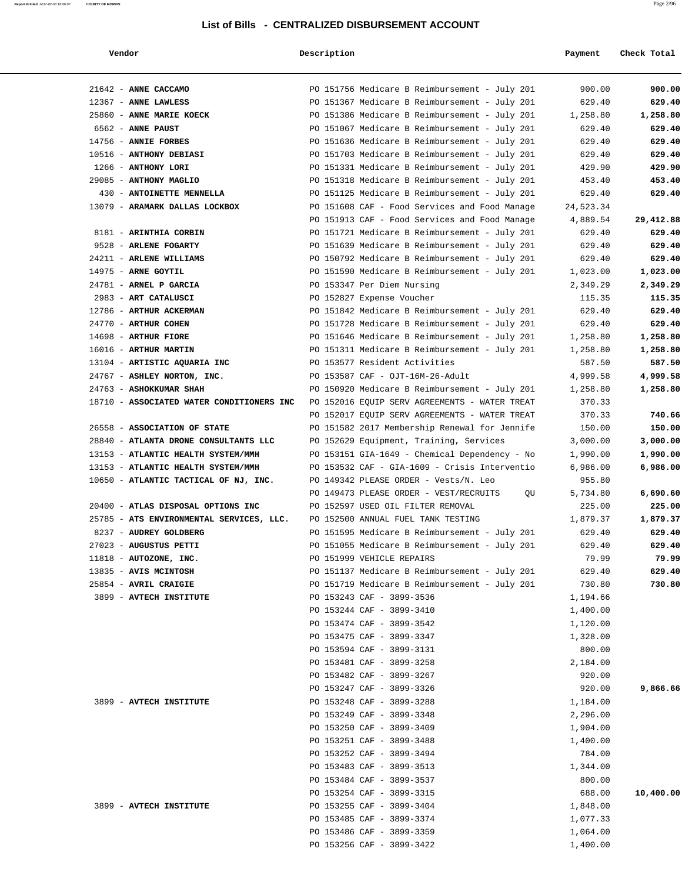| Vendor                                    | Description |                                               | Payment   | Check Total |
|-------------------------------------------|-------------|-----------------------------------------------|-----------|-------------|
| 21642 - ANNE CACCAMO                      |             | PO 151756 Medicare B Reimbursement - July 201 | 900.00    | 900.00      |
| 12367 - ANNE LAWLESS                      |             | PO 151367 Medicare B Reimbursement - July 201 | 629.40    | 629.40      |
| 25860 - ANNE MARIE KOECK                  |             | PO 151386 Medicare B Reimbursement - July 201 | 1,258.80  | 1,258.80    |
| 6562 - ANNE PAUST                         |             | PO 151067 Medicare B Reimbursement - July 201 | 629.40    | 629.40      |
| 14756 - ANNIE FORBES                      |             | PO 151636 Medicare B Reimbursement - July 201 | 629.40    | 629.40      |
| 10516 - ANTHONY DEBIASI                   |             | PO 151703 Medicare B Reimbursement - July 201 | 629.40    | 629.40      |
| 1266 - ANTHONY LORI                       |             | PO 151331 Medicare B Reimbursement - July 201 | 429.90    | 429.90      |
| 29085 - ANTHONY MAGLIO                    |             | PO 151318 Medicare B Reimbursement - July 201 | 453.40    | 453.40      |
| 430 - ANTOINETTE MENNELLA                 |             | PO 151125 Medicare B Reimbursement - July 201 | 629.40    | 629.40      |
| 13079 - ARAMARK DALLAS LOCKBOX            |             | PO 151608 CAF - Food Services and Food Manage | 24,523.34 |             |
|                                           |             | PO 151913 CAF - Food Services and Food Manage | 4,889.54  | 29,412.88   |
| 8181 - ARINTHIA CORBIN                    |             | PO 151721 Medicare B Reimbursement - July 201 | 629.40    | 629.40      |
| 9528 - ARLENE FOGARTY                     |             | PO 151639 Medicare B Reimbursement - July 201 | 629.40    | 629.40      |
| 24211 - ARLENE WILLIAMS                   |             | PO 150792 Medicare B Reimbursement - July 201 | 629.40    | 629.40      |
| 14975 - ARNE GOYTIL                       |             | PO 151590 Medicare B Reimbursement - July 201 | 1,023.00  | 1,023.00    |
| 24781 - ARNEL P GARCIA                    |             | PO 153347 Per Diem Nursing                    | 2,349.29  | 2,349.29    |
| 2983 - ART CATALUSCI                      |             | PO 152827 Expense Voucher                     | 115.35    | 115.35      |
| 12786 - ARTHUR ACKERMAN                   |             | PO 151842 Medicare B Reimbursement - July 201 | 629.40    | 629.40      |
| 24770 - ARTHUR COHEN                      |             | PO 151728 Medicare B Reimbursement - July 201 | 629.40    | 629.40      |
| 14698 - ARTHUR FIORE                      |             | PO 151646 Medicare B Reimbursement - July 201 | 1,258.80  | 1,258.80    |
| 16016 - ARTHUR MARTIN                     |             | PO 151311 Medicare B Reimbursement - July 201 | 1,258.80  | 1,258.80    |
| 13104 - ARTISTIC AQUARIA INC              |             | PO 153577 Resident Activities                 | 587.50    | 587.50      |
| 24767 - ASHLEY NORTON, INC.               |             | PO 153587 CAF - OJT-16M-26-Adult              | 4,999.58  | 4,999.58    |
| 24763 - ASHOKKUMAR SHAH                   |             | PO 150920 Medicare B Reimbursement - July 201 | 1,258.80  | 1,258.80    |
| 18710 - ASSOCIATED WATER CONDITIONERS INC |             | PO 152016 EQUIP SERV AGREEMENTS - WATER TREAT | 370.33    |             |
|                                           |             | PO 152017 EQUIP SERV AGREEMENTS - WATER TREAT | 370.33    | 740.66      |
| 26558 - ASSOCIATION OF STATE              |             | PO 151582 2017 Membership Renewal for Jennife | 150.00    | 150.00      |
| 28840 - ATLANTA DRONE CONSULTANTS LLC     |             | PO 152629 Equipment, Training, Services       | 3,000.00  | 3,000.00    |
| 13153 - ATLANTIC HEALTH SYSTEM/MMH        |             | PO 153151 GIA-1649 - Chemical Dependency - No | 1,990.00  | 1,990.00    |
| 13153 - ATLANTIC HEALTH SYSTEM/MMH        |             | PO 153532 CAF - GIA-1609 - Crisis Interventio | 6,986.00  | 6,986.00    |
| 10650 - ATLANTIC TACTICAL OF NJ, INC.     |             | PO 149342 PLEASE ORDER - Vests/N. Leo         | 955.80    |             |
|                                           |             | PO 149473 PLEASE ORDER - VEST/RECRUITS<br>QU  | 5,734.80  | 6,690.60    |
| 20400 - ATLAS DISPOSAL OPTIONS INC        |             | PO 152597 USED OIL FILTER REMOVAL             | 225.00    | 225.00      |
| 25785 - ATS ENVIRONMENTAL SERVICES, LLC.  |             | PO 152500 ANNUAL FUEL TANK TESTING            | 1,879.37  | 1,879.37    |
| 8237 - AUDREY GOLDBERG                    |             | PO 151595 Medicare B Reimbursement - July 201 | 629.40    | 629.40      |
| 27023 - AUGUSTUS PETTI                    |             | PO 151055 Medicare B Reimbursement - July 201 | 629.40    | 629.40      |
| $11818$ - AUTOZONE, INC.                  |             | PO 151999 VEHICLE REPAIRS                     | 79.99     | 79.99       |
| 13835 - AVIS MCINTOSH                     |             | PO 151137 Medicare B Reimbursement - July 201 | 629.40    | 629.40      |
| 25854 - AVRIL CRAIGIE                     |             | PO 151719 Medicare B Reimbursement - July 201 | 730.80    | 730.80      |
| 3899 - AVTECH INSTITUTE                   |             | PO 153243 CAF - 3899-3536                     | 1,194.66  |             |
|                                           |             | PO 153244 CAF - 3899-3410                     | 1,400.00  |             |
|                                           |             | PO 153474 CAF - 3899-3542                     | 1,120.00  |             |
|                                           |             | PO 153475 CAF - 3899-3347                     | 1,328.00  |             |
|                                           |             | PO 153594 CAF - 3899-3131                     | 800.00    |             |
|                                           |             | PO 153481 CAF - 3899-3258                     | 2,184.00  |             |
|                                           |             | PO 153482 CAF - 3899-3267                     | 920.00    |             |
|                                           |             | PO 153247 CAF - 3899-3326                     | 920.00    | 9,866.66    |
| 3899 - AVTECH INSTITUTE                   |             | PO 153248 CAF - 3899-3288                     | 1,184.00  |             |
|                                           |             | PO 153249 CAF - 3899-3348                     | 2,296.00  |             |
|                                           |             | PO 153250 CAF - 3899-3409                     | 1,904.00  |             |
|                                           |             | PO 153251 CAF - 3899-3488                     | 1,400.00  |             |
|                                           |             | PO 153252 CAF - 3899-3494                     | 784.00    |             |
|                                           |             | PO 153483 CAF - 3899-3513                     | 1,344.00  |             |
|                                           |             | PO 153484 CAF - 3899-3537                     | 800.00    |             |
|                                           |             | PO 153254 CAF - 3899-3315                     | 688.00    | 10,400.00   |
| 3899 - AVTECH INSTITUTE                   |             | PO 153255 CAF - 3899-3404                     | 1,848.00  |             |
|                                           |             | PO 153485 CAF - 3899-3374                     | 1,077.33  |             |
|                                           |             | PO 153486 CAF - 3899-3359                     | 1,064.00  |             |
|                                           |             | PO 153256 CAF - 3899-3422                     | 1,400.00  |             |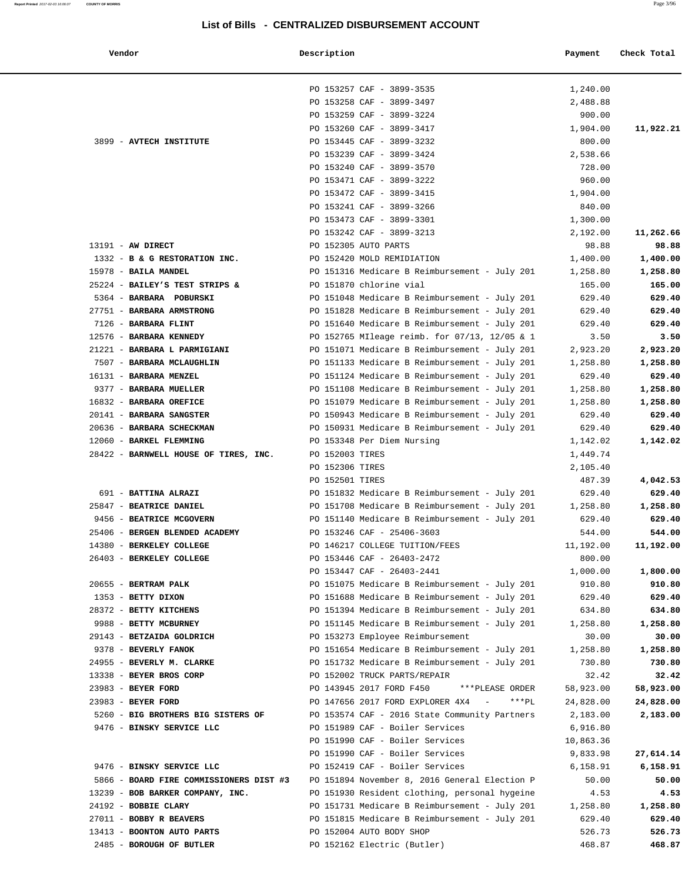**Vendor Description Payment Check Total**

|                                                      | PO 153257 CAF - 3899-3535                         | 1,240.00          |                    |
|------------------------------------------------------|---------------------------------------------------|-------------------|--------------------|
|                                                      | PO 153258 CAF - 3899-3497                         | 2,488.88          |                    |
|                                                      | PO 153259 CAF - 3899-3224                         | 900.00            |                    |
|                                                      | PO 153260 CAF - 3899-3417                         | 1,904.00          | 11,922.21          |
| 3899 - AVTECH INSTITUTE                              | PO 153445 CAF - 3899-3232                         | 800.00            |                    |
|                                                      | PO 153239 CAF - 3899-3424                         | 2,538.66          |                    |
|                                                      | PO 153240 CAF - 3899-3570                         | 728.00            |                    |
|                                                      | PO 153471 CAF - 3899-3222                         | 960.00            |                    |
|                                                      | PO 153472 CAF - 3899-3415                         | 1,904.00          |                    |
|                                                      | PO 153241 CAF - 3899-3266                         | 840.00            |                    |
|                                                      | PO 153473 CAF - 3899-3301                         | 1,300.00          |                    |
|                                                      | PO 153242 CAF - 3899-3213<br>PO 152305 AUTO PARTS | 2,192.00          | 11,262.66<br>98.88 |
| $13191 - AW DIRECT$<br>1332 - B & G RESTORATION INC. | PO 152420 MOLD REMIDIATION                        | 98.88<br>1,400.00 | 1,400.00           |
| 15978 - BAILA MANDEL                                 | PO 151316 Medicare B Reimbursement - July 201     | 1,258.80          | 1,258.80           |
| 25224 - BAILEY'S TEST STRIPS &                       | PO 151870 chlorine vial                           | 165.00            | 165.00             |
| 5364 - BARBARA POBURSKI                              | PO 151048 Medicare B Reimbursement - July 201     | 629.40            | 629.40             |
| 27751 - BARBARA ARMSTRONG                            | PO 151828 Medicare B Reimbursement - July 201     | 629.40            | 629.40             |
| 7126 - BARBARA FLINT                                 | PO 151640 Medicare B Reimbursement - July 201     | 629.40            | 629.40             |
| 12576 - BARBARA KENNEDY                              | PO 152765 MIleage reimb. for 07/13, 12/05 & 1     | 3.50              | 3.50               |
| 21221 - BARBARA L PARMIGIANI                         | PO 151071 Medicare B Reimbursement - July 201     | 2,923.20          | 2,923.20           |
| 7507 - BARBARA MCLAUGHLIN                            | PO 151133 Medicare B Reimbursement - July 201     | 1,258.80          | 1,258.80           |
| 16131 - BARBARA MENZEL                               | PO 151124 Medicare B Reimbursement - July 201     | 629.40            | 629.40             |
| 9377 - BARBARA MUELLER                               | PO 151108 Medicare B Reimbursement - July 201     | 1,258.80          | 1,258.80           |
| 16832 - BARBARA OREFICE                              | PO 151079 Medicare B Reimbursement - July 201     | 1,258.80          | 1,258.80           |
| 20141 - BARBARA SANGSTER                             | PO 150943 Medicare B Reimbursement - July 201     | 629.40            | 629.40             |
| 20636 - BARBARA SCHECKMAN                            | PO 150931 Medicare B Reimbursement - July 201     | 629.40            | 629.40             |
| 12060 - BARKEL FLEMMING                              | PO 153348 Per Diem Nursing                        | 1,142.02          | 1,142.02           |
| 28422 - BARNWELL HOUSE OF TIRES, INC.                | PO 152003 TIRES                                   | 1,449.74          |                    |
|                                                      | PO 152306 TIRES                                   | 2,105.40          |                    |
|                                                      | PO 152501 TIRES                                   | 487.39            | 4,042.53           |
| 691 - BATTINA ALRAZI                                 | PO 151832 Medicare B Reimbursement - July 201     | 629.40            | 629.40             |
| 25847 - BEATRICE DANIEL                              | PO 151708 Medicare B Reimbursement - July 201     | 1,258.80          | 1,258.80           |
| 9456 - BEATRICE MCGOVERN                             | PO 151140 Medicare B Reimbursement - July 201     | 629.40            | 629.40             |
| 25406 - BERGEN BLENDED ACADEMY                       | PO 153246 CAF - 25406-3603                        | 544.00            | 544.00             |
| 14380 - BERKELEY COLLEGE                             | PO 146217 COLLEGE TUITION/FEES                    | 11,192.00         | 11,192.00          |
| 26403 - BERKELEY COLLEGE                             | PO 153446 CAF - 26403-2472                        | 800.00            |                    |
|                                                      | PO 153447 CAF - 26403-2441                        | 1,000.00          | 1,800.00           |
| 20655 - BERTRAM PALK                                 | PO 151075 Medicare B Reimbursement - July 201     | 910.80            | 910.80             |
| 1353 - BETTY DIXON                                   | PO 151688 Medicare B Reimbursement - July 201     | 629.40            | 629.40             |
| 28372 - BETTY KITCHENS                               | PO 151394 Medicare B Reimbursement - July 201     | 634.80            | 634.80             |
| 9988 - BETTY MCBURNEY                                | PO 151145 Medicare B Reimbursement - July 201     | 1,258.80          | 1,258.80           |
| 29143 - BETZAIDA GOLDRICH                            | PO 153273 Employee Reimbursement                  | 30.00             | 30.00              |
| 9378 - BEVERLY FANOK                                 | PO 151654 Medicare B Reimbursement - July 201     | 1,258.80          | 1,258.80           |
| 24955 - BEVERLY M. CLARKE                            | PO 151732 Medicare B Reimbursement - July 201     | 730.80            | 730.80             |
| 13338 - BEYER BROS CORP                              | PO 152002 TRUCK PARTS/REPAIR                      | 32.42             | 32.42              |
| 23983 - BEYER FORD                                   | PO 143945 2017 FORD F450<br>***PLEASE ORDER       | 58,923.00         | 58,923.00          |
| 23983 - BEYER FORD                                   | PO 147656 2017 FORD EXPLORER 4X4 - *** PL         | 24,828.00         | 24,828.00          |
| 5260 - BIG BROTHERS BIG SISTERS OF                   | PO 153574 CAF - 2016 State Community Partners     | 2,183.00          | 2,183.00           |
| 9476 - BINSKY SERVICE LLC                            | PO 151989 CAF - Boiler Services                   | 6,916.80          |                    |
|                                                      | PO 151990 CAF - Boiler Services                   | 10,863.36         |                    |
|                                                      | PO 151990 CAF - Boiler Services                   | 9,833.98          | 27,614.14          |
| 9476 - BINSKY SERVICE LLC                            | PO 152419 CAF - Boiler Services                   | 6,158.91          | 6,158.91           |
| 5866 - BOARD FIRE COMMISSIONERS DIST #3              | PO 151894 November 8, 2016 General Election P     | 50.00             | 50.00              |
| 13239 - BOB BARKER COMPANY, INC.                     | PO 151930 Resident clothing, personal hygeine     | 4.53              | 4.53               |
| 24192 - BOBBIE CLARY                                 | PO 151731 Medicare B Reimbursement - July 201     | 1,258.80          | 1,258.80           |
| 27011 - BOBBY R BEAVERS                              | PO 151815 Medicare B Reimbursement - July 201     | 629.40            | 629.40             |
| 13413 - BOONTON AUTO PARTS                           | PO 152004 AUTO BODY SHOP                          | 526.73            | 526.73             |
| 2485 - BOROUGH OF BUTLER                             | PO 152162 Electric (Butler)                       | 468.87            | 468.87             |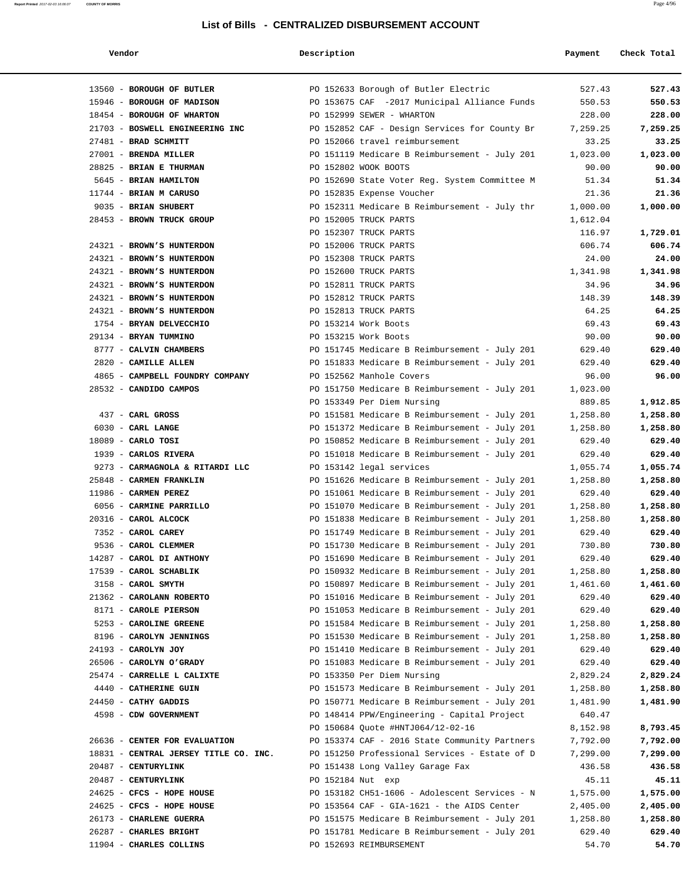### **Report Printed** 2017-02-03 16:06:07 **COUNTY OF MORRIS** Page 4/96

### **List of Bills - CENTRALIZED DISBURSEMENT ACCOUNT**

| Vendo: |  |
|--------|--|

### **Vendor Description Payment Check Total**

| 13560 - BOROUGH OF BUTLER   |                                       | PO 152633 Borough of Butler Electric          | 527.43   | 527.43   |
|-----------------------------|---------------------------------------|-----------------------------------------------|----------|----------|
| 15946 - BOROUGH OF MADISON  |                                       | PO 153675 CAF -2017 Municipal Alliance Funds  | 550.53   | 550.53   |
| 18454 - BOROUGH OF WHARTON  |                                       | PO 152999 SEWER - WHARTON                     | 228.00   | 228.00   |
|                             | 21703 - BOSWELL ENGINEERING INC       | PO 152852 CAF - Design Services for County Br | 7,259.25 | 7,259.25 |
| 27481 - BRAD SCHMITT        |                                       | PO 152066 travel reimbursement                | 33.25    | 33.25    |
| 27001 - BRENDA MILLER       |                                       | PO 151119 Medicare B Reimbursement - July 201 | 1,023.00 | 1,023.00 |
| 28825 - BRIAN E THURMAN     |                                       | PO 152802 WOOK BOOTS                          | 90.00    | 90.00    |
| 5645 - BRIAN HAMILTON       |                                       | PO 152690 State Voter Reg. System Committee M | 51.34    | 51.34    |
| $11744$ - BRIAN M CARUSO    |                                       | PO 152835 Expense Voucher                     | 21.36    | 21.36    |
| 9035 - BRIAN SHUBERT        |                                       | PO 152311 Medicare B Reimbursement - July thr | 1,000.00 | 1,000.00 |
| 28453 - BROWN TRUCK GROUP   |                                       | PO 152005 TRUCK PARTS                         | 1,612.04 |          |
|                             |                                       | PO 152307 TRUCK PARTS                         | 116.97   | 1,729.01 |
| 24321 - BROWN'S HUNTERDON   |                                       | PO 152006 TRUCK PARTS                         | 606.74   | 606.74   |
| 24321 - BROWN'S HUNTERDON   |                                       | PO 152308 TRUCK PARTS                         | 24.00    | 24.00    |
| 24321 - BROWN'S HUNTERDON   |                                       | PO 152600 TRUCK PARTS                         | 1,341.98 | 1,341.98 |
| 24321 - BROWN'S HUNTERDON   |                                       | PO 152811 TRUCK PARTS                         | 34.96    | 34.96    |
| 24321 - BROWN'S HUNTERDON   |                                       | PO 152812 TRUCK PARTS                         | 148.39   | 148.39   |
| 24321 - BROWN'S HUNTERDON   |                                       | PO 152813 TRUCK PARTS                         | 64.25    | 64.25    |
| 1754 - BRYAN DELVECCHIO     |                                       | PO 153214 Work Boots                          | 69.43    | 69.43    |
| 29134 - BRYAN TUMMINO       |                                       | PO 153215 Work Boots                          | 90.00    | 90.00    |
| 8777 - CALVIN CHAMBERS      |                                       | PO 151745 Medicare B Reimbursement - July 201 | 629.40   | 629.40   |
| 2820 - CAMILLE ALLEN        |                                       | PO 151833 Medicare B Reimbursement - July 201 | 629.40   | 629.40   |
|                             | 4865 - CAMPBELL FOUNDRY COMPANY       | PO 152562 Manhole Covers                      | 96.00    | 96.00    |
| 28532 - CANDIDO CAMPOS      |                                       | PO 151750 Medicare B Reimbursement - July 201 | 1,023.00 |          |
|                             |                                       | PO 153349 Per Diem Nursing                    | 889.85   | 1,912.85 |
| 437 - CARL GROSS            |                                       | PO 151581 Medicare B Reimbursement - July 201 | 1,258.80 | 1,258.80 |
| $6030$ - CARL LANGE         |                                       | PO 151372 Medicare B Reimbursement - July 201 | 1,258.80 | 1,258.80 |
| $18089$ - CARLO TOSI        |                                       | PO 150852 Medicare B Reimbursement - July 201 | 629.40   | 629.40   |
| 1939 - CARLOS RIVERA        |                                       | PO 151018 Medicare B Reimbursement - July 201 | 629.40   | 629.40   |
|                             | 9273 - CARMAGNOLA & RITARDI LLC       | PO 153142 legal services                      | 1,055.74 | 1,055.74 |
| 25848 - CARMEN FRANKLIN     |                                       | PO 151626 Medicare B Reimbursement - July 201 | 1,258.80 | 1,258.80 |
| 11986 - CARMEN PEREZ        |                                       | PO 151061 Medicare B Reimbursement - July 201 | 629.40   | 629.40   |
| 6056 - CARMINE PARRILLO     |                                       | PO 151070 Medicare B Reimbursement - July 201 | 1,258.80 | 1,258.80 |
| $20316$ - CAROL ALCOCK      |                                       | PO 151838 Medicare B Reimbursement - July 201 | 1,258.80 | 1,258.80 |
| 7352 - CAROL CAREY          |                                       | PO 151749 Medicare B Reimbursement - July 201 | 629.40   | 629.40   |
| 9536 - CAROL CLEMMER        |                                       | PO 151730 Medicare B Reimbursement - July 201 | 730.80   | 730.80   |
| 14287 - CAROL DI ANTHONY    |                                       | PO 151690 Medicare B Reimbursement - July 201 | 629.40   | 629.40   |
| 17539 - CAROL SCHABLIK      |                                       | PO 150932 Medicare B Reimbursement - July 201 | 1,258.80 | 1,258.80 |
| 3158 - CAROL SMYTH          |                                       | PO 150897 Medicare B Reimbursement - July 201 | 1,461.60 | 1,461.60 |
| 21362 - CAROLANN ROBERTO    |                                       | PO 151016 Medicare B Reimbursement - July 201 | 629.40   | 629.40   |
| 8171 - CAROLE PIERSON       |                                       | PO 151053 Medicare B Reimbursement - July 201 | 629.40   | 629.40   |
| 5253 - CAROLINE GREENE      |                                       | PO 151584 Medicare B Reimbursement - July 201 | 1,258.80 | 1,258.80 |
| 8196 - CAROLYN JENNINGS     |                                       | PO 151530 Medicare B Reimbursement - July 201 | 1,258.80 | 1,258.80 |
| 24193 - CAROLYN JOY         |                                       | PO 151410 Medicare B Reimbursement - July 201 | 629.40   | 629.40   |
| 26506 - CAROLYN O'GRADY     |                                       | PO 151083 Medicare B Reimbursement - July 201 | 629.40   | 629.40   |
| 25474 - CARRELLE L CALIXTE  |                                       | PO 153350 Per Diem Nursing                    | 2,829.24 | 2,829.24 |
| 4440 - CATHERINE GUIN       |                                       | PO 151573 Medicare B Reimbursement - July 201 | 1,258.80 | 1,258.80 |
| 24450 - CATHY GADDIS        |                                       | PO 150771 Medicare B Reimbursement - July 201 | 1,481.90 | 1,481.90 |
| 4598 - CDW GOVERNMENT       |                                       | PO 148414 PPW/Engineering - Capital Project   | 640.47   |          |
|                             |                                       | PO 150684 Quote #HNTJ064/12-02-16             | 8,152.98 | 8,793.45 |
|                             | 26636 - CENTER FOR EVALUATION         | PO 153374 CAF - 2016 State Community Partners | 7,792.00 | 7,792.00 |
|                             | 18831 - CENTRAL JERSEY TITLE CO. INC. | PO 151250 Professional Services - Estate of D | 7,299.00 | 7,299.00 |
| 20487 - CENTURYLINK         |                                       | PO 151438 Long Valley Garage Fax              | 436.58   | 436.58   |
| 20487 - CENTURYLINK         |                                       | PO 152184 Nut exp                             | 45.11    | 45.11    |
| $24625$ - CFCS - HOPE HOUSE |                                       | PO 153182 CH51-1606 - Adolescent Services - N | 1,575.00 | 1,575.00 |
| 24625 - CFCS - HOPE HOUSE   |                                       | PO 153564 CAF - GIA-1621 - the AIDS Center    | 2,405.00 | 2,405.00 |
| 26173 - CHARLENE GUERRA     |                                       | PO 151575 Medicare B Reimbursement - July 201 | 1,258.80 | 1,258.80 |
| 26287 - CHARLES BRIGHT      |                                       | PO 151781 Medicare B Reimbursement - July 201 | 629.40   | 629.40   |
| 11904 - CHARLES COLLINS     |                                       | PO 152693 REIMBURSEMENT                       | 54.70    | 54.70    |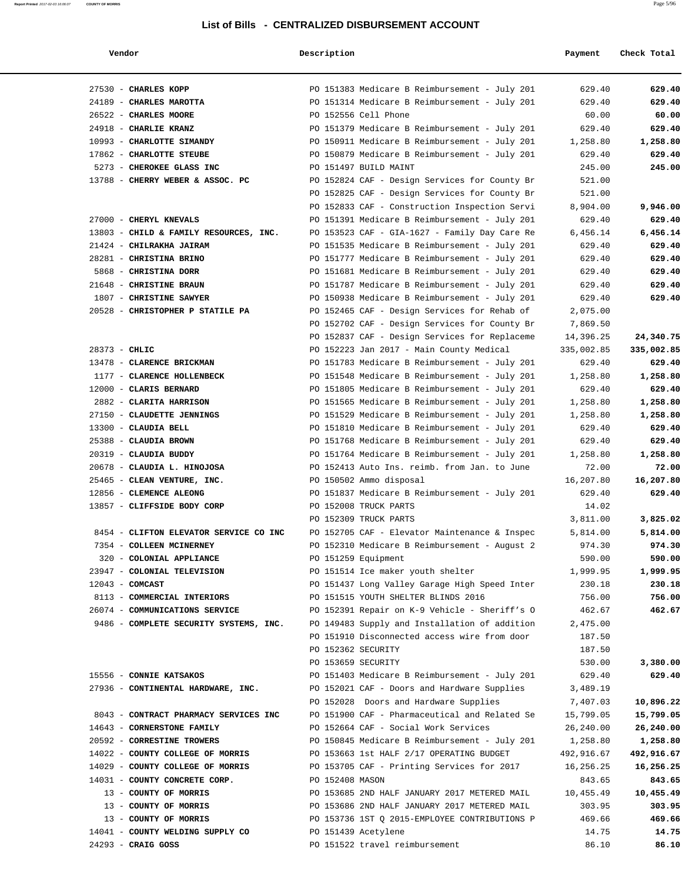| Report Printed 2017-02-03 16:06:07 | <b>COUNTY OF MORRIS</b> | Page 5/96 |
|------------------------------------|-------------------------|-----------|
|                                    |                         |           |

| Vendor                                 | Description                                   | Payment    | Check Total |
|----------------------------------------|-----------------------------------------------|------------|-------------|
| 27530 - CHARLES KOPP                   | PO 151383 Medicare B Reimbursement - July 201 | 629.40     | 629.40      |
| 24189 - CHARLES MAROTTA                | PO 151314 Medicare B Reimbursement - July 201 | 629.40     | 629.40      |
| 26522 - CHARLES MOORE                  | PO 152556 Cell Phone                          | 60.00      | 60.00       |
| 24918 - CHARLIE KRANZ                  | PO 151379 Medicare B Reimbursement - July 201 | 629.40     | 629.40      |
| 10993 - CHARLOTTE SIMANDY              | PO 150911 Medicare B Reimbursement - July 201 | 1,258.80   | 1,258.80    |
| 17862 - CHARLOTTE STEUBE               | PO 150879 Medicare B Reimbursement - July 201 | 629.40     | 629.40      |
| 5273 - CHEROKEE GLASS INC              | PO 151497 BUILD MAINT                         | 245.00     | 245.00      |
| 13788 - CHERRY WEBER & ASSOC. PC       | PO 152824 CAF - Design Services for County Br | 521.00     |             |
|                                        | PO 152825 CAF - Design Services for County Br | 521.00     |             |
|                                        | PO 152833 CAF - Construction Inspection Servi | 8,904.00   | 9,946.00    |
| 27000 - CHERYL KNEVALS                 | PO 151391 Medicare B Reimbursement - July 201 | 629.40     | 629.40      |
| 13803 - CHILD & FAMILY RESOURCES, INC. | PO 153523 CAF - GIA-1627 - Family Day Care Re | 6,456.14   | 6,456.14    |
| 21424 - CHILRAKHA JAIRAM               | PO 151535 Medicare B Reimbursement - July 201 | 629.40     | 629.40      |
| 28281 - CHRISTINA BRINO                | PO 151777 Medicare B Reimbursement - July 201 | 629.40     | 629.40      |
| 5868 - CHRISTINA DORR                  | PO 151681 Medicare B Reimbursement - July 201 | 629.40     | 629.40      |
| 21648 - CHRISTINE BRAUN                | PO 151787 Medicare B Reimbursement - July 201 | 629.40     | 629.40      |
| 1807 - CHRISTINE SAWYER                | PO 150938 Medicare B Reimbursement - July 201 | 629.40     | 629.40      |
| 20528 - CHRISTOPHER P STATILE PA       | PO 152465 CAF - Design Services for Rehab of  | 2,075.00   |             |
|                                        | PO 152702 CAF - Design Services for County Br | 7,869.50   |             |
|                                        | PO 152837 CAF - Design Services for Replaceme | 14,396.25  | 24,340.75   |
| $28373 - CHLIC$                        | PO 152223 Jan 2017 - Main County Medical      | 335,002.85 | 335,002.85  |
| 13478 - CLARENCE BRICKMAN              | PO 151783 Medicare B Reimbursement - July 201 | 629.40     | 629.40      |
| 1177 - CLARENCE HOLLENBECK             | PO 151548 Medicare B Reimbursement - July 201 | 1,258.80   | 1,258.80    |
| 12000 - CLARIS BERNARD                 | PO 151805 Medicare B Reimbursement - July 201 | 629.40     | 629.40      |
| 2882 - CLARITA HARRISON                | PO 151565 Medicare B Reimbursement - July 201 | 1,258.80   | 1,258.80    |
| 27150 - CLAUDETTE JENNINGS             | PO 151529 Medicare B Reimbursement - July 201 | 1,258.80   | 1,258.80    |
| 13300 - CLAUDIA BELL                   | PO 151810 Medicare B Reimbursement - July 201 | 629.40     | 629.40      |
| 25388 - CLAUDIA BROWN                  | PO 151768 Medicare B Reimbursement - July 201 | 629.40     | 629.40      |
| 20319 - CLAUDIA BUDDY                  | PO 151764 Medicare B Reimbursement - July 201 | 1,258.80   | 1,258.80    |
| 20678 - CLAUDIA L. HINOJOSA            | PO 152413 Auto Ins. reimb. from Jan. to June  | 72.00      | 72.00       |
| 25465 - CLEAN VENTURE, INC.            | PO 150502 Ammo disposal                       | 16,207.80  | 16,207.80   |
| 12856 - CLEMENCE ALEONG                | PO 151837 Medicare B Reimbursement - July 201 | 629.40     | 629.40      |
| 13857 - CLIFFSIDE BODY CORP            | PO 152008 TRUCK PARTS                         | 14.02      |             |
|                                        | PO 152309 TRUCK PARTS                         | 3,811.00   | 3,825.02    |
| 8454 - CLIFTON ELEVATOR SERVICE CO INC | PO 152705 CAF - Elevator Maintenance & Inspec | 5,814.00   | 5,814.00    |
| 7354 - COLLEEN MCINERNEY               | PO 152310 Medicare B Reimbursement - August 2 | 974.30     | 974.30      |
| 320 - COLONIAL APPLIANCE               | PO 151259 Equipment                           | 590.00     | 590.00      |
| 23947 - COLONIAL TELEVISION            | PO 151514 Ice maker youth shelter             | 1,999.95   | 1,999.95    |
| $12043$ - COMCAST                      | PO 151437 Long Valley Garage High Speed Inter | 230.18     | 230.18      |
| 8113 - COMMERCIAL INTERIORS            | PO 151515 YOUTH SHELTER BLINDS 2016           | 756.00     | 756.00      |
| 26074 - COMMUNICATIONS SERVICE         | PO 152391 Repair on K-9 Vehicle - Sheriff's O | 462.67     | 462.67      |
| 9486 - COMPLETE SECURITY SYSTEMS, INC. | PO 149483 Supply and Installation of addition | 2,475.00   |             |
|                                        | PO 151910 Disconnected access wire from door  | 187.50     |             |
|                                        | PO 152362 SECURITY                            | 187.50     |             |
|                                        | PO 153659 SECURITY                            | 530.00     | 3,380.00    |
| 15556 - CONNIE KATSAKOS                | PO 151403 Medicare B Reimbursement - July 201 | 629.40     | 629.40      |
| 27936 - CONTINENTAL HARDWARE, INC.     | PO 152021 CAF - Doors and Hardware Supplies   | 3,489.19   |             |
|                                        | PO 152028 Doors and Hardware Supplies         | 7,407.03   | 10,896.22   |
| 8043 - CONTRACT PHARMACY SERVICES INC  | PO 151900 CAF - Pharmaceutical and Related Se | 15,799.05  | 15,799.05   |
| 14643 - CORNERSTONE FAMILY             | PO 152664 CAF - Social Work Services          | 26,240.00  | 26,240.00   |
| 20592 - CORRESTINE TROWERS             | PO 150845 Medicare B Reimbursement - July 201 | 1,258.80   | 1,258.80    |
| 14022 - COUNTY COLLEGE OF MORRIS       | PO 153663 1st HALF 2/17 OPERATING BUDGET      | 492,916.67 | 492,916.67  |
| 14029 - COUNTY COLLEGE OF MORRIS       | PO 153705 CAF - Printing Services for 2017    | 16,256.25  | 16,256.25   |
| 14031 - COUNTY CONCRETE CORP.          | PO 152408 MASON                               | 843.65     | 843.65      |
| 13 - COUNTY OF MORRIS                  | PO 153685 2ND HALF JANUARY 2017 METERED MAIL  | 10,455.49  | 10,455.49   |
| 13 - COUNTY OF MORRIS                  | PO 153686 2ND HALF JANUARY 2017 METERED MAIL  | 303.95     | 303.95      |
| 13 - COUNTY OF MORRIS                  | PO 153736 1ST Q 2015-EMPLOYEE CONTRIBUTIONS P | 469.66     | 469.66      |
| 14041 - COUNTY WELDING SUPPLY CO       | PO 151439 Acetylene                           | 14.75      | 14.75       |
| $24293$ - CRAIG GOSS                   | PO 151522 travel reimbursement                | 86.10      | 86.10       |
|                                        |                                               |            |             |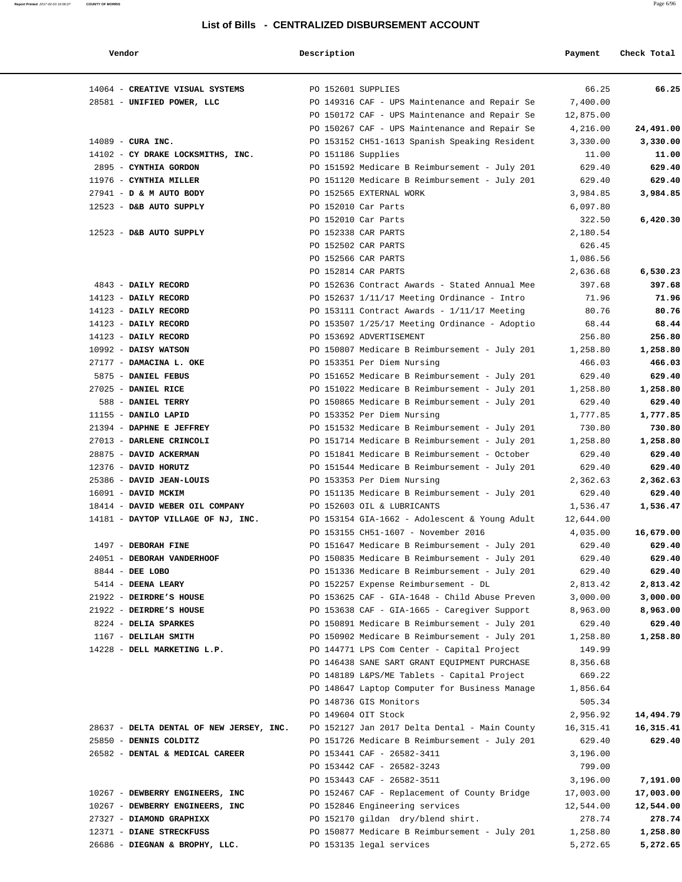### **Report Printed** 2017-02-03 16:06:07 **COUNTY OF MORRIS** Page 6/96

### **List of Bills - CENTRALIZED DISBURSEMENT ACCOUNT**

| Vendor                                        | Description                |                                                                                                | Payment          | Check Total      |
|-----------------------------------------------|----------------------------|------------------------------------------------------------------------------------------------|------------------|------------------|
| 14064 - CREATIVE VISUAL SYSTEMS               | PO 152601 SUPPLIES         |                                                                                                | 66.25            | 66.25            |
| 28581 - UNIFIED POWER, LLC                    |                            | PO 149316 CAF - UPS Maintenance and Repair Se                                                  | 7,400.00         |                  |
|                                               |                            | PO 150172 CAF - UPS Maintenance and Repair Se                                                  | 12,875.00        |                  |
|                                               |                            | PO 150267 CAF - UPS Maintenance and Repair Se                                                  | 4,216.00         | 24,491.00        |
| $14089$ - CURA INC.                           |                            | PO 153152 CH51-1613 Spanish Speaking Resident                                                  | 3,330.00         | 3,330.00         |
| 14102 - CY DRAKE LOCKSMITHS, INC.             | PO 151186 Supplies         |                                                                                                | 11.00            | 11.00            |
| 2895 - CYNTHIA GORDON                         |                            | PO 151592 Medicare B Reimbursement - July 201                                                  | 629.40           | 629.40           |
| 11976 - CYNTHIA MILLER                        |                            | PO 151120 Medicare B Reimbursement - July 201                                                  | 629.40           | 629.40           |
| 27941 - D & M AUTO BODY                       | PO 152565 EXTERNAL WORK    |                                                                                                | 3,984.85         | 3,984.85         |
| $12523$ - D&B AUTO SUPPLY                     | PO 152010 Car Parts        |                                                                                                | 6,097.80         |                  |
|                                               | PO 152010 Car Parts        |                                                                                                | 322.50           | 6,420.30         |
| $12523$ - D&B AUTO SUPPLY                     | PO 152338 CAR PARTS        |                                                                                                | 2,180.54         |                  |
|                                               | PO 152502 CAR PARTS        |                                                                                                | 626.45           |                  |
|                                               | PO 152566 CAR PARTS        |                                                                                                | 1,086.56         |                  |
|                                               | PO 152814 CAR PARTS        |                                                                                                | 2,636.68         | 6,530.23         |
| 4843 - DAILY RECORD                           |                            | PO 152636 Contract Awards - Stated Annual Mee                                                  | 397.68           | 397.68           |
| 14123 - DAILY RECORD                          |                            | PO 152637 $1/11/17$ Meeting Ordinance - Intro                                                  | 71.96            | 71.96            |
| 14123 - DAILY RECORD                          |                            | PO 153111 Contract Awards - 1/11/17 Meeting                                                    | 80.76            | 80.76            |
| 14123 - DAILY RECORD                          |                            | PO 153507 1/25/17 Meeting Ordinance - Adoptio                                                  | 68.44            | 68.44            |
| 14123 - DAILY RECORD                          | PO 153692 ADVERTISEMENT    |                                                                                                | 256.80           | 256.80           |
| $10992$ - DAISY WATSON                        |                            | PO 150807 Medicare B Reimbursement - July 201                                                  | 1,258.80         | 1,258.80         |
| 27177 - DAMACINA L. OKE                       | PO 153351 Per Diem Nursing |                                                                                                | 466.03           | 466.03           |
| 5875 - DANIEL FEBUS                           |                            | PO 151652 Medicare B Reimbursement - July 201                                                  | 629.40           | 629.40           |
| 27025 - DANIEL RICE                           |                            | PO 151022 Medicare B Reimbursement - July 201                                                  | 1,258.80         | 1,258.80         |
| 588 - DANIEL TERRY                            |                            | PO 150865 Medicare B Reimbursement - July 201                                                  | 629.40           | 629.40           |
| 11155 - DANILO LAPID                          | PO 153352 Per Diem Nursing |                                                                                                | 1,777.85         | 1,777.85         |
| 21394 - DAPHNE E JEFFREY                      |                            | PO 151532 Medicare B Reimbursement - July 201                                                  | 730.80           | 730.80           |
| 27013 - DARLENE CRINCOLI                      |                            | PO 151714 Medicare B Reimbursement - July 201                                                  | 1,258.80         | 1,258.80         |
| 28875 - DAVID ACKERMAN                        |                            | PO 151841 Medicare B Reimbursement - October                                                   | 629.40           | 629.40           |
| 12376 - DAVID HORUTZ                          |                            | PO 151544 Medicare B Reimbursement - July 201                                                  | 629.40           | 629.40           |
| 25386 - DAVID JEAN-LOUIS                      | PO 153353 Per Diem Nursing |                                                                                                | 2,362.63         | 2,362.63         |
| 16091 - DAVID MCKIM                           |                            | PO 151135 Medicare B Reimbursement - July 201                                                  | 629.40           | 629.40           |
| 18414 - DAVID WEBER OIL COMPANY               | PO 152603 OIL & LUBRICANTS |                                                                                                | 1,536.47         | 1,536.47         |
| 14181 - DAYTOP VILLAGE OF NJ, INC.            |                            | PO 153154 GIA-1662 - Adolescent & Young Adult                                                  | 12,644.00        |                  |
|                                               |                            | PO 153155 CH51-1607 - November 2016                                                            | 4,035.00         | 16,679.00        |
| 1497 - DEBORAH FINE                           |                            | PO 151647 Medicare B Reimbursement - July 201                                                  | 629.40<br>629.40 | 629.40           |
| 24051 - DEBORAH VANDERHOOF<br>8844 - DEE LOBO |                            | PO 150835 Medicare B Reimbursement - July 201<br>PO 151336 Medicare B Reimbursement - July 201 | 629.40           | 629.40<br>629.40 |
| 5414 - DEENA LEARY                            |                            | PO 152257 Expense Reimbursement - DL                                                           | 2,813.42         | 2,813.42         |
| 21922 - DEIRDRE'S HOUSE                       |                            | PO 153625 CAF - GIA-1648 - Child Abuse Preven                                                  | 3,000.00         | 3,000.00         |
| 21922 - DEIRDRE'S HOUSE                       |                            | PO 153638 CAF - GIA-1665 - Caregiver Support                                                   | 8,963.00         | 8,963.00         |
| 8224 - DELIA SPARKES                          |                            | PO 150891 Medicare B Reimbursement - July 201                                                  | 629.40           | 629.40           |
| 1167 - DELILAH SMITH                          |                            | PO 150902 Medicare B Reimbursement - July 201                                                  | 1,258.80         | 1,258.80         |
| 14228 - DELL MARKETING L.P.                   |                            | PO 144771 LPS Com Center - Capital Project                                                     | 149.99           |                  |
|                                               |                            | PO 146438 SANE SART GRANT EQUIPMENT PURCHASE                                                   | 8,356.68         |                  |
|                                               |                            | PO 148189 L&PS/ME Tablets - Capital Project                                                    | 669.22           |                  |
|                                               |                            | PO 148647 Laptop Computer for Business Manage                                                  | 1,856.64         |                  |
|                                               | PO 148736 GIS Monitors     |                                                                                                | 505.34           |                  |
|                                               | PO 149604 OIT Stock        |                                                                                                | 2,956.92         | 14,494.79        |
| 28637 - DELTA DENTAL OF NEW JERSEY, INC.      |                            | PO 152127 Jan 2017 Delta Dental - Main County                                                  | 16, 315.41       | 16,315.41        |
| 25850 - DENNIS COLDITZ                        |                            | PO 151726 Medicare B Reimbursement - July 201                                                  | 629.40           | 629.40           |
| 26582 - DENTAL & MEDICAL CAREER               | PO 153441 CAF - 26582-3411 |                                                                                                | 3,196.00         |                  |
|                                               | PO 153442 CAF - 26582-3243 |                                                                                                | 799.00           |                  |
|                                               | PO 153443 CAF - 26582-3511 |                                                                                                | 3,196.00         | 7,191.00         |
| 10267 - DEWBERRY ENGINEERS, INC               |                            | PO 152467 CAF - Replacement of County Bridge                                                   | 17,003.00        | 17,003.00        |
| 10267 - DEWBERRY ENGINEERS, INC               |                            | PO 152846 Engineering services                                                                 | 12,544.00        | 12,544.00        |
| 27327 - DIAMOND GRAPHIXX                      |                            | PO 152170 gildan dry/blend shirt.                                                              | 278.74           | 278.74           |
| 12371 - DIANE STRECKFUSS                      |                            | PO 150877 Medicare B Reimbursement - July 201                                                  | 1,258.80         | 1,258.80         |
| 26686 - DIEGNAN & BROPHY, LLC.                | PO 153135 legal services   |                                                                                                | 5,272.65         | 5,272.65         |
|                                               |                            |                                                                                                |                  |                  |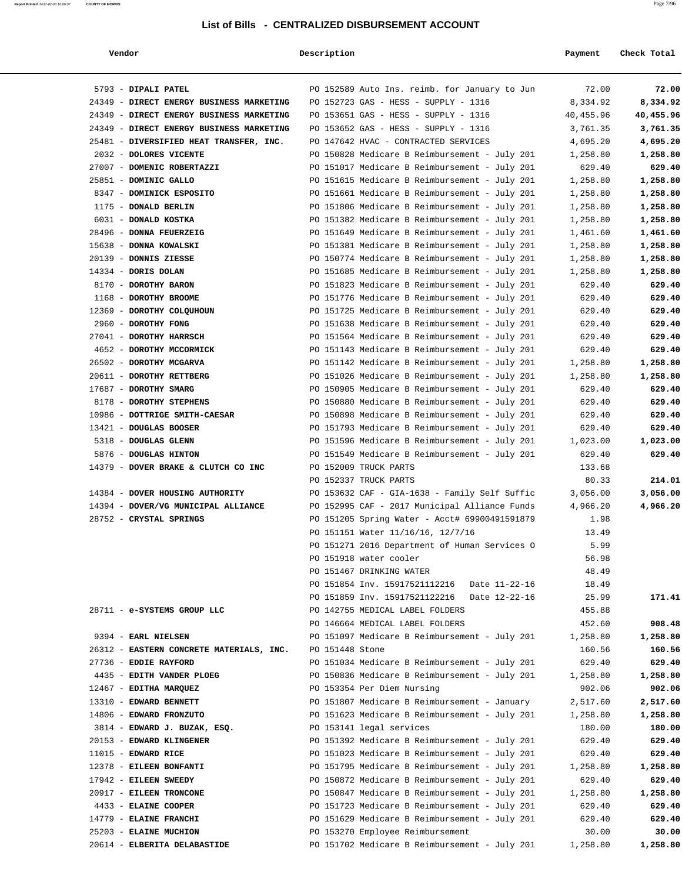| Vendor | Description | Payment | Check Total |
|--------|-------------|---------|-------------|
|        |             |         |             |

| 5793 - DIPALI PATEL                             | PO 152589 Auto Ins. reimb. for January to Jun                                                  | 72.00                | 72.00                |
|-------------------------------------------------|------------------------------------------------------------------------------------------------|----------------------|----------------------|
| 24349 - DIRECT ENERGY BUSINESS MARKETING        | PO 152723 GAS - HESS - SUPPLY - 1316                                                           | 8,334.92             | 8,334.92             |
| 24349 - DIRECT ENERGY BUSINESS MARKETING        | PO 153651 GAS - HESS - SUPPLY - 1316                                                           | 40,455.96            | 40,455.96            |
| 24349 - DIRECT ENERGY BUSINESS MARKETING        | PO 153652 GAS - HESS - SUPPLY - 1316                                                           | 3,761.35             | 3,761.35             |
| 25481 - DIVERSIFIED HEAT TRANSFER, INC.         | PO 147642 HVAC - CONTRACTED SERVICES                                                           | 4,695.20             | 4,695.20             |
| 2032 - DOLORES VICENTE                          | PO 150828 Medicare B Reimbursement - July 201                                                  | 1,258.80             | 1,258.80             |
| 27007 - DOMENIC ROBERTAZZI                      | PO 151017 Medicare B Reimbursement - July 201                                                  | 629.40               | 629.40               |
| 25851 - DOMINIC GALLO                           | PO 151615 Medicare B Reimbursement - July 201                                                  | 1,258.80             | 1,258.80             |
| 8347 - DOMINICK ESPOSITO                        | PO 151661 Medicare B Reimbursement - July 201                                                  | 1,258.80             | 1,258.80             |
| 1175 - DONALD BERLIN                            | PO 151806 Medicare B Reimbursement - July 201                                                  | 1,258.80             | 1,258.80             |
| 6031 - DONALD KOSTKA<br>28496 - DONNA FEUERZEIG | PO 151382 Medicare B Reimbursement - July 201<br>PO 151649 Medicare B Reimbursement - July 201 | 1,258.80<br>1,461.60 | 1,258.80<br>1,461.60 |
| 15638 - DONNA KOWALSKI                          | PO 151381 Medicare B Reimbursement - July 201                                                  | 1,258.80             | 1,258.80             |
| 20139 - DONNIS ZIESSE                           | PO 150774 Medicare B Reimbursement - July 201                                                  | 1,258.80             | 1,258.80             |
| 14334 - DORIS DOLAN                             | PO 151685 Medicare B Reimbursement - July 201                                                  | 1,258.80             | 1,258.80             |
| 8170 - DOROTHY BARON                            | PO 151823 Medicare B Reimbursement - July 201                                                  | 629.40               | 629.40               |
| 1168 - DOROTHY BROOME                           | PO 151776 Medicare B Reimbursement - July 201                                                  | 629.40               | 629.40               |
| 12369 - DOROTHY COLQUHOUN                       | PO 151725 Medicare B Reimbursement - July 201                                                  | 629.40               | 629.40               |
| 2960 - DOROTHY FONG                             | PO 151638 Medicare B Reimbursement - July 201                                                  | 629.40               | 629.40               |
| 27041 - DOROTHY HARRSCH                         | PO 151564 Medicare B Reimbursement - July 201                                                  | 629.40               | 629.40               |
| 4652 - DOROTHY MCCORMICK                        | PO 151143 Medicare B Reimbursement - July 201                                                  | 629.40               | 629.40               |
| 26502 - DOROTHY MCGARVA                         | PO 151142 Medicare B Reimbursement - July 201                                                  | 1,258.80             | 1,258.80             |
| 20611 - DOROTHY RETTBERG                        | PO 151026 Medicare B Reimbursement - July 201                                                  | 1,258.80             | 1,258.80             |
| 17687 - DOROTHY SMARG                           | PO 150905 Medicare B Reimbursement - July 201                                                  | 629.40               | 629.40               |
| 8178 - DOROTHY STEPHENS                         | PO 150880 Medicare B Reimbursement - July 201                                                  | 629.40               | 629.40               |
| 10986 - DOTTRIGE SMITH-CAESAR                   | PO 150898 Medicare B Reimbursement - July 201                                                  | 629.40               | 629.40               |
| 13421 - DOUGLAS BOOSER                          | PO 151793 Medicare B Reimbursement - July 201                                                  | 629.40               | 629.40               |
| 5318 - DOUGLAS GLENN                            | PO 151596 Medicare B Reimbursement - July 201                                                  | 1,023.00             | 1,023.00             |
| 5876 - DOUGLAS HINTON                           | PO 151549 Medicare B Reimbursement - July 201                                                  | 629.40               | 629.40               |
| 14379 - DOVER BRAKE & CLUTCH CO INC             | PO 152009 TRUCK PARTS                                                                          | 133.68               |                      |
|                                                 | PO 152337 TRUCK PARTS                                                                          | 80.33                | 214.01               |
| 14384 - DOVER HOUSING AUTHORITY                 | PO 153632 CAF - GIA-1638 - Family Self Suffic                                                  | 3,056.00             | 3,056.00             |
| 14394 - DOVER/VG MUNICIPAL ALLIANCE             | PO 152995 CAF - 2017 Municipal Alliance Funds                                                  | 4,966.20             | 4,966.20             |
| 28752 - CRYSTAL SPRINGS                         | PO 151205 Spring Water - Acct# 69900491591879                                                  | 1.98                 |                      |
|                                                 | PO 151151 Water 11/16/16, 12/7/16                                                              | 13.49                |                      |
|                                                 | PO 151271 2016 Department of Human Services O                                                  | 5.99                 |                      |
|                                                 | PO 151918 water cooler                                                                         | 56.98                |                      |
|                                                 | PO 151467 DRINKING WATER                                                                       | 48.49                |                      |
|                                                 | PO 151854 Inv. 15917521112216<br>Date 11-22-16                                                 | 18.49                |                      |
|                                                 | PO 151859 Inv. 15917521122216<br>Date 12-22-16                                                 | 25.99                | 171.41               |
| 28711 - e-SYSTEMS GROUP LLC                     | PO 142755 MEDICAL LABEL FOLDERS                                                                | 455.88               |                      |
| 9394 - EARL NIELSEN                             | PO 146664 MEDICAL LABEL FOLDERS<br>PO 151097 Medicare B Reimbursement - July 201               | 452.60<br>1,258.80   | 908.48<br>1,258.80   |
| 26312 - EASTERN CONCRETE MATERIALS, INC.        | PO 151448 Stone                                                                                | 160.56               | 160.56               |
| 27736 - EDDIE RAYFORD                           | PO 151034 Medicare B Reimbursement - July 201                                                  | 629.40               | 629.40               |
| 4435 - EDITH VANDER PLOEG                       | PO 150836 Medicare B Reimbursement - July 201                                                  | 1,258.80             | 1,258.80             |
| 12467 - EDITHA MARQUEZ                          | PO 153354 Per Diem Nursing                                                                     | 902.06               | 902.06               |
| 13310 - EDWARD BENNETT                          | PO 151807 Medicare B Reimbursement - January                                                   | 2,517.60             | 2,517.60             |
| 14806 - EDWARD FRONZUTO                         | PO 151623 Medicare B Reimbursement - July 201                                                  | 1,258.80             | 1,258.80             |
| 3814 - EDWARD J. BUZAK, ESQ.                    | PO 153141 legal services                                                                       | 180.00               | 180.00               |
| 20153 - EDWARD KLINGENER                        | PO 151392 Medicare B Reimbursement - July 201                                                  | 629.40               | 629.40               |
| $11015$ - EDWARD RICE                           | PO 151023 Medicare B Reimbursement - July 201                                                  | 629.40               | 629.40               |
| 12378 - EILEEN BONFANTI                         | PO 151795 Medicare B Reimbursement - July 201                                                  | 1,258.80             | 1,258.80             |
| 17942 - EILEEN SWEEDY                           | PO 150872 Medicare B Reimbursement - July 201                                                  | 629.40               | 629.40               |
| 20917 - EILEEN TRONCONE                         | PO 150847 Medicare B Reimbursement - July 201                                                  | 1,258.80             | 1,258.80             |
| 4433 - ELAINE COOPER                            | PO 151723 Medicare B Reimbursement - July 201                                                  | 629.40               | 629.40               |
| 14779 - ELAINE FRANCHI                          | PO 151629 Medicare B Reimbursement - July 201                                                  | 629.40               | 629.40               |
| 25203 - ELAINE MUCHION                          | PO 153270 Employee Reimbursement                                                               | 30.00                | 30.00                |
| 20614 - ELBERITA DELABASTIDE                    | PO 151702 Medicare B Reimbursement - July 201                                                  | 1,258.80             | 1,258.80             |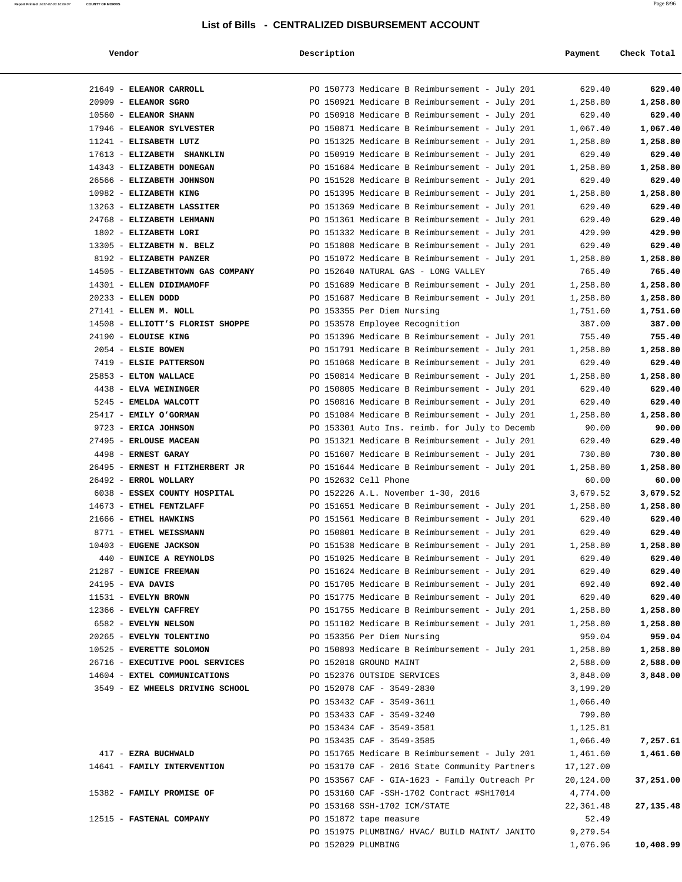### **Vendor Description Payment Check Total**

**Report Printed** 2017-02-03 16:06:07 **COUNTY OF MORRIS** Page 8/96

| 21649 - ELEANOR CARROLL                              | PO 150773 Medicare B Reimbursement - July 201                               | 629.40               | 629.40    |
|------------------------------------------------------|-----------------------------------------------------------------------------|----------------------|-----------|
| $20909$ - ELEANOR SGRO                               | PO 150921 Medicare B Reimbursement - July 201                               | 1,258.80             | 1,258.80  |
| 10560 - ELEANOR SHANN                                | PO 150918 Medicare B Reimbursement - July 201                               | 629.40               | 629.40    |
| 17946 - ELEANOR SYLVESTER                            | PO 150871 Medicare B Reimbursement - July 201                               | 1,067.40             | 1,067.40  |
| 11241 - ELISABETH LUTZ                               | PO 151325 Medicare B Reimbursement - July 201                               | 1,258.80             | 1,258.80  |
| 17613 - ELIZABETH SHANKLIN                           | PO 150919 Medicare B Reimbursement - July 201                               | 629.40               | 629.40    |
| 14343 - ELIZABETH DONEGAN                            | PO 151684 Medicare B Reimbursement - July 201                               | 1,258.80             | 1,258.80  |
| 26566 - ELIZABETH JOHNSON                            | PO 151528 Medicare B Reimbursement - July 201                               | 629.40               | 629.40    |
| 10982 - ELIZABETH KING                               | PO 151395 Medicare B Reimbursement - July 201                               | 1,258.80             | 1,258.80  |
| 13263 - ELIZABETH LASSITER                           | PO 151369 Medicare B Reimbursement - July 201                               | 629.40               | 629.40    |
| 24768 - ELIZABETH LEHMANN                            | PO 151361 Medicare B Reimbursement - July 201                               | 629.40               | 629.40    |
| 1802 - ELIZABETH LORI                                | PO 151332 Medicare B Reimbursement - July 201                               | 429.90               | 429.90    |
| 13305 - ELIZABETH N. BELZ                            | PO 151808 Medicare B Reimbursement - July 201                               | 629.40               | 629.40    |
| 8192 - ELIZABETH PANZER                              | PO 151072 Medicare B Reimbursement - July 201                               | 1,258.80             | 1,258.80  |
| 14505 - ELIZABETHTOWN GAS COMPANY                    | PO 152640 NATURAL GAS - LONG VALLEY                                         | 765.40               | 765.40    |
| 14301 - ELLEN DIDIMAMOFF                             | PO 151689 Medicare B Reimbursement - July 201                               | 1,258.80             | 1,258.80  |
| 20233 - ELLEN DODD                                   | PO 151687 Medicare B Reimbursement - July 201                               | 1,258.80             | 1,258.80  |
| 27141 - ELLEN M. NOLL                                | PO 153355 Per Diem Nursing                                                  | 1,751.60             | 1,751.60  |
| 14508 - ELLIOTT'S FLORIST SHOPPE                     | PO 153578 Employee Recognition                                              | 387.00               | 387.00    |
| 24190 - ELOUISE KING                                 | PO 151396 Medicare B Reimbursement - July 201                               | 755.40               | 755.40    |
| 2054 - ELSIE BOWEN                                   | PO 151791 Medicare B Reimbursement - July 201                               | 1,258.80             | 1,258.80  |
| 7419 - ELSIE PATTERSON                               | PO 151068 Medicare B Reimbursement - July 201                               | 629.40               | 629.40    |
| 25853 - ELTON WALLACE                                | PO 150814 Medicare B Reimbursement - July 201                               | 1,258.80             | 1,258.80  |
| 4438 - ELVA WEININGER                                | PO 150805 Medicare B Reimbursement - July 201                               | 629.40               | 629.40    |
| 5245 - EMELDA WALCOTT                                | PO 150816 Medicare B Reimbursement - July 201                               | 629.40               | 629.40    |
| 25417 - EMILY O'GORMAN                               | PO 151084 Medicare B Reimbursement - July 201                               | 1,258.80             | 1,258.80  |
| 9723 - ERICA JOHNSON                                 | PO 153301 Auto Ins. reimb. for July to Decemb                               | 90.00                | 90.00     |
| 27495 - ERLOUSE MACEAN                               | PO 151321 Medicare B Reimbursement - July 201                               | 629.40               | 629.40    |
| 4498 - ERNEST GARAY                                  | PO 151607 Medicare B Reimbursement - July 201                               | 730.80               | 730.80    |
| 26495 - ERNEST H FITZHERBERT JR                      | PO 151644 Medicare B Reimbursement - July 201                               | 1,258.80             | 1,258.80  |
| 26492 - ERROL WOLLARY                                | PO 152632 Cell Phone                                                        | 60.00                | 60.00     |
| 6038 - ESSEX COUNTY HOSPITAL                         | PO 152226 A.L. November 1-30, 2016                                          | 3,679.52             | 3,679.52  |
| 14673 - ETHEL FENTZLAFF                              | PO 151651 Medicare B Reimbursement - July 201                               | 1,258.80             | 1,258.80  |
| 21666 - ETHEL HAWKINS                                | PO 151561 Medicare B Reimbursement - July 201                               | 629.40               | 629.40    |
| 8771 - ETHEL WEISSMANN                               | PO 150801 Medicare B Reimbursement - July 201                               | 629.40               | 629.40    |
| 10403 - EUGENE JACKSON                               | PO 151538 Medicare B Reimbursement - July 201                               | 1,258.80             | 1,258.80  |
| 440 - EUNICE A REYNOLDS                              | PO 151025 Medicare B Reimbursement - July 201                               | 629.40               | 629.40    |
| 21287 - EUNICE FREEMAN                               | PO 151624 Medicare B Reimbursement - July 201                               | 629.40               | 629.40    |
| 24195 - EVA DAVIS                                    | PO 151705 Medicare B Reimbursement - July 201                               | 692.40               | 692.40    |
| 11531 - EVELYN BROWN                                 | PO 151775 Medicare B Reimbursement - July 201                               | 629.40               | 629.40    |
| 12366 - EVELYN CAFFREY                               | PO 151755 Medicare B Reimbursement - July 201                               | 1,258.80             | 1,258.80  |
| 6582 - EVELYN NELSON                                 | PO 151102 Medicare B Reimbursement - July 201                               | 1,258.80             | 1,258.80  |
| 20265 - EVELYN TOLENTINO<br>10525 - EVERETTE SOLOMON | PO 153356 Per Diem Nursing<br>PO 150893 Medicare B Reimbursement - July 201 | 959.04               | 959.04    |
| 26716 - EXECUTIVE POOL SERVICES                      | PO 152018 GROUND MAINT                                                      | 1,258.80             | 1,258.80  |
| 14604 - EXTEL COMMUNICATIONS                         | PO 152376 OUTSIDE SERVICES                                                  | 2,588.00             | 2,588.00  |
| 3549 - EZ WHEELS DRIVING SCHOOL                      | PO 152078 CAF - 3549-2830                                                   | 3,848.00<br>3,199.20 | 3,848.00  |
|                                                      | PO 153432 CAF - 3549-3611                                                   | 1,066.40             |           |
|                                                      | PO 153433 CAF - 3549-3240                                                   | 799.80               |           |
|                                                      | PO 153434 CAF - 3549-3581                                                   | 1,125.81             |           |
|                                                      | PO 153435 CAF - 3549-3585                                                   | 1,066.40             | 7,257.61  |
| 417 - EZRA BUCHWALD                                  | PO 151765 Medicare B Reimbursement - July 201                               | 1,461.60             | 1,461.60  |
| 14641 - FAMILY INTERVENTION                          | PO 153170 CAF - 2016 State Community Partners                               | 17,127.00            |           |
|                                                      | PO 153567 CAF - GIA-1623 - Family Outreach Pr                               | 20,124.00            | 37,251.00 |
| 15382 - FAMILY PROMISE OF                            | PO 153160 CAF -SSH-1702 Contract #SH17014                                   | 4,774.00             |           |
|                                                      | PO 153168 SSH-1702 ICM/STATE                                                | 22,361.48            | 27,135.48 |
| 12515 - FASTENAL COMPANY                             | PO 151872 tape measure                                                      | 52.49                |           |
|                                                      | PO 151975 PLUMBING/ HVAC/ BUILD MAINT/ JANITO                               | 9,279.54             |           |
|                                                      | PO 152029 PLUMBING                                                          | 1,076.96             | 10,408.99 |
|                                                      |                                                                             |                      |           |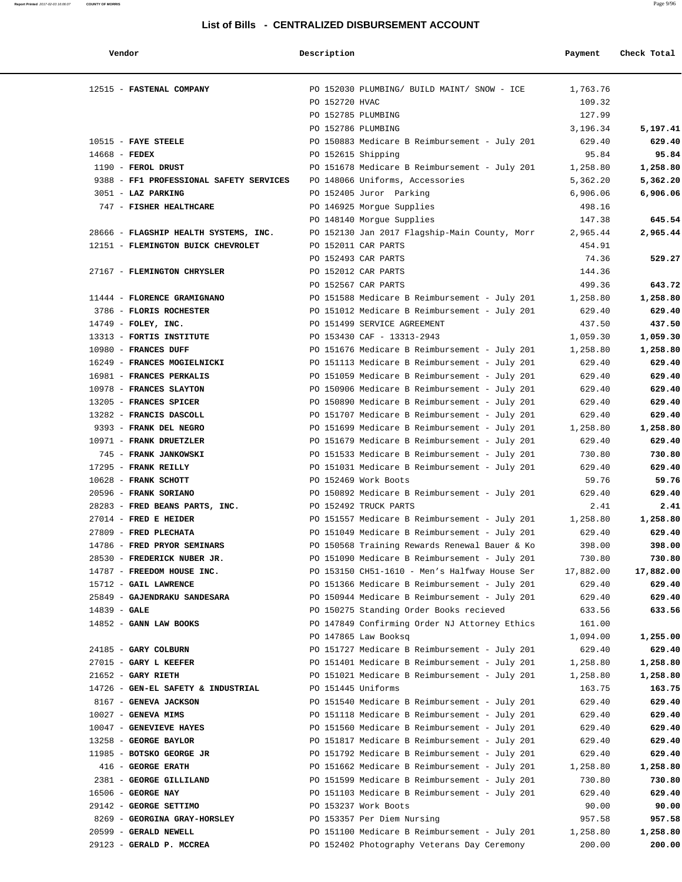| Vendor                                         | Description                                                                                    | Payment          | Check Total      |
|------------------------------------------------|------------------------------------------------------------------------------------------------|------------------|------------------|
| 12515 - FASTENAL COMPANY                       | PO 152030 PLUMBING/ BUILD MAINT/ SNOW - ICE                                                    | 1,763.76         |                  |
|                                                | PO 152720 HVAC                                                                                 | 109.32           |                  |
|                                                | PO 152785 PLUMBING                                                                             | 127.99           |                  |
|                                                | PO 152786 PLUMBING                                                                             | 3,196.34         | 5,197.41         |
| $10515$ - FAYE STEELE                          | PO 150883 Medicare B Reimbursement - July 201                                                  | 629.40           | 629.40           |
| $14668$ - FEDEX                                | PO 152615 Shipping                                                                             | 95.84            | 95.84            |
| $1190$ - FEROL DRUST                           | PO 151678 Medicare B Reimbursement - July 201                                                  | 1,258.80         | 1,258.80         |
| 9388 - FF1 PROFESSIONAL SAFETY SERVICES        | PO 148066 Uniforms, Accessories                                                                | 5,362.20         | 5,362.20         |
| 3051 - LAZ PARKING                             | PO 152405 Juror Parking                                                                        | 6,906.06         | 6,906.06         |
| 747 - FISHER HEALTHCARE                        | PO 146925 Morgue Supplies                                                                      | 498.16           |                  |
|                                                | PO 148140 Morgue Supplies                                                                      | 147.38           | 645.54           |
| 28666 - FLAGSHIP HEALTH SYSTEMS, INC.          | PO 152130 Jan 2017 Flagship-Main County, Morr                                                  | 2,965.44         | 2,965.44         |
| 12151 - FLEMINGTON BUICK CHEVROLET             | PO 152011 CAR PARTS                                                                            | 454.91           |                  |
|                                                | PO 152493 CAR PARTS                                                                            | 74.36            | 529.27           |
| 27167 - FLEMINGTON CHRYSLER                    | PO 152012 CAR PARTS                                                                            | 144.36           |                  |
|                                                | PO 152567 CAR PARTS                                                                            | 499.36           | 643.72           |
| 11444 - FLORENCE GRAMIGNANO                    | PO 151588 Medicare B Reimbursement - July 201                                                  | 1,258.80         | 1,258.80         |
| 3786 - FLORIS ROCHESTER                        | PO 151012 Medicare B Reimbursement - July 201                                                  | 629.40           | 629.40           |
| 14749 - FOLEY, INC.                            | PO 151499 SERVICE AGREEMENT                                                                    | 437.50           | 437.50           |
| 13313 - FORTIS INSTITUTE                       | PO 153430 CAF - 13313-2943                                                                     | 1,059.30         | 1,059.30         |
| 10980 - FRANCES DUFF                           | PO 151676 Medicare B Reimbursement - July 201                                                  | 1,258.80         | 1,258.80         |
| 16249 - FRANCES MOGIELNICKI                    | PO 151113 Medicare B Reimbursement - July 201                                                  | 629.40           | 629.40           |
| 16981 - FRANCES PERKALIS                       | PO 151059 Medicare B Reimbursement - July 201                                                  | 629.40           | 629.40           |
| 10978 - FRANCES SLAYTON                        | PO 150906 Medicare B Reimbursement - July 201                                                  | 629.40           | 629.40           |
| 13205 - FRANCES SPICER                         | PO 150890 Medicare B Reimbursement - July 201                                                  | 629.40           | 629.40           |
| 13282 - FRANCIS DASCOLL                        | PO 151707 Medicare B Reimbursement - July 201                                                  | 629.40           | 629.40           |
| 9393 - FRANK DEL NEGRO                         | PO 151699 Medicare B Reimbursement - July 201                                                  | 1,258.80         | 1,258.80         |
| 10971 - FRANK DRUETZLER                        | PO 151679 Medicare B Reimbursement - July 201                                                  | 629.40           | 629.40           |
| 745 - FRANK JANKOWSKI                          | PO 151533 Medicare B Reimbursement - July 201                                                  | 730.80           | 730.80           |
| 17295 - FRANK REILLY                           | PO 151031 Medicare B Reimbursement - July 201                                                  | 629.40           | 629.40           |
| 10628 - FRANK SCHOTT                           | PO 152469 Work Boots                                                                           | 59.76            | 59.76            |
| 20596 - FRANK SORIANO                          | PO 150892 Medicare B Reimbursement - July 201                                                  | 629.40           | 629.40           |
| 28283 - FRED BEANS PARTS, INC.                 | PO 152492 TRUCK PARTS                                                                          | 2.41             | 2.41             |
| $27014$ - FRED E HEIDER                        | PO 151557 Medicare B Reimbursement - July 201                                                  | 1,258.80         | 1,258.80         |
| 27809 - FRED PLECHATA                          | PO 151049 Medicare B Reimbursement - July 201                                                  | 629.40           | 629.40           |
| 14786 - FRED PRYOR SEMINARS                    | PO 150568 Training Rewards Renewal Bauer & Ko                                                  | 398.00           | 398.00           |
| 28530 - FREDERICK NUBER JR.                    | PO 151090 Medicare B Reimbursement - July 201                                                  | 730.80           | 730.80           |
| 14787 - FREEDOM HOUSE INC.                     | PO 153150 CH51-1610 - Men's Halfway House Ser                                                  | 17,882.00        | 17,882.00        |
| 15712 - GAIL LAWRENCE                          | PO 151366 Medicare B Reimbursement - July 201                                                  | 629.40           | 629.40           |
| 25849 - GAJENDRAKU SANDESARA                   | PO 150944 Medicare B Reimbursement - July 201                                                  | 629.40           | 629.40           |
| $14839 - GALE$                                 | PO 150275 Standing Order Books recieved                                                        | 633.56           | 633.56           |
| 14852 - GANN LAW BOOKS                         | PO 147849 Confirming Order NJ Attorney Ethics                                                  | 161.00           |                  |
|                                                | PO 147865 Law Booksq                                                                           | 1,094.00         | 1,255.00         |
| 24185 - GARY COLBURN                           | PO 151727 Medicare B Reimbursement - July 201<br>PO 151401 Medicare B Reimbursement - July 201 | 629.40           | 629.40           |
| $27015$ - GARY L KEEFER                        |                                                                                                | 1,258.80         | 1,258.80         |
| $21652$ - GARY RIETH                           | PO 151021 Medicare B Reimbursement - July 201                                                  | 1,258.80         | 1,258.80         |
| 14726 - GEN-EL SAFETY & INDUSTRIAL             | PO 151445 Uniforms                                                                             | 163.75           | 163.75           |
| 8167 - GENEVA JACKSON<br>$10027$ - GENEVA MIMS | PO 151540 Medicare B Reimbursement - July 201<br>PO 151118 Medicare B Reimbursement - July 201 | 629.40<br>629.40 | 629.40<br>629.40 |
| 10047 - GENEVIEVE HAYES                        | PO 151560 Medicare B Reimbursement - July 201                                                  | 629.40           | 629.40           |
| 13258 - GEORGE BAYLOR                          | PO 151817 Medicare B Reimbursement - July 201                                                  | 629.40           | 629.40           |
| 11985 - BOTSKO GEORGE JR                       | PO 151792 Medicare B Reimbursement - July 201                                                  | 629.40           | 629.40           |
| 416 - GEORGE ERATH                             | PO 151662 Medicare B Reimbursement - July 201                                                  | 1,258.80         | 1,258.80         |
| 2381 - GEORGE GILLILAND                        | PO 151599 Medicare B Reimbursement - July 201                                                  | 730.80           | 730.80           |
| 16506 - GEORGE NAY                             | PO 151103 Medicare B Reimbursement - July 201                                                  | 629.40           | 629.40           |
| 29142 - GEORGE SETTIMO                         | PO 153237 Work Boots                                                                           | 90.00            | 90.00            |
| 8269 - GEORGINA GRAY-HORSLEY                   | PO 153357 Per Diem Nursing                                                                     | 957.58           | 957.58           |
|                                                |                                                                                                |                  |                  |

 20599 - **GERALD NEWELL** PO 151100 Medicare B Reimbursement - July 201 1,258.80 **1,258.80** 29123 - **GERALD P. MCCREA** PO 152402 Photography Veterans Day Ceremony 200.00 **200.00**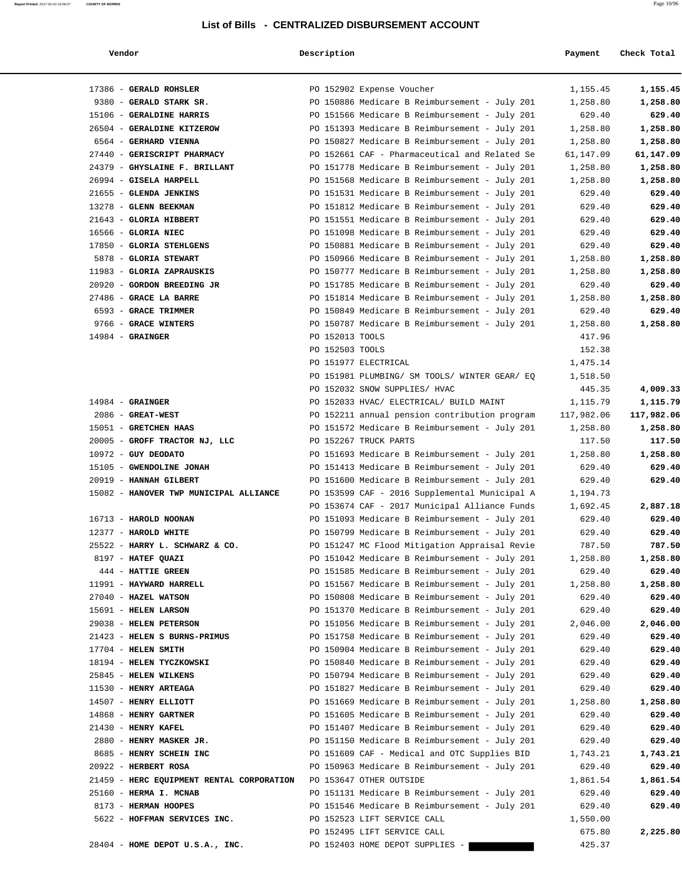**Report Printed** 2017-02-03 16:06:07 **COUNTY OF MORRIS** Page 10/96

| end | נסו |  |
|-----|-----|--|
|-----|-----|--|

 **Vendor Description Payment Check Total**

| 17386 - GERALD ROHSLER                    | PO 152902 Expense Voucher                     | 1,155.45   | 1,155.45   |
|-------------------------------------------|-----------------------------------------------|------------|------------|
| 9380 - GERALD STARK SR.                   | PO 150886 Medicare B Reimbursement - July 201 | 1,258.80   | 1,258.80   |
| 15106 - GERALDINE HARRIS                  | PO 151566 Medicare B Reimbursement - July 201 | 629.40     | 629.40     |
| 26504 - GERALDINE KITZEROW                | PO 151393 Medicare B Reimbursement - July 201 | 1,258.80   | 1,258.80   |
| 6564 - GERHARD VIENNA                     | PO 150827 Medicare B Reimbursement - July 201 | 1,258.80   | 1,258.80   |
| 27440 - GERISCRIPT PHARMACY               | PO 152661 CAF - Pharmaceutical and Related Se | 61,147.09  | 61,147.09  |
| 24379 - GHYSLAINE F. BRILLANT             | PO 151778 Medicare B Reimbursement - July 201 | 1,258.80   | 1,258.80   |
| 26994 - GISELA HARPELL                    | PO 151568 Medicare B Reimbursement - July 201 | 1,258.80   | 1,258.80   |
| 21655 - GLENDA JENKINS                    | PO 151531 Medicare B Reimbursement - July 201 | 629.40     | 629.40     |
| 13278 - GLENN BEEKMAN                     | PO 151812 Medicare B Reimbursement - July 201 | 629.40     | 629.40     |
| 21643 - GLORIA HIBBERT                    | PO 151551 Medicare B Reimbursement - July 201 | 629.40     | 629.40     |
| 16566 - GLORIA NIEC                       | PO 151098 Medicare B Reimbursement - July 201 | 629.40     | 629.40     |
| 17850 - GLORIA STEHLGENS                  | PO 150881 Medicare B Reimbursement - July 201 | 629.40     | 629.40     |
| 5878 - GLORIA STEWART                     | PO 150966 Medicare B Reimbursement - July 201 | 1,258.80   | 1,258.80   |
| 11983 - GLORIA ZAPRAUSKIS                 | PO 150777 Medicare B Reimbursement - July 201 | 1,258.80   | 1,258.80   |
| 20920 - GORDON BREEDING JR                | PO 151785 Medicare B Reimbursement - July 201 | 629.40     | 629.40     |
| 27486 - GRACE LA BARRE                    | PO 151814 Medicare B Reimbursement - July 201 | 1,258.80   | 1,258.80   |
| 6593 - GRACE TRIMMER                      | PO 150849 Medicare B Reimbursement - July 201 | 629.40     | 629.40     |
| 9766 - GRACE WINTERS                      | PO 150787 Medicare B Reimbursement - July 201 | 1,258.80   | 1,258.80   |
| $14984$ - GRAINGER                        | PO 152013 TOOLS                               | 417.96     |            |
|                                           | PO 152503 TOOLS                               | 152.38     |            |
|                                           | PO 151977 ELECTRICAL                          | 1,475.14   |            |
|                                           | PO 151981 PLUMBING/ SM TOOLS/ WINTER GEAR/ EQ | 1,518.50   |            |
|                                           | PO 152032 SNOW SUPPLIES/ HVAC                 | 445.35     | 4,009.33   |
| $14984$ - GRAINGER                        | PO 152033 HVAC/ ELECTRICAL/ BUILD MAINT       | 1,115.79   | 1,115.79   |
| $2086$ - GREAT-WEST                       | PO 152211 annual pension contribution program | 117,982.06 | 117,982.06 |
| 15051 - GRETCHEN HAAS                     | PO 151572 Medicare B Reimbursement - July 201 | 1,258.80   | 1,258.80   |
| 20005 - GROFF TRACTOR NJ, LLC             | PO 152267 TRUCK PARTS                         | 117.50     | 117.50     |
| $10972$ - GUY DEODATO                     | PO 151693 Medicare B Reimbursement - July 201 | 1,258.80   | 1,258.80   |
| 15105 - GWENDOLINE JONAH                  | PO 151413 Medicare B Reimbursement - July 201 | 629.40     | 629.40     |
| 20919 - HANNAH GILBERT                    | PO 151600 Medicare B Reimbursement - July 201 | 629.40     | 629.40     |
| 15082 - HANOVER TWP MUNICIPAL ALLIANCE    | PO 153599 CAF - 2016 Supplemental Municipal A | 1,194.73   |            |
|                                           | PO 153674 CAF - 2017 Municipal Alliance Funds | 1,692.45   | 2,887.18   |
| 16713 - HAROLD NOONAN                     | PO 151093 Medicare B Reimbursement - July 201 | 629.40     | 629.40     |
| 12377 - HAROLD WHITE                      | PO 150799 Medicare B Reimbursement - July 201 | 629.40     | 629.40     |
| 25522 - HARRY L. SCHWARZ & CO.            | PO 151247 MC Flood Mitigation Appraisal Revie | 787.50     | 787.50     |
| 8197 - HATEF QUAZI                        | PO 151042 Medicare B Reimbursement - July 201 | 1,258.80   | 1,258.80   |
| 444 - HATTIE GREEN                        | PO 151585 Medicare B Reimbursement - July 201 | 629.40     | 629.40     |
| 11991 - HAYWARD HARRELL                   | PO 151567 Medicare B Reimbursement - July 201 | 1,258.80   | 1,258.80   |
| 27040 - HAZEL WATSON                      | PO 150808 Medicare B Reimbursement - July 201 | 629.40     | 629.40     |
| 15691 - HELEN LARSON                      | PO 151370 Medicare B Reimbursement - July 201 | 629.40     | 629.40     |
| 29038 - HELEN PETERSON                    | PO 151056 Medicare B Reimbursement - July 201 | 2,046.00   | 2,046.00   |
| 21423 - HELEN S BURNS-PRIMUS              | PO 151758 Medicare B Reimbursement - July 201 | 629.40     | 629.40     |
| $17704$ - HELEN SMITH                     | PO 150904 Medicare B Reimbursement - July 201 | 629.40     | 629.40     |
| 18194 - HELEN TYCZKOWSKI                  | PO 150840 Medicare B Reimbursement - July 201 | 629.40     | 629.40     |
| 25845 - HELEN WILKENS                     | PO 150794 Medicare B Reimbursement - July 201 | 629.40     | 629.40     |
| 11530 - HENRY ARTEAGA                     | PO 151827 Medicare B Reimbursement - July 201 | 629.40     | 629.40     |
| 14507 - HENRY ELLIOTT                     | PO 151669 Medicare B Reimbursement - July 201 | 1,258.80   | 1,258.80   |
| 14868 - HENRY GARTNER                     | PO 151605 Medicare B Reimbursement - July 201 | 629.40     | 629.40     |
| $21430$ - HENRY KAFEL                     | PO 151407 Medicare B Reimbursement - July 201 | 629.40     | 629.40     |
|                                           |                                               |            |            |
| 2880 - HENRY MASKER JR.                   | PO 151150 Medicare B Reimbursement - July 201 | 629.40     | 629.40     |
| 8685 - HENRY SCHEIN INC                   | PO 151609 CAF - Medical and OTC Supplies BID  | 1,743.21   | 1,743.21   |
| 20922 - HERBERT ROSA                      | PO 150963 Medicare B Reimbursement - July 201 | 629.40     | 629.40     |
| 21459 - HERC EQUIPMENT RENTAL CORPORATION | PO 153647 OTHER OUTSIDE                       | 1,861.54   | 1,861.54   |
| 25160 - HERMA I. MCNAB                    | PO 151131 Medicare B Reimbursement - July 201 | 629.40     | 629.40     |
| 8173 - HERMAN HOOPES                      | PO 151546 Medicare B Reimbursement - July 201 | 629.40     | 629.40     |
| 5622 - HOFFMAN SERVICES INC.              | PO 152523 LIFT SERVICE CALL                   | 1,550.00   |            |
|                                           | PO 152495 LIFT SERVICE CALL                   | 675.80     | 2,225.80   |
| 28404 - HOME DEPOT U.S.A., INC.           | PO 152403 HOME DEPOT SUPPLIES -               | 425.37     |            |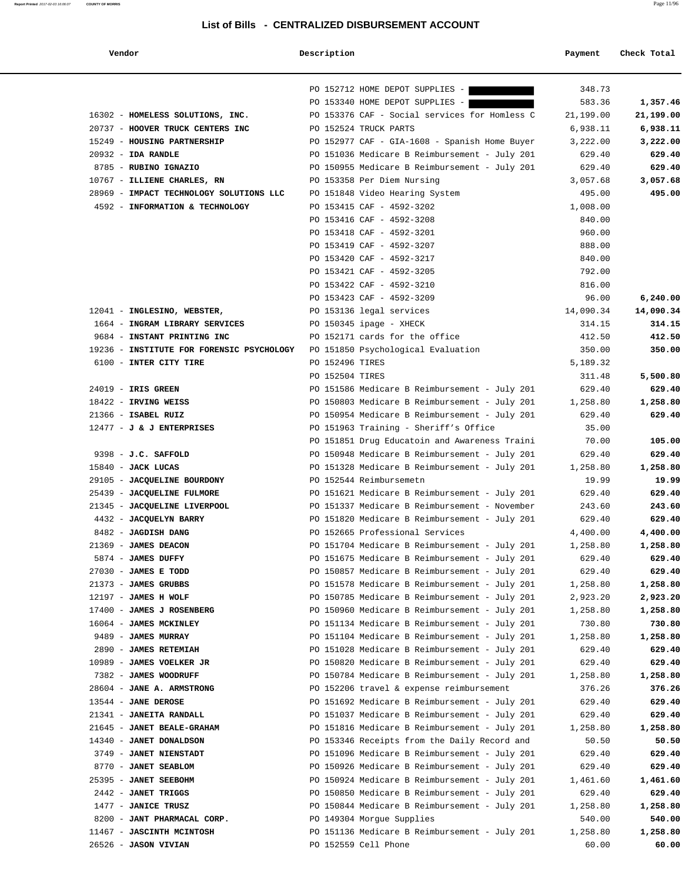**Report Printed** 2017-02-03 16:06:07 **COUNTY OF MORRIS** Page 11/96

| Vendor | Description | Payment | Check Total |
|--------|-------------|---------|-------------|
|        |             |         |             |

|                                                                      |                           | PO 152712 HOME DEPOT SUPPLIES -                                                               | 348.73               |                      |
|----------------------------------------------------------------------|---------------------------|-----------------------------------------------------------------------------------------------|----------------------|----------------------|
|                                                                      |                           | PO 153340 HOME DEPOT SUPPLIES -                                                               | 583.36               | 1,357.46             |
| 16302 - HOMELESS SOLUTIONS, INC.<br>20737 - HOOVER TRUCK CENTERS INC | PO 152524 TRUCK PARTS     | PO 153376 CAF - Social services for Homless C                                                 | 21,199.00            | 21,199.00            |
| 15249 - HOUSING PARTNERSHIP                                          |                           | PO 152977 CAF - GIA-1608 - Spanish Home Buyer                                                 | 6,938.11<br>3,222.00 | 6,938.11<br>3,222.00 |
| $20932 - IDA RANDLE$                                                 |                           | PO 151036 Medicare B Reimbursement - July 201                                                 | 629.40               | 629.40               |
| 8785 - RUBINO IGNAZIO                                                |                           | PO 150955 Medicare B Reimbursement - July 201                                                 | 629.40               | 629.40               |
| 10767 - ILLIENE CHARLES, RN                                          |                           | PO 153358 Per Diem Nursing                                                                    | 3,057.68             | 3,057.68             |
| 28969 - IMPACT TECHNOLOGY SOLUTIONS LLC                              |                           | PO 151848 Video Hearing System                                                                | 495.00               | 495.00               |
| 4592 - INFORMATION & TECHNOLOGY                                      |                           | PO 153415 CAF - 4592-3202                                                                     | 1,008.00             |                      |
|                                                                      |                           | PO 153416 CAF - 4592-3208                                                                     | 840.00               |                      |
|                                                                      |                           | PO 153418 CAF - 4592-3201                                                                     | 960.00               |                      |
|                                                                      |                           | PO 153419 CAF - 4592-3207                                                                     | 888.00               |                      |
|                                                                      |                           | PO 153420 CAF - 4592-3217                                                                     | 840.00               |                      |
|                                                                      |                           | PO 153421 CAF - 4592-3205                                                                     | 792.00               |                      |
|                                                                      |                           | PO 153422 CAF - 4592-3210                                                                     | 816.00               |                      |
|                                                                      |                           | PO 153423 CAF - 4592-3209                                                                     | 96.00                | 6,240.00             |
| 12041 - INGLESINO, WEBSTER,                                          |                           | PO 153136 legal services                                                                      | 14,090.34            | 14,090.34            |
| 1664 - INGRAM LIBRARY SERVICES                                       | $PO$ 150345 ipage - XHECK |                                                                                               | 314.15               | 314.15               |
| 9684 - INSTANT PRINTING INC                                          |                           | PO 152171 cards for the office                                                                | 412.50               | 412.50               |
| 19236 - INSTITUTE FOR FORENSIC PSYCHOLOGY                            |                           | PO 151850 Psychological Evaluation                                                            | 350.00               | 350.00               |
| 6100 - INTER CITY TIRE                                               | PO 152496 TIRES           |                                                                                               | 5,189.32             |                      |
|                                                                      | PO 152504 TIRES           |                                                                                               | 311.48               | 5,500.80             |
| 24019 - IRIS GREEN                                                   |                           | PO 151586 Medicare B Reimbursement - July 201                                                 | 629.40               | 629.40               |
| 18422 - IRVING WEISS                                                 |                           | PO 150803 Medicare B Reimbursement - July 201                                                 | 1,258.80             | 1,258.80             |
| 21366 - ISABEL RUIZ                                                  |                           | PO 150954 Medicare B Reimbursement - July 201                                                 | 629.40               | 629.40               |
| $12477 - J$ & J ENTERPRISES                                          |                           | PO 151963 Training - Sheriff's Office<br>PO 151851 Drug Educatoin and Awareness Traini        | 35.00<br>70.00       | 105.00               |
| 9398 - J.C. SAFFOLD                                                  |                           | PO 150948 Medicare B Reimbursement - July 201                                                 | 629.40               | 629.40               |
| $15840$ - JACK LUCAS                                                 |                           | PO 151328 Medicare B Reimbursement - July 201                                                 | 1,258.80             | 1,258.80             |
| 29105 - JACQUELINE BOURDONY                                          | PO 152544 Reimbursemetn   |                                                                                               | 19.99                | 19.99                |
| 25439 - JACQUELINE FULMORE                                           |                           | PO 151621 Medicare B Reimbursement - July 201                                                 | 629.40               | 629.40               |
| 21345 - JACQUELINE LIVERPOOL                                         |                           | PO 151337 Medicare B Reimbursement - November                                                 | 243.60               | 243.60               |
| 4432 - JACQUELYN BARRY                                               |                           | PO 151820 Medicare B Reimbursement - July 201                                                 | 629.40               | 629.40               |
| 8482 - JAGDISH DANG                                                  |                           | PO 152665 Professional Services                                                               | 4,400.00             | 4,400.00             |
| 21369 - JAMES DEACON                                                 |                           | PO 151704 Medicare B Reimbursement - July 201                                                 | 1,258.80             | 1,258.80             |
| 5874 - JAMES DUFFY                                                   |                           | PO 151675 Medicare B Reimbursement - July 201                                                 | 629.40               | 629.40               |
| $27030$ - JAMES E TODD                                               |                           | PO 150857 Medicare B Reimbursement - July 201                                                 | 629.40               | 629.40               |
| 21373 - JAMES GRUBBS                                                 |                           | PO 151578 Medicare B Reimbursement - July 201                                                 | 1,258.80             | 1,258.80             |
| $12197$ - JAMES H WOLF                                               |                           | PO 150785 Medicare B Reimbursement - July 201                                                 | 2,923.20             | 2,923.20             |
| 17400 - JAMES J ROSENBERG                                            |                           | PO 150960 Medicare B Reimbursement - July 201                                                 | 1,258.80             | 1,258.80             |
| 16064 - JAMES MCKINLEY                                               |                           | PO 151134 Medicare B Reimbursement - July 201                                                 | 730.80               | 730.80               |
| 9489 - JAMES MURRAY                                                  |                           | PO 151104 Medicare B Reimbursement - July 201                                                 | 1,258.80             | 1,258.80             |
| 2890 - JAMES RETEMIAH                                                |                           | PO 151028 Medicare B Reimbursement - July 201                                                 | 629.40               | 629.40               |
| 10989 - JAMES VOELKER JR                                             |                           | PO 150820 Medicare B Reimbursement - July 201                                                 | 629.40               | 629.40               |
| 7382 - JAMES WOODRUFF                                                |                           | PO 150784 Medicare B Reimbursement - July 201                                                 | 1,258.80             | 1,258.80             |
| 28604 - JANE A. ARMSTRONG                                            |                           | PO 152206 travel & expense reimbursement                                                      | 376.26               | 376.26               |
| 13544 - JANE DEROSE                                                  |                           | PO 151692 Medicare B Reimbursement - July 201                                                 | 629.40               | 629.40               |
| 21341 - JANEITA RANDALL                                              |                           | PO 151037 Medicare B Reimbursement - July 201                                                 | 629.40               | 629.40               |
| 21645 - JANET BEALE-GRAHAM                                           |                           | PO 151816 Medicare B Reimbursement - July 201                                                 | 1,258.80             | 1,258.80             |
| 14340 - JANET DONALDSON<br>3749 - JANET NIENSTADT                    |                           | PO 153346 Receipts from the Daily Record and<br>PO 151096 Medicare B Reimbursement - July 201 | 50.50<br>629.40      | 50.50<br>629.40      |
| 8770 - JANET SEABLOM                                                 |                           | PO 150926 Medicare B Reimbursement - July 201                                                 | 629.40               | 629.40               |
| 25395 - <b>JANET SEEBOHM</b>                                         |                           | PO 150924 Medicare B Reimbursement - July 201                                                 | 1,461.60             | 1,461.60             |
| 2442 - JANET TRIGGS                                                  |                           | PO 150850 Medicare B Reimbursement - July 201                                                 | 629.40               | 629.40               |
| 1477 - JANICE TRUSZ                                                  |                           | PO 150844 Medicare B Reimbursement - July 201                                                 | 1,258.80             | 1,258.80             |
| 8200 - JANT PHARMACAL CORP.                                          |                           | PO 149304 Morgue Supplies                                                                     | 540.00               | 540.00               |
| 11467 - JASCINTH MCINTOSH                                            |                           | PO 151136 Medicare B Reimbursement - July 201                                                 | 1,258.80             | 1,258.80             |
| 26526 - <b>JASON VIVIAN</b>                                          | PO 152559 Cell Phone      |                                                                                               | 60.00                | 60.00                |
|                                                                      |                           |                                                                                               |                      |                      |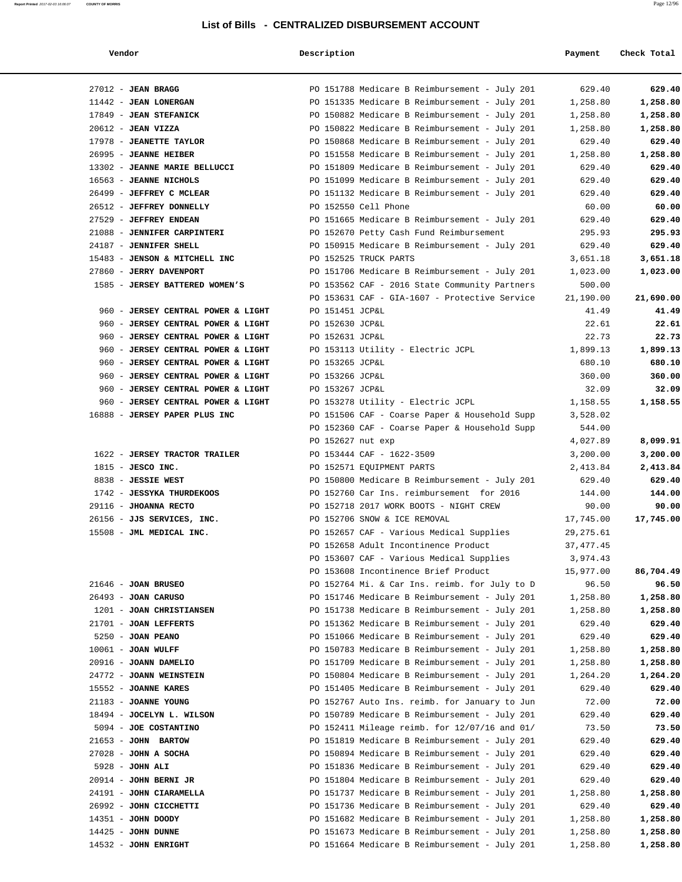| Vendor |  |  |  |
|--------|--|--|--|
|--------|--|--|--|

### **Vendor Description Payment Check Total**

**Report Printed** 2017-02-03 16:06:07 **COUNTY OF MORRIS** Page 12/96

| $27012$ - JEAN BRAGG                    | PO 151788 Medicare B Reimbursement - July 201 | 629.40      | 629.40    |
|-----------------------------------------|-----------------------------------------------|-------------|-----------|
| 11442 - JEAN LONERGAN                   | PO 151335 Medicare B Reimbursement - July 201 | 1,258.80    | 1,258.80  |
| 17849 - JEAN STEFANICK                  | PO 150882 Medicare B Reimbursement - July 201 | 1,258.80    | 1,258.80  |
| $20612$ - JEAN VIZZA                    | PO 150822 Medicare B Reimbursement - July 201 | 1,258.80    | 1,258.80  |
| 17978 - JEANETTE TAYLOR                 | PO 150868 Medicare B Reimbursement - July 201 | 629.40      | 629.40    |
| 26995 - JEANNE HEIBER                   | PO 151558 Medicare B Reimbursement - July 201 | 1,258.80    | 1,258.80  |
| 13302 - JEANNE MARIE BELLUCCI           | PO 151809 Medicare B Reimbursement - July 201 | 629.40      | 629.40    |
| 16563 - JEANNE NICHOLS                  | PO 151099 Medicare B Reimbursement - July 201 | 629.40      | 629.40    |
| 26499 - JEFFREY C MCLEAR                | PO 151132 Medicare B Reimbursement - July 201 | 629.40      | 629.40    |
| 26512 - JEFFREY DONNELLY                | PO 152550 Cell Phone                          | 60.00       | 60.00     |
| 27529 - JEFFREY ENDEAN                  | PO 151665 Medicare B Reimbursement - July 201 | 629.40      | 629.40    |
| 21088 - JENNIFER CARPINTERI             | PO 152670 Petty Cash Fund Reimbursement       | 295.93      | 295.93    |
| 24187 - JENNIFER SHELL                  | PO 150915 Medicare B Reimbursement - July 201 | 629.40      | 629.40    |
| 15483 - JENSON & MITCHELL INC           | PO 152525 TRUCK PARTS                         | 3,651.18    | 3,651.18  |
| 27860 - JERRY DAVENPORT                 | PO 151706 Medicare B Reimbursement - July 201 | 1,023.00    | 1,023.00  |
| 1585 - JERSEY BATTERED WOMEN'S          | PO 153562 CAF - 2016 State Community Partners | 500.00      |           |
|                                         | PO 153631 CAF - GIA-1607 - Protective Service | 21,190.00   | 21,690.00 |
| 960 - JERSEY CENTRAL POWER & LIGHT      | PO 151451 JCP&L                               | 41.49       | 41.49     |
| 960 - JERSEY CENTRAL POWER & LIGHT      | PO 152630 JCP&L                               | 22.61       | 22.61     |
| $960 -$<br>JERSEY CENTRAL POWER & LIGHT | PO 152631 JCP&L                               | 22.73       | 22.73     |
| 960 - JERSEY CENTRAL POWER & LIGHT      | PO 153113 Utility - Electric JCPL             | 1,899.13    | 1,899.13  |
| 960 - JERSEY CENTRAL POWER & LIGHT      | PO 153265 JCP&L                               | 680.10      | 680.10    |
| 960 - JERSEY CENTRAL POWER & LIGHT      | PO 153266 JCP&L                               | 360.00      | 360.00    |
| 960 - JERSEY CENTRAL POWER & LIGHT      | PO 153267 JCP&L                               | 32.09       | 32.09     |
| 960 - JERSEY CENTRAL POWER & LIGHT      | PO 153278 Utility - Electric JCPL             | 1,158.55    | 1,158.55  |
| 16888 - JERSEY PAPER PLUS INC           | PO 151506 CAF - Coarse Paper & Household Supp | 3,528.02    |           |
|                                         | PO 152360 CAF - Coarse Paper & Household Supp | 544.00      |           |
|                                         | PO 152627 nut exp                             | 4,027.89    | 8,099.91  |
| 1622 - JERSEY TRACTOR TRAILER           | PO 153444 CAF - 1622-3509                     | 3,200.00    | 3,200.00  |
| $1815$ - JESCO INC.                     | PO 152571 EQUIPMENT PARTS                     | 2,413.84    | 2,413.84  |
| 8838 - JESSIE WEST                      | PO 150800 Medicare B Reimbursement - July 201 | 629.40      | 629.40    |
| 1742 - JESSYKA THURDEKOOS               | PO 152760 Car Ins. reimbursement for 2016     | 144.00      | 144.00    |
| 29116 - JHOANNA RECTO                   | PO 152718 2017 WORK BOOTS - NIGHT CREW        | 90.00       | 90.00     |
| 26156 - JJS SERVICES, INC.              | PO 152706 SNOW & ICE REMOVAL                  | 17,745.00   | 17,745.00 |
| 15508 - JML MEDICAL INC.                | PO 152657 CAF - Various Medical Supplies      | 29, 275.61  |           |
|                                         | PO 152658 Adult Incontinence Product          | 37, 477. 45 |           |
|                                         | PO 153607 CAF - Various Medical Supplies      | 3,974.43    |           |
|                                         | PO 153608 Incontinence Brief Product          | 15,977.00   | 86,704.49 |
| $21646$ - JOAN BRUSEO                   | PO 152764 Mi. & Car Ins. reimb. for July to D | 96.50       | 96.50     |
| $26493$ - JOAN CARUSO                   | PO 151746 Medicare B Reimbursement - July 201 | 1,258.80    | 1,258.80  |
| 1201 - JOAN CHRISTIANSEN                | PO 151738 Medicare B Reimbursement - July 201 | 1,258.80    | 1,258.80  |
| 21701 - JOAN LEFFERTS                   | PO 151362 Medicare B Reimbursement - July 201 | 629.40      | 629.40    |
| $5250 - JOAN$ PEANO                     | PO 151066 Medicare B Reimbursement - July 201 | 629.40      | 629.40    |
| $10061$ - JOAN WULFF                    | PO 150783 Medicare B Reimbursement - July 201 | 1,258.80    | 1,258.80  |
| 20916 - JOANN DAMELIO                   | PO 151709 Medicare B Reimbursement - July 201 | 1,258.80    | 1,258.80  |
| 24772 - JOANN WEINSTEIN                 | PO 150804 Medicare B Reimbursement - July 201 | 1,264.20    | 1,264.20  |
| 15552 - JOANNE KARES                    | PO 151405 Medicare B Reimbursement - July 201 | 629.40      | 629.40    |
| 21183 - JOANNE YOUNG                    | PO 152767 Auto Ins. reimb. for January to Jun | 72.00       | 72.00     |
| 18494 - JOCELYN L. WILSON               | PO 150789 Medicare B Reimbursement - July 201 | 629.40      | 629.40    |
| 5094 - JOE COSTANTINO                   | PO 152411 Mileage reimb. for 12/07/16 and 01/ | 73.50       | 73.50     |
| 21653 - JOHN BARTOW                     | PO 151819 Medicare B Reimbursement - July 201 | 629.40      | 629.40    |
| $27028$ - JOHN A SOCHA                  | PO 150894 Medicare B Reimbursement - July 201 | 629.40      | 629.40    |
| $5928 - JOHN ALI$                       | PO 151836 Medicare B Reimbursement - July 201 | 629.40      | 629.40    |
| $20914$ - JOHN BERNI JR                 | PO 151804 Medicare B Reimbursement - July 201 | 629.40      | 629.40    |
| 24191 - JOHN CIARAMELLA                 | PO 151737 Medicare B Reimbursement - July 201 | 1,258.80    | 1,258.80  |
| 26992 - JOHN CICCHETTI                  | PO 151736 Medicare B Reimbursement - July 201 | 629.40      | 629.40    |
| 14351 - JOHN DOODY                      | PO 151682 Medicare B Reimbursement - July 201 | 1,258.80    | 1,258.80  |
| $14425$ - JOHN DUNNE                    | PO 151673 Medicare B Reimbursement - July 201 | 1,258.80    | 1,258.80  |
| 14532 - JOHN ENRIGHT                    | PO 151664 Medicare B Reimbursement - July 201 | 1,258.80    | 1,258.80  |
|                                         |                                               |             |           |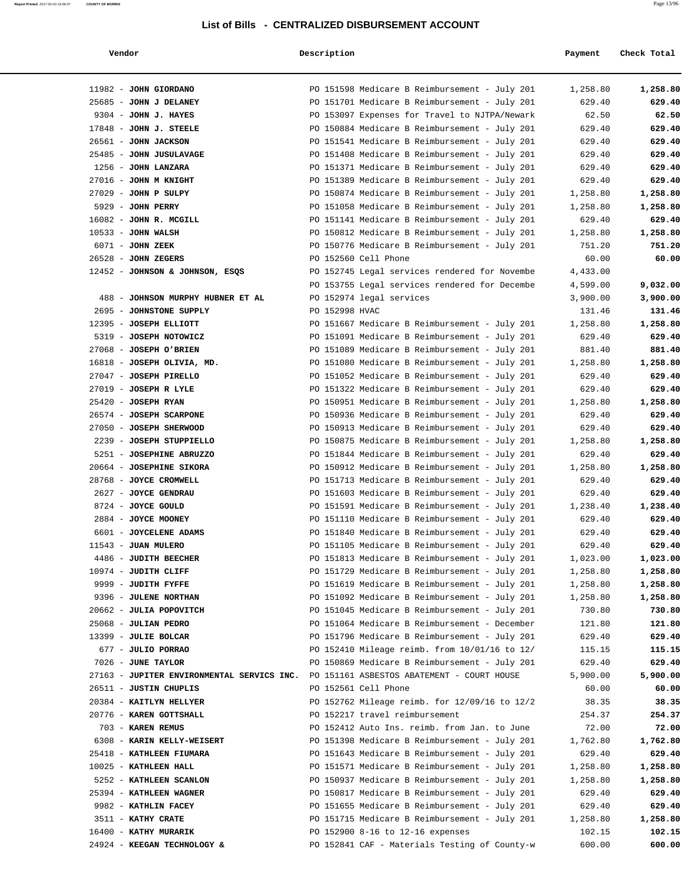| 11982 - JOHN GIORDANO                      | PO 151598 Medicare B Reimbursement - July 201 | 1,258.80 | 1,258.80 |
|--------------------------------------------|-----------------------------------------------|----------|----------|
| 25685 - JOHN J DELANEY                     | PO 151701 Medicare B Reimbursement - July 201 | 629.40   | 629.40   |
| 9304 - JOHN J. HAYES                       | PO 153097 Expenses for Travel to NJTPA/Newark | 62.50    | 62.50    |
| $17848$ - JOHN J. STEELE                   | PO 150884 Medicare B Reimbursement - July 201 | 629.40   | 629.40   |
| 26561 - JOHN JACKSON                       | PO 151541 Medicare B Reimbursement - July 201 | 629.40   | 629.40   |
| 25485 - JOHN JUSULAVAGE                    | PO 151408 Medicare B Reimbursement - July 201 | 629.40   | 629.40   |
| 1256 - JOHN LANZARA                        | PO 151371 Medicare B Reimbursement - July 201 | 629.40   | 629.40   |
| 27016 - JOHN M KNIGHT                      | PO 151389 Medicare B Reimbursement - July 201 | 629.40   | 629.40   |
| $27029$ - JOHN P SULPY                     | PO 150874 Medicare B Reimbursement - July 201 | 1,258.80 | 1,258.80 |
| 5929 - JOHN PERRY                          | PO 151058 Medicare B Reimbursement - July 201 | 1,258.80 | 1,258.80 |
| 16082 - JOHN R. MCGILL                     | PO 151141 Medicare B Reimbursement - July 201 | 629.40   | 629.40   |
| $10533 - JOHN WALSH$                       | PO 150812 Medicare B Reimbursement - July 201 | 1,258.80 | 1,258.80 |
| 6071 - JOHN ZEEK                           | PO 150776 Medicare B Reimbursement - July 201 | 751.20   | 751.20   |
| $26528$ - JOHN ZEGERS                      | PO 152560 Cell Phone                          | 60.00    | 60.00    |
| 12452 - JOHNSON & JOHNSON, ESQS            | PO 152745 Legal services rendered for Novembe | 4,433.00 |          |
|                                            | PO 153755 Legal services rendered for Decembe | 4,599.00 | 9,032.00 |
| 488 - JOHNSON MURPHY HUBNER ET AL          | PO 152974 legal services                      | 3,900.00 | 3,900.00 |
| 2695 - JOHNSTONE SUPPLY                    | PO 152998 HVAC                                | 131.46   | 131.46   |
| 12395 - JOSEPH ELLIOTT                     | PO 151667 Medicare B Reimbursement - July 201 | 1,258.80 | 1,258.80 |
| 5319 - JOSEPH NOTOWICZ                     | PO 151091 Medicare B Reimbursement - July 201 | 629.40   | 629.40   |
| 27068 - JOSEPH O'BRIEN                     | PO 151089 Medicare B Reimbursement - July 201 | 881.40   | 881.40   |
| 16818 - JOSEPH OLIVIA, MD.                 | PO 151080 Medicare B Reimbursement - July 201 | 1,258.80 | 1,258.80 |
| 27047 - JOSEPH PIRELLO                     | PO 151052 Medicare B Reimbursement - July 201 | 629.40   | 629.40   |
| 27019 - JOSEPH R LYLE                      | PO 151322 Medicare B Reimbursement - July 201 | 629.40   | 629.40   |
| $25420$ - JOSEPH RYAN                      | PO 150951 Medicare B Reimbursement - July 201 | 1,258.80 | 1,258.80 |
| 26574 - JOSEPH SCARPONE                    | PO 150936 Medicare B Reimbursement - July 201 | 629.40   | 629.40   |
| 27050 - JOSEPH SHERWOOD                    | PO 150913 Medicare B Reimbursement - July 201 | 629.40   | 629.40   |
| 2239 - JOSEPH STUPPIELLO                   | PO 150875 Medicare B Reimbursement - July 201 | 1,258.80 | 1,258.80 |
| 5251 - JOSEPHINE ABRUZZO                   | PO 151844 Medicare B Reimbursement - July 201 | 629.40   | 629.40   |
| 20664 - JOSEPHINE SIKORA                   | PO 150912 Medicare B Reimbursement - July 201 | 1,258.80 | 1,258.80 |
| 28768 - JOYCE CROMWELL                     | PO 151713 Medicare B Reimbursement - July 201 | 629.40   | 629.40   |
| 2627 - JOYCE GENDRAU                       | PO 151603 Medicare B Reimbursement - July 201 | 629.40   | 629.40   |
| 8724 - JOYCE GOULD                         | PO 151591 Medicare B Reimbursement - July 201 | 1,238.40 | 1,238.40 |
| 2884 - JOYCE MOONEY                        | PO 151110 Medicare B Reimbursement - July 201 | 629.40   | 629.40   |
| 6601 - JOYCELENE ADAMS                     | PO 151840 Medicare B Reimbursement - July 201 | 629.40   | 629.40   |
| 11543 - JUAN MULERO                        | PO 151105 Medicare B Reimbursement - July 201 | 629.40   | 629.40   |
| 4486 - JUDITH BEECHER                      | PO 151813 Medicare B Reimbursement - July 201 | 1,023.00 | 1,023.00 |
| 10974 - JUDITH CLIFF                       | PO 151729 Medicare B Reimbursement - July 201 | 1,258.80 | 1,258.80 |
| 9999 - JUDITH FYFFE                        | PO 151619 Medicare B Reimbursement - July 201 | 1,258.80 | 1,258.80 |
| 9396 - JULENE NORTHAN                      | PO 151092 Medicare B Reimbursement - July 201 | 1,258.80 | 1,258.80 |
| 20662 - JULIA POPOVITCH                    | PO 151045 Medicare B Reimbursement - July 201 | 730.80   | 730.80   |
| 25068 - JULIAN PEDRO                       | PO 151064 Medicare B Reimbursement - December | 121.80   | 121.80   |
| 13399 - JULIE BOLCAR                       | PO 151796 Medicare B Reimbursement - July 201 | 629.40   | 629.40   |
| 677 - JULIO PORRAO                         | PO 152410 Mileage reimb. from 10/01/16 to 12/ | 115.15   | 115.15   |
| 7026 - JUNE TAYLOR                         | PO 150869 Medicare B Reimbursement - July 201 | 629.40   | 629.40   |
| 27163 - JUPITER ENVIRONMENTAL SERVICS INC. | PO 151161 ASBESTOS ABATEMENT - COURT HOUSE    | 5,900.00 | 5,900.00 |
| 26511 - JUSTIN CHUPLIS                     | PO 152561 Cell Phone                          | 60.00    | 60.00    |
| 20384 - KAITLYN HELLYER                    | PO 152762 Mileage reimb. for 12/09/16 to 12/2 | 38.35    | 38.35    |
| 20776 - KAREN GOTTSHALL                    | PO 152217 travel reimbursement                | 254.37   | 254.37   |
| 703 - KAREN REMUS                          | PO 152412 Auto Ins. reimb. from Jan. to June  | 72.00    | 72.00    |
| 6308 - KARIN KELLY-WEISERT                 | PO 151398 Medicare B Reimbursement - July 201 | 1,762.80 | 1,762.80 |
| 25418 - KATHLEEN FIUMARA                   | PO 151643 Medicare B Reimbursement - July 201 | 629.40   | 629.40   |
| 10025 - KATHLEEN HALL                      | PO 151571 Medicare B Reimbursement - July 201 | 1,258.80 | 1,258.80 |
| 5252 - KATHLEEN SCANLON                    | PO 150937 Medicare B Reimbursement - July 201 | 1,258.80 | 1,258.80 |
| 25394 - KATHLEEN WAGNER                    | PO 150817 Medicare B Reimbursement - July 201 | 629.40   | 629.40   |
| 9982 - KATHLIN FACEY                       | PO 151655 Medicare B Reimbursement - July 201 | 629.40   | 629.40   |
| 3511 - KATHY CRATE                         | PO 151715 Medicare B Reimbursement - July 201 | 1,258.80 | 1,258.80 |
| 16400 - KATHY MURARIK                      | PO 152900 8-16 to 12-16 expenses              | 102.15   | 102.15   |
| 24924 - KEEGAN TECHNOLOGY &                | PO 152841 CAF - Materials Testing of County-w | 600.00   | 600.00   |
|                                            |                                               |          |          |
|                                            |                                               |          |          |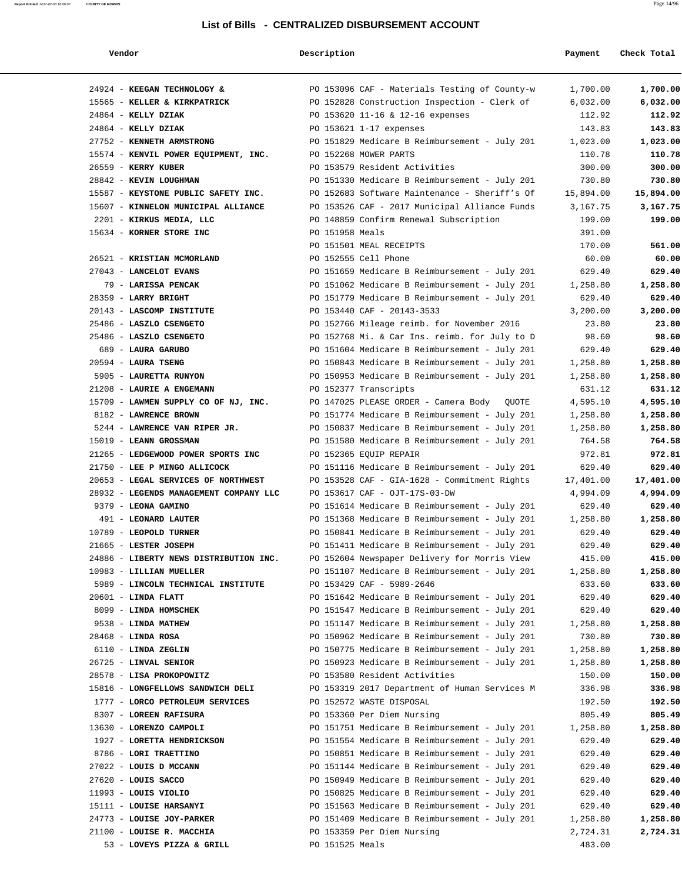**Report Printed** 2017-02-03 16:06:07 **COUNTY OF MORRIS** Page 14/96

### **Vendor Description Payment Check Total**

| 24924 - KEEGAN TECHNOLOGY &            | PO 153096 CAF - Materials Testing of County-w | 1,700.00  | 1,700.00  |
|----------------------------------------|-----------------------------------------------|-----------|-----------|
| 15565 - KELLER & KIRKPATRICK           | PO 152828 Construction Inspection - Clerk of  | 6,032.00  | 6,032.00  |
| $24864$ - KELLY DZIAK                  | PO 153620 11-16 & 12-16 expenses              | 112.92    | 112.92    |
| 24864 - KELLY DZIAK                    | PO 153621 1-17 expenses                       | 143.83    | 143.83    |
| 27752 - KENNETH ARMSTRONG              | PO 151829 Medicare B Reimbursement - July 201 | 1,023.00  | 1,023.00  |
| 15574 - KENVIL POWER EQUIPMENT, INC.   | PO 152268 MOWER PARTS                         | 110.78    | 110.78    |
| 26559 - KERRY KUBER                    | PO 153579 Resident Activities                 | 300.00    | 300.00    |
| 28842 - KEVIN LOUGHMAN                 | PO 151330 Medicare B Reimbursement - July 201 | 730.80    | 730.80    |
| 15587 - KEYSTONE PUBLIC SAFETY INC.    | PO 152683 Software Maintenance - Sheriff's Of | 15,894.00 | 15,894.00 |
| 15607 - KINNELON MUNICIPAL ALLIANCE    | PO 153526 CAF - 2017 Municipal Alliance Funds | 3,167.75  | 3,167.75  |
| 2201 - KIRKUS MEDIA, LLC               | PO 148859 Confirm Renewal Subscription        | 199.00    | 199.00    |
| 15634 - KORNER STORE INC               | PO 151958 Meals                               | 391.00    |           |
|                                        | PO 151501 MEAL RECEIPTS                       | 170.00    | 561.00    |
|                                        |                                               |           |           |
| 26521 - KRISTIAN MCMORLAND             | PO 152555 Cell Phone                          | 60.00     | 60.00     |
| 27043 - LANCELOT EVANS                 | PO 151659 Medicare B Reimbursement - July 201 | 629.40    | 629.40    |
| 79 - LARISSA PENCAK                    | PO 151062 Medicare B Reimbursement - July 201 | 1,258.80  | 1,258.80  |
| 28359 - LARRY BRIGHT                   | PO 151779 Medicare B Reimbursement - July 201 | 629.40    | 629.40    |
| 20143 - LASCOMP INSTITUTE              | PO 153440 CAF - 20143-3533                    | 3,200.00  | 3,200.00  |
| 25486 - LASZLO CSENGETO                | PO 152766 Mileage reimb. for November 2016    | 23.80     | 23.80     |
| 25486 - LASZLO CSENGETO                | PO 152768 Mi. & Car Ins. reimb. for July to D | 98.60     | 98.60     |
| 689 - LAURA GARUBO                     | PO 151604 Medicare B Reimbursement - July 201 | 629.40    | 629.40    |
| $20594$ - LAURA TSENG                  | PO 150843 Medicare B Reimbursement - July 201 | 1,258.80  | 1,258.80  |
| 5905 - LAURETTA RUNYON                 | PO 150953 Medicare B Reimbursement - July 201 | 1,258.80  | 1,258.80  |
| 21208 - LAURIE A ENGEMANN              | PO 152377 Transcripts                         | 631.12    | 631.12    |
| 15709 - LAWMEN SUPPLY CO OF NJ, INC.   | PO 147025 PLEASE ORDER - Camera Body QUOTE    | 4,595.10  | 4,595.10  |
| 8182 - LAWRENCE BROWN                  | PO 151774 Medicare B Reimbursement - July 201 | 1,258.80  | 1,258.80  |
| 5244 - LAWRENCE VAN RIPER JR.          | PO 150837 Medicare B Reimbursement - July 201 | 1,258.80  | 1,258.80  |
| 15019 - LEANN GROSSMAN                 | PO 151580 Medicare B Reimbursement - July 201 | 764.58    | 764.58    |
| 21265 - LEDGEWOOD POWER SPORTS INC     | PO 152365 EQUIP REPAIR                        | 972.81    | 972.81    |
| 21750 - LEE P MINGO ALLICOCK           | PO 151116 Medicare B Reimbursement - July 201 | 629.40    | 629.40    |
| 20653 - LEGAL SERVICES OF NORTHWEST    | PO 153528 CAF - GIA-1628 - Commitment Rights  | 17,401.00 | 17,401.00 |
| 28932 - LEGENDS MANAGEMENT COMPANY LLC | PO 153617 CAF - OJT-17S-03-DW                 | 4,994.09  | 4,994.09  |
| 9379 - LEONA GAMINO                    | PO 151614 Medicare B Reimbursement - July 201 | 629.40    | 629.40    |
| 491 - LEONARD LAUTER                   | PO 151368 Medicare B Reimbursement - July 201 | 1,258.80  | 1,258.80  |
| 10789 - LEOPOLD TURNER                 | PO 150841 Medicare B Reimbursement - July 201 | 629.40    | 629.40    |
| 21665 - LESTER JOSEPH                  | PO 151411 Medicare B Reimbursement - July 201 | 629.40    | 629.40    |
| 24886 - LIBERTY NEWS DISTRIBUTION INC. | PO 152604 Newspaper Delivery for Morris View  | 415.00    | 415.00    |
|                                        |                                               |           |           |
| 10983 - LILLIAN MUELLER                | PO 151107 Medicare B Reimbursement - July 201 | 1,258.80  | 1,258.80  |
| 5989 - LINCOLN TECHNICAL INSTITUTE     | PO 153429 CAF - 5989-2646                     | 633.60    | 633.60    |
| $20601$ - LINDA FLATT                  | PO 151642 Medicare B Reimbursement - July 201 | 629.40    | 629.40    |
| 8099 - LINDA HOMSCHEK                  | PO 151547 Medicare B Reimbursement - July 201 | 629.40    | 629.40    |
| 9538 - LINDA MATHEW                    | PO 151147 Medicare B Reimbursement - July 201 | 1,258.80  | 1,258.80  |
| $28468$ - LINDA ROSA                   | PO 150962 Medicare B Reimbursement - July 201 | 730.80    | 730.80    |
| 6110 - LINDA ZEGLIN                    | PO 150775 Medicare B Reimbursement - July 201 | 1,258.80  | 1,258.80  |
| 26725 - LINVAL SENIOR                  | PO 150923 Medicare B Reimbursement - July 201 | 1,258.80  | 1,258.80  |
| 28578 - LISA PROKOPOWITZ               | PO 153580 Resident Activities                 | 150.00    | 150.00    |
| 15816 - LONGFELLOWS SANDWICH DELI      | PO 153319 2017 Department of Human Services M | 336.98    | 336.98    |
| 1777 - LORCO PETROLEUM SERVICES        | PO 152572 WASTE DISPOSAL                      | 192.50    | 192.50    |
| 8307 - LOREEN RAFISURA                 | PO 153360 Per Diem Nursing                    | 805.49    | 805.49    |
| 13630 - LORENZO CAMPOLI                | PO 151751 Medicare B Reimbursement - July 201 | 1,258.80  | 1,258.80  |
| 1927 - LORETTA HENDRICKSON             | PO 151554 Medicare B Reimbursement - July 201 | 629.40    | 629.40    |
| 8786 - LORI TRAETTINO                  | PO 150851 Medicare B Reimbursement - July 201 | 629.40    | 629.40    |
| 27022 - LOUIS D MCCANN                 | PO 151144 Medicare B Reimbursement - July 201 | 629.40    | 629.40    |
| $27620$ - LOUIS SACCO                  | PO 150949 Medicare B Reimbursement - July 201 | 629.40    | 629.40    |
| $11993$ - LOUIS VIOLIO                 | PO 150825 Medicare B Reimbursement - July 201 | 629.40    | 629.40    |
| 15111 - LOUISE HARSANYI                | PO 151563 Medicare B Reimbursement - July 201 | 629.40    | 629.40    |
| 24773 - LOUISE JOY-PARKER              | PO 151409 Medicare B Reimbursement - July 201 | 1,258.80  | 1,258.80  |
| 21100 - LOUISE R. MACCHIA              | PO 153359 Per Diem Nursing                    | 2,724.31  | 2,724.31  |
| 53 - LOVEYS PIZZA & GRILL              | PO 151525 Meals                               | 483.00    |           |
|                                        |                                               |           |           |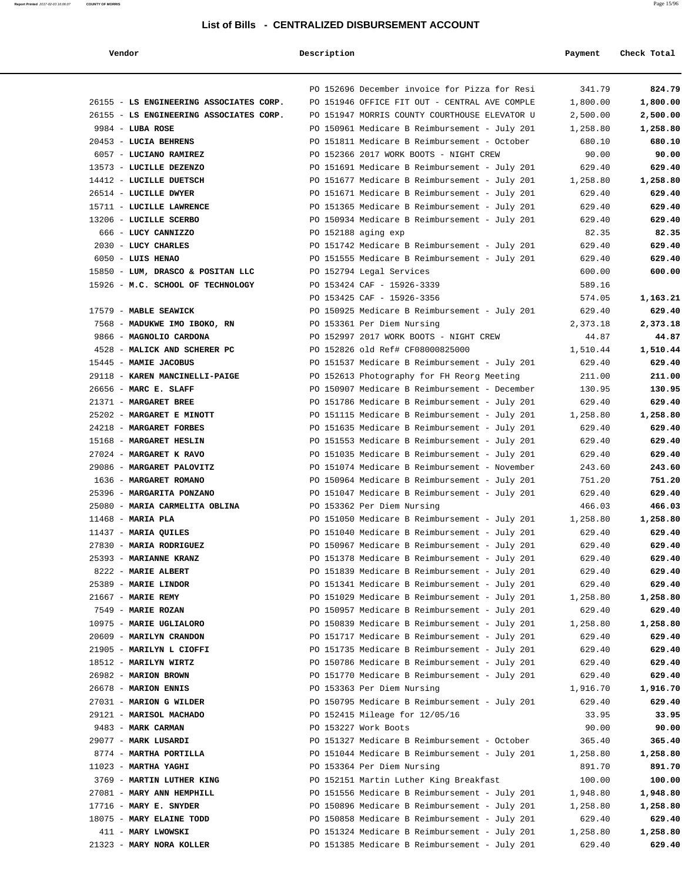| Vendor                                  | Description |                                               | Payment  | Check Total |
|-----------------------------------------|-------------|-----------------------------------------------|----------|-------------|
|                                         |             | PO 152696 December invoice for Pizza for Resi | 341.79   | 824.79      |
| 26155 - LS ENGINEERING ASSOCIATES CORP. |             | PO 151946 OFFICE FIT OUT - CENTRAL AVE COMPLE | 1,800.00 | 1,800.00    |
| 26155 - LS ENGINEERING ASSOCIATES CORP. |             | PO 151947 MORRIS COUNTY COURTHOUSE ELEVATOR U | 2,500.00 | 2,500.00    |
| $9984$ - LUBA ROSE                      |             | PO 150961 Medicare B Reimbursement - July 201 | 1,258.80 | 1,258.80    |
| 20453 - LUCIA BEHRENS                   |             | PO 151811 Medicare B Reimbursement - October  | 680.10   | 680.10      |
| 6057 - LUCIANO RAMIREZ                  |             | PO 152366 2017 WORK BOOTS - NIGHT CREW        | 90.00    | 90.00       |
| 13573 - LUCILLE DEZENZO                 |             | PO 151691 Medicare B Reimbursement - July 201 | 629.40   | 629.40      |
| 14412 - LUCILLE DUETSCH                 |             | PO 151677 Medicare B Reimbursement - July 201 | 1,258.80 | 1,258.80    |
| 26514 - LUCILLE DWYER                   |             | PO 151671 Medicare B Reimbursement - July 201 | 629.40   | 629.40      |
| 15711 - LUCILLE LAWRENCE                |             | PO 151365 Medicare B Reimbursement - July 201 | 629.40   | 629.40      |
| 13206 - LUCILLE SCERBO                  |             | PO 150934 Medicare B Reimbursement - July 201 | 629.40   | 629.40      |
| 666 - LUCY CANNIZZO                     |             | PO 152188 aging exp                           | 82.35    | 82.35       |
| 2030 - LUCY CHARLES                     |             | PO 151742 Medicare B Reimbursement - July 201 | 629.40   | 629.40      |
| 6050 - LUIS HENAO                       |             | PO 151555 Medicare B Reimbursement - July 201 | 629.40   | 629.40      |
| 15850 - LUM, DRASCO & POSITAN LLC       |             | PO 152794 Legal Services                      | 600.00   | 600.00      |
| 15926 - M.C. SCHOOL OF TECHNOLOGY       |             | PO 153424 CAF - 15926-3339                    | 589.16   |             |
|                                         |             | PO 153425 CAF - 15926-3356                    | 574.05   | 1,163.21    |
| 17579 - MABLE SEAWICK                   |             | PO 150925 Medicare B Reimbursement - July 201 | 629.40   | 629.40      |
| 7568 - MADUKWE IMO IBOKO, RN            |             | PO 153361 Per Diem Nursing                    | 2,373.18 | 2,373.18    |
| 9866 - MAGNOLIO CARDONA                 |             | PO 152997 2017 WORK BOOTS - NIGHT CREW        | 44.87    | 44.87       |
| 4528 - MALICK AND SCHERER PC            |             | PO 152826 old Ref# CF08000825000              |          |             |
|                                         |             |                                               | 1,510.44 | 1,510.44    |
| 15445 - MAMIE JACOBUS                   |             | PO 151537 Medicare B Reimbursement - July 201 | 629.40   | 629.40      |
| 29118 - KAREN MANCINELLI-PAIGE          |             | PO 152613 Photography for FH Reorg Meeting    | 211.00   | 211.00      |
| 26656 - MARC E. SLAFF                   |             | PO 150907 Medicare B Reimbursement - December | 130.95   | 130.95      |
| 21371 - MARGARET BREE                   |             | PO 151786 Medicare B Reimbursement - July 201 | 629.40   | 629.40      |
| 25202 - MARGARET E MINOTT               |             | PO 151115 Medicare B Reimbursement - July 201 | 1,258.80 | 1,258.80    |
| 24218 - MARGARET FORBES                 |             | PO 151635 Medicare B Reimbursement - July 201 | 629.40   | 629.40      |
| 15168 - MARGARET HESLIN                 |             | PO 151553 Medicare B Reimbursement - July 201 | 629.40   | 629.40      |
| 27024 - MARGARET K RAVO                 |             | PO 151035 Medicare B Reimbursement - July 201 | 629.40   | 629.40      |
| 29086 - MARGARET PALOVITZ               |             | PO 151074 Medicare B Reimbursement - November | 243.60   | 243.60      |
| 1636 - MARGARET ROMANO                  |             | PO 150964 Medicare B Reimbursement - July 201 | 751.20   | 751.20      |
| 25396 - MARGARITA PONZANO               |             | PO 151047 Medicare B Reimbursement - July 201 | 629.40   | 629.40      |
| 25080 - MARIA CARMELITA OBLINA          |             | PO 153362 Per Diem Nursing                    | 466.03   | 466.03      |
| $11468$ - MARIA PLA                     |             | PO 151050 Medicare B Reimbursement - July 201 | 1,258.80 | 1,258.80    |
| $11437$ - MARIA QUILES                  |             | PO 151040 Medicare B Reimbursement - July 201 | 629.40   | 629.40      |
| 27830 - MARIA RODRIGUEZ                 |             | PO 150967 Medicare B Reimbursement - July 201 | 629.40   | 629.40      |
| 25393 - MARIANNE KRANZ                  |             | PO 151378 Medicare B Reimbursement - July 201 | 629.40   | 629.40      |
| 8222 - MARIE ALBERT                     |             | PO 151839 Medicare B Reimbursement - July 201 | 629.40   | 629.40      |
| 25389 - MARIE LINDOR                    |             | PO 151341 Medicare B Reimbursement - July 201 | 629.40   | 629.40      |
| 21667 - MARIE REMY                      |             | PO 151029 Medicare B Reimbursement - July 201 | 1,258.80 | 1,258.80    |
| 7549 - MARIE ROZAN                      |             | PO 150957 Medicare B Reimbursement - July 201 | 629.40   | 629.40      |
| 10975 - MARIE UGLIALORO                 |             | PO 150839 Medicare B Reimbursement - July 201 | 1,258.80 | 1,258.80    |
| 20609 - MARILYN CRANDON                 |             | PO 151717 Medicare B Reimbursement - July 201 | 629.40   | 629.40      |
| 21905 - MARILYN L CIOFFI                |             | PO 151735 Medicare B Reimbursement - July 201 | 629.40   | 629.40      |
| 18512 - MARILYN WIRTZ                   |             | PO 150786 Medicare B Reimbursement - July 201 | 629.40   | 629.40      |
| 26982 - MARION BROWN                    |             | PO 151770 Medicare B Reimbursement - July 201 | 629.40   | 629.40      |
| 26678 - MARION ENNIS                    |             | PO 153363 Per Diem Nursing                    | 1,916.70 | 1,916.70    |
| 27031 - MARION G WILDER                 |             | PO 150795 Medicare B Reimbursement - July 201 | 629.40   | 629.40      |
| 29121 - MARISOL MACHADO                 |             | PO 152415 Mileage for 12/05/16                | 33.95    | 33.95       |
| 9483 - MARK CARMAN                      |             | PO 153227 Work Boots                          | 90.00    | 90.00       |
| 29077 - MARK LUSARDI                    |             | PO 151327 Medicare B Reimbursement - October  | 365.40   | 365.40      |
| 8774 - MARTHA PORTILLA                  |             | PO 151044 Medicare B Reimbursement - July 201 | 1,258.80 | 1,258.80    |
| $11023$ - MARTHA YAGHI                  |             | PO 153364 Per Diem Nursing                    | 891.70   | 891.70      |
| 3769 - MARTIN LUTHER KING               |             | PO 152151 Martin Luther King Breakfast        |          | 100.00      |
|                                         |             |                                               | 100.00   |             |
| 27081 - MARY ANN HEMPHILL               |             | PO 151556 Medicare B Reimbursement - July 201 | 1,948.80 | 1,948.80    |
| $17716$ - MARY E. SNYDER                |             | PO 150896 Medicare B Reimbursement - July 201 | 1,258.80 | 1,258.80    |
| 18075 - MARY ELAINE TODD                |             | PO 150858 Medicare B Reimbursement - July 201 | 629.40   | 629.40      |
| 411 - MARY LWOWSKI                      |             | PO 151324 Medicare B Reimbursement - July 201 | 1,258.80 | 1,258.80    |
| 21323 - MARY NORA KOLLER                |             | PO 151385 Medicare B Reimbursement - July 201 | 629.40   | 629.40      |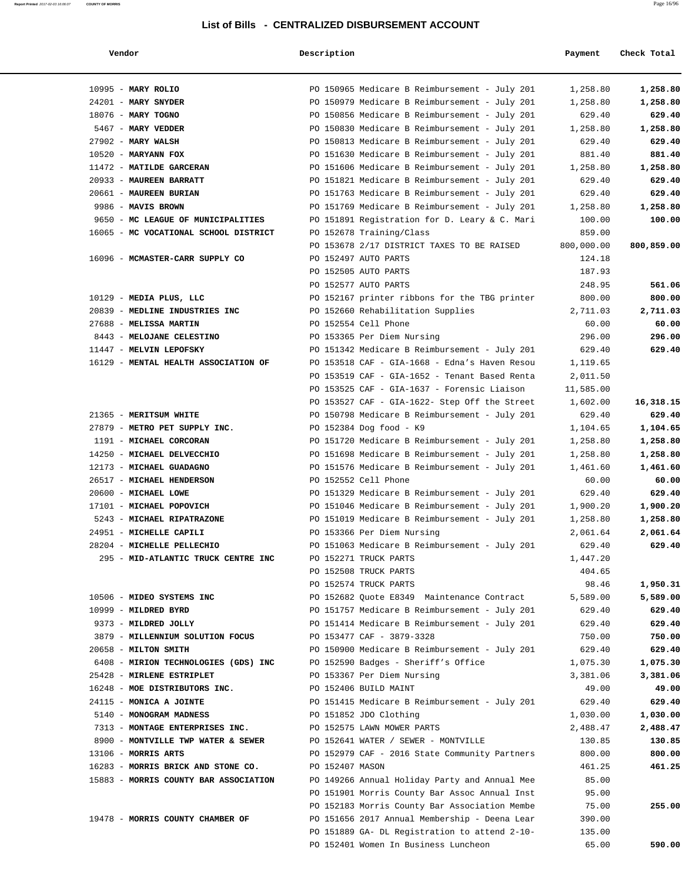| endor |  |
|-------|--|
|-------|--|

### **Report Printed** 2017-02-03 16:06:07 **COUNTY OF MORRIS** Page 16/96

| Vendor                                                 | Description                                                           | Payment         | Check Total       |
|--------------------------------------------------------|-----------------------------------------------------------------------|-----------------|-------------------|
| 10995 - MARY ROLIO                                     | PO 150965 Medicare B Reimbursement - July 201                         | 1,258.80        | 1,258.80          |
| $24201$ - MARY SNYDER                                  | PO 150979 Medicare B Reimbursement - July 201                         | 1,258.80        | 1,258.80          |
| 18076 - MARY TOGNO                                     | PO 150856 Medicare B Reimbursement - July 201                         | 629.40          | 629.40            |
| 5467 - MARY VEDDER                                     | PO 150830 Medicare B Reimbursement - July 201                         | 1,258.80        | 1,258.80          |
| $27902$ - MARY WALSH                                   | PO 150813 Medicare B Reimbursement - July 201                         | 629.40          | 629.40            |
| $10520$ - MARYANN FOX                                  | PO 151630 Medicare B Reimbursement - July 201                         | 881.40          | 881.40            |
| 11472 - MATILDE GARCERAN                               | PO 151606 Medicare B Reimbursement - July 201                         | 1,258.80        | 1,258.80          |
| 20933 - MAUREEN BARRATT                                | PO 151821 Medicare B Reimbursement - July 201                         | 629.40          | 629.40            |
| 20661 - MAUREEN BURIAN                                 | PO 151763 Medicare B Reimbursement - July 201                         | 629.40          | 629.40            |
| 9986 - MAVIS BROWN                                     | PO 151769 Medicare B Reimbursement - July 201                         | 1,258.80        | 1,258.80          |
| 9650 - MC LEAGUE OF MUNICIPALITIES                     | PO 151891 Registration for D. Leary & C. Mari                         | 100.00          | 100.00            |
| 16065 - MC VOCATIONAL SCHOOL DISTRICT                  | PO 152678 Training/Class                                              | 859.00          |                   |
|                                                        | PO 153678 2/17 DISTRICT TAXES TO BE RAISED                            | 800,000.00      | 800,859.00        |
| 16096 - MCMASTER-CARR SUPPLY CO                        | PO 152497 AUTO PARTS                                                  | 124.18          |                   |
|                                                        | PO 152505 AUTO PARTS                                                  | 187.93          |                   |
|                                                        | PO 152577 AUTO PARTS                                                  | 248.95          | 561.06            |
| $10129$ - MEDIA PLUS, LLC                              | PO 152167 printer ribbons for the TBG printer                         | 800.00          | 800.00            |
| 20839 - MEDLINE INDUSTRIES INC                         | PO 152660 Rehabilitation Supplies                                     | 2,711.03        | 2,711.03          |
| 27688 - MELISSA MARTIN                                 | PO 152554 Cell Phone                                                  | 60.00           | 60.00             |
| 8443 - MELOJANE CELESTINO                              | PO 153365 Per Diem Nursing                                            | 296.00          | 296.00            |
| 11447 - MELVIN LEPOFSKY                                | PO 151342 Medicare B Reimbursement - July 201                         | 629.40          | 629.40            |
| 16129 - MENTAL HEALTH ASSOCIATION OF                   | PO 153518 CAF - GIA-1668 - Edna's Haven Resou                         | 1,119.65        |                   |
|                                                        | PO 153519 CAF - GIA-1652 - Tenant Based Renta                         | 2,011.50        |                   |
|                                                        | PO 153525 CAF - GIA-1637 - Forensic Liaison                           | 11,585.00       |                   |
|                                                        | PO 153527 CAF - GIA-1622- Step Off the Street                         | 1,602.00        | 16,318.15         |
| 21365 - MERITSUM WHITE                                 | PO 150798 Medicare B Reimbursement - July 201                         | 629.40          | 629.40            |
| 27879 - METRO PET SUPPLY INC.                          | PO 152384 Dog food - K9                                               | 1,104.65        | 1,104.65          |
| 1191 - MICHAEL CORCORAN                                | PO 151720 Medicare B Reimbursement - July 201                         | 1,258.80        | 1,258.80          |
| 14250 - MICHAEL DELVECCHIO<br>12173 - MICHAEL GUADAGNO | PO 151698 Medicare B Reimbursement - July 201                         | 1,258.80        | 1,258.80          |
| 26517 - MICHAEL HENDERSON                              | PO 151576 Medicare B Reimbursement - July 201<br>PO 152552 Cell Phone | 1,461.60        | 1,461.60<br>60.00 |
| 20600 - MICHAEL LOWE                                   | PO 151329 Medicare B Reimbursement - July 201                         | 60.00<br>629.40 | 629.40            |
| 17101 - MICHAEL POPOVICH                               | PO 151046 Medicare B Reimbursement - July 201                         | 1,900.20        | 1,900.20          |
| 5243 - MICHAEL RIPATRAZONE                             | PO 151019 Medicare B Reimbursement - July 201                         | 1,258.80        | 1,258.80          |
| 24951 - MICHELLE CAPILI                                | PO 153366 Per Diem Nursing                                            | 2,061.64        | 2,061.64          |
| 28204 - MICHELLE PELLECHIO                             | PO 151063 Medicare B Reimbursement - July 201                         | 629.40          | 629.40            |
| 295 - MID-ATLANTIC TRUCK CENTRE INC                    | PO 152271 TRUCK PARTS                                                 | 1,447.20        |                   |
|                                                        | PO 152508 TRUCK PARTS                                                 | 404.65          |                   |
|                                                        | PO 152574 TRUCK PARTS                                                 | 98.46           | 1,950.31          |
| 10506 - MIDEO SYSTEMS INC                              | PO 152682 Quote E8349 Maintenance Contract                            | 5,589.00        | 5,589.00          |
| 10999 - MILDRED BYRD                                   | PO 151757 Medicare B Reimbursement - July 201                         | 629.40          | 629.40            |
| 9373 - MILDRED JOLLY                                   | PO 151414 Medicare B Reimbursement - July 201                         | 629.40          | 629.40            |
| 3879 - MILLENNIUM SOLUTION FOCUS                       | PO 153477 CAF - 3879-3328                                             | 750.00          | 750.00            |
| 20658 - MILTON SMITH                                   | PO 150900 Medicare B Reimbursement - July 201                         | 629.40          | 629.40            |
| 6408 - MIRION TECHNOLOGIES (GDS) INC                   | PO 152590 Badges - Sheriff's Office                                   | 1,075.30        | 1,075.30          |
| 25428 - MIRLENE ESTRIPLET                              | PO 153367 Per Diem Nursing                                            | 3,381.06        | 3,381.06          |
| 16248 - MOE DISTRIBUTORS INC.                          | PO 152406 BUILD MAINT                                                 | 49.00           | 49.00             |
| 24115 - MONICA A JOINTE                                | PO 151415 Medicare B Reimbursement - July 201                         | 629.40          | 629.40            |
| 5140 - MONOGRAM MADNESS                                | PO 151852 JDO Clothing                                                | 1,030.00        | 1,030.00          |
| 7313 - MONTAGE ENTERPRISES INC.                        | PO 152575 LAWN MOWER PARTS                                            | 2,488.47        | 2,488.47          |
| 8900 - MONTVILLE TWP WATER & SEWER                     | PO 152641 WATER / SEWER - MONTVILLE                                   | 130.85          | 130.85            |
| $13106$ - MORRIS ARTS                                  | PO 152979 CAF - 2016 State Community Partners                         | 800.00          | 800.00            |
| 16283 - MORRIS BRICK AND STONE CO.                     | PO 152407 MASON                                                       | 461.25          | 461.25            |
| 15883 - MORRIS COUNTY BAR ASSOCIATION                  | PO 149266 Annual Holiday Party and Annual Mee                         | 85.00           |                   |
|                                                        | PO 151901 Morris County Bar Assoc Annual Inst                         | 95.00           |                   |
|                                                        | PO 152183 Morris County Bar Association Membe                         | 75.00           | 255.00            |
| 19478 - MORRIS COUNTY CHAMBER OF                       | PO 151656 2017 Annual Membership - Deena Lear                         | 390.00          |                   |
|                                                        | PO 151889 GA- DL Registration to attend 2-10-                         | 135.00          |                   |
|                                                        | PO 152401 Women In Business Luncheon                                  | 65.00           | 590.00            |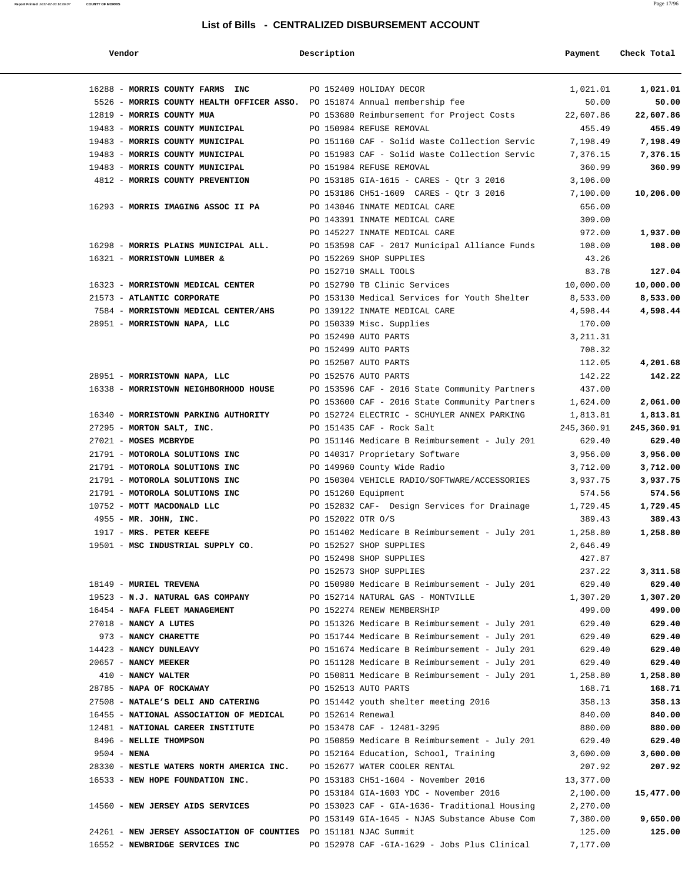| Vendor                                                                        | Description         |                                                                                                | Payment            | Check Total        |
|-------------------------------------------------------------------------------|---------------------|------------------------------------------------------------------------------------------------|--------------------|--------------------|
| 16288 - MORRIS COUNTY FARMS INC                                               |                     | PO 152409 HOLIDAY DECOR                                                                        | 1,021.01           | 1,021.01           |
| 5526 - MORRIS COUNTY HEALTH OFFICER ASSO. PO 151874 Annual membership fee     |                     |                                                                                                | 50.00              | 50.00              |
| 12819 - MORRIS COUNTY MUA                                                     |                     | PO 153680 Reimbursement for Project Costs                                                      | 22,607.86          | 22,607.86          |
| 19483 - MORRIS COUNTY MUNICIPAL                                               |                     | PO 150984 REFUSE REMOVAL                                                                       | 455.49             | 455.49             |
| 19483 - MORRIS COUNTY MUNICIPAL PO 151160 CAF - Solid Waste Collection Servic |                     |                                                                                                | 7,198.49           | 7,198.49           |
| 19483 - MORRIS COUNTY MUNICIPAL                                               |                     | PO 151983 CAF - Solid Waste Collection Servic                                                  | 7,376.15           | 7,376.15           |
| 19483 - MORRIS COUNTY MUNICIPAL                                               |                     | PO 151984 REFUSE REMOVAL                                                                       | 360.99             | 360.99             |
| 4812 - MORRIS COUNTY PREVENTION PO 153185 GIA-1615 - CARES - Qtr 3 2016       |                     |                                                                                                | 3,106.00           |                    |
|                                                                               |                     | PO 153186 CH51-1609 CARES - Qtr 3 2016                                                         | 7,100.00           | 10,206.00          |
| 16293 - MORRIS IMAGING ASSOC II PA                                            |                     | PO 143046 INMATE MEDICAL CARE                                                                  | 656.00             |                    |
|                                                                               |                     | PO 143391 INMATE MEDICAL CARE                                                                  | 309.00             |                    |
|                                                                               |                     | PO 145227 INMATE MEDICAL CARE                                                                  | 972.00             | 1,937.00           |
| 16298 - MORRIS PLAINS MUNICIPAL ALL.                                          |                     | PO 153598 CAF - 2017 Municipal Alliance Funds                                                  | 108.00             | 108.00             |
| 16321 - MORRISTOWN LUMBER &                                                   |                     | PO 152269 SHOP SUPPLIES                                                                        | 43.26              |                    |
|                                                                               |                     | PO 152710 SMALL TOOLS                                                                          | 83.78              | 127.04             |
| 16323 - MORRISTOWN MEDICAL CENTER                                             |                     | PO 152790 TB Clinic Services                                                                   | 10,000.00          | 10,000.00          |
| 21573 - ATLANTIC CORPORATE                                                    |                     | PO 153130 Medical Services for Youth Shelter                                                   | 8,533.00           | 8,533.00           |
| 7584 - MORRISTOWN MEDICAL CENTER/AHS                                          |                     | PO 139122 INMATE MEDICAL CARE                                                                  | 4,598.44           | 4,598.44           |
| 28951 - MORRISTOWN NAPA, LLC                                                  |                     | PO 150339 Misc. Supplies                                                                       | 170.00             |                    |
|                                                                               |                     | PO 152490 AUTO PARTS                                                                           | 3, 211.31          |                    |
|                                                                               |                     | PO 152499 AUTO PARTS                                                                           | 708.32             |                    |
|                                                                               |                     | PO 152507 AUTO PARTS                                                                           | 112.05             | 4,201.68           |
| 28951 - MORRISTOWN NAPA, LLC                                                  |                     | PO 152576 AUTO PARTS                                                                           | 142.22             | 142.22             |
| 16338 - MORRISTOWN NEIGHBORHOOD HOUSE                                         |                     | PO 153596 CAF - 2016 State Community Partners                                                  | 437.00             |                    |
|                                                                               |                     | PO 153600 CAF - 2016 State Community Partners                                                  | 1,624.00           | 2,061.00           |
| 16340 - MORRISTOWN PARKING AUTHORITY                                          |                     | PO 152724 ELECTRIC - SCHUYLER ANNEX PARKING                                                    | 1,813.81           | 1,813.81           |
| 27295 - MORTON SALT, INC.                                                     |                     | PO 151435 CAF - Rock Salt                                                                      | 245,360.91         | 245,360.91         |
| 27021 - MOSES MCBRYDE                                                         |                     | PO 151146 Medicare B Reimbursement - July 201                                                  | 629.40             | 629.40             |
| 21791 - MOTOROLA SOLUTIONS INC                                                |                     | PO 140317 Proprietary Software                                                                 | 3,956.00           | 3,956.00           |
| 21791 - MOTOROLA SOLUTIONS INC                                                |                     | PO 149960 County Wide Radio                                                                    | 3,712.00           | 3,712.00           |
| 21791 - MOTOROLA SOLUTIONS INC                                                |                     | PO 150304 VEHICLE RADIO/SOFTWARE/ACCESSORIES                                                   | 3,937.75           | 3,937.75           |
| 21791 - MOTOROLA SOLUTIONS INC                                                | PO 151260 Equipment |                                                                                                | 574.56             | 574.56             |
| 10752 - MOTT MACDONALD LLC                                                    |                     | PO 152832 CAF- Design Services for Drainage 1,729.45                                           |                    | 1,729.45           |
| 4955 - MR. JOHN, INC.                                                         | PO 152022 OTR O/S   |                                                                                                | 389.43             | 389.43             |
| 1917 - MRS. PETER KEEFE                                                       |                     | PO 151402 Medicare B Reimbursement - July 201                                                  | 1,258.80           | 1,258.80           |
| 19501 - MSC INDUSTRIAL SUPPLY CO.                                             |                     | PO 152527 SHOP SUPPLIES                                                                        | 2,646.49           |                    |
|                                                                               |                     | PO 152498 SHOP SUPPLIES                                                                        | 427.87             |                    |
|                                                                               |                     | PO 152573 SHOP SUPPLIES                                                                        | 237.22             | 3,311.58           |
| 18149 - MURIEL TREVENA                                                        |                     | PO 150980 Medicare B Reimbursement - July 201                                                  | 629.40             | 629.40             |
| 19523 - N.J. NATURAL GAS COMPANY                                              |                     | PO 152714 NATURAL GAS - MONTVILLE                                                              | 1,307.20           | 1,307.20           |
| 16454 - NAFA FLEET MANAGEMENT                                                 |                     | PO 152274 RENEW MEMBERSHIP                                                                     | 499.00             | 499.00             |
| 27018 - NANCY A LUTES                                                         |                     | PO 151326 Medicare B Reimbursement - July 201                                                  | 629.40             | 629.40             |
| 973 - NANCY CHARETTE                                                          |                     | PO 151744 Medicare B Reimbursement - July 201<br>PO 151674 Medicare B Reimbursement - July 201 | 629.40             | 629.40             |
| 14423 - NANCY DUNLEAVY                                                        |                     |                                                                                                | 629.40             | 629.40             |
| 20657 - NANCY MEEKER                                                          |                     | PO 151128 Medicare B Reimbursement - July 201<br>PO 150811 Medicare B Reimbursement - July 201 | 629.40             | 629.40<br>1,258.80 |
| 410 - NANCY WALTER<br>28785 - NAPA OF ROCKAWAY                                |                     | PO 152513 AUTO PARTS                                                                           | 1,258.80<br>168.71 | 168.71             |
| 27508 - NATALE'S DELI AND CATERING                                            |                     |                                                                                                |                    | 358.13             |
| 16455 - NATIONAL ASSOCIATION OF MEDICAL PO 152614 Renewal                     |                     | PO 151442 youth shelter meeting 2016                                                           | 358.13<br>840.00   | 840.00             |
| 12481 - NATIONAL CAREER INSTITUTE                                             |                     | PO 153478 CAF - 12481-3295                                                                     | 880.00             | 880.00             |
| 8496 - NELLIE THOMPSON                                                        |                     | PO 150859 Medicare B Reimbursement - July 201                                                  | 629.40             | 629.40             |
| $9504 - NENA$                                                                 |                     | PO 152164 Education, School, Training                                                          | 3,600.00           | 3,600.00           |
| 28330 - NESTLE WATERS NORTH AMERICA INC. PO 152677 WATER COOLER RENTAL        |                     |                                                                                                | 207.92             | 207.92             |
| 16533 - NEW HOPE FOUNDATION INC.                                              |                     | PO 153183 CH51-1604 - November 2016                                                            | 13,377.00          |                    |
|                                                                               |                     | PO 153184 GIA-1603 YDC - November 2016                                                         | 2,100.00           | 15,477.00          |
| 14560 - NEW JERSEY AIDS SERVICES                                              |                     | PO 153023 CAF - GIA-1636- Traditional Housing                                                  | 2,270.00           |                    |
|                                                                               |                     | PO 153149 GIA-1645 - NJAS Substance Abuse Com                                                  | 7,380.00           | 9,650.00           |
| 24261 - NEW JERSEY ASSOCIATION OF COUNTIES PO 151181 NJAC Summit              |                     |                                                                                                | 125.00             | 125.00             |
| 16552 - NEWBRIDGE SERVICES INC                                                |                     | PO 152978 CAF -GIA-1629 - Jobs Plus Clinical                                                   | 7,177.00           |                    |
|                                                                               |                     |                                                                                                |                    |                    |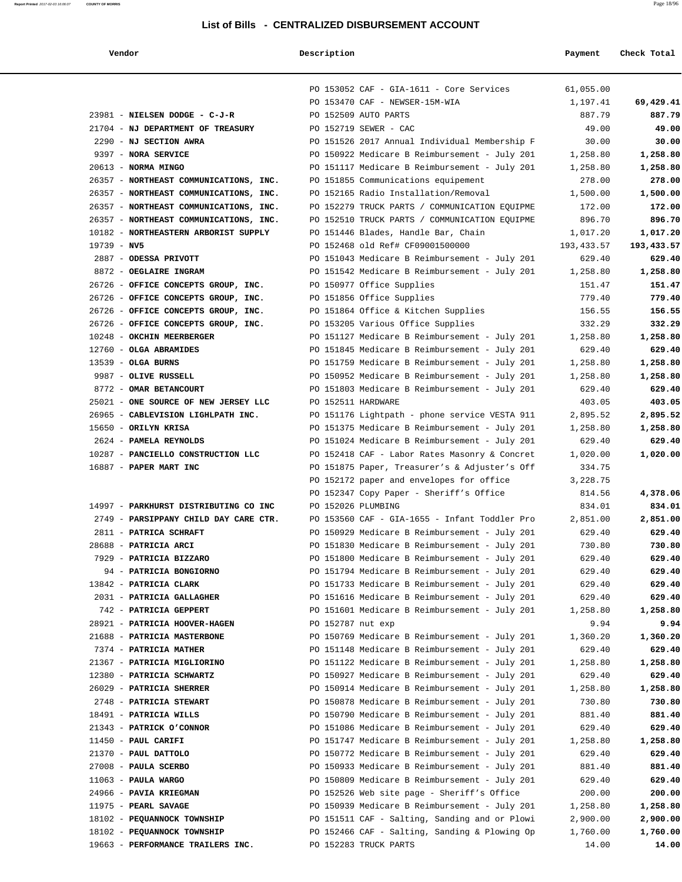# **Report Printed** 2017-02-03 16:06:07 **COUNTY OF MORRIS** Page 18/96 **List of Bills - CENTRALIZED DISBURSEMENT ACCOUNT**

| Vendor                                              | Description        |                                                                                                | Payment              | Check Total          |
|-----------------------------------------------------|--------------------|------------------------------------------------------------------------------------------------|----------------------|----------------------|
|                                                     |                    | PO 153052 CAF - GIA-1611 - Core Services                                                       | 61,055.00            |                      |
|                                                     |                    | PO 153470 CAF - NEWSER-15M-WIA                                                                 | 1,197.41             | 69,429.41            |
| 23981 - NIELSEN DODGE - C-J-R                       |                    | PO 152509 AUTO PARTS                                                                           | 887.79               | 887.79               |
| 21704 - NJ DEPARTMENT OF TREASURY                   |                    | PO 152719 SEWER - CAC                                                                          | 49.00                | 49.00                |
| 2290 - NJ SECTION AWRA                              |                    | PO 151526 2017 Annual Individual Membership F                                                  | 30.00                | 30.00                |
| 9397 - NORA SERVICE                                 |                    | PO 150922 Medicare B Reimbursement - July 201                                                  | 1,258.80             | 1,258.80             |
| $20613$ - NORMA MINGO                               |                    | PO 151117 Medicare B Reimbursement - July 201                                                  | 1,258.80             | 1,258.80             |
| 26357 - NORTHEAST COMMUNICATIONS, INC.              |                    | PO 151855 Communications equipement                                                            | 278.00               | 278.00               |
| 26357 - NORTHEAST COMMUNICATIONS, INC.              |                    | PO 152165 Radio Installation/Removal                                                           | 1,500.00             | 1,500.00             |
| 26357 - NORTHEAST COMMUNICATIONS, INC.              |                    | PO 152279 TRUCK PARTS / COMMUNICATION EQUIPME                                                  | 172.00               | 172.00               |
| 26357 - NORTHEAST COMMUNICATIONS, INC.              |                    | PO 152510 TRUCK PARTS / COMMUNICATION EQUIPME                                                  | 896.70               | 896.70               |
| 10182 - NORTHEASTERN ARBORIST SUPPLY                |                    | PO 151446 Blades, Handle Bar, Chain                                                            | 1,017.20             | 1,017.20             |
| $19739 - NV5$                                       |                    | PO 152468 old Ref# CF09001500000                                                               | 193, 433.57          | 193,433.57           |
| 2887 - ODESSA PRIVOTT                               |                    | PO 151043 Medicare B Reimbursement - July 201                                                  | 629.40               | 629.40               |
| 8872 - OEGLAIRE INGRAM                              |                    | PO 151542 Medicare B Reimbursement - July 201                                                  | 1,258.80             | 1,258.80             |
| 26726 - OFFICE CONCEPTS GROUP, INC.                 |                    | PO 150977 Office Supplies                                                                      | 151.47               | 151.47               |
| 26726 - OFFICE CONCEPTS GROUP, INC.                 |                    | PO 151856 Office Supplies                                                                      | 779.40               | 779.40               |
| 26726 - OFFICE CONCEPTS GROUP, INC.                 |                    | PO 151864 Office & Kitchen Supplies                                                            | 156.55               | 156.55               |
| 26726 - OFFICE CONCEPTS GROUP, INC.                 |                    | PO 153205 Various Office Supplies                                                              | 332.29               | 332.29               |
| 10248 - OKCHIN MEERBERGER                           |                    | PO 151127 Medicare B Reimbursement - July 201                                                  | 1,258.80             | 1,258.80             |
| 12760 - OLGA ABRAMIDES                              |                    | PO 151845 Medicare B Reimbursement - July 201                                                  | 629.40               | 629.40               |
| $13539$ - OLGA BURNS                                |                    | PO 151759 Medicare B Reimbursement - July 201                                                  | 1,258.80             | 1,258.80             |
| 9987 - OLIVE RUSSELL                                |                    | PO 150952 Medicare B Reimbursement - July 201                                                  | 1,258.80             | 1,258.80             |
| 8772 - OMAR BETANCOURT                              |                    | PO 151803 Medicare B Reimbursement - July 201                                                  | 629.40               | 629.40               |
| 25021 - ONE SOURCE OF NEW JERSEY LLC                | PO 152511 HARDWARE |                                                                                                | 403.05               | 403.05               |
| 26965 - CABLEVISION LIGHLPATH INC.                  |                    | PO 151176 Lightpath - phone service VESTA 911                                                  | 2,895.52             | 2,895.52             |
| 15650 - ORILYN KRISA                                |                    | PO 151375 Medicare B Reimbursement - July 201                                                  | 1,258.80             | 1,258.80             |
| 2624 - PAMELA REYNOLDS                              |                    | PO 151024 Medicare B Reimbursement - July 201                                                  | 629.40               | 629.40               |
| 10287 - PANCIELLO CONSTRUCTION LLC                  |                    | PO 152418 CAF - Labor Rates Masonry & Concret                                                  | 1,020.00             | 1,020.00             |
| 16887 - PAPER MART INC                              |                    | PO 151875 Paper, Treasurer's & Adjuster's Off                                                  | 334.75               |                      |
|                                                     |                    | PO 152172 paper and envelopes for office                                                       | 3,228.75             |                      |
|                                                     |                    | PO 152347 Copy Paper - Sheriff's Office                                                        | 814.56               | 4,378.06             |
| 14997 - PARKHURST DISTRIBUTING CO INC               |                    | PO 152026 PLUMBING                                                                             | 834.01               | 834.01               |
| 2749 - PARSIPPANY CHILD DAY CARE CTR.               |                    | PO 153560 CAF - GIA-1655 - Infant Toddler Pro                                                  | 2,851.00             | 2,851.00             |
| 2811 - PATRICA SCHRAFT                              |                    | PO 150929 Medicare B Reimbursement - July 201                                                  | 629.40               | 629.40               |
| 28688 - PATRICIA ARCI                               |                    | PO 151830 Medicare B Reimbursement - July 201                                                  | 730.80               | 730.80               |
| 7929 - PATRICIA BIZZARO                             |                    | PO 151800 Medicare B Reimbursement - July 201                                                  | 629.40               | 629.40               |
| 94 - PATRICIA BONGIORNO                             |                    | PO 151794 Medicare B Reimbursement - July 201                                                  | 629.40               | 629.40               |
| 13842 - PATRICIA CLARK                              |                    | PO 151733 Medicare B Reimbursement - July 201                                                  | 629.40               | 629.40               |
| 2031 - PATRICIA GALLAGHER                           |                    | PO 151616 Medicare B Reimbursement - July 201                                                  | 629.40               | 629.40               |
| 742 - PATRICIA GEPPERT                              |                    | PO 151601 Medicare B Reimbursement - July 201                                                  | 1,258.80             | 1,258.80             |
| 28921 - PATRICIA HOOVER-HAGEN                       | PO 152787 nut exp  |                                                                                                | 9.94                 | 9.94                 |
| 21688 - PATRICIA MASTERBONE                         |                    | PO 150769 Medicare B Reimbursement - July 201                                                  | 1,360.20             | 1,360.20             |
| 7374 - PATRICIA MATHER                              |                    | PO 151148 Medicare B Reimbursement - July 201                                                  | 629.40               | 629.40               |
| 21367 - PATRICIA MIGLIORINO                         |                    | PO 151122 Medicare B Reimbursement - July 201                                                  | 1,258.80             | 1,258.80             |
| 12380 - PATRICIA SCHWARTZ                           |                    | PO 150927 Medicare B Reimbursement - July 201                                                  | 629.40               | 629.40               |
| 26029 - PATRICIA SHERRER                            |                    | PO 150914 Medicare B Reimbursement - July 201                                                  | 1,258.80             | 1,258.80             |
| 2748 - PATRICIA STEWART                             |                    | PO 150878 Medicare B Reimbursement - July 201                                                  | 730.80               | 730.80               |
| 18491 - PATRICIA WILLS                              |                    | PO 150790 Medicare B Reimbursement - July 201                                                  | 881.40               | 881.40               |
| 21343 - PATRICK O'CONNOR                            |                    | PO 151086 Medicare B Reimbursement - July 201                                                  | 629.40               | 629.40               |
| $11450$ - PAUL CARIFI                               |                    | PO 151747 Medicare B Reimbursement - July 201                                                  | 1,258.80             | 1,258.80             |
| 21370 - PAUL DATTOLO                                |                    | PO 150772 Medicare B Reimbursement - July 201                                                  | 629.40               | 629.40               |
| 27008 - PAULA SCERBO                                |                    | PO 150933 Medicare B Reimbursement - July 201                                                  | 881.40               | 881.40               |
| $11063$ - PAULA WARGO                               |                    | PO 150809 Medicare B Reimbursement - July 201                                                  | 629.40               | 629.40               |
| 24966 - PAVIA KRIEGMAN                              |                    | PO 152526 Web site page - Sheriff's Office                                                     | 200.00               | 200.00               |
| 11975 - PEARL SAVAGE<br>18102 - PEQUANNOCK TOWNSHIP |                    | PO 150939 Medicare B Reimbursement - July 201<br>PO 151511 CAF - Salting, Sanding and or Plowi | 1,258.80             | 1,258.80             |
| 18102 - PEQUANNOCK TOWNSHIP                         |                    | PO 152466 CAF - Salting, Sanding & Plowing Op                                                  | 2,900.00<br>1,760.00 | 2,900.00<br>1,760.00 |
| 19663 - PERFORMANCE TRAILERS INC.                   |                    | PO 152283 TRUCK PARTS                                                                          | 14.00                | 14.00                |
|                                                     |                    |                                                                                                |                      |                      |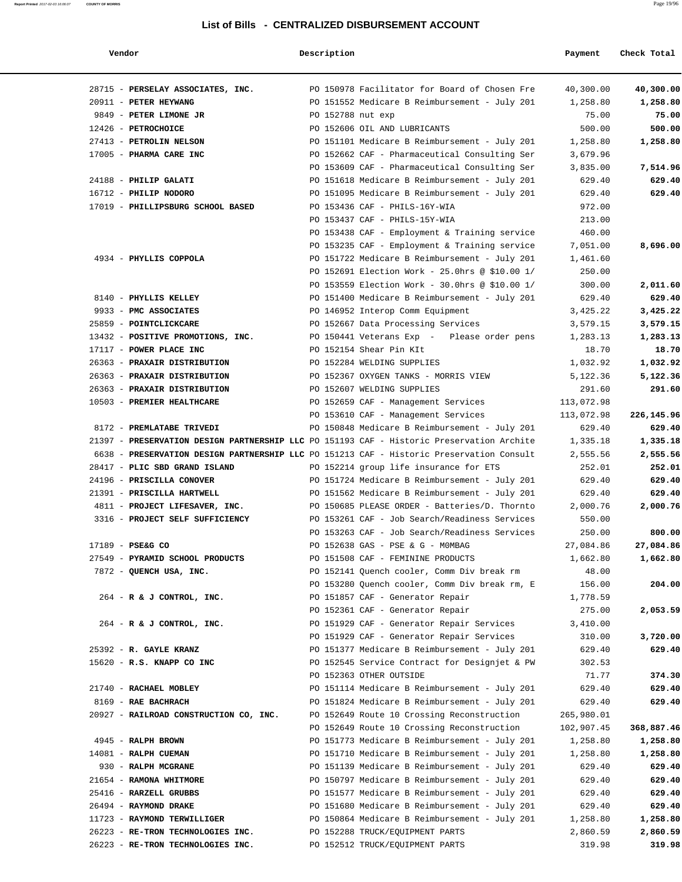| Vendor                                                                                    | Description       |                                                                                                | Payment               | Check Total           |
|-------------------------------------------------------------------------------------------|-------------------|------------------------------------------------------------------------------------------------|-----------------------|-----------------------|
| 28715 - PERSELAY ASSOCIATES, INC.                                                         |                   | PO 150978 Facilitator for Board of Chosen Fre                                                  | 40,300.00             | 40,300.00             |
| 20911 - PETER HEYWANG                                                                     |                   | PO 151552 Medicare B Reimbursement - July 201                                                  | 1,258.80              | 1,258.80              |
| 9849 - PETER LIMONE JR                                                                    | PO 152788 nut exp |                                                                                                | 75.00                 | 75.00                 |
| 12426 - PETROCHOICE                                                                       |                   | PO 152606 OIL AND LUBRICANTS                                                                   | 500.00                | 500.00                |
| 27413 - PETROLIN NELSON                                                                   |                   | PO 151101 Medicare B Reimbursement - July 201                                                  | 1,258.80              | 1,258.80              |
| 17005 - PHARMA CARE INC                                                                   |                   | PO 152662 CAF - Pharmaceutical Consulting Ser                                                  | 3,679.96              |                       |
|                                                                                           |                   | PO 153609 CAF - Pharmaceutical Consulting Ser                                                  | 3,835.00              | 7,514.96              |
| 24188 - PHILIP GALATI                                                                     |                   | PO 151618 Medicare B Reimbursement - July 201                                                  | 629.40                | 629.40                |
| 16712 - PHILIP NODORO                                                                     |                   | PO 151095 Medicare B Reimbursement - July 201                                                  | 629.40                | 629.40                |
| 17019 - PHILLIPSBURG SCHOOL BASED                                                         |                   | PO 153436 CAF - PHILS-16Y-WIA                                                                  | 972.00                |                       |
|                                                                                           |                   | PO 153437 CAF - PHILS-15Y-WIA                                                                  | 213.00                |                       |
|                                                                                           |                   | PO 153438 CAF - Employment & Training service                                                  | 460.00                |                       |
|                                                                                           |                   | PO 153235 CAF - Employment & Training service                                                  | 7,051.00              | 8,696.00              |
| 4934 - PHYLLIS COPPOLA                                                                    |                   | PO 151722 Medicare B Reimbursement - July 201                                                  | 1,461.60              |                       |
|                                                                                           |                   | PO 152691 Election Work - 25.0hrs @ \$10.00 1/                                                 | 250.00                |                       |
|                                                                                           |                   | PO 153559 Election Work - 30.0hrs @ \$10.00 1/                                                 | 300.00                | 2,011.60              |
| 8140 - PHYLLIS KELLEY                                                                     |                   | PO 151400 Medicare B Reimbursement - July 201                                                  | 629.40                | 629.40                |
| 9933 - PMC ASSOCIATES                                                                     |                   | PO 146952 Interop Comm Equipment                                                               | 3,425.22              | 3,425.22              |
| 25859 - POINTCLICKCARE                                                                    |                   | PO 152667 Data Processing Services                                                             | 3,579.15              | 3,579.15              |
| 13432 - POSITIVE PROMOTIONS, INC.                                                         |                   | PO 150441 Veterans Exp - Please order pens                                                     | 1,283.13              | 1,283.13              |
| 17117 - POWER PLACE INC                                                                   |                   | PO 152154 Shear Pin KIt                                                                        | 18.70                 | 18.70                 |
| 26363 - PRAXAIR DISTRIBUTION                                                              |                   | PO 152284 WELDING SUPPLIES                                                                     | 1,032.92              | 1,032.92              |
| 26363 - PRAXAIR DISTRIBUTION                                                              |                   | PO 152367 OXYGEN TANKS - MORRIS VIEW                                                           | 5,122.36              | 5,122.36              |
| 26363 - PRAXAIR DISTRIBUTION                                                              |                   | PO 152607 WELDING SUPPLIES                                                                     | 291.60                | 291.60                |
| 10503 - PREMIER HEALTHCARE                                                                |                   | PO 152659 CAF - Management Services                                                            | 113,072.98            |                       |
|                                                                                           |                   | PO 153610 CAF - Management Services                                                            | 113,072.98            | 226,145.96            |
| 8172 - PREMLATABE TRIVEDI                                                                 |                   | PO 150848 Medicare B Reimbursement - July 201                                                  | 629.40                | 629.40                |
| 21397 - PRESERVATION DESIGN PARTNERSHIP LLC PO 151193 CAF - Historic Preservation Archite |                   |                                                                                                | 1,335.18              | 1,335.18              |
|                                                                                           |                   | 6638 - PRESERVATION DESIGN PARTNERSHIP LLC PO 151213 CAF - Historic Preservation Consult       | 2,555.56              | 2,555.56              |
| 28417 - PLIC SBD GRAND ISLAND                                                             |                   | PO 152214 group life insurance for ETS                                                         | 252.01                | 252.01                |
| 24196 - PRISCILLA CONOVER                                                                 |                   | PO 151724 Medicare B Reimbursement - July 201                                                  | 629.40                | 629.40                |
| 21391 - PRISCILLA HARTWELL                                                                |                   | PO 151562 Medicare B Reimbursement - July 201                                                  | 629.40                | 629.40                |
| 4811 - PROJECT LIFESAVER, INC.                                                            |                   | PO 150685 PLEASE ORDER - Batteries/D. Thornto                                                  | 2,000.76              | 2,000.76              |
| 3316 - PROJECT SELF SUFFICIENCY                                                           |                   | PO 153261 CAF - Job Search/Readiness Services                                                  | 550.00                |                       |
|                                                                                           |                   | PO 153263 CAF - Job Search/Readiness Services                                                  | 250.00                | 800.00                |
|                                                                                           |                   |                                                                                                |                       |                       |
| 17189 - PSE&G CO<br>27549 - PYRAMID SCHOOL PRODUCTS                                       |                   | PO 152638 GAS - PSE & G - MOMBAG<br>PO 151508 CAF - FEMININE PRODUCTS                          | 27,084.86<br>1,662.80 | 27,084.86<br>1,662.80 |
| 7872 - QUENCH USA, INC.                                                                   |                   | PO 152141 Quench cooler, Comm Div break rm                                                     | 48.00                 |                       |
|                                                                                           |                   | PO 153280 Quench cooler, Comm Div break rm, E                                                  |                       | 204.00                |
| 264 - R & J CONTROL, INC.                                                                 |                   | PO 151857 CAF - Generator Repair                                                               | 156.00<br>1,778.59    |                       |
|                                                                                           |                   |                                                                                                |                       |                       |
|                                                                                           |                   | PO 152361 CAF - Generator Repair<br>PO 151929 CAF - Generator Repair Services                  | 275.00                | 2,053.59              |
| $264$ - R & J CONTROL, INC.                                                               |                   |                                                                                                | 3,410.00              |                       |
|                                                                                           |                   | PO 151929 CAF - Generator Repair Services                                                      | 310.00                | 3,720.00              |
| 25392 - R. GAYLE KRANZ                                                                    |                   | PO 151377 Medicare B Reimbursement - July 201<br>PO 152545 Service Contract for Designjet & PW | 629.40                | 629.40                |
| 15620 - R.S. KNAPP CO INC                                                                 |                   |                                                                                                | 302.53                |                       |
|                                                                                           |                   | PO 152363 OTHER OUTSIDE                                                                        | 71.77                 | 374.30                |
| 21740 - RACHAEL MOBLEY                                                                    |                   | PO 151114 Medicare B Reimbursement - July 201                                                  | 629.40                | 629.40                |
| 8169 - RAE BACHRACH                                                                       |                   | PO 151824 Medicare B Reimbursement - July 201                                                  | 629.40                | 629.40                |
| 20927 - RAILROAD CONSTRUCTION CO, INC.                                                    |                   | PO 152649 Route 10 Crossing Reconstruction                                                     | 265,980.01            |                       |
|                                                                                           |                   | PO 152649 Route 10 Crossing Reconstruction                                                     | 102,907.45            | 368,887.46            |
| 4945 - RALPH BROWN                                                                        |                   | PO 151773 Medicare B Reimbursement - July 201                                                  | 1,258.80              | 1,258.80              |
| 14081 - RALPH CUEMAN                                                                      |                   | PO 151710 Medicare B Reimbursement - July 201                                                  | 1,258.80              | 1,258.80              |
| 930 - RALPH MCGRANE                                                                       |                   | PO 151139 Medicare B Reimbursement - July 201                                                  | 629.40                | 629.40                |
| 21654 - RAMONA WHITMORE                                                                   |                   | PO 150797 Medicare B Reimbursement - July 201                                                  | 629.40                | 629.40                |
| 25416 - RARZELL GRUBBS                                                                    |                   | PO 151577 Medicare B Reimbursement - July 201                                                  | 629.40                | 629.40                |
| 26494 - RAYMOND DRAKE                                                                     |                   | PO 151680 Medicare B Reimbursement - July 201                                                  | 629.40                | 629.40                |
| 11723 - RAYMOND TERWILLIGER                                                               |                   | PO 150864 Medicare B Reimbursement - July 201                                                  | 1,258.80              | 1,258.80              |
| 26223 - RE-TRON TECHNOLOGIES INC.                                                         |                   | PO 152288 TRUCK/EQUIPMENT PARTS                                                                | 2,860.59              | 2,860.59              |
| 26223 - RE-TRON TECHNOLOGIES INC.                                                         |                   | PO 152512 TRUCK/EQUIPMENT PARTS                                                                | 319.98                | 319.98                |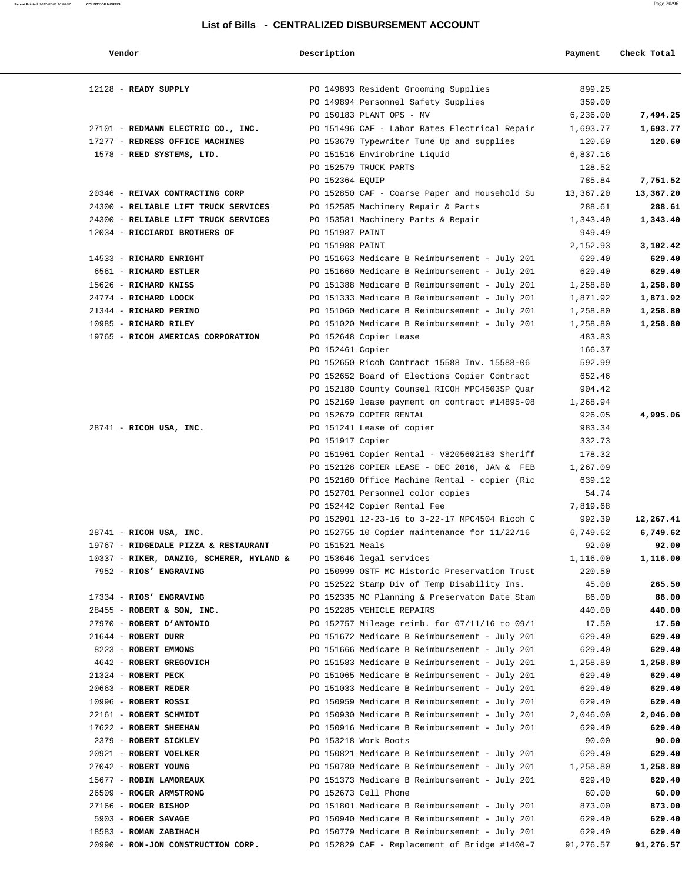| Vendor                                   | Description      |                                               | Payment   | Check Total |
|------------------------------------------|------------------|-----------------------------------------------|-----------|-------------|
| $12128$ - READY SUPPLY                   |                  | PO 149893 Resident Grooming Supplies          | 899.25    |             |
|                                          |                  | PO 149894 Personnel Safety Supplies           | 359.00    |             |
|                                          |                  | PO 150183 PLANT OPS - MV                      | 6,236.00  | 7,494.25    |
| 27101 - REDMANN ELECTRIC CO., INC.       |                  | PO 151496 CAF - Labor Rates Electrical Repair | 1,693.77  | 1,693.77    |
| 17277 - REDRESS OFFICE MACHINES          |                  | PO 153679 Typewriter Tune Up and supplies     | 120.60    | 120.60      |
| 1578 - REED SYSTEMS, LTD.                |                  | PO 151516 Envirobrine Liquid                  | 6,837.16  |             |
|                                          |                  | PO 152579 TRUCK PARTS                         | 128.52    |             |
|                                          | PO 152364 EQUIP  |                                               | 785.84    | 7,751.52    |
| 20346 - REIVAX CONTRACTING CORP          |                  | PO 152850 CAF - Coarse Paper and Household Su | 13,367.20 | 13,367.20   |
| 24300 - RELIABLE LIFT TRUCK SERVICES     |                  | PO 152585 Machinery Repair & Parts            | 288.61    | 288.61      |
| 24300 - RELIABLE LIFT TRUCK SERVICES     |                  | PO 153581 Machinery Parts & Repair            | 1,343.40  | 1,343.40    |
| 12034 - RICCIARDI BROTHERS OF            | PO 151987 PAINT  |                                               | 949.49    |             |
|                                          | PO 151988 PAINT  |                                               | 2,152.93  | 3,102.42    |
| 14533 - RICHARD ENRIGHT                  |                  | PO 151663 Medicare B Reimbursement - July 201 | 629.40    | 629.40      |
| 6561 - RICHARD ESTLER                    |                  | PO 151660 Medicare B Reimbursement - July 201 | 629.40    | 629.40      |
| 15626 - RICHARD KNISS                    |                  | PO 151388 Medicare B Reimbursement - July 201 | 1,258.80  | 1,258.80    |
| 24774 - RICHARD LOOCK                    |                  | PO 151333 Medicare B Reimbursement - July 201 | 1,871.92  | 1,871.92    |
| 21344 - RICHARD PERINO                   |                  | PO 151060 Medicare B Reimbursement - July 201 | 1,258.80  | 1,258.80    |
| 10985 - RICHARD RILEY                    |                  | PO 151020 Medicare B Reimbursement - July 201 | 1,258.80  | 1,258.80    |
| 19765 - RICOH AMERICAS CORPORATION       |                  | PO 152648 Copier Lease                        | 483.83    |             |
|                                          | PO 152461 Copier |                                               | 166.37    |             |
|                                          |                  | PO 152650 Ricoh Contract 15588 Inv. 15588-06  | 592.99    |             |
|                                          |                  | PO 152652 Board of Elections Copier Contract  | 652.46    |             |
|                                          |                  | PO 152180 County Counsel RICOH MPC4503SP Quar | 904.42    |             |
|                                          |                  | PO 152169 lease payment on contract #14895-08 | 1,268.94  |             |
|                                          |                  | PO 152679 COPIER RENTAL                       | 926.05    | 4,995.06    |
| 28741 - RICOH USA, INC.                  |                  | PO 151241 Lease of copier                     | 983.34    |             |
|                                          | PO 151917 Copier |                                               | 332.73    |             |
|                                          |                  | PO 151961 Copier Rental - V8205602183 Sheriff | 178.32    |             |
|                                          |                  | PO 152128 COPIER LEASE - DEC 2016, JAN & FEB  | 1,267.09  |             |
|                                          |                  | PO 152160 Office Machine Rental - copier (Ric | 639.12    |             |
|                                          |                  | PO 152701 Personnel color copies              | 54.74     |             |
|                                          |                  | PO 152442 Copier Rental Fee                   | 7,819.68  |             |
|                                          |                  | PO 152901 12-23-16 to 3-22-17 MPC4504 Ricoh C | 992.39    | 12,267.41   |
| 28741 - RICOH USA, INC.                  |                  | PO 152755 10 Copier maintenance for 11/22/16  | 6,749.62  | 6,749.62    |
| 19767 - RIDGEDALE PIZZA & RESTAURANT     | PO 151521 Meals  |                                               | 92.00     | 92.00       |
| 10337 - RIKER, DANZIG, SCHERER, HYLAND & |                  | PO 153646 legal services                      | 1,116.00  | 1,116.00    |
| 7952 - RIOS' ENGRAVING                   |                  | PO 150999 OSTF MC Historic Preservation Trust | 220.50    |             |
|                                          |                  | PO 152522 Stamp Div of Temp Disability Ins.   | 45.00     | 265.50      |
| 17334 - RIOS' ENGRAVING                  |                  | PO 152335 MC Planning & Preservaton Date Stam | 86.00     | 86.00       |
| 28455 - ROBERT & SON, INC.               |                  | PO 152285 VEHICLE REPAIRS                     | 440.00    | 440.00      |
| 27970 - ROBERT D'ANTONIO                 |                  | PO 152757 Mileage reimb. for 07/11/16 to 09/1 | 17.50     | 17.50       |
| 21644 - ROBERT DURR                      |                  | PO 151672 Medicare B Reimbursement - July 201 | 629.40    | 629.40      |
| 8223 - ROBERT EMMONS                     |                  | PO 151666 Medicare B Reimbursement - July 201 | 629.40    | 629.40      |
| 4642 - ROBERT GREGOVICH                  |                  | PO 151583 Medicare B Reimbursement - July 201 | 1,258.80  | 1,258.80    |
| 21324 - ROBERT PECK                      |                  | PO 151065 Medicare B Reimbursement - July 201 | 629.40    | 629.40      |
| 20663 - ROBERT REDER                     |                  | PO 151033 Medicare B Reimbursement - July 201 | 629.40    | 629.40      |
| 10996 - ROBERT ROSSI                     |                  | PO 150959 Medicare B Reimbursement - July 201 | 629.40    | 629.40      |
| 22161 - ROBERT SCHMIDT                   |                  | PO 150930 Medicare B Reimbursement - July 201 | 2,046.00  | 2,046.00    |
| 17622 - ROBERT SHEEHAN                   |                  | PO 150916 Medicare B Reimbursement - July 201 | 629.40    | 629.40      |
| 2379 - ROBERT SICKLEY                    |                  | PO 153218 Work Boots                          | 90.00     | 90.00       |
| 20921 - ROBERT VOELKER                   |                  | PO 150821 Medicare B Reimbursement - July 201 | 629.40    | 629.40      |
| 27042 - ROBERT YOUNG                     |                  | PO 150780 Medicare B Reimbursement - July 201 | 1,258.80  | 1,258.80    |
| 15677 - ROBIN LAMOREAUX                  |                  | PO 151373 Medicare B Reimbursement - July 201 | 629.40    | 629.40      |
| 26509 - ROGER ARMSTRONG                  |                  | PO 152673 Cell Phone                          | 60.00     | 60.00       |
| 27166 - ROGER BISHOP                     |                  | PO 151801 Medicare B Reimbursement - July 201 | 873.00    | 873.00      |
| 5903 - ROGER SAVAGE                      |                  | PO 150940 Medicare B Reimbursement - July 201 | 629.40    | 629.40      |
| 18583 - ROMAN ZABIHACH                   |                  | PO 150779 Medicare B Reimbursement - July 201 | 629.40    | 629.40      |
| 20990 - RON-JON CONSTRUCTION CORP.       |                  | PO 152829 CAF - Replacement of Bridge #1400-7 | 91,276.57 | 91,276.57   |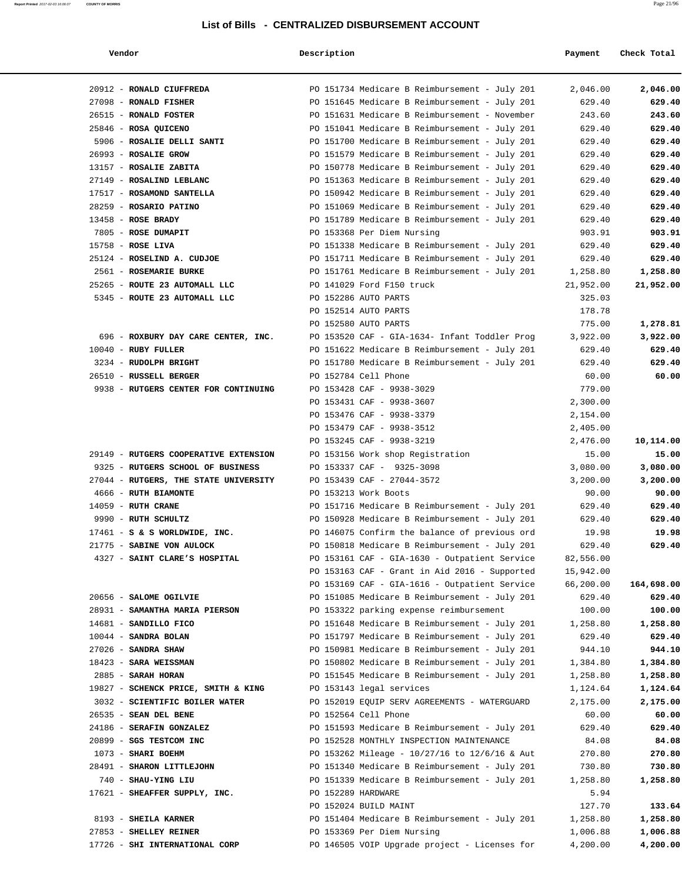### **Report Printed** 2017-02-03 16:06:07 **COUNTY OF MORRIS** Page 21/96

### **List of Bills - CENTRALIZED DISBURSEMENT ACCOUNT**

 **Vendor Description Payment Check Total** 20912 - **RONALD CIUFFREDA** PO 151734 Medicare B Reimbursement - July 201 2,046.00 **2,046.00** 27098 - **RONALD FISHER** PO 151645 Medicare B Reimbursement - July 201 629.40 **629.40** 26515 - **RONALD FOSTER** PO 151631 Medicare B Reimbursement - November 243.60 **243.60** 25846 - **ROSA QUICENO** PO 151041 Medicare B Reimbursement - July 201 629.40 **629.40** 5906 - **ROSALIE DELLI SANTI** PO 151700 Medicare B Reimbursement - July 201 629.40 **629.40** 26993 - **ROSALIE GROW** PO 151579 Medicare B Reimbursement - July 201 629.40 **629.40** 13157 - **ROSALIE ZABITA** PO 150778 Medicare B Reimbursement - July 201 629.40 **629.40** 27149 - **ROSALIND LEBLANC** PO 151363 Medicare B Reimbursement - July 201 629.40 **629.40** 17517 - **ROSAMOND SANTELLA** PO 150942 Medicare B Reimbursement - July 201 629.40 **629.40** 28259 - **ROSARIO PATINO** PO 151069 Medicare B Reimbursement - July 201 629.40 **629.40** 13458 - **ROSE BRADY** PO 151789 Medicare B Reimbursement - July 201 629.40 **629.40** 7805 - **ROSE DUMAPIT** PO 153368 Per Diem Nursing 903.91 **903.91** 15758 - **ROSE LIVA** PO 151338 Medicare B Reimbursement - July 201 629.40 **629.40** 25124 - **ROSELIND A. CUDJOE** PO 151711 Medicare B Reimbursement - July 201 629.40 **629.40** 2561 - **ROSEMARIE BURKE** PO 151761 Medicare B Reimbursement - July 201 1,258.80 **1,258.80** 25265 - **ROUTE 23 AUTOMALL LLC** PO 141029 Ford F150 truck 21,952.00 **21,952.00** 5345 - **ROUTE 23 AUTOMALL LLC** PO 152286 AUTO PARTS 325.03 PO 152514 AUTO PARTS 178.78 PO 152580 AUTO PARTS 775.00 **1,278.81** 696 - **ROXBURY DAY CARE CENTER, INC.** PO 153520 CAF - GIA-1634- Infant Toddler Prog 3,922.00 **3,922.00** 10040 - **RUBY FULLER** PO 151622 Medicare B Reimbursement - July 201 629.40 **629.40** 3234 - **RUDOLPH BRIGHT** PO 151780 Medicare B Reimbursement - July 201 629.40 **629.40** 26510 - **RUSSELL BERGER** PO 152784 Cell Phone 60.00 **60.00** 9938 - **RUTGERS CENTER FOR CONTINUING** PO 153428 CAF - 9938-3029 779.00 PO 153431 CAF - 9938-3607 2,300.00 PO 153476 CAF - 9938-3379 2,154.00 PO 153479 CAF - 9938-3512 2,405.00 PO 153245 CAF - 9938-3219 2,476.00 **10,114.00** 29149 - **RUTGERS COOPERATIVE EXTENSION** PO 153156 Work shop Registration 15.00 **15.00** 9325 - **RUTGERS SCHOOL OF BUSINESS** PO 153337 CAF - 9325-3098 3,080.00 3,080.00 3,080.00 27044 - **RUTGERS, THE STATE UNIVERSITY** PO 153439 CAF - 27044-3572 3,200.00 **3,200.00** 4666 - **RUTH BIAMONTE** PO 153213 Work Boots 90.00 **90.00** 14059 - **RUTH CRANE** PO 151716 Medicare B Reimbursement - July 201 629.40 **629.40** 9990 - **RUTH SCHULTZ** PO 150928 Medicare B Reimbursement - July 201 629.40 **629.40** 17461 - **S & S WORLDWIDE, INC.** PO 146075 Confirm the balance of previous ord 19.98 **19.98** 21775 - **SABINE VON AULOCK** PO 150818 Medicare B Reimbursement - July 201 629.40 **629.40** 4327 - **SAINT CLARE'S HOSPITAL** PO 153161 CAF - GIA-1630 - Outpatient Service 82,556.00 PO 153163 CAF - Grant in Aid 2016 - Supported 15,942.00 PO 153169 CAF - GIA-1616 - Outpatient Service 66,200.00 **164,698.00** 20656 - **SALOME OGILVIE** PO 151085 Medicare B Reimbursement - July 201 629.40 **629.40** 28931 - **SAMANTHA MARIA PIERSON** PO 153322 parking expense reimbursement 100.00 **100.00** 14681 - **SANDILLO FICO** PO 151648 Medicare B Reimbursement - July 201 1,258.80 **1,258.80** 10044 - **SANDRA BOLAN** PO 151797 Medicare B Reimbursement - July 201 629.40 **629.40** 27026 - **SANDRA SHAW** PO 150981 Medicare B Reimbursement - July 201 944.10 **944.10** 18423 - **SARA WEISSMAN** PO 150802 Medicare B Reimbursement - July 201 1,384.80 **1,384.80** 2885 - **SARAH HORAN** PO 151545 Medicare B Reimbursement - July 201 1,258.80 **1,258.80** 19827 - **SCHENCK PRICE, SMITH & KING** PO 153143 legal services 1,124.64 **1,124.64** 3032 - **SCIENTIFIC BOILER WATER** PO 152019 EQUIP SERV AGREEMENTS - WATERGUARD 2,175.00 **2,175.00** 26535 - **SEAN DEL BENE** PO 152564 Cell Phone 60.00 **60.00** 24186 - **SERAFIN GONZALEZ** PO 151593 Medicare B Reimbursement - July 201 629.40 **629.40** 20899 - **SGS TESTCOM INC** PO 152528 MONTHLY INSPECTION MAINTENANCE 84.08 **84.08** 1073 - **SHARI BOEHM** PO 153262 Mileage - 10/27/16 to 12/6/16 & Aut 270.80 **270.80** 28491 - **SHARON LITTLEJOHN** PO 151340 Medicare B Reimbursement - July 201 730.80 **730.80** 740 - **SHAU-YING LIU** PO 151339 Medicare B Reimbursement - July 201 1,258.80 **1,258.80** 17621 - **SHEAFFER SUPPLY, INC.** PO 152289 HARDWARE 5.94 PO 152024 BUILD MAINT 127.70 **133.64**  8193 - **SHEILA KARNER** PO 151404 Medicare B Reimbursement - July 201 1,258.80 **1,258.80** 27853 - **SHELLEY REINER** PO 153369 Per Diem Nursing 1,006.88 **1,006.88** 17726 - **SHI INTERNATIONAL CORP** PO 146505 VOIP Upgrade project - Licenses for 4,200.00 **4,200.00**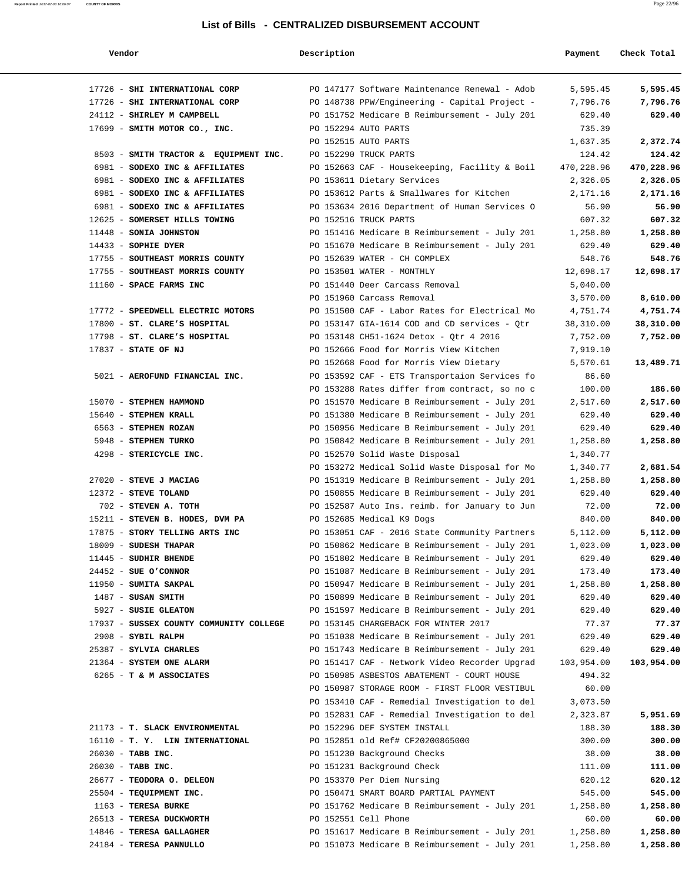|  | endor |  |
|--|-------|--|
|--|-------|--|

| Report Printed 2017-02-03 16:06:07 | <b>COUNTY OF MORRIS</b> | Page 22/96 |
|------------------------------------|-------------------------|------------|
|                                    |                         |            |
|                                    |                         |            |

| Vendor                                         | Description |                                                                                                | Payment            | Check Total          |
|------------------------------------------------|-------------|------------------------------------------------------------------------------------------------|--------------------|----------------------|
| 17726 - SHI INTERNATIONAL CORP                 |             | PO 147177 Software Maintenance Renewal - Adob                                                  | 5,595.45           | 5,595.45             |
| 17726 - SHI INTERNATIONAL CORP                 |             | PO 148738 PPW/Engineering - Capital Project -                                                  | 7,796.76           | 7,796.76             |
| 24112 - SHIRLEY M CAMPBELL                     |             | PO 151752 Medicare B Reimbursement - July 201                                                  | 629.40             | 629.40               |
| 17699 - SMITH MOTOR CO., INC.                  |             | PO 152294 AUTO PARTS                                                                           | 735.39             |                      |
|                                                |             | PO 152515 AUTO PARTS                                                                           | 1,637.35           | 2,372.74             |
| 8503 - SMITH TRACTOR & EQUIPMENT INC.          |             | PO 152290 TRUCK PARTS                                                                          | 124.42             | 124.42               |
| 6981 - SODEXO INC & AFFILIATES                 |             | PO 152663 CAF - Housekeeping, Facility & Boil                                                  | 470,228.96         | 470,228.96           |
| 6981 - SODEXO INC & AFFILIATES                 |             | PO 153611 Dietary Services                                                                     | 2,326.05           | 2,326.05             |
| 6981 - SODEXO INC & AFFILIATES                 |             | PO 153612 Parts & Smallwares for Kitchen                                                       | 2,171.16           | 2,171.16             |
| 6981 - SODEXO INC & AFFILIATES                 |             | PO 153634 2016 Department of Human Services O                                                  | 56.90              | 56.90                |
| 12625 - SOMERSET HILLS TOWING                  |             | PO 152516 TRUCK PARTS                                                                          | 607.32             | 607.32               |
| 11448 - SONIA JOHNSTON                         |             | PO 151416 Medicare B Reimbursement - July 201                                                  | 1,258.80           | 1,258.80             |
| $14433$ - SOPHIE DYER                          |             | PO 151670 Medicare B Reimbursement - July 201                                                  | 629.40             | 629.40               |
| 17755 - SOUTHEAST MORRIS COUNTY                |             | PO 152639 WATER - CH COMPLEX                                                                   | 548.76             | 548.76               |
| 17755 - SOUTHEAST MORRIS COUNTY                |             | PO 153501 WATER - MONTHLY                                                                      | 12,698.17          | 12,698.17            |
| 11160 - SPACE FARMS INC                        |             | PO 151440 Deer Carcass Removal                                                                 | 5,040.00           |                      |
|                                                |             | PO 151960 Carcass Removal                                                                      | 3,570.00           | 8,610.00             |
| 17772 - SPEEDWELL ELECTRIC MOTORS              |             | PO 151500 CAF - Labor Rates for Electrical Mo                                                  | 4,751.74           | 4,751.74             |
| 17800 - ST. CLARE'S HOSPITAL                   |             | PO 153147 GIA-1614 COD and CD services - Qtr                                                   | 38,310.00          | 38,310.00            |
| 17798 - ST. CLARE'S HOSPITAL                   |             | PO 153148 CH51-1624 Detox - Qtr 4 2016                                                         | 7,752.00           | 7,752.00             |
| 17837 - STATE OF NJ                            |             | PO 152666 Food for Morris View Kitchen                                                         | 7,919.10           |                      |
|                                                |             | PO 152668 Food for Morris View Dietary                                                         | 5,570.61           | 13,489.71            |
| 5021 - AEROFUND FINANCIAL INC.                 |             | PO 153592 CAF - ETS Transportaion Services fo                                                  | 86.60              |                      |
|                                                |             | PO 153288 Rates differ from contract, so no c                                                  | 100.00             | 186.60               |
| 15070 - STEPHEN HAMMOND                        |             | PO 151570 Medicare B Reimbursement - July 201                                                  | 2,517.60           | 2,517.60             |
| 15640 - STEPHEN KRALL                          |             | PO 151380 Medicare B Reimbursement - July 201                                                  | 629.40             | 629.40               |
| 6563 - STEPHEN ROZAN                           |             | PO 150956 Medicare B Reimbursement - July 201                                                  | 629.40             | 629.40               |
| 5948 - STEPHEN TURKO                           |             | PO 150842 Medicare B Reimbursement - July 201                                                  | 1,258.80           | 1,258.80             |
| 4298 - STERICYCLE INC.                         |             | PO 152570 Solid Waste Disposal                                                                 | 1,340.77           |                      |
|                                                |             | PO 153272 Medical Solid Waste Disposal for Mo                                                  | 1,340.77           | 2,681.54<br>1,258.80 |
| 27020 - STEVE J MACIAG<br>12372 - STEVE TOLAND |             | PO 151319 Medicare B Reimbursement - July 201<br>PO 150855 Medicare B Reimbursement - July 201 | 1,258.80<br>629.40 | 629.40               |
| 702 - STEVEN A. TOTH                           |             | PO 152587 Auto Ins. reimb. for January to Jun                                                  | 72.00              | 72.00                |
| 15211 - STEVEN B. HODES, DVM PA                |             | PO 152685 Medical K9 Dogs                                                                      | 840.00             | 840.00               |
| 17875 - STORY TELLING ARTS INC                 |             | PO 153051 CAF - 2016 State Community Partners                                                  | 5,112.00           | 5,112.00             |
| 18009 - SUDESH THAPAR                          |             | PO 150862 Medicare B Reimbursement - July 201                                                  | 1,023.00           | 1,023.00             |
| 11445 - SUDHIR BHENDE                          |             | PO 151802 Medicare B Reimbursement - July 201                                                  | 629.40             | 629.40               |
| $24452$ - SUE O'CONNOR                         |             | PO 151087 Medicare B Reimbursement - July 201                                                  | 173.40             | 173.40               |
| 11950 - SUMITA SAKPAL                          |             | PO 150947 Medicare B Reimbursement - July 201                                                  | 1,258.80           | 1,258.80             |
| 1487 - SUSAN SMITH                             |             | PO 150899 Medicare B Reimbursement - July 201                                                  | 629.40             | 629.40               |
| 5927 - SUSIE GLEATON                           |             | PO 151597 Medicare B Reimbursement - July 201                                                  | 629.40             | 629.40               |
| 17937 - SUSSEX COUNTY COMMUNITY COLLEGE        |             | PO 153145 CHARGEBACK FOR WINTER 2017                                                           | 77.37              | 77.37                |
| 2908 - SYBIL RALPH                             |             | PO 151038 Medicare B Reimbursement - July 201                                                  | 629.40             | 629.40               |
| 25387 - SYLVIA CHARLES                         |             | PO 151743 Medicare B Reimbursement - July 201                                                  | 629.40             | 629.40               |
| 21364 - SYSTEM ONE ALARM                       |             | PO 151417 CAF - Network Video Recorder Upgrad                                                  | 103,954.00         | 103,954.00           |
| 6265 - T & M ASSOCIATES                        |             | PO 150985 ASBESTOS ABATEMENT - COURT HOUSE                                                     | 494.32             |                      |
|                                                |             | PO 150987 STORAGE ROOM - FIRST FLOOR VESTIBUL                                                  | 60.00              |                      |
|                                                |             | PO 153410 CAF - Remedial Investigation to del                                                  | 3,073.50           |                      |
|                                                |             | PO 152831 CAF - Remedial Investigation to del                                                  | 2,323.87           | 5,951.69             |
| 21173 - T. SLACK ENVIRONMENTAL                 |             | PO 152296 DEF SYSTEM INSTALL                                                                   | 188.30             | 188.30               |
| 16110 - T. Y. LIN INTERNATIONAL                |             | PO 152851 old Ref# CF20200865000                                                               | 300.00             | 300.00               |
| 26030 - TABB INC.                              |             | PO 151230 Background Checks                                                                    | 38.00              | 38.00                |
| 26030 - TABB INC.                              |             | PO 151231 Background Check                                                                     | 111.00             | 111.00               |
| 26677 - TEODORA O. DELEON                      |             | PO 153370 Per Diem Nursing                                                                     | 620.12             | 620.12               |
| 25504 - TEQUIPMENT INC.                        |             | PO 150471 SMART BOARD PARTIAL PAYMENT                                                          | 545.00             | 545.00               |
| 1163 - TERESA BURKE                            |             | PO 151762 Medicare B Reimbursement - July 201                                                  | 1,258.80           | 1,258.80             |
| 26513 - TERESA DUCKWORTH                       |             | PO 152551 Cell Phone                                                                           | 60.00              | 60.00                |
| 14846 - TERESA GALLAGHER                       |             | PO 151617 Medicare B Reimbursement - July 201                                                  | 1,258.80           | 1,258.80             |
| 24184 - TERESA PANNULLO                        |             | PO 151073 Medicare B Reimbursement - July 201                                                  | 1,258.80           | 1,258.80             |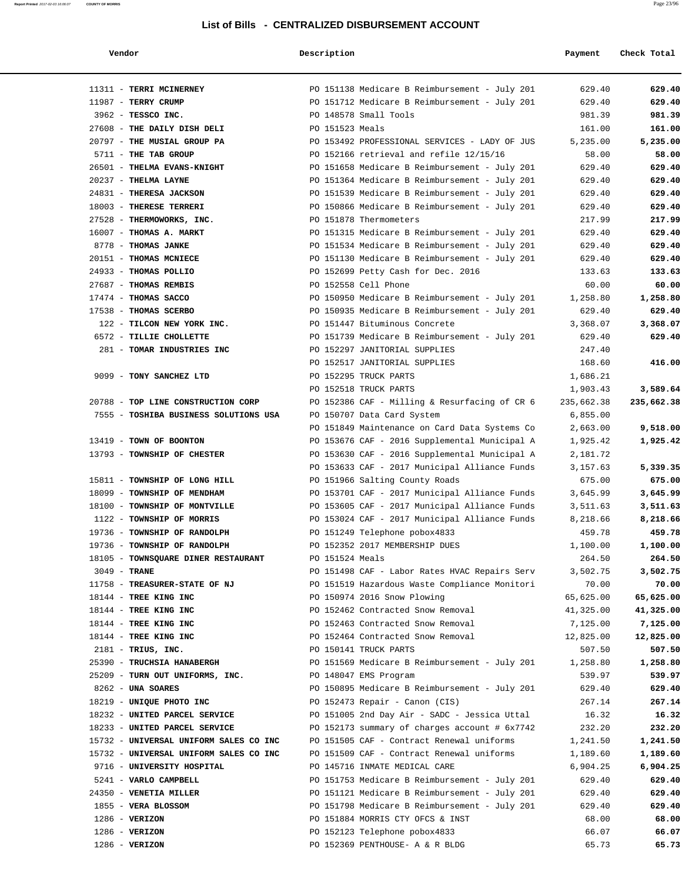|  | endor |  |
|--|-------|--|
|--|-------|--|

### **Vendor Description Payment Check Total**

**Report Printed** 2017-02-03 16:06:07 **COUNTY OF MORRIS** Page 23/96

|                  | 11311 - TERRI MCINERNEY                |                 | PO 151138 Medicare B Reimbursement - July 201 | 629.40     | 629.40     |
|------------------|----------------------------------------|-----------------|-----------------------------------------------|------------|------------|
|                  | 11987 - TERRY CRUMP                    |                 | PO 151712 Medicare B Reimbursement - July 201 | 629.40     | 629.40     |
|                  | 3962 - TESSCO INC.                     |                 | PO 148578 Small Tools                         | 981.39     | 981.39     |
|                  | 27608 - THE DAILY DISH DELI            | PO 151523 Meals |                                               | 161.00     | 161.00     |
|                  | 20797 - THE MUSIAL GROUP PA            |                 | PO 153492 PROFESSIONAL SERVICES - LADY OF JUS | 5,235.00   | 5,235.00   |
|                  | 5711 - THE TAB GROUP                   |                 | PO 152166 retrieval and refile 12/15/16       | 58.00      | 58.00      |
|                  | 26501 - THELMA EVANS-KNIGHT            |                 | PO 151658 Medicare B Reimbursement - July 201 | 629.40     | 629.40     |
|                  | 20237 - THELMA LAYNE                   |                 | PO 151364 Medicare B Reimbursement - July 201 | 629.40     | 629.40     |
|                  | 24831 - THERESA JACKSON                |                 | PO 151539 Medicare B Reimbursement - July 201 | 629.40     | 629.40     |
|                  | 18003 - THERESE TERRERI                |                 | PO 150866 Medicare B Reimbursement - July 201 | 629.40     | 629.40     |
|                  | 27528 - THERMOWORKS, INC.              |                 | PO 151878 Thermometers                        | 217.99     | 217.99     |
|                  | 16007 - THOMAS A. MARKT                |                 | PO 151315 Medicare B Reimbursement - July 201 | 629.40     | 629.40     |
|                  | 8778 - THOMAS JANKE                    |                 | PO 151534 Medicare B Reimbursement - July 201 | 629.40     | 629.40     |
|                  | 20151 - THOMAS MCNIECE                 |                 | PO 151130 Medicare B Reimbursement - July 201 | 629.40     | 629.40     |
|                  | 24933 - THOMAS POLLIO                  |                 |                                               | 133.63     |            |
|                  |                                        |                 | PO 152699 Petty Cash for Dec. 2016            |            | 133.63     |
|                  | 27687 - THOMAS REMBIS                  |                 | PO 152558 Cell Phone                          | 60.00      | 60.00      |
|                  | 17474 - THOMAS SACCO                   |                 | PO 150950 Medicare B Reimbursement - July 201 | 1,258.80   | 1,258.80   |
|                  | 17538 - THOMAS SCERBO                  |                 | PO 150935 Medicare B Reimbursement - July 201 | 629.40     | 629.40     |
|                  | 122 - TILCON NEW YORK INC.             |                 | PO 151447 Bituminous Concrete                 | 3,368.07   | 3,368.07   |
|                  | 6572 - TILLIE CHOLLETTE                |                 | PO 151739 Medicare B Reimbursement - July 201 | 629.40     | 629.40     |
|                  | 281 - TOMAR INDUSTRIES INC             |                 | PO 152297 JANITORIAL SUPPLIES                 | 247.40     |            |
|                  |                                        |                 | PO 152517 JANITORIAL SUPPLIES                 | 168.60     | 416.00     |
|                  | 9099 - TONY SANCHEZ LTD                |                 | PO 152295 TRUCK PARTS                         | 1,686.21   |            |
|                  |                                        |                 | PO 152518 TRUCK PARTS                         | 1,903.43   | 3,589.64   |
|                  | 20788 - TOP LINE CONSTRUCTION CORP     |                 | PO 152386 CAF - Milling & Resurfacing of CR 6 | 235,662.38 | 235,662.38 |
|                  | 7555 - TOSHIBA BUSINESS SOLUTIONS USA  |                 | PO 150707 Data Card System                    | 6,855.00   |            |
|                  |                                        |                 | PO 151849 Maintenance on Card Data Systems Co | 2,663.00   | 9,518.00   |
|                  | 13419 - TOWN OF BOONTON                |                 | PO 153676 CAF - 2016 Supplemental Municipal A | 1,925.42   | 1,925.42   |
|                  | 13793 - TOWNSHIP OF CHESTER            |                 | PO 153630 CAF - 2016 Supplemental Municipal A | 2,181.72   |            |
|                  |                                        |                 | PO 153633 CAF - 2017 Municipal Alliance Funds | 3,157.63   | 5,339.35   |
|                  | 15811 - TOWNSHIP OF LONG HILL          |                 | PO 151966 Salting County Roads                | 675.00     | 675.00     |
|                  | 18099 - TOWNSHIP OF MENDHAM            |                 | PO 153701 CAF - 2017 Municipal Alliance Funds | 3,645.99   | 3,645.99   |
|                  | 18100 - TOWNSHIP OF MONTVILLE          |                 | PO 153605 CAF - 2017 Municipal Alliance Funds | 3,511.63   | 3,511.63   |
|                  | 1122 - TOWNSHIP OF MORRIS              |                 | PO 153024 CAF - 2017 Municipal Alliance Funds | 8,218.66   | 8,218.66   |
|                  | 19736 - TOWNSHIP OF RANDOLPH           |                 | PO 151249 Telephone pobox4833                 | 459.78     | 459.78     |
|                  | 19736 - TOWNSHIP OF RANDOLPH           |                 | PO 152352 2017 MEMBERSHIP DUES                | 1,100.00   | 1,100.00   |
|                  | 18105 - TOWNSQUARE DINER RESTAURANT    | PO 151524 Meals |                                               | 264.50     | 264.50     |
| $3049$ - TRANE   |                                        |                 | PO 151498 CAF - Labor Rates HVAC Repairs Serv | 3,502.75   | 3,502.75   |
|                  | 11758 - TREASURER-STATE OF NJ          |                 | PO 151519 Hazardous Waste Compliance Monitori | 70.00      | 70.00      |
|                  | 18144 - TREE KING INC                  |                 | PO 150974 2016 Snow Plowing                   | 65,625.00  | 65,625.00  |
|                  | 18144 - TREE KING INC                  |                 | PO 152462 Contracted Snow Removal             | 41,325.00  | 41,325.00  |
|                  | 18144 - TREE KING INC                  |                 | PO 152463 Contracted Snow Removal             | 7,125.00   | 7,125.00   |
|                  | 18144 - TREE KING INC                  |                 | PO 152464 Contracted Snow Removal             | 12,825.00  | 12,825.00  |
|                  | $2181$ - TRIUS, INC.                   |                 | PO 150141 TRUCK PARTS                         | 507.50     | 507.50     |
|                  | 25390 - TRUCHSIA HANABERGH             |                 | PO 151569 Medicare B Reimbursement - July 201 | 1,258.80   | 1,258.80   |
|                  | 25209 - TURN OUT UNIFORMS, INC.        |                 | PO 148047 EMS Program                         | 539.97     | 539.97     |
|                  | 8262 - UNA SOARES                      |                 | PO 150895 Medicare B Reimbursement - July 201 | 629.40     | 629.40     |
|                  | 18219 - UNIQUE PHOTO INC               |                 | PO 152473 Repair - Canon (CIS)                | 267.14     | 267.14     |
|                  | 18232 - UNITED PARCEL SERVICE          |                 | PO 151005 2nd Day Air - SADC - Jessica Uttal  | 16.32      | 16.32      |
|                  | 18233 - UNITED PARCEL SERVICE          |                 | PO 152173 summary of charges account # 6x7742 | 232.20     | 232.20     |
|                  | 15732 - UNIVERSAL UNIFORM SALES CO INC |                 | PO 151505 CAF - Contract Renewal uniforms     | 1,241.50   | 1,241.50   |
|                  | 15732 - UNIVERSAL UNIFORM SALES CO INC |                 | PO 151509 CAF - Contract Renewal uniforms     | 1,189.60   | 1,189.60   |
|                  | 9716 - UNIVERSITY HOSPITAL             |                 | PO 145716 INMATE MEDICAL CARE                 | 6,904.25   | 6,904.25   |
|                  | 5241 - VARLO CAMPBELL                  |                 | PO 151753 Medicare B Reimbursement - July 201 | 629.40     | 629.40     |
|                  | 24350 - VENETIA MILLER                 |                 | PO 151121 Medicare B Reimbursement - July 201 | 629.40     | 629.40     |
|                  |                                        |                 |                                               |            |            |
|                  | 1855 - VERA BLOSSOM                    |                 | PO 151798 Medicare B Reimbursement - July 201 | 629.40     | 629.40     |
| $1286$ - VERIZON |                                        |                 | PO 151884 MORRIS CTY OFCS & INST              | 68.00      | 68.00      |
| $1286$ - VERIZON |                                        |                 | PO 152123 Telephone pobox4833                 | 66.07      | 66.07      |
| $1286$ - VERIZON |                                        |                 | PO 152369 PENTHOUSE- A & R BLDG               | 65.73      | 65.73      |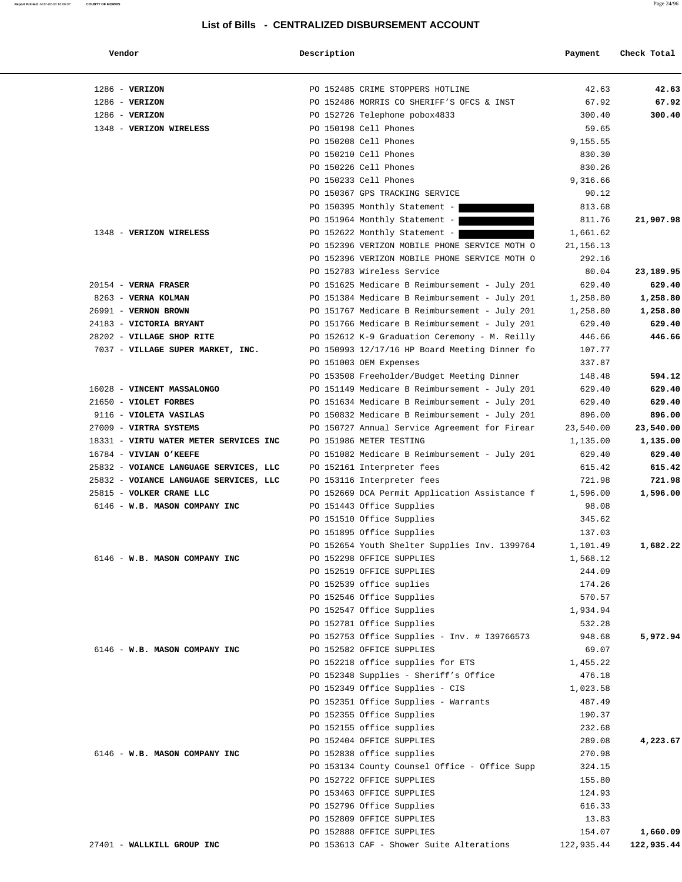| Vendor                                 | Description |                                                                            | Payment              | Check Total |
|----------------------------------------|-------------|----------------------------------------------------------------------------|----------------------|-------------|
| $1286$ - VERIZON                       |             | PO 152485 CRIME STOPPERS HOTLINE                                           | 42.63                | 42.63       |
| $1286$ - VERIZON                       |             | PO 152486 MORRIS CO SHERIFF'S OFCS & INST                                  | 67.92                | 67.92       |
| $1286$ - VERIZON                       |             | PO 152726 Telephone pobox4833                                              | 300.40               | 300.40      |
| 1348 - VERIZON WIRELESS                |             | PO 150198 Cell Phones                                                      | 59.65                |             |
|                                        |             | PO 150208 Cell Phones                                                      | 9,155.55             |             |
|                                        |             | PO 150210 Cell Phones                                                      | 830.30               |             |
|                                        |             | PO 150226 Cell Phones                                                      | 830.26               |             |
|                                        |             | PO 150233 Cell Phones                                                      | 9,316.66             |             |
|                                        |             | PO 150367 GPS TRACKING SERVICE                                             | 90.12                |             |
|                                        |             | PO 150395 Monthly Statement -                                              | 813.68               |             |
|                                        |             | PO 151964 Monthly Statement -                                              | 811.76               | 21,907.98   |
| 1348 - VERIZON WIRELESS                |             | PO 152622 Monthly Statement -                                              | 1,661.62             |             |
|                                        |             | PO 152396 VERIZON MOBILE PHONE SERVICE MOTH O                              | 21, 156. 13          |             |
|                                        |             | PO 152396 VERIZON MOBILE PHONE SERVICE MOTH O                              | 292.16               |             |
|                                        |             | PO 152783 Wireless Service                                                 | 80.04                | 23,189.95   |
| $20154$ - VERNA FRASER                 |             | PO 151625 Medicare B Reimbursement - July 201                              | 629.40               | 629.40      |
| 8263 - VERNA KOLMAN                    |             | PO 151384 Medicare B Reimbursement - July 201                              | 1,258.80             | 1,258.80    |
| 26991 - VERNON BROWN                   |             | PO 151767 Medicare B Reimbursement - July 201                              | 1,258.80             | 1,258.80    |
| 24183 - VICTORIA BRYANT                |             | PO 151766 Medicare B Reimbursement - July 201                              | 629.40               | 629.40      |
| 28202 - VILLAGE SHOP RITE              |             | PO 152612 K-9 Graduation Ceremony - M. Reilly                              | 446.66               | 446.66      |
| 7037 - VILLAGE SUPER MARKET, INC.      |             | PO 150993 12/17/16 HP Board Meeting Dinner fo                              | 107.77               |             |
|                                        |             | PO 151003 OEM Expenses                                                     | 337.87               |             |
|                                        |             | PO 153508 Freeholder/Budget Meeting Dinner                                 | 148.48               | 594.12      |
| 16028 - VINCENT MASSALONGO             |             | PO 151149 Medicare B Reimbursement - July 201                              | 629.40               | 629.40      |
| 21650 - VIOLET FORBES                  |             | PO 151634 Medicare B Reimbursement - July 201                              | 629.40               | 629.40      |
| 9116 - VIOLETA VASILAS                 |             | PO 150832 Medicare B Reimbursement - July 201                              | 896.00               | 896.00      |
| 27009 - VIRTRA SYSTEMS                 |             | PO 150727 Annual Service Agreement for Firear                              | 23,540.00            | 23,540.00   |
| 18331 - VIRTU WATER METER SERVICES INC |             | PO 151986 METER TESTING                                                    | 1,135.00             | 1,135.00    |
| 16784 - VIVIAN O'KEEFE                 |             | PO 151082 Medicare B Reimbursement - July 201                              | 629.40               | 629.40      |
| 25832 - VOIANCE LANGUAGE SERVICES, LLC |             | PO 152161 Interpreter fees                                                 | 615.42               | 615.42      |
| 25832 - VOIANCE LANGUAGE SERVICES, LLC |             | PO 153116 Interpreter fees                                                 | 721.98               | 721.98      |
| 25815 - VOLKER CRANE LLC               |             | PO 152669 DCA Permit Application Assistance f                              | 1,596.00             | 1,596.00    |
| 6146 - W.B. MASON COMPANY INC          |             | PO 151443 Office Supplies                                                  | 98.08                |             |
|                                        |             | PO 151510 Office Supplies                                                  | 345.62               |             |
|                                        |             | PO 151895 Office Supplies                                                  | 137.03               |             |
|                                        |             |                                                                            |                      | 1,682.22    |
| 6146 - W.B. MASON COMPANY INC          |             | PO 152654 Youth Shelter Supplies Inv. 1399764<br>PO 152298 OFFICE SUPPLIES | 1,101.49<br>1,568.12 |             |
|                                        |             | PO 152519 OFFICE SUPPLIES                                                  | 244.09               |             |
|                                        |             | PO 152539 office suplies                                                   | 174.26               |             |
|                                        |             | PO 152546 Office Supplies                                                  | 570.57               |             |
|                                        |             | PO 152547 Office Supplies                                                  |                      |             |
|                                        |             | PO 152781 Office Supplies                                                  | 1,934.94             |             |
|                                        |             |                                                                            | 532.28               | 5,972.94    |
| 6146 - W.B. MASON COMPANY INC          |             | PO 152753 Office Supplies - Inv. # I39766573<br>PO 152582 OFFICE SUPPLIES  | 948.68<br>69.07      |             |
|                                        |             | PO 152218 office supplies for ETS                                          | 1,455.22             |             |
|                                        |             | PO 152348 Supplies - Sheriff's Office                                      |                      |             |
|                                        |             |                                                                            | 476.18               |             |
|                                        |             | PO 152349 Office Supplies - CIS                                            | 1,023.58<br>487.49   |             |
|                                        |             | PO 152351 Office Supplies - Warrants<br>PO 152355 Office Supplies          | 190.37               |             |
|                                        |             |                                                                            |                      |             |
|                                        |             | PO 152155 office supplies                                                  | 232.68               |             |
|                                        |             | PO 152404 OFFICE SUPPLIES                                                  | 289.08               | 4,223.67    |
| 6146 - W.B. MASON COMPANY INC          |             | PO 152838 office supplies                                                  | 270.98               |             |
|                                        |             | PO 153134 County Counsel Office - Office Supp                              | 324.15               |             |
|                                        |             | PO 152722 OFFICE SUPPLIES                                                  | 155.80               |             |
|                                        |             | PO 153463 OFFICE SUPPLIES                                                  | 124.93               |             |
|                                        |             | PO 152796 Office Supplies                                                  | 616.33               |             |
|                                        |             | PO 152809 OFFICE SUPPLIES                                                  | 13.83                |             |
|                                        |             | PO 152888 OFFICE SUPPLIES                                                  | 154.07               | 1,660.09    |
| 27401 - WALLKILL GROUP INC             |             | PO 153613 CAF - Shower Suite Alterations                                   | 122,935.44           | 122,935.44  |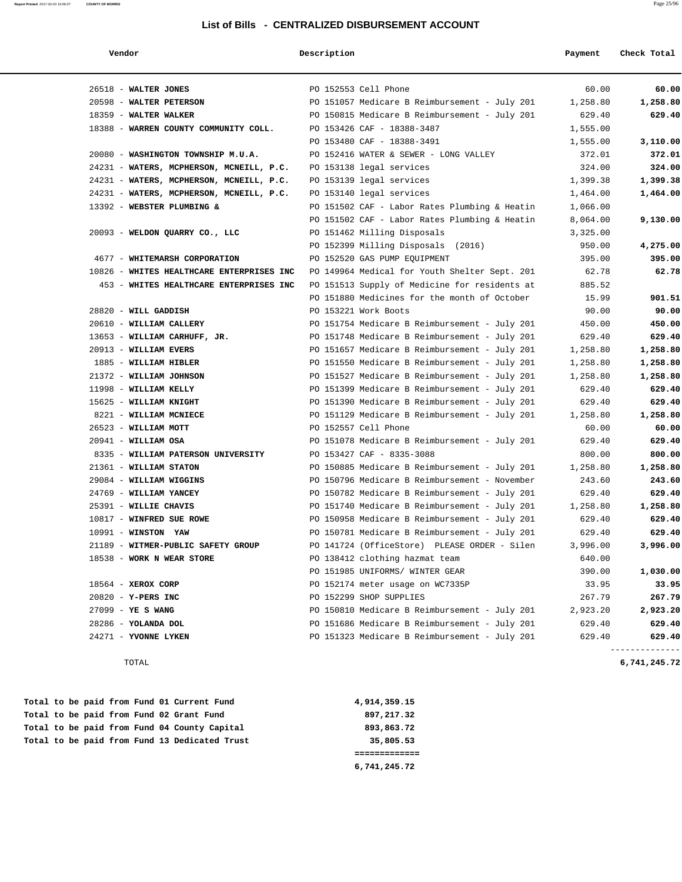| Vendor                                    | Description                                   | Payment  |                          |
|-------------------------------------------|-----------------------------------------------|----------|--------------------------|
| 26518 - WALTER JONES                      | PO 152553 Cell Phone                          | 60.00    | 60.00                    |
| 20598 - WALTER PETERSON                   | PO 151057 Medicare B Reimbursement - July 201 | 1,258.80 | 1,258.80                 |
| 18359 - WALTER WALKER                     | PO 150815 Medicare B Reimbursement - July 201 | 629.40   | 629.40                   |
| 18388 - WARREN COUNTY COMMUNITY COLL.     | PO 153426 CAF - 18388-3487                    | 1,555.00 |                          |
|                                           | PO 153480 CAF - 18388-3491                    | 1,555.00 | 3,110.00                 |
| 20080 - WASHINGTON TOWNSHIP M.U.A.        | PO 152416 WATER & SEWER - LONG VALLEY         | 372.01   | 372.01                   |
| 24231 - WATERS, MCPHERSON, MCNEILL, P.C.  | PO 153138 legal services                      | 324.00   | 324.00                   |
| 24231 - WATERS, MCPHERSON, MCNEILL, P.C.  | PO 153139 legal services                      | 1,399.38 | 1,399.38                 |
| 24231 - WATERS, MCPHERSON, MCNEILL, P.C.  | PO 153140 legal services                      | 1,464.00 | 1,464.00                 |
| 13392 - WEBSTER PLUMBING &                | PO 151502 CAF - Labor Rates Plumbing & Heatin | 1,066.00 |                          |
|                                           | PO 151502 CAF - Labor Rates Plumbing & Heatin | 8,064.00 | 9,130.00                 |
| 20093 - WELDON QUARRY CO., LLC            | PO 151462 Milling Disposals                   | 3,325.00 |                          |
|                                           | PO 152399 Milling Disposals (2016)            | 950.00   | 4,275.00                 |
| 4677 - WHITEMARSH CORPORATION             | PO 152520 GAS PUMP EQUIPMENT                  | 395.00   | 395.00                   |
| 10826 - WHITES HEALTHCARE ENTERPRISES INC | PO 149964 Medical for Youth Shelter Sept. 201 | 62.78    | 62.78                    |
| 453 - WHITES HEALTHCARE ENTERPRISES INC   | PO 151513 Supply of Medicine for residents at | 885.52   |                          |
|                                           | PO 151880 Medicines for the month of October  | 15.99    | 901.51                   |
| 28820 - WILL GADDISH                      | PO 153221 Work Boots                          | 90.00    | 90.00                    |
| 20610 - WILLIAM CALLERY                   | PO 151754 Medicare B Reimbursement - July 201 | 450.00   | 450.00                   |
| 13653 - WILLIAM CARHUFF, JR.              | PO 151748 Medicare B Reimbursement - July 201 | 629.40   | 629.40                   |
| 20913 - WILLIAM EVERS                     | PO 151657 Medicare B Reimbursement - July 201 | 1,258.80 | 1,258.80                 |
| 1885 - WILLIAM HIBLER                     | PO 151550 Medicare B Reimbursement - July 201 | 1,258.80 | 1,258.80                 |
| 21372 - WILLIAM JOHNSON                   | PO 151527 Medicare B Reimbursement - July 201 | 1,258.80 | 1,258.80                 |
| 11998 - WILLIAM KELLY                     | PO 151399 Medicare B Reimbursement - July 201 | 629.40   | 629.40                   |
| 15625 - WILLIAM KNIGHT                    | PO 151390 Medicare B Reimbursement - July 201 | 629.40   | 629.40                   |
| 8221 - WILLIAM MCNIECE                    | PO 151129 Medicare B Reimbursement - July 201 | 1,258.80 | 1,258.80                 |
| 26523 - WILLIAM MOTT                      | PO 152557 Cell Phone                          | 60.00    | 60.00                    |
| $20941 - \text{WILLIAM OSA}$              | PO 151078 Medicare B Reimbursement - July 201 | 629.40   | 629.40                   |
| 8335 - WILLIAM PATERSON UNIVERSITY        | PO 153427 CAF - 8335-3088                     | 800.00   | 800.00                   |
| 21361 - WILLIAM STATON                    | PO 150885 Medicare B Reimbursement - July 201 | 1,258.80 | 1,258.80                 |
| 29084 - WILLIAM WIGGINS                   | PO 150796 Medicare B Reimbursement - November | 243.60   | 243.60                   |
| 24769 - WILLIAM YANCEY                    | PO 150782 Medicare B Reimbursement - July 201 | 629.40   | 629.40                   |
| 25391 - WILLIE CHAVIS                     | PO 151740 Medicare B Reimbursement - July 201 | 1,258.80 | 1,258.80                 |
| 10817 - WINFRED SUE ROWE                  | PO 150958 Medicare B Reimbursement - July 201 | 629.40   | 629.40                   |
| $10991 - WINSTON YAW$                     | PO 150781 Medicare B Reimbursement - July 201 | 629.40   | 629.40                   |
| 21189 - WITMER-PUBLIC SAFETY GROUP        | PO 141724 (OfficeStore) PLEASE ORDER - Silen  | 3,996.00 | 3,996.00                 |
| 18538 - WORK N WEAR STORE                 | PO 138412 clothing hazmat team                | 640.00   |                          |
|                                           | PO 151985 UNIFORMS/ WINTER GEAR               | 390.00   | 1,030.00                 |
| 18564 - XEROX CORP                        | PO 152174 meter usage on WC7335P              | 33.95    | 33.95                    |
| 20820 - Y-PERS INC                        | PO 152299 SHOP SUPPLIES                       | 267.79   | 267.79                   |
| 27099 - YE S WANG                         | PO 150810 Medicare B Reimbursement - July 201 | 2,923.20 | 2,923.20                 |
| 28286 - YOLANDA DOL                       | PO 151686 Medicare B Reimbursement - July 201 | 629.40   | 629.40                   |
| 24271 - YVONNE LYKEN                      | PO 151323 Medicare B Reimbursement - July 201 | 629.40   | 629.40<br>-------------- |

TOTAL **6,741,245.72**

|  |  |  |  | Total to be paid from Fund 13 Dedicated Trust | 35,805.53    |
|--|--|--|--|-----------------------------------------------|--------------|
|  |  |  |  | Total to be paid from Fund 04 County Capital  | 893,863.72   |
|  |  |  |  | Total to be paid from Fund 02 Grant Fund      | 897,217.32   |
|  |  |  |  | Total to be paid from Fund 01 Current Fund    | 4,914,359.15 |

 **6,741,245.72**

**Report Printed** 2017-02-03 16:06:07 **COUNTY OF MORRIS** Page 25/96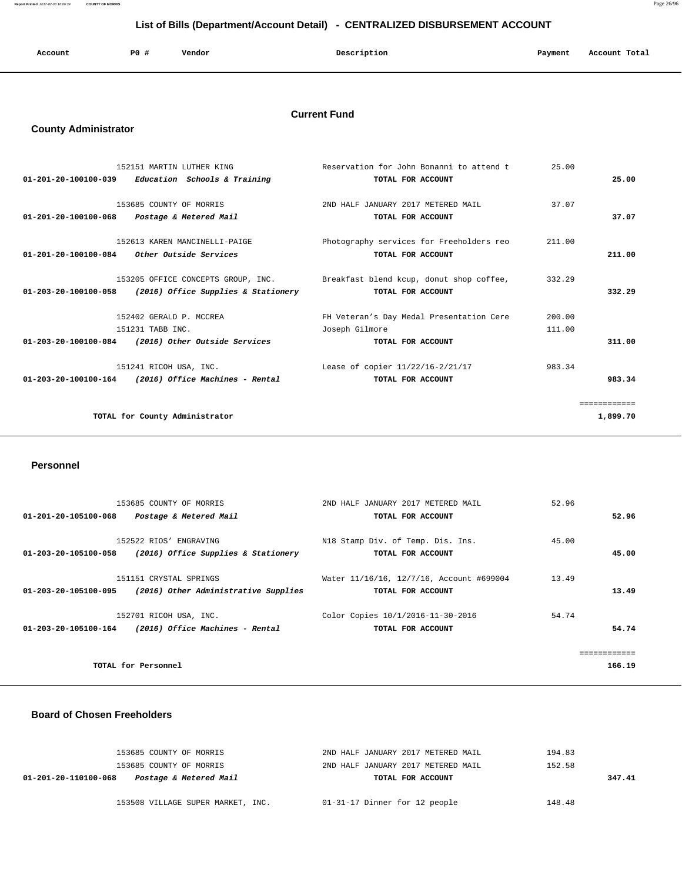**Report Printed** 2017-02-03 16:06:34 **COUNTY OF MORRIS** Page 26/96

### **List of Bills (Department/Account Detail) - CENTRALIZED DISBURSEMENT ACCOUNT**

| Account | P <sub>0</sub> | Vendor | Description | Payment | Account Total |
|---------|----------------|--------|-------------|---------|---------------|
|         |                |        |             |         |               |

### **Current Fund**

### **County Administrator**

| 152151 MARTIN LUTHER KING                                  | Reservation for John Bonanni to attend t                                           | 25.00        |
|------------------------------------------------------------|------------------------------------------------------------------------------------|--------------|
| $01-201-20-100100-039$ Education Schools & Training        | TOTAL FOR ACCOUNT                                                                  | 25.00        |
|                                                            |                                                                                    |              |
| 153685 COUNTY OF MORRIS                                    | 2ND HALF JANUARY 2017 METERED MAIL                                                 | 37.07        |
| 01-201-20-100100-068 Postage & Metered Mail                | TOTAL FOR ACCOUNT                                                                  | 37.07        |
| 152613 KAREN MANCINELLI-PAIGE                              | Photography services for Freeholders reo                                           | 211.00       |
| $01-201-20-100100-084$ Other Outside Services              | TOTAL FOR ACCOUNT                                                                  | 211.00       |
|                                                            |                                                                                    |              |
|                                                            | 153205 OFFICE CONCEPTS GROUP, INC. Breakfast blend kcup, donut shop coffee, 332.29 |              |
| $01-203-20-100100-058$ (2016) Office Supplies & Stationery | TOTAL FOR ACCOUNT                                                                  | 332.29       |
|                                                            |                                                                                    |              |
| 152402 GERALD P. MCCREA                                    | FH Veteran's Day Medal Presentation Cere                                           | 200.00       |
| 151231 TABB INC.                                           | Joseph Gilmore                                                                     | 111.00       |
| 01-203-20-100100-084 (2016) Other Outside Services         | TOTAL FOR ACCOUNT                                                                  | 311.00       |
| 151241 RICOH USA, INC.                                     | Lease of copier 11/22/16-2/21/17                                                   | 983.34       |
| $01-203-20-100100-164$ (2016) Office Machines - Rental     | TOTAL FOR ACCOUNT                                                                  | 983.34       |
|                                                            |                                                                                    |              |
|                                                            |                                                                                    | ============ |
| TOTAL for County Administrator                             |                                                                                    | 1,899.70     |
|                                                            |                                                                                    |              |

### **Personnel**

| 01-201-20-105100-068 | 153685 COUNTY OF MORRIS              | 2ND HALF JANUARY 2017 METERED MAIL       | 52.96                  |
|----------------------|--------------------------------------|------------------------------------------|------------------------|
|                      | Postage & Metered Mail               | TOTAL FOR ACCOUNT                        | 52.96                  |
| 01-203-20-105100-058 | 152522 RIOS' ENGRAVING               | N18 Stamp Div. of Temp. Dis. Ins.        | 45.00                  |
|                      | (2016) Office Supplies & Stationery  | TOTAL FOR ACCOUNT                        | 45.00                  |
| 01-203-20-105100-095 | 151151 CRYSTAL SPRINGS               | Water 11/16/16, 12/7/16, Account #699004 | 13.49                  |
|                      | (2016) Other Administrative Supplies | TOTAL FOR ACCOUNT                        | 13.49                  |
| 01-203-20-105100-164 | 152701 RICOH USA, INC.               | Color Copies 10/1/2016-11-30-2016        | 54.74                  |
|                      | (2016) Office Machines - Rental      | TOTAL FOR ACCOUNT                        | 54.74                  |
|                      | TOTAL for Personnel                  |                                          | ============<br>166.19 |

### **Board of Chosen Freeholders**

| 153685 COUNTY OF MORRIS                        | 2ND HALF JANUARY 2017 METERED MAIL | 194.83 |
|------------------------------------------------|------------------------------------|--------|
| 153685 COUNTY OF MORRIS                        | 2ND HALF JANUARY 2017 METERED MAIL | 152.58 |
| Postage & Metered Mail<br>01-201-20-110100-068 | TOTAL FOR ACCOUNT                  | 347.41 |
|                                                |                                    |        |
| 153508 VILLAGE SUPER MARKET, INC.              | 01-31-17 Dinner for 12 people      | 148.48 |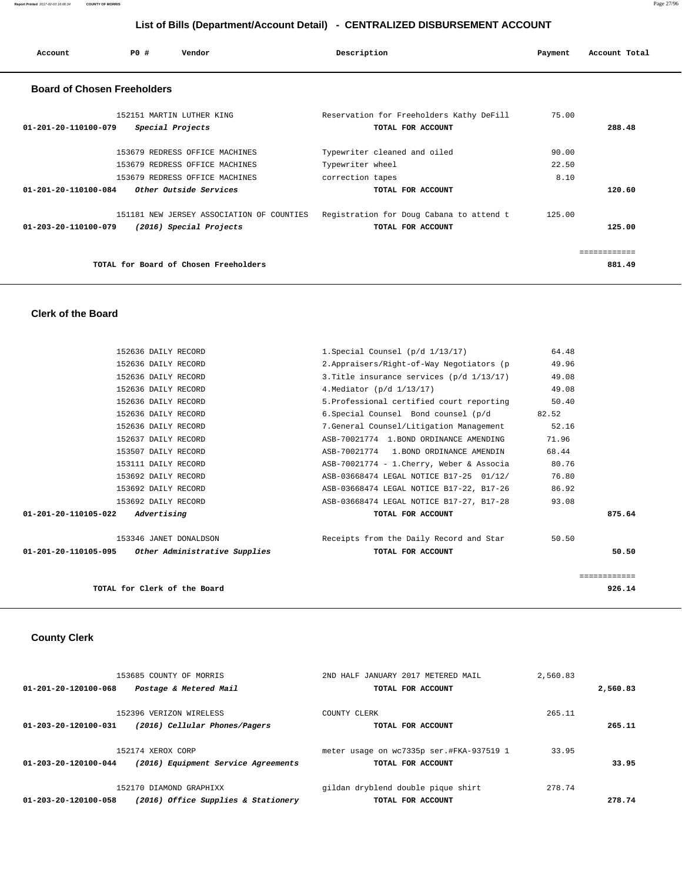| Account                                      | PO# | Vendor                                                                                                | Description                                                                        | Payment                | Account Total          |
|----------------------------------------------|-----|-------------------------------------------------------------------------------------------------------|------------------------------------------------------------------------------------|------------------------|------------------------|
| <b>Board of Chosen Freeholders</b>           |     |                                                                                                       |                                                                                    |                        |                        |
| $01 - 201 - 20 - 110100 - 079$               |     | 152151 MARTIN LUTHER KING<br>Special Projects                                                         | Reservation for Freeholders Kathy DeFill<br>TOTAL FOR ACCOUNT                      | 75.00                  | 288.48                 |
|                                              |     | 153679 REDRESS OFFICE MACHINES<br>153679 REDRESS OFFICE MACHINES<br>153679 REDRESS OFFICE MACHINES    | Typewriter cleaned and oiled<br>Typewriter wheel<br>correction tapes               | 90.00<br>22.50<br>8.10 |                        |
| 01-201-20-110100-084<br>01-203-20-110100-079 |     | <i>Other Outside Services</i><br>151181 NEW JERSEY ASSOCIATION OF COUNTIES<br>(2016) Special Projects | TOTAL FOR ACCOUNT<br>Registration for Doug Cabana to attend t<br>TOTAL FOR ACCOUNT | 125.00                 | 120.60<br>125.00       |
|                                              |     | TOTAL for Board of Chosen Freeholders                                                                 |                                                                                    |                        | ============<br>881.49 |

### **Clerk of the Board**

|              | 64.48 | 1. Special Counsel $(p/d \ 1/13/17)$      | 152636 DAILY RECORD                                |                      |
|--------------|-------|-------------------------------------------|----------------------------------------------------|----------------------|
|              | 49.96 | 2.Appraisers/Right-of-Way Negotiators (p  | 152636 DAILY RECORD                                |                      |
|              | 49.08 | 3. Title insurance services (p/d 1/13/17) | 152636 DAILY RECORD                                |                      |
|              | 49.08 | 4. Mediator (p/d 1/13/17)                 | 152636 DAILY RECORD                                |                      |
|              | 50.40 | 5. Professional certified court reporting | 152636 DAILY RECORD                                |                      |
|              | 82.52 | 6. Special Counsel â Bond counsel (p/d    | 152636 DAILY RECORD                                |                      |
|              | 52.16 | 7.General Counsel/Litigation Management   | 152636 DAILY RECORD                                |                      |
|              | 71.96 | ASB-70021774 1. BOND ORDINANCE AMENDING   | 152637 DAILY RECORD                                |                      |
|              | 68.44 | ASB-70021774 1. BOND ORDINANCE AMENDIN    | 153507 DAILY RECORD                                |                      |
|              | 80.76 | ASB-70021774 - 1. Cherry, Weber & Associa | 153111 DAILY RECORD                                |                      |
|              | 76.80 | ASB-03668474 LEGAL NOTICE B17-25 01/12/   | 153692 DAILY RECORD                                |                      |
|              | 86.92 | ASB-03668474 LEGAL NOTICE B17-22, B17-26  | 153692 DAILY RECORD                                |                      |
|              | 93.08 | ASB-03668474 LEGAL NOTICE B17-27, B17-28  | 153692 DAILY RECORD                                |                      |
| 875.64       |       | TOTAL FOR ACCOUNT                         | Advertising                                        | 01-201-20-110105-022 |
|              | 50.50 | Receipts from the Daily Record and Star   | 153346 JANET DONALDSON                             |                      |
| 50.50        |       | TOTAL FOR ACCOUNT                         | 01-201-20-110105-095 Other Administrative Supplies |                      |
| ============ |       |                                           |                                                    |                      |
| 926.14       |       |                                           | TOTAL for Clerk of the Board                       |                      |
|              |       |                                           |                                                    |                      |

# **County Clerk**

|          | 2,560.83 | 2ND HALF JANUARY 2017 METERED MAIL       | 153685 COUNTY OF MORRIS             |                      |
|----------|----------|------------------------------------------|-------------------------------------|----------------------|
| 2,560.83 |          | TOTAL FOR ACCOUNT                        | Postage & Metered Mail              | 01-201-20-120100-068 |
|          | 265.11   | COUNTY CLERK                             | 152396 VERIZON WIRELESS             |                      |
| 265.11   |          | TOTAL FOR ACCOUNT                        | (2016) Cellular Phones/Pagers       | 01-203-20-120100-031 |
|          | 33.95    | meter usage on wc7335p ser.#FKA-937519 1 | 152174 XEROX CORP                   |                      |
| 33.95    |          | TOTAL FOR ACCOUNT                        | (2016) Equipment Service Agreements | 01-203-20-120100-044 |
|          | 278.74   | gildan dryblend double pique shirt       | 152170 DIAMOND GRAPHIXX             |                      |
| 278.74   |          | TOTAL FOR ACCOUNT                        | (2016) Office Supplies & Stationery | 01-203-20-120100-058 |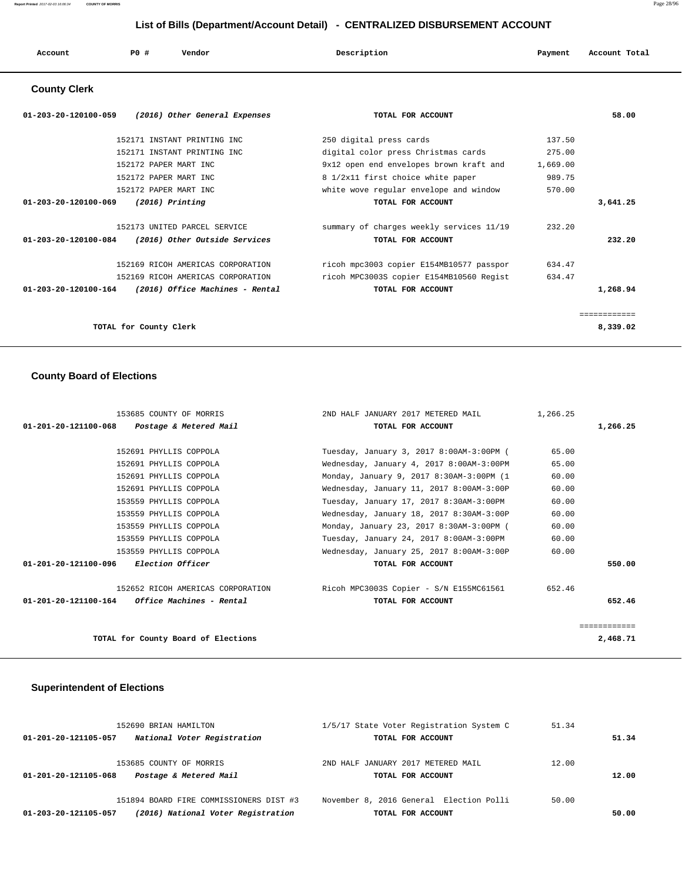| Account | PO# | Vendor | Description | Payment | Account Total |
|---------|-----|--------|-------------|---------|---------------|
|         |     |        |             |         |               |

# **County Clerk**

| $01 - 203 - 20 - 120100 - 059$<br>(2016) Other General Expenses | TOTAL FOR ACCOUNT                        |          | 58.00        |
|-----------------------------------------------------------------|------------------------------------------|----------|--------------|
| 152171 INSTANT PRINTING INC                                     | 250 digital press cards                  | 137.50   |              |
| 152171 INSTANT PRINTING INC                                     | digital color press Christmas cards      | 275.00   |              |
| 152172 PAPER MART INC                                           | 9x12 open end envelopes brown kraft and  | 1,669.00 |              |
| 152172 PAPER MART INC                                           | 8 1/2x11 first choice white paper        | 989.75   |              |
| 152172 PAPER MART INC                                           | white wove regular envelope and window   | 570.00   |              |
| $01 - 203 - 20 - 120100 - 069$<br>$(2016)$ Printing             | TOTAL FOR ACCOUNT                        |          | 3,641.25     |
| 152173 UNITED PARCEL SERVICE                                    | summary of charges weekly services 11/19 | 232.20   |              |
| (2016) Other Outside Services<br>01-203-20-120100-084           | TOTAL FOR ACCOUNT                        |          | 232.20       |
| 152169 RICOH AMERICAS CORPORATION                               | ricoh mpc3003 copier E154MB10577 passpor | 634.47   |              |
| 152169 RICOH AMERICAS CORPORATION                               | ricoh MPC3003S copier E154MB10560 Regist | 634.47   |              |
| 01-203-20-120100-164<br>(2016) Office Machines - Rental         | TOTAL FOR ACCOUNT                        |          | 1,268.94     |
|                                                                 |                                          |          | ============ |
| TOTAL for County Clerk                                          |                                          |          | 8,339.02     |

# **County Board of Elections**

| 153685 COUNTY OF MORRIS                                 | 2ND HALF JANUARY 2017 METERED MAIL       | 1,266.25 |              |
|---------------------------------------------------------|------------------------------------------|----------|--------------|
| 01-201-20-121100-068 Postage & Metered Mail             | TOTAL FOR ACCOUNT                        |          | 1,266.25     |
|                                                         |                                          |          |              |
| 152691 PHYLLIS COPPOLA                                  | Tuesday, January 3, 2017 8:00AM-3:00PM ( | 65.00    |              |
| 152691 PHYLLIS COPPOLA                                  | Wednesday, January 4, 2017 8:00AM-3:00PM | 65.00    |              |
| 152691 PHYLLIS COPPOLA                                  | Monday, January 9, 2017 8:30AM-3:00PM (1 | 60.00    |              |
| 152691 PHYLLIS COPPOLA                                  | Wednesday, January 11, 2017 8:00AM-3:00P | 60.00    |              |
| 153559 PHYLLIS COPPOLA                                  | Tuesday, January 17, 2017 8:30AM-3:00PM  | 60.00    |              |
| 153559 PHYLLIS COPPOLA                                  | Wednesday, January 18, 2017 8:30AM-3:00P | 60.00    |              |
| 153559 PHYLLIS COPPOLA                                  | Monday, January 23, 2017 8:30AM-3:00PM ( | 60.00    |              |
| 153559 PHYLLIS COPPOLA                                  | Tuesday, January 24, 2017 8:00AM-3:00PM  | 60.00    |              |
| 153559 PHYLLIS COPPOLA                                  | Wednesday, January 25, 2017 8:00AM-3:00P | 60.00    |              |
| 01-201-20-121100-096 Election Officer                   | TOTAL FOR ACCOUNT                        |          | 550.00       |
| 152652 RICOH AMERICAS CORPORATION                       | Ricoh MPC3003S Copier - S/N E155MC61561  | 652.46   |              |
| $01 - 201 - 20 - 121100 - 164$ Office Machines - Rental | TOTAL FOR ACCOUNT                        |          | 652.46       |
|                                                         |                                          |          | ------------ |
| TOTAL for County Board of Elections                     |                                          |          | 2,468.71     |

### **Superintendent of Elections**

| 152690 BRIAN HAMILTON<br>National Voter Registration<br>01-201-20-121105-057                          | 1/5/17 State Voter Registration System C<br>TOTAL FOR ACCOUNT | 51.34<br>51.34 |
|-------------------------------------------------------------------------------------------------------|---------------------------------------------------------------|----------------|
| 153685 COUNTY OF MORRIS<br>Postage & Metered Mail<br>01-201-20-121105-068                             | 2ND HALF JANUARY 2017 METERED MAIL<br>TOTAL FOR ACCOUNT       | 12.00<br>12.00 |
| 151894 BOARD FIRE COMMISSIONERS DIST #3<br>(2016) National Voter Registration<br>01-203-20-121105-057 | November 8, 2016 General Election Polli<br>TOTAL FOR ACCOUNT  | 50.00<br>50.00 |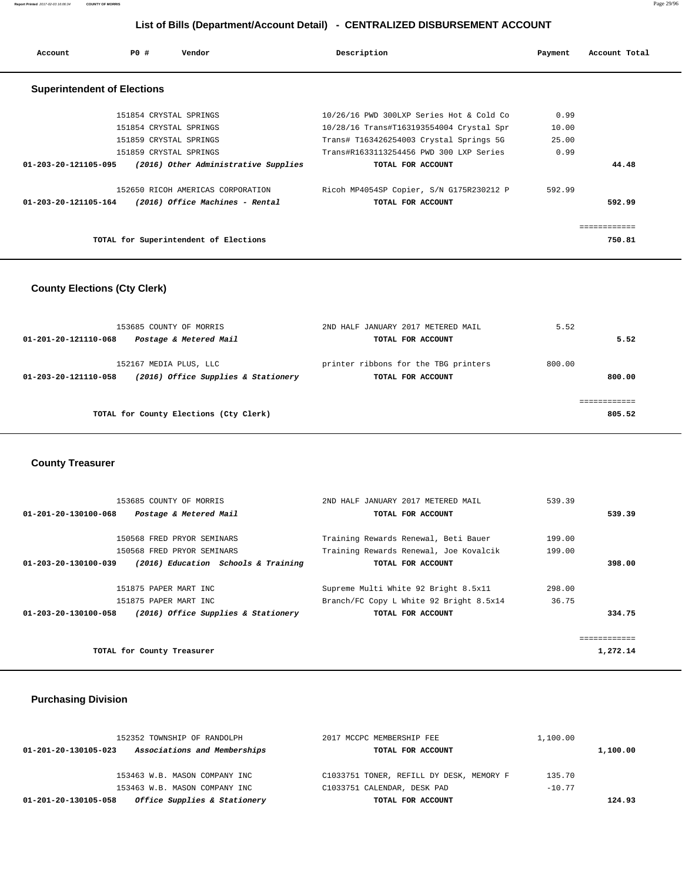| Account                            | PO# | Vendor                                | Description                              | Payment | Account Total |
|------------------------------------|-----|---------------------------------------|------------------------------------------|---------|---------------|
| <b>Superintendent of Elections</b> |     |                                       |                                          |         |               |
|                                    |     | 151854 CRYSTAL SPRINGS                | 10/26/16 PWD 300LXP Series Hot & Cold Co | 0.99    |               |
|                                    |     | 151854 CRYSTAL SPRINGS                | 10/28/16 Trans#T163193554004 Crystal Spr | 10.00   |               |
|                                    |     | 151859 CRYSTAL SPRINGS                | Trans# T163426254003 Crystal Springs 5G  | 25.00   |               |
|                                    |     | 151859 CRYSTAL SPRINGS                | Trans#R1633113254456 PWD 300 LXP Series  | 0.99    |               |
| 01-203-20-121105-095               |     | (2016) Other Administrative Supplies  | TOTAL FOR ACCOUNT                        |         | 44.48         |
|                                    |     | 152650 RICOH AMERICAS CORPORATION     | Ricoh MP4054SP Copier, S/N G175R230212 P | 592.99  |               |
| 01-203-20-121105-164               |     | (2016) Office Machines - Rental       | TOTAL FOR ACCOUNT                        |         | 592.99        |
|                                    |     |                                       |                                          |         | :==========   |
|                                    |     | TOTAL for Superintendent of Elections |                                          |         | 750.81        |

### **County Elections (Cty Clerk)**

| 153685 COUNTY OF MORRIS<br>Postage & Metered Mail<br>01-201-20-121110-068             | 2ND HALF JANUARY 2017 METERED MAIL<br>TOTAL FOR ACCOUNT   | 5.52<br>5.52     |
|---------------------------------------------------------------------------------------|-----------------------------------------------------------|------------------|
| 152167 MEDIA PLUS, LLC<br>(2016) Office Supplies & Stationery<br>01-203-20-121110-058 | printer ribbons for the TBG printers<br>TOTAL FOR ACCOUNT | 800.00<br>800.00 |
| TOTAL for County Elections (Cty Clerk)                                                |                                                           | 805.52           |

### **County Treasurer**

| 153685 COUNTY OF MORRIS                                     | 2ND HALF JANUARY 2017 METERED MAIL      | 539.39      |
|-------------------------------------------------------------|-----------------------------------------|-------------|
| 01-201-20-130100-068<br>Postage & Metered Mail              | TOTAL FOR ACCOUNT                       | 539.39      |
|                                                             |                                         |             |
| 150568 FRED PRYOR SEMINARS                                  | Training Rewards Renewal, Beti Bauer    | 199.00      |
| 150568 FRED PRYOR SEMINARS                                  | Training Rewards Renewal, Joe Kovalcik  | 199.00      |
| (2016) Education Schools & Training<br>01-203-20-130100-039 | TOTAL FOR ACCOUNT                       | 398.00      |
|                                                             |                                         |             |
| 151875 PAPER MART INC                                       | Supreme Multi White 92 Bright 8.5x11    | 298.00      |
| 151875 PAPER MART INC                                       | Branch/FC Copy L White 92 Bright 8.5x14 | 36.75       |
| (2016) Office Supplies & Stationery<br>01-203-20-130100-058 | TOTAL FOR ACCOUNT                       | 334.75      |
|                                                             |                                         |             |
|                                                             |                                         | =========== |
| TOTAL for County Treasurer                                  |                                         | 1,272.14    |

### **Purchasing Division**

| 152352 TOWNSHIP OF RANDOLPH                          | 2017 MCCPC MEMBERSHIP FEE                | 1,100.00 |          |
|------------------------------------------------------|------------------------------------------|----------|----------|
| Associations and Memberships<br>01-201-20-130105-023 | TOTAL FOR ACCOUNT                        |          | 1,100.00 |
|                                                      |                                          |          |          |
| 153463 W.B. MASON COMPANY INC                        | C1033751 TONER, REFILL DY DESK, MEMORY F | 135.70   |          |
| 153463 W.B. MASON COMPANY INC                        | C1033751 CALENDAR, DESK PAD              | $-10.77$ |          |
| Office Supplies & Stationery<br>01-201-20-130105-058 | TOTAL FOR ACCOUNT                        |          | 124.93   |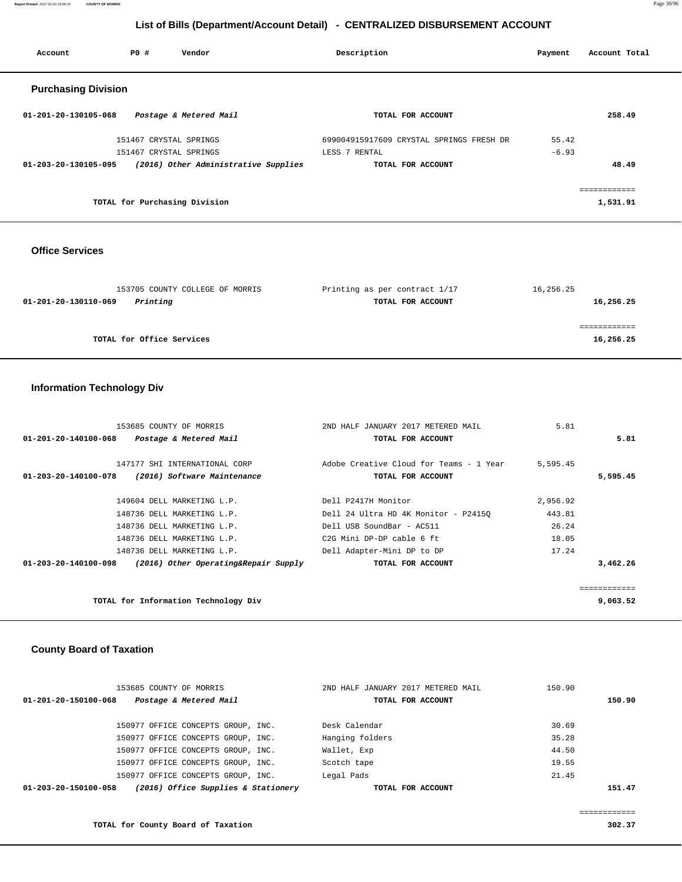**Report Printed** 2017-02-03 16:06:34 **COUNTY OF MORRIS** Page 30/96

### **List of Bills (Department/Account Detail) - CENTRALIZED DISBURSEMENT ACCOUNT**

| Account                    | PO#                    | Vendor                               | Description                              | Payment | Account Total |
|----------------------------|------------------------|--------------------------------------|------------------------------------------|---------|---------------|
| <b>Purchasing Division</b> |                        |                                      |                                          |         |               |
| 01-201-20-130105-068       |                        | Postage & Metered Mail               | TOTAL FOR ACCOUNT                        |         | 258.49        |
|                            | 151467 CRYSTAL SPRINGS |                                      | 699004915917609 CRYSTAL SPRINGS FRESH DR | 55.42   |               |
|                            | 151467 CRYSTAL SPRINGS |                                      | LESS 7 RENTAL                            | $-6.93$ |               |
| 01-203-20-130105-095       |                        | (2016) Other Administrative Supplies | TOTAL FOR ACCOUNT                        |         | 48.49         |
|                            |                        |                                      |                                          |         | eeeeeeeeeee   |
|                            |                        | TOTAL for Purchasing Division        |                                          |         | 1,531.91      |
|                            |                        |                                      |                                          |         |               |

### **Office Services**

| 153705 COUNTY COLLEGE OF MORRIS  | Printing as per contract 1/17 | 16,256.25 |
|----------------------------------|-------------------------------|-----------|
| Printing<br>01-201-20-130110-069 | TOTAL FOR ACCOUNT             | 16,256.25 |
|                                  |                               |           |
|                                  |                               |           |
| TOTAL for Office Services        |                               | 16,256.25 |

### **Information Technology Div**

| 153685 COUNTY OF MORRIS                                      | 2ND HALF JANUARY 2017 METERED MAIL      | 5.81     |              |
|--------------------------------------------------------------|-----------------------------------------|----------|--------------|
| 01-201-20-140100-068<br>Postage & Metered Mail               | TOTAL FOR ACCOUNT                       |          | 5.81         |
|                                                              |                                         |          |              |
| 147177 SHI INTERNATIONAL CORP                                | Adobe Creative Cloud for Teams - 1 Year | 5,595.45 |              |
| (2016) Software Maintenance<br>01-203-20-140100-078          | TOTAL FOR ACCOUNT                       |          | 5,595.45     |
|                                                              |                                         |          |              |
| 149604 DELL MARKETING L.P.                                   | Dell P2417H Monitor                     | 2,956.92 |              |
| 148736 DELL MARKETING L.P.                                   | Dell 24 Ultra HD 4K Monitor - P24150    | 443.81   |              |
| 148736 DELL MARKETING L.P.                                   | Dell USB SoundBar - AC511               | 26.24    |              |
| 148736 DELL MARKETING L.P.                                   | C2G Mini DP-DP cable 6 ft               | 18.05    |              |
| 148736 DELL MARKETING L.P.                                   | Dell Adapter-Mini DP to DP              | 17.24    |              |
| 01-203-20-140100-098<br>(2016) Other Operating&Repair Supply | TOTAL FOR ACCOUNT                       |          | 3,462.26     |
|                                                              |                                         |          |              |
|                                                              |                                         |          | ============ |
| TOTAL for Information Technology Div                         |                                         |          | 9,063.52     |

### **County Board of Taxation**

| 153685 COUNTY OF MORRIS                                     | 2ND HALF JANUARY 2017 METERED MAIL | 150.90 |
|-------------------------------------------------------------|------------------------------------|--------|
| Postage & Metered Mail<br>01-201-20-150100-068              | TOTAL FOR ACCOUNT                  | 150.90 |
| 150977 OFFICE CONCEPTS GROUP, INC.                          | Desk Calendar                      | 30.69  |
| 150977 OFFICE CONCEPTS GROUP, INC.                          | Hanging folders                    | 35.28  |
| 150977 OFFICE CONCEPTS GROUP, INC.                          | Wallet, Exp                        | 44.50  |
| 150977 OFFICE CONCEPTS GROUP, INC.                          | Scotch tape                        | 19.55  |
| 150977 OFFICE CONCEPTS GROUP, INC.                          | Legal Pads                         | 21.45  |
| (2016) Office Supplies & Stationery<br>01-203-20-150100-058 | TOTAL FOR ACCOUNT                  | 151.47 |
|                                                             |                                    |        |

**TOTAL for County Board of Taxation 302.37**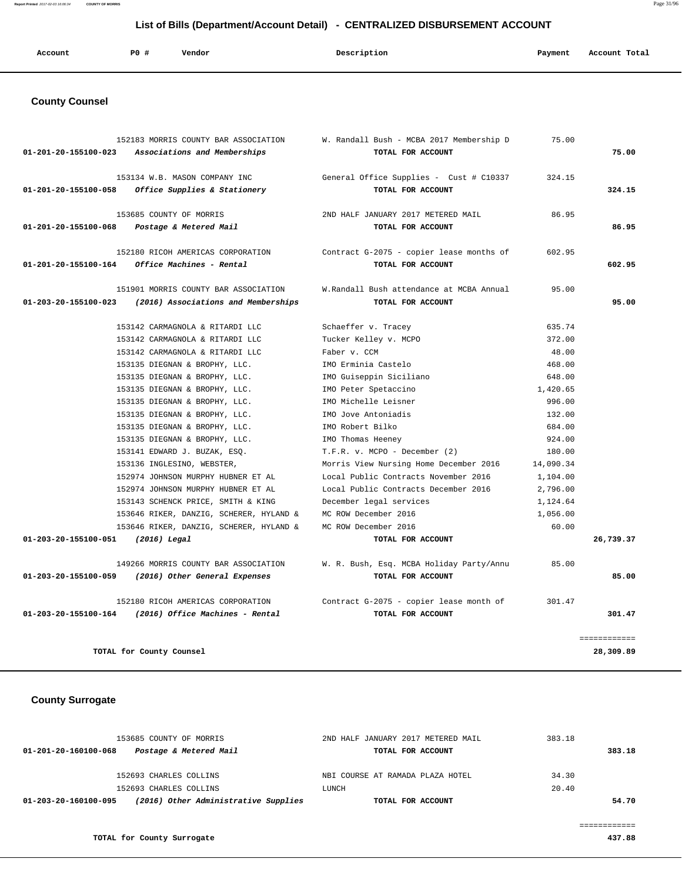**Report Printed** 2017-02-03 16:06:34 **COUNTY OF MORRIS** Page 31/96

### **List of Bills (Department/Account Detail) - CENTRALIZED DISBURSEMENT ACCOUNT**

| Account | PO# | Vendor | Description | Payment | Account Total |
|---------|-----|--------|-------------|---------|---------------|
|         |     |        |             |         |               |

### **County Counsel**

| 01-201-20-155100-023 | 152183 MORRIS COUNTY BAR ASSOCIATION<br>Associations and Memberships        | W. Randall Bush - MCBA 2017 Membership D<br>TOTAL FOR ACCOUNT | 75.00     | 75.00                     |
|----------------------|-----------------------------------------------------------------------------|---------------------------------------------------------------|-----------|---------------------------|
| 01-201-20-155100-058 | 153134 W.B. MASON COMPANY INC<br>Office Supplies & Stationery               | General Office Supplies - Cust # C10337<br>TOTAL FOR ACCOUNT  | 324.15    | 324.15                    |
| 01-201-20-155100-068 | 153685 COUNTY OF MORRIS<br>Postage & Metered Mail                           | 2ND HALF JANUARY 2017 METERED MAIL<br>TOTAL FOR ACCOUNT       | 86.95     | 86.95                     |
| 01-201-20-155100-164 | 152180 RICOH AMERICAS CORPORATION<br>Office Machines - Rental               | Contract G-2075 - copier lease months of<br>TOTAL FOR ACCOUNT | 602.95    | 602.95                    |
| 01-203-20-155100-023 | 151901 MORRIS COUNTY BAR ASSOCIATION<br>(2016) Associations and Memberships | W.Randall Bush attendance at MCBA Annual<br>TOTAL FOR ACCOUNT | 95.00     | 95.00                     |
|                      | 153142 CARMAGNOLA & RITARDI LLC                                             | Schaeffer v. Tracey                                           | 635.74    |                           |
|                      | 153142 CARMAGNOLA & RITARDI LLC                                             | Tucker Kelley v. MCPO                                         | 372.00    |                           |
|                      | 153142 CARMAGNOLA & RITARDI LLC                                             | Faber v. CCM                                                  | 48.00     |                           |
|                      | 153135 DIEGNAN & BROPHY, LLC.                                               | IMO Erminia Castelo                                           | 468.00    |                           |
|                      | 153135 DIEGNAN & BROPHY, LLC.                                               | IMO Guiseppin Siciliano                                       | 648.00    |                           |
|                      | 153135 DIEGNAN & BROPHY, LLC.                                               | IMO Peter Spetaccino                                          | 1,420.65  |                           |
|                      | 153135 DIEGNAN & BROPHY, LLC.                                               | IMO Michelle Leisner                                          | 996.00    |                           |
|                      | 153135 DIEGNAN & BROPHY, LLC.                                               | IMO Jove Antoniadis                                           | 132.00    |                           |
|                      | 153135 DIEGNAN & BROPHY, LLC.                                               | IMO Robert Bilko                                              | 684.00    |                           |
|                      | 153135 DIEGNAN & BROPHY, LLC.                                               | IMO Thomas Heeney                                             | 924.00    |                           |
|                      | 153141 EDWARD J. BUZAK, ESO.                                                | T.F.R. v. MCPO - December (2)                                 | 180.00    |                           |
|                      | 153136 INGLESINO, WEBSTER,                                                  | Morris View Nursing Home December 2016                        | 14,090.34 |                           |
|                      | 152974 JOHNSON MURPHY HUBNER ET AL                                          | Local Public Contracts November 2016                          | 1,104.00  |                           |
|                      | 152974 JOHNSON MURPHY HUBNER ET AL                                          | Local Public Contracts December 2016                          | 2,796.00  |                           |
|                      | 153143 SCHENCK PRICE, SMITH & KING                                          | December legal services                                       | 1,124.64  |                           |
|                      | 153646 RIKER, DANZIG, SCHERER, HYLAND &                                     | MC ROW December 2016                                          | 1,056.00  |                           |
|                      | 153646 RIKER, DANZIG, SCHERER, HYLAND &                                     | MC ROW December 2016                                          | 60.00     |                           |
| 01-203-20-155100-051 | (2016) Legal                                                                | TOTAL FOR ACCOUNT                                             |           | 26,739.37                 |
|                      | 149266 MORRIS COUNTY BAR ASSOCIATION                                        | W. R. Bush, Esq. MCBA Holiday Party/Annu                      | 85.00     |                           |
| 01-203-20-155100-059 | (2016) Other General Expenses                                               | TOTAL FOR ACCOUNT                                             |           | 85.00                     |
|                      | 152180 RICOH AMERICAS CORPORATION                                           | Contract G-2075 - copier lease month of                       | 301.47    |                           |
| 01-203-20-155100-164 | (2016) Office Machines - Rental                                             | TOTAL FOR ACCOUNT                                             |           | 301.47                    |
|                      |                                                                             |                                                               |           | ============<br>28,309.89 |
|                      | TOTAL for County Counsel                                                    |                                                               |           |                           |

### **County Surrogate**

|                      | 153685 COUNTY OF MORRIS              | 2ND HALF JANUARY 2017 METERED MAIL | 383.18 |        |
|----------------------|--------------------------------------|------------------------------------|--------|--------|
| 01-201-20-160100-068 | Postage & Metered Mail               | TOTAL FOR ACCOUNT                  |        | 383.18 |
|                      |                                      |                                    |        |        |
|                      | 152693 CHARLES COLLINS               | NBI COURSE AT RAMADA PLAZA HOTEL   | 34.30  |        |
|                      | 152693 CHARLES COLLINS               | LUNCH                              | 20.40  |        |
| 01-203-20-160100-095 | (2016) Other Administrative Supplies | TOTAL FOR ACCOUNT                  |        | 54.70  |
|                      |                                      |                                    |        |        |

============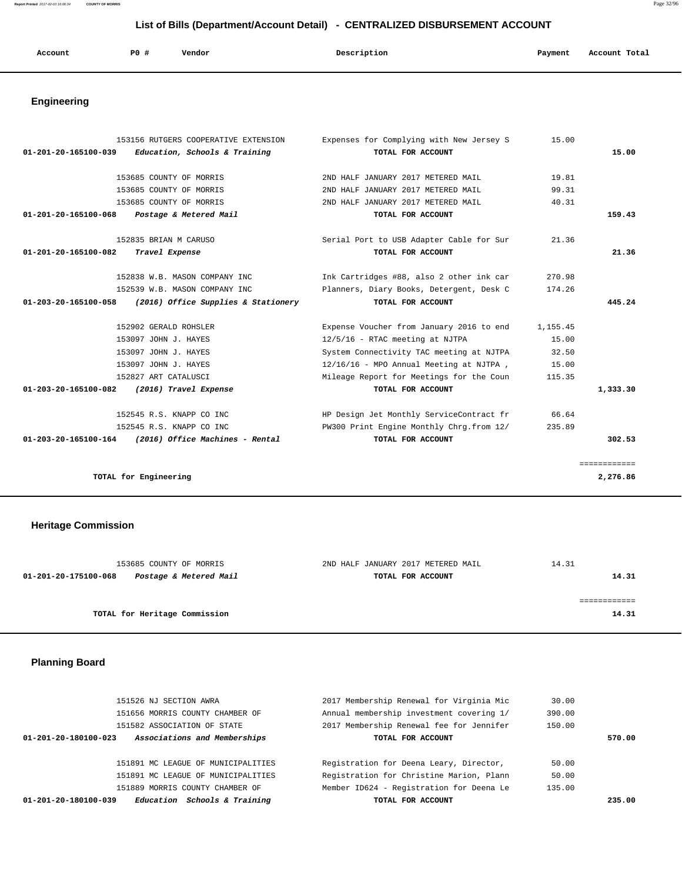| Account | P <sub>0</sub> | Vendor | Description | Payment | Account Total<br>. |
|---------|----------------|--------|-------------|---------|--------------------|
|         |                |        |             |         |                    |

# **Engineering**

|                      | 153156 RUTGERS COOPERATIVE EXTENSION                   | Expenses for Complying with New Jersey S  | 15.00    |              |
|----------------------|--------------------------------------------------------|-------------------------------------------|----------|--------------|
| 01-201-20-165100-039 | Education, Schools & Training                          | TOTAL FOR ACCOUNT                         |          | 15.00        |
|                      |                                                        |                                           |          |              |
|                      | 153685 COUNTY OF MORRIS                                | 2ND HALF JANUARY 2017 METERED MAIL        | 19.81    |              |
|                      | 153685 COUNTY OF MORRIS                                | 2ND HALF JANUARY 2017 METERED MAIL        | 99.31    |              |
|                      | 153685 COUNTY OF MORRIS                                | 2ND HALF JANUARY 2017 METERED MAIL        | 40.31    |              |
| 01-201-20-165100-068 | Postage & Metered Mail                                 | TOTAL FOR ACCOUNT                         |          | 159.43       |
|                      | 152835 BRIAN M CARUSO                                  | Serial Port to USB Adapter Cable for Sur  | 21.36    |              |
| 01-201-20-165100-082 | Travel Expense                                         | TOTAL FOR ACCOUNT                         |          | 21.36        |
|                      | 152838 W.B. MASON COMPANY INC                          | Ink Cartridges #88, also 2 other ink car  | 270.98   |              |
|                      | 152539 W.B. MASON COMPANY INC.                         | Planners, Diary Books, Detergent, Desk C  | 174.26   |              |
| 01-203-20-165100-058 | (2016) Office Supplies & Stationery                    | TOTAL FOR ACCOUNT                         |          | 445.24       |
|                      |                                                        |                                           |          |              |
|                      | 152902 GERALD ROHSLER                                  | Expense Voucher from January 2016 to end  | 1,155.45 |              |
|                      | 153097 JOHN J. HAYES                                   | 12/5/16 - RTAC meeting at NJTPA           | 15.00    |              |
|                      | 153097 JOHN J. HAYES                                   | System Connectivity TAC meeting at NJTPA  | 32.50    |              |
|                      | 153097 JOHN J. HAYES                                   | 12/16/16 - MPO Annual Meeting at NJTPA,   | 15.00    |              |
|                      | 152827 ART CATALUSCI                                   | Mileage Report for Meetings for the Coun  | 115.35   |              |
| 01-203-20-165100-082 | (2016) Travel Expense                                  | TOTAL FOR ACCOUNT                         |          | 1,333.30     |
|                      | 152545 R.S. KNAPP CO INC                               | HP Design Jet Monthly ServiceContract fr  | 66.64    |              |
|                      | 152545 R.S. KNAPP CO INC                               | PW300 Print Engine Monthly Chrg. from 12/ | 235.89   |              |
|                      | $01-203-20-165100-164$ (2016) Office Machines - Rental | TOTAL FOR ACCOUNT                         |          | 302.53       |
|                      |                                                        |                                           |          | ============ |
|                      | TOTAL for Engineering                                  |                                           |          | 2,276.86     |

# **Heritage Commission**

| 153685 COUNTY OF MORRIS                        | 2ND HALF JANUARY 2017 METERED MAIL | 14.31 |
|------------------------------------------------|------------------------------------|-------|
| Postage & Metered Mail<br>01-201-20-175100-068 | TOTAL FOR ACCOUNT                  | 14.31 |
|                                                |                                    |       |
|                                                |                                    |       |
| TOTAL for Heritage Commission                  |                                    | 14.31 |
|                                                |                                    |       |

# **Planning Board**

| <i>Schools &amp; Training</i><br>01-201-20-180100-039<br>Education | TOTAL FOR ACCOUNT                        |        | 235.00 |
|--------------------------------------------------------------------|------------------------------------------|--------|--------|
| 151889 MORRIS COUNTY CHAMBER OF                                    | Member ID624 - Registration for Deena Le | 135.00 |        |
| 151891 MC LEAGUE OF MUNICIPALITIES                                 | Registration for Christine Marion, Plann | 50.00  |        |
| 151891 MC LEAGUE OF MUNICIPALITIES                                 | Registration for Deena Leary, Director,  | 50.00  |        |
| Associations and Memberships<br>01-201-20-180100-023               | TOTAL FOR ACCOUNT                        |        | 570.00 |
| 151582 ASSOCIATION OF STATE                                        | 2017 Membership Renewal fee for Jennifer | 150.00 |        |
| 151656 MORRIS COUNTY CHAMBER OF                                    | Annual membership investment covering 1/ | 390.00 |        |
| 151526 NJ SECTION AWRA                                             | 2017 Membership Renewal for Virginia Mic | 30.00  |        |
|                                                                    |                                          |        |        |

**Report Printed** 2017-02-03 16:06:34 **COUNTY OF MORRIS** Page 32/96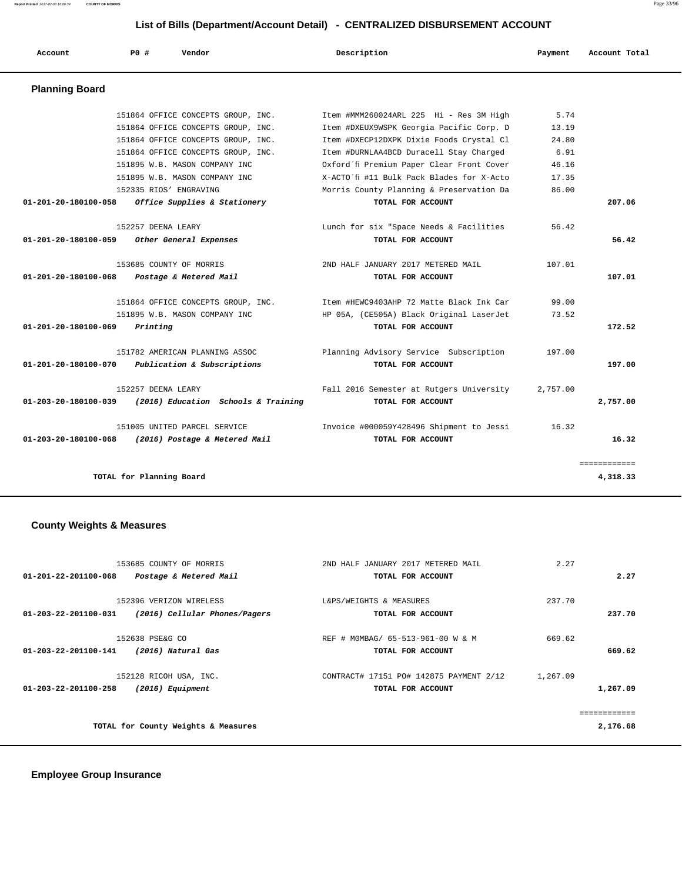**Report Printed** 2017-02-03 16:06:34 **COUNTY OF MORRIS** Page 33/96

### **List of Bills (Department/Account Detail) - CENTRALIZED DISBURSEMENT ACCOUNT**

| Account                        | PO#                      | Vendor                              | Description                               | Payment  | Account Total |
|--------------------------------|--------------------------|-------------------------------------|-------------------------------------------|----------|---------------|
| <b>Planning Board</b>          |                          |                                     |                                           |          |               |
|                                |                          | 151864 OFFICE CONCEPTS GROUP, INC.  | Item #MMM260024ARL 225 Hi - Res 3M High   | 5.74     |               |
|                                |                          | 151864 OFFICE CONCEPTS GROUP, INC.  | Item #DXEUX9WSPK Georgia Pacific Corp. D  | 13.19    |               |
|                                |                          | 151864 OFFICE CONCEPTS GROUP, INC.  | Item #DXECP12DXPK Dixie Foods Crystal Cl  | 24.80    |               |
|                                |                          | 151864 OFFICE CONCEPTS GROUP, INC.  | Item #DURNLAA4BCD Duracell Stay Charged   | 6.91     |               |
|                                |                          | 151895 W.B. MASON COMPANY INC       | Oxford'fi Premium Paper Clear Front Cover | 46.16    |               |
|                                |                          | 151895 W.B. MASON COMPANY INC       | X-ACTO'fi #11 Bulk Pack Blades for X-Acto | 17.35    |               |
|                                |                          | 152335 RIOS' ENGRAVING              | Morris County Planning & Preservation Da  | 86.00    |               |
| 01-201-20-180100-058           |                          | Office Supplies & Stationery        | TOTAL FOR ACCOUNT                         |          | 207.06        |
|                                | 152257 DEENA LEARY       |                                     | Lunch for six "Space Needs & Facilities   | 56.42    |               |
| $01 - 201 - 20 - 180100 - 059$ |                          | Other General Expenses              | TOTAL FOR ACCOUNT                         |          | 56.42         |
|                                |                          | 153685 COUNTY OF MORRIS             | 2ND HALF JANUARY 2017 METERED MAIL        | 107.01   |               |
| $01 - 201 - 20 - 180100 - 068$ |                          | Postage & Metered Mail              | TOTAL FOR ACCOUNT                         |          | 107.01        |
|                                |                          | 151864 OFFICE CONCEPTS GROUP, INC.  | Item #HEWC9403AHP 72 Matte Black Ink Car  | 99.00    |               |
|                                |                          | 151895 W.B. MASON COMPANY INC       | HP 05A, (CE505A) Black Original LaserJet  | 73.52    |               |
| 01-201-20-180100-069           | Printing                 |                                     | TOTAL FOR ACCOUNT                         |          | 172.52        |
|                                |                          | 151782 AMERICAN PLANNING ASSOC      | Planning Advisory Service Subscription    | 197.00   |               |
| 01-201-20-180100-070           |                          | Publication & Subscriptions         | TOTAL FOR ACCOUNT                         |          | 197.00        |
|                                | 152257 DEENA LEARY       |                                     | Fall 2016 Semester at Rutgers University  | 2,757.00 |               |
| 01-203-20-180100-039           |                          | (2016) Education Schools & Training | TOTAL FOR ACCOUNT                         |          | 2,757.00      |
|                                |                          | 151005 UNITED PARCEL SERVICE        | Invoice #000059Y428496 Shipment to Jessi  | 16.32    |               |
| 01-203-20-180100-068           |                          | (2016) Postage & Metered Mail       | TOTAL FOR ACCOUNT                         |          | 16.32         |
|                                |                          |                                     |                                           |          | ============  |
|                                | TOTAL for Planning Board |                                     |                                           |          | 4,318.33      |

# **County Weights & Measures**

|                      | 153685 COUNTY OF MORRIS             | 2ND HALF JANUARY 2017 METERED MAIL      | 2.27     |                     |
|----------------------|-------------------------------------|-----------------------------------------|----------|---------------------|
| 01-201-22-201100-068 | Postage & Metered Mail              | TOTAL FOR ACCOUNT                       |          | 2.27                |
|                      |                                     |                                         |          |                     |
|                      | 152396 VERIZON WIRELESS             | L&PS/WEIGHTS & MEASURES                 | 237.70   |                     |
| 01-203-22-201100-031 | (2016) Cellular Phones/Pagers       | TOTAL FOR ACCOUNT                       |          | 237.70              |
|                      |                                     |                                         |          |                     |
|                      | 152638 PSE&G CO                     | REF # MOMBAG/ 65-513-961-00 W & M       | 669.62   |                     |
| 01-203-22-201100-141 | (2016) Natural Gas                  | TOTAL FOR ACCOUNT                       |          | 669.62              |
|                      | 152128 RICOH USA, INC.              | CONTRACT# 17151 PO# 142875 PAYMENT 2/12 | 1,267.09 |                     |
| 01-203-22-201100-258 | (2016) Equipment                    | TOTAL FOR ACCOUNT                       |          | 1,267.09            |
|                      |                                     |                                         |          |                     |
|                      |                                     |                                         |          | <u> ===========</u> |
|                      | TOTAL for County Weights & Measures |                                         |          | 2,176.68            |
|                      |                                     |                                         |          |                     |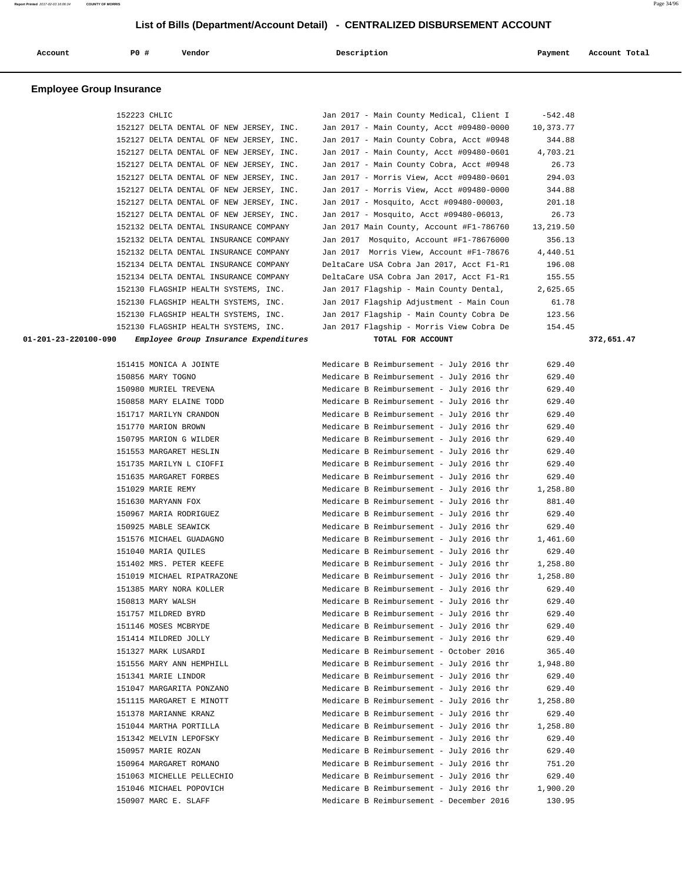| Account                         | P0 #         | Vendor                                                | Description                                                                          | Payment                | Account Total |
|---------------------------------|--------------|-------------------------------------------------------|--------------------------------------------------------------------------------------|------------------------|---------------|
| <b>Employee Group Insurance</b> |              |                                                       |                                                                                      |                        |               |
|                                 | 152223 CHLIC | 152127 DELTA DENTAL OF NEW JERSEY, INC.               | Jan 2017 - Main County Medical, Client I<br>Jan 2017 - Main County, Acct #09480-0000 | $-542.48$<br>10,373.77 |               |
|                                 |              | 152127 DELTA DENTAL OF NEW JERSEY, INC.               | Jan 2017 - Main County Cobra, Acct #0948                                             | 344.88                 |               |
|                                 |              | 152127 DELTA DENTAL OF NEW JERSEY, INC.               | Jan 2017 - Main County, Acct #09480-0601                                             | 4,703.21               |               |
|                                 |              | 152127 DELTA DENTAL OF NEW JERSEY, INC.               | Jan 2017 - Main County Cobra, Acct #0948                                             | 26.73                  |               |
|                                 |              | 152127 DELTA DENTAL OF NEW JERSEY, INC.               | Jan 2017 - Morris View, Acct #09480-0601                                             | 294.03                 |               |
|                                 |              | 152127 DELTA DENTAL OF NEW JERSEY, INC.               | Jan 2017 - Morris View, Acct #09480-0000                                             | 344.88                 |               |
|                                 |              | 152127 DELTA DENTAL OF NEW JERSEY, INC.               | Jan 2017 - Mosquito, Acct #09480-00003,                                              | 201.18                 |               |
|                                 |              | 152127 DELTA DENTAL OF NEW JERSEY, INC.               | Jan 2017 - Mosquito, Acct #09480-06013,                                              | 26.73                  |               |
|                                 |              | 152132 DELTA DENTAL INSURANCE COMPANY                 | Jan 2017 Main County, Account #F1-786760                                             | 13,219.50              |               |
|                                 |              | 152132 DELTA DENTAL INSURANCE COMPANY                 | Jan 2017 Mosquito, Account #F1-78676000                                              | 356.13                 |               |
|                                 |              | 152132 DELTA DENTAL INSURANCE COMPANY                 | Jan 2017 Morris View, Account #F1-78676                                              | 4,440.51               |               |
|                                 |              | 152134 DELTA DENTAL INSURANCE COMPANY                 | DeltaCare USA Cobra Jan 2017, Acct F1-R1                                             | 196.08                 |               |
|                                 |              | 152134 DELTA DENTAL INSURANCE COMPANY                 | DeltaCare USA Cobra Jan 2017, Acct F1-R1                                             | 155.55                 |               |
|                                 |              | 152130 FLAGSHIP HEALTH SYSTEMS, INC.                  | Jan 2017 Flagship - Main County Dental,                                              | 2,625.65               |               |
|                                 |              | 152130 FLAGSHIP HEALTH SYSTEMS, INC.                  | Jan 2017 Flagship Adjustment - Main Coun                                             | 61.78                  |               |
|                                 |              | 152130 FLAGSHIP HEALTH SYSTEMS, INC.                  | Jan 2017 Flagship - Main County Cobra De                                             | 123.56                 |               |
|                                 |              | 152130 FLAGSHIP HEALTH SYSTEMS, INC.                  | Jan 2017 Flagship - Morris View Cobra De                                             | 154.45                 |               |
| 01-201-23-220100-090            |              | Employee Group Insurance Expenditures                 | TOTAL FOR ACCOUNT                                                                    |                        | 372,651.47    |
|                                 |              | 151415 MONICA A JOINTE                                | Medicare B Reimbursement - July 2016 thr                                             | 629.40                 |               |
|                                 |              | 150856 MARY TOGNO                                     | Medicare B Reimbursement - July 2016 thr                                             | 629.40                 |               |
|                                 |              | 150980 MURIEL TREVENA                                 | Medicare B Reimbursement - July 2016 thr                                             | 629.40                 |               |
|                                 |              | 150858 MARY ELAINE TODD                               | Medicare B Reimbursement - July 2016 thr                                             | 629.40                 |               |
|                                 |              | 151717 MARILYN CRANDON                                | Medicare B Reimbursement - July 2016 thr                                             | 629.40                 |               |
|                                 |              | 151770 MARION BROWN                                   | Medicare B Reimbursement - July 2016 thr                                             | 629.40                 |               |
|                                 |              | 150795 MARION G WILDER                                | Medicare B Reimbursement - July 2016 thr                                             | 629.40                 |               |
|                                 |              | 151553 MARGARET HESLIN                                | Medicare B Reimbursement - July 2016 thr                                             | 629.40                 |               |
|                                 |              | 151735 MARILYN L CIOFFI                               | Medicare B Reimbursement - July 2016 thr                                             | 629.40                 |               |
|                                 |              | 151635 MARGARET FORBES                                | Medicare B Reimbursement - July 2016 thr                                             | 629.40                 |               |
|                                 |              | 151029 MARIE REMY                                     | Medicare B Reimbursement - July 2016 thr                                             | 1,258.80               |               |
|                                 |              | 151630 MARYANN FOX                                    | Medicare B Reimbursement - July 2016 thr                                             | 881.40                 |               |
|                                 |              | 150967 MARIA RODRIGUEZ                                | Medicare B Reimbursement - July 2016 thr                                             | 629.40                 |               |
|                                 |              | 150925 MABLE SEAWICK                                  | Medicare B Reimbursement - July 2016 thr                                             | 629.40                 |               |
|                                 |              | 151576 MICHAEL GUADAGNO                               | Medicare B Reimbursement - July 2016 thr                                             | 1,461.60               |               |
|                                 |              | 151040 MARIA OUILES                                   | Medicare B Reimbursement - July 2016 thr                                             | 629.40                 |               |
|                                 |              | 151402 MRS. PETER KEEFE<br>151019 MICHAEL RIPATRAZONE | Medicare B Reimbursement - July 2016 thr<br>Medicare B Reimbursement - July 2016 thr | 1,258.80               |               |
|                                 |              | 151385 MARY NORA KOLLER                               | Medicare B Reimbursement - July 2016 thr                                             | 1,258.80<br>629.40     |               |
|                                 |              | 150813 MARY WALSH                                     | Medicare B Reimbursement - July 2016 thr                                             | 629.40                 |               |
|                                 |              | 151757 MILDRED BYRD                                   | Medicare B Reimbursement - July 2016 thr                                             | 629.40                 |               |
|                                 |              | 151146 MOSES MCBRYDE                                  | Medicare B Reimbursement - July 2016 thr                                             | 629.40                 |               |
|                                 |              | 151414 MILDRED JOLLY                                  | Medicare B Reimbursement - July 2016 thr                                             | 629.40                 |               |
|                                 |              | 151327 MARK LUSARDI                                   | Medicare B Reimbursement - October 2016                                              | 365.40                 |               |
|                                 |              | 151556 MARY ANN HEMPHILL                              | Medicare B Reimbursement - July 2016 thr                                             | 1,948.80               |               |
|                                 |              | 151341 MARIE LINDOR                                   | Medicare B Reimbursement - July 2016 thr                                             | 629.40                 |               |
|                                 |              | 151047 MARGARITA PONZANO                              | Medicare B Reimbursement - July 2016 thr                                             | 629.40                 |               |
|                                 |              | 151115 MARGARET E MINOTT                              | Medicare B Reimbursement - July 2016 thr                                             | 1,258.80               |               |
|                                 |              | 151378 MARIANNE KRANZ                                 | Medicare B Reimbursement - July 2016 thr                                             | 629.40                 |               |
|                                 |              | 151044 MARTHA PORTILLA                                | Medicare B Reimbursement - July 2016 thr                                             | 1,258.80               |               |
|                                 |              | 151342 MELVIN LEPOFSKY                                | Medicare B Reimbursement - July 2016 thr                                             | 629.40                 |               |
|                                 |              | 150957 MARIE ROZAN                                    | Medicare B Reimbursement - July 2016 thr                                             | 629.40                 |               |
|                                 |              | 150964 MARGARET ROMANO                                | Medicare B Reimbursement - July 2016 thr                                             | 751.20                 |               |
|                                 |              | 151063 MICHELLE PELLECHIO                             | Medicare B Reimbursement - July 2016 thr                                             | 629.40                 |               |
|                                 |              | 151046 MICHAEL POPOVICH                               | Medicare B Reimbursement - July 2016 thr                                             | 1,900.20               |               |
|                                 |              | 150907 MARC E. SLAFF                                  | Medicare B Reimbursement - December 2016                                             | 130.95                 |               |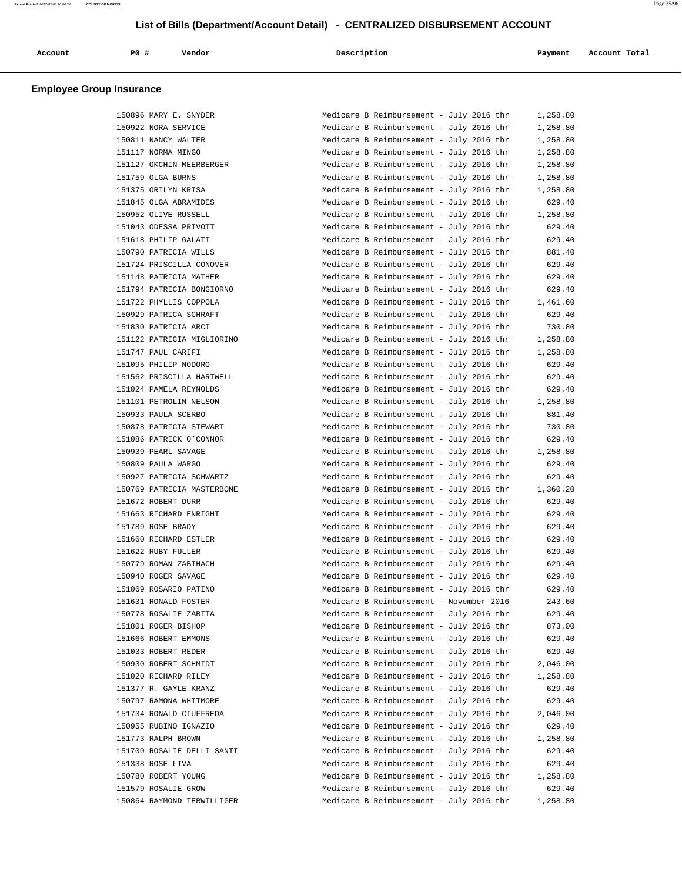| Account | P0 # | Vendor | Description | Payment | Account Total |
|---------|------|--------|-------------|---------|---------------|
|         |      |        |             |         |               |

### **Employee Group Insurance**

| 150896 MARY E. SNYDER      | Medicare B Reimbursement - July 2016 thr | 1,258.80 |
|----------------------------|------------------------------------------|----------|
| 150922 NORA SERVICE        | Medicare B Reimbursement - July 2016 thr | 1,258.80 |
| 150811 NANCY WALTER        | Medicare B Reimbursement - July 2016 thr | 1,258.80 |
| 151117 NORMA MINGO         | Medicare B Reimbursement - July 2016 thr | 1,258.80 |
| 151127 OKCHIN MEERBERGER   | Medicare B Reimbursement - July 2016 thr | 1,258.80 |
| 151759 OLGA BURNS          | Medicare B Reimbursement - July 2016 thr | 1,258.80 |
| 151375 ORILYN KRISA        | Medicare B Reimbursement - July 2016 thr | 1,258.80 |
| 151845 OLGA ABRAMIDES      | Medicare B Reimbursement - July 2016 thr | 629.40   |
| 150952 OLIVE RUSSELL       | Medicare B Reimbursement - July 2016 thr | 1,258.80 |
| 151043 ODESSA PRIVOTT      | Medicare B Reimbursement - July 2016 thr | 629.40   |
| 151618 PHILIP GALATI       | Medicare B Reimbursement - July 2016 thr | 629.40   |
| 150790 PATRICIA WILLS      | Medicare B Reimbursement - July 2016 thr | 881.40   |
| 151724 PRISCILLA CONOVER   | Medicare B Reimbursement - July 2016 thr | 629.40   |
| 151148 PATRICIA MATHER     | Medicare B Reimbursement - July 2016 thr | 629.40   |
| 151794 PATRICIA BONGIORNO  | Medicare B Reimbursement - July 2016 thr | 629.40   |
| 151722 PHYLLIS COPPOLA     | Medicare B Reimbursement - July 2016 thr | 1,461.60 |
| 150929 PATRICA SCHRAFT     | Medicare B Reimbursement - July 2016 thr | 629.40   |
| 151830 PATRICIA ARCI       | Medicare B Reimbursement - July 2016 thr | 730.80   |
| 151122 PATRICIA MIGLIORINO | Medicare B Reimbursement - July 2016 thr | 1,258.80 |
| 151747 PAUL CARIFI         | Medicare B Reimbursement - July 2016 thr | 1,258.80 |
| 151095 PHILIP NODORO       |                                          |          |
|                            | Medicare B Reimbursement - July 2016 thr | 629.40   |
| 151562 PRISCILLA HARTWELL  | Medicare B Reimbursement - July 2016 thr | 629.40   |
| 151024 PAMELA REYNOLDS     | Medicare B Reimbursement - July 2016 thr | 629.40   |
| 151101 PETROLIN NELSON     | Medicare B Reimbursement - July 2016 thr | 1,258.80 |
| 150933 PAULA SCERBO        | Medicare B Reimbursement - July 2016 thr | 881.40   |
| 150878 PATRICIA STEWART    | Medicare B Reimbursement - July 2016 thr | 730.80   |
| 151086 PATRICK O'CONNOR    | Medicare B Reimbursement - July 2016 thr | 629.40   |
| 150939 PEARL SAVAGE        | Medicare B Reimbursement - July 2016 thr | 1,258.80 |
| 150809 PAULA WARGO         | Medicare B Reimbursement - July 2016 thr | 629.40   |
| 150927 PATRICIA SCHWARTZ   | Medicare B Reimbursement - July 2016 thr | 629.40   |
| 150769 PATRICIA MASTERBONE | Medicare B Reimbursement - July 2016 thr | 1,360.20 |
| 151672 ROBERT DURR         | Medicare B Reimbursement - July 2016 thr | 629.40   |
| 151663 RICHARD ENRIGHT     | Medicare B Reimbursement - July 2016 thr | 629.40   |
| 151789 ROSE BRADY          | Medicare B Reimbursement - July 2016 thr | 629.40   |
| 151660 RICHARD ESTLER      | Medicare B Reimbursement - July 2016 thr | 629.40   |
| 151622 RUBY FULLER         | Medicare B Reimbursement - July 2016 thr | 629.40   |
| 150779 ROMAN ZABIHACH      | Medicare B Reimbursement - July 2016 thr | 629.40   |
| 150940 ROGER SAVAGE        | Medicare B Reimbursement - July 2016 thr | 629.40   |
| 151069 ROSARIO PATINO      | Medicare B Reimbursement - July 2016 thr | 629.40   |
| 151631 RONALD FOSTER       | Medicare B Reimbursement - November 2016 | 243.60   |
| 150778 ROSALIE ZABITA      | Medicare B Reimbursement - July 2016 thr | 629.40   |
| 151801 ROGER BISHOP        | Medicare B Reimbursement - July 2016 thr | 873.00   |
| 151666 ROBERT EMMONS       | Medicare B Reimbursement - July 2016 thr | 629.40   |
| 151033 ROBERT REDER        | Medicare B Reimbursement - July 2016 thr | 629.40   |
| 150930 ROBERT SCHMIDT      | Medicare B Reimbursement - July 2016 thr | 2,046.00 |
| 151020 RICHARD RILEY       | Medicare B Reimbursement - July 2016 thr | 1,258.80 |
| 151377 R. GAYLE KRANZ      | Medicare B Reimbursement - July 2016 thr | 629.40   |
| 150797 RAMONA WHITMORE     | Medicare B Reimbursement - July 2016 thr | 629.40   |
| 151734 RONALD CIUFFREDA    | Medicare B Reimbursement - July 2016 thr | 2,046.00 |
| 150955 RUBINO IGNAZIO      | Medicare B Reimbursement - July 2016 thr | 629.40   |
| 151773 RALPH BROWN         | Medicare B Reimbursement - July 2016 thr | 1,258.80 |
| 151700 ROSALIE DELLI SANTI | Medicare B Reimbursement - July 2016 thr | 629.40   |
| 151338 ROSE LIVA           |                                          |          |
|                            | Medicare B Reimbursement - July 2016 thr | 629.40   |
| 150780 ROBERT YOUNG        | Medicare B Reimbursement - July 2016 thr | 1,258.80 |
| 151579 ROSALIE GROW        | Medicare B Reimbursement - July 2016 thr | 629.40   |
| 150864 RAYMOND TERWILLIGER | Medicare B Reimbursement - July 2016 thr | 1,258.80 |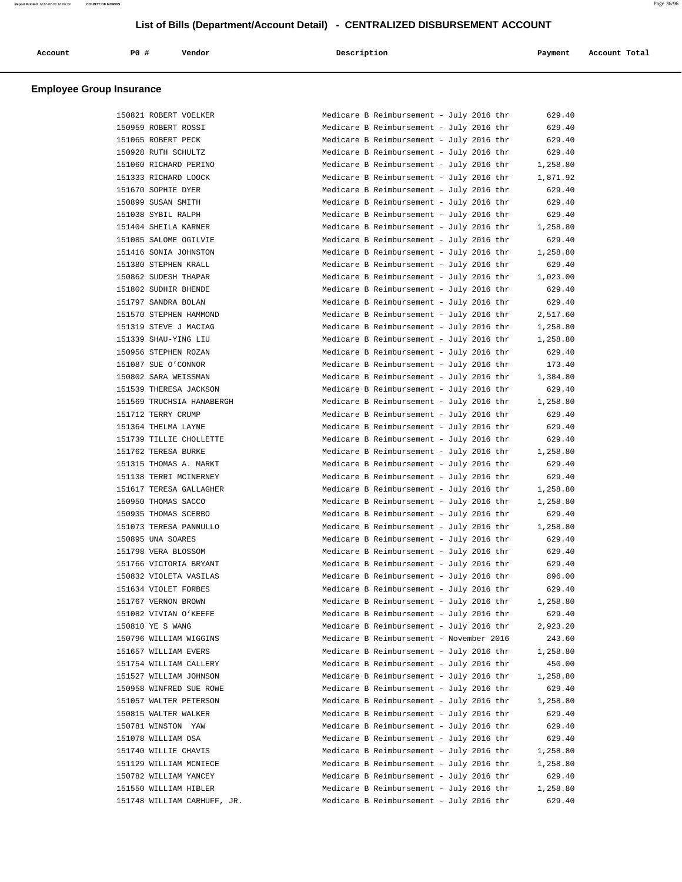| Account | P0 # | Vendor | Description | Payment | Account Total |
|---------|------|--------|-------------|---------|---------------|
|         |      |        |             |         |               |

### **Employee Group Insurance**

| 150821 ROBERT VOELKER       | Medicare B Reimbursement - July 2016 thr | 629.40   |
|-----------------------------|------------------------------------------|----------|
| 150959 ROBERT ROSSI         | Medicare B Reimbursement - July 2016 thr | 629.40   |
| 151065 ROBERT PECK          | Medicare B Reimbursement - July 2016 thr | 629.40   |
| 150928 RUTH SCHULTZ         | Medicare B Reimbursement - July 2016 thr | 629.40   |
| 151060 RICHARD PERINO       | Medicare B Reimbursement - July 2016 thr | 1,258.80 |
| 151333 RICHARD LOOCK        | Medicare B Reimbursement - July 2016 thr | 1,871.92 |
| 151670 SOPHIE DYER          | Medicare B Reimbursement - July 2016 thr | 629.40   |
| 150899 SUSAN SMITH          | Medicare B Reimbursement - July 2016 thr | 629.40   |
| 151038 SYBIL RALPH          | Medicare B Reimbursement - July 2016 thr | 629.40   |
| 151404 SHEILA KARNER        | Medicare B Reimbursement - July 2016 thr | 1,258.80 |
| 151085 SALOME OGILVIE       | Medicare B Reimbursement - July 2016 thr | 629.40   |
| 151416 SONIA JOHNSTON       | Medicare B Reimbursement - July 2016 thr | 1,258.80 |
| 151380 STEPHEN KRALL        | Medicare B Reimbursement - July 2016 thr | 629.40   |
|                             |                                          |          |
| 150862 SUDESH THAPAR        | Medicare B Reimbursement - July 2016 thr | 1,023.00 |
| 151802 SUDHIR BHENDE        | Medicare B Reimbursement - July 2016 thr | 629.40   |
| 151797 SANDRA BOLAN         | Medicare B Reimbursement - July 2016 thr | 629.40   |
| 151570 STEPHEN HAMMOND      | Medicare B Reimbursement - July 2016 thr | 2,517.60 |
| 151319 STEVE J MACIAG       | Medicare B Reimbursement - July 2016 thr | 1,258.80 |
| 151339 SHAU-YING LIU        | Medicare B Reimbursement - July 2016 thr | 1,258.80 |
| 150956 STEPHEN ROZAN        | Medicare B Reimbursement - July 2016 thr | 629.40   |
| 151087 SUE O'CONNOR         | Medicare B Reimbursement - July 2016 thr | 173.40   |
| 150802 SARA WEISSMAN        | Medicare B Reimbursement - July 2016 thr | 1,384.80 |
| 151539 THERESA JACKSON      | Medicare B Reimbursement - July 2016 thr | 629.40   |
| 151569 TRUCHSIA HANABERGH   | Medicare B Reimbursement - July 2016 thr | 1,258.80 |
| 151712 TERRY CRUMP          | Medicare B Reimbursement - July 2016 thr | 629.40   |
| 151364 THELMA LAYNE         | Medicare B Reimbursement - July 2016 thr | 629.40   |
| 151739 TILLIE CHOLLETTE     | Medicare B Reimbursement - July 2016 thr | 629.40   |
| 151762 TERESA BURKE         | Medicare B Reimbursement - July 2016 thr | 1,258.80 |
| 151315 THOMAS A. MARKT      | Medicare B Reimbursement - July 2016 thr | 629.40   |
| 151138 TERRI MCINERNEY      | Medicare B Reimbursement - July 2016 thr | 629.40   |
| 151617 TERESA GALLAGHER     | Medicare B Reimbursement - July 2016 thr | 1,258.80 |
| 150950 THOMAS SACCO         | Medicare B Reimbursement - July 2016 thr | 1,258.80 |
| 150935 THOMAS SCERBO        | Medicare B Reimbursement - July 2016 thr | 629.40   |
| 151073 TERESA PANNULLO      | Medicare B Reimbursement - July 2016 thr | 1,258.80 |
| 150895 UNA SOARES           | Medicare B Reimbursement - July 2016 thr | 629.40   |
| 151798 VERA BLOSSOM         | Medicare B Reimbursement - July 2016 thr |          |
|                             |                                          | 629.40   |
| 151766 VICTORIA BRYANT      | Medicare B Reimbursement - July 2016 thr | 629.40   |
| 150832 VIOLETA VASILAS      | Medicare B Reimbursement - July 2016 thr | 896.00   |
| 151634 VIOLET FORBES        | Medicare B Reimbursement - July 2016 thr | 629.40   |
| 151767 VERNON BROWN         | Medicare B Reimbursement - July 2016 thr | 1,258.80 |
| 151082 VIVIAN O'KEEFE       | Medicare B Reimbursement - July 2016 thr | 629.40   |
| 150810 YE S WANG            | Medicare B Reimbursement - July 2016 thr | 2,923.20 |
| 150796 WILLIAM WIGGINS      | Medicare B Reimbursement - November 2016 | 243.60   |
| 151657 WILLIAM EVERS        | Medicare B Reimbursement - July 2016 thr | 1,258.80 |
| 151754 WILLIAM CALLERY      | Medicare B Reimbursement - July 2016 thr | 450.00   |
| 151527 WILLIAM JOHNSON      | Medicare B Reimbursement - July 2016 thr | 1,258.80 |
| 150958 WINFRED SUE ROWE     | Medicare B Reimbursement - July 2016 thr | 629.40   |
| 151057 WALTER PETERSON      | Medicare B Reimbursement - July 2016 thr | 1,258.80 |
| 150815 WALTER WALKER        | Medicare B Reimbursement - July 2016 thr | 629.40   |
| 150781 WINSTON YAW          | Medicare B Reimbursement - July 2016 thr | 629.40   |
| 151078 WILLIAM OSA          | Medicare B Reimbursement - July 2016 thr | 629.40   |
| 151740 WILLIE CHAVIS        | Medicare B Reimbursement - July 2016 thr | 1,258.80 |
| 151129 WILLIAM MCNIECE      | Medicare B Reimbursement - July 2016 thr | 1,258.80 |
| 150782 WILLIAM YANCEY       | Medicare B Reimbursement - July 2016 thr | 629.40   |
| 151550 WILLIAM HIBLER       | Medicare B Reimbursement - July 2016 thr | 1,258.80 |
| 151748 WILLIAM CARHUFF, JR. | Medicare B Reimbursement - July 2016 thr | 629.40   |
|                             |                                          |          |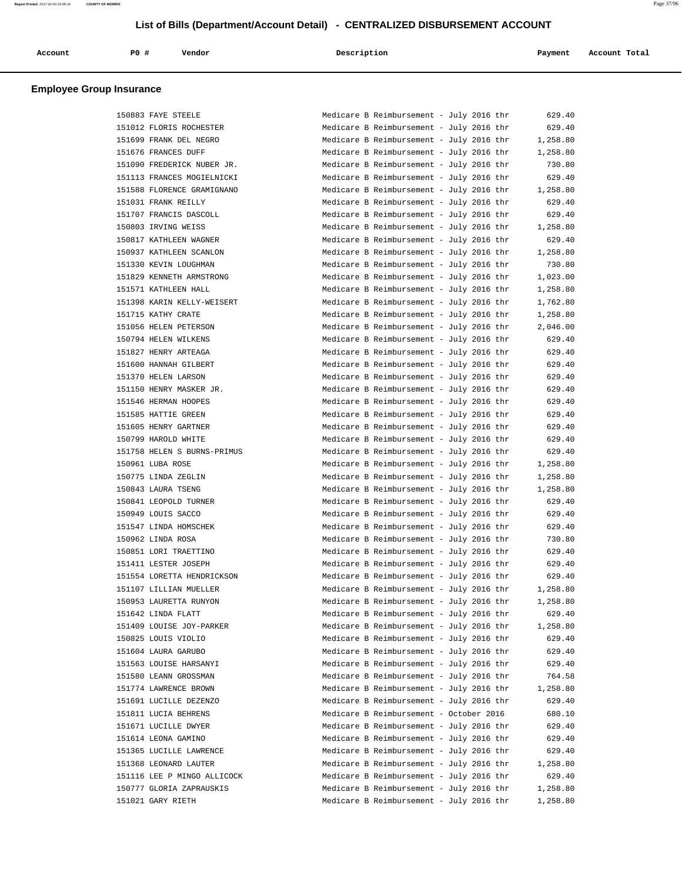| Account<br>. | P <sub>0</sub> | Vendor | Description | Payment | Account Total |
|--------------|----------------|--------|-------------|---------|---------------|
|              |                |        |             |         |               |

| 150883 FAYE STEELE          | Medicare B Reimbursement - July 2016 thr | 629.40   |
|-----------------------------|------------------------------------------|----------|
| 151012 FLORIS ROCHESTER     | Medicare B Reimbursement - July 2016 thr | 629.40   |
| 151699 FRANK DEL NEGRO      | Medicare B Reimbursement - July 2016 thr | 1,258.80 |
| 151676 FRANCES DUFF         | Medicare B Reimbursement - July 2016 thr | 1,258.80 |
| 151090 FREDERICK NUBER JR.  | Medicare B Reimbursement - July 2016 thr | 730.80   |
| 151113 FRANCES MOGIELNICKI  | Medicare B Reimbursement - July 2016 thr | 629.40   |
| 151588 FLORENCE GRAMIGNANO  | Medicare B Reimbursement - July 2016 thr | 1,258.80 |
| 151031 FRANK REILLY         | Medicare B Reimbursement - July 2016 thr | 629.40   |
| 151707 FRANCIS DASCOLL      | Medicare B Reimbursement - July 2016 thr | 629.40   |
| 150803 IRVING WEISS         | Medicare B Reimbursement - July 2016 thr | 1,258.80 |
| 150817 KATHLEEN WAGNER      | Medicare B Reimbursement - July 2016 thr | 629.40   |
| 150937 KATHLEEN SCANLON     | Medicare B Reimbursement - July 2016 thr | 1,258.80 |
| 151330 KEVIN LOUGHMAN       | Medicare B Reimbursement - July 2016 thr | 730.80   |
| 151829 KENNETH ARMSTRONG    | Medicare B Reimbursement - July 2016 thr | 1,023.00 |
| 151571 KATHLEEN HALL        | Medicare B Reimbursement - July 2016 thr | 1,258.80 |
| 151398 KARIN KELLY-WEISERT  | Medicare B Reimbursement - July 2016 thr | 1,762.80 |
| 151715 KATHY CRATE          | Medicare B Reimbursement - July 2016 thr | 1,258.80 |
| 151056 HELEN PETERSON       | Medicare B Reimbursement - July 2016 thr | 2,046.00 |
| 150794 HELEN WILKENS        | Medicare B Reimbursement - July 2016 thr | 629.40   |
| 151827 HENRY ARTEAGA        | Medicare B Reimbursement - July 2016 thr | 629.40   |
| 151600 HANNAH GILBERT       | Medicare B Reimbursement - July 2016 thr | 629.40   |
| 151370 HELEN LARSON         | Medicare B Reimbursement - July 2016 thr | 629.40   |
| 151150 HENRY MASKER JR.     | Medicare B Reimbursement - July 2016 thr | 629.40   |
| 151546 HERMAN HOOPES        | Medicare B Reimbursement - July 2016 thr | 629.40   |
| 151585 HATTIE GREEN         | Medicare B Reimbursement - July 2016 thr | 629.40   |
| 151605 HENRY GARTNER        | Medicare B Reimbursement - July 2016 thr | 629.40   |
| 150799 HAROLD WHITE         | Medicare B Reimbursement - July 2016 thr | 629.40   |
| 151758 HELEN S BURNS-PRIMUS | Medicare B Reimbursement - July 2016 thr | 629.40   |
| 150961 LUBA ROSE            | Medicare B Reimbursement - July 2016 thr | 1,258.80 |
|                             |                                          |          |
| 150775 LINDA ZEGLIN         | Medicare B Reimbursement - July 2016 thr | 1,258.80 |
| 150843 LAURA TSENG          | Medicare B Reimbursement - July 2016 thr | 1,258.80 |
| 150841 LEOPOLD TURNER       | Medicare B Reimbursement - July 2016 thr | 629.40   |
| 150949 LOUIS SACCO          | Medicare B Reimbursement - July 2016 thr | 629.40   |
| 151547 LINDA HOMSCHEK       | Medicare B Reimbursement - July 2016 thr | 629.40   |
| 150962 LINDA ROSA           | Medicare B Reimbursement - July 2016 thr | 730.80   |
| 150851 LORI TRAETTINO       | Medicare B Reimbursement - July 2016 thr | 629.40   |
| 151411 LESTER JOSEPH        | Medicare B Reimbursement - July 2016 thr | 629.40   |
| 151554 LORETTA HENDRICKSON  | Medicare B Reimbursement - July 2016 thr | 629.40   |
| 151107 LILLIAN MUELLER      | Medicare B Reimbursement - July 2016 thr | 1,258.80 |
| 150953 LAURETTA RUNYON      | Medicare B Reimbursement - July 2016 thr | 1,258.80 |
| 151642 LINDA FLATT          | Medicare B Reimbursement - July 2016 thr | 629.40   |
| 151409 LOUISE JOY-PARKER    | Medicare B Reimbursement - July 2016 thr | 1,258.80 |
| 150825 LOUIS VIOLIO         | Medicare B Reimbursement - July 2016 thr | 629.40   |
| 151604 LAURA GARUBO         | Medicare B Reimbursement - July 2016 thr | 629.40   |
| 151563 LOUISE HARSANYI      | Medicare B Reimbursement - July 2016 thr | 629.40   |
| 151580 LEANN GROSSMAN       | Medicare B Reimbursement - July 2016 thr | 764.58   |
| 151774 LAWRENCE BROWN       | Medicare B Reimbursement - July 2016 thr | 1,258.80 |
| 151691 LUCILLE DEZENZO      | Medicare B Reimbursement - July 2016 thr | 629.40   |
| 151811 LUCIA BEHRENS        | Medicare B Reimbursement - October 2016  | 680.10   |
| 151671 LUCILLE DWYER        | Medicare B Reimbursement - July 2016 thr | 629.40   |
| 151614 LEONA GAMINO         | Medicare B Reimbursement - July 2016 thr | 629.40   |
| 151365 LUCILLE LAWRENCE     | Medicare B Reimbursement - July 2016 thr | 629.40   |
| 151368 LEONARD LAUTER       | Medicare B Reimbursement - July 2016 thr | 1,258.80 |
| 151116 LEE P MINGO ALLICOCK | Medicare B Reimbursement - July 2016 thr | 629.40   |
| 150777 GLORIA ZAPRAUSKIS    | Medicare B Reimbursement - July 2016 thr | 1,258.80 |
| 151021 GARY RIETH           | Medicare B Reimbursement - July 2016 thr | 1,258.80 |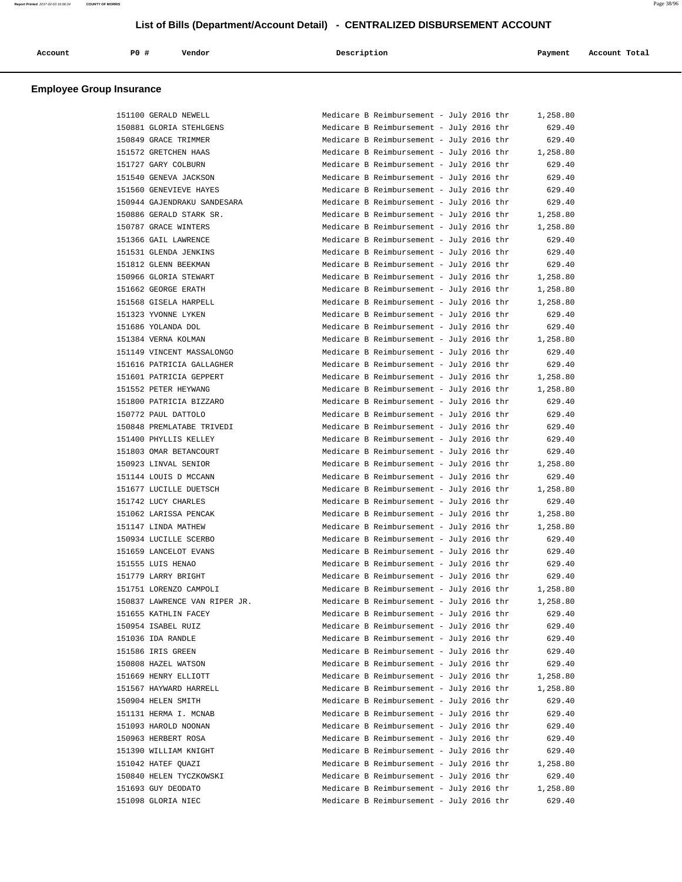| Account | PO# | Vendor | Description | Payment | Account Total |
|---------|-----|--------|-------------|---------|---------------|
|         |     |        |             |         |               |

| 151100 GERALD NEWELL          | Medicare B Reimbursement - July 2016 thr | 1,258.80 |
|-------------------------------|------------------------------------------|----------|
| 150881 GLORIA STEHLGENS       | Medicare B Reimbursement - July 2016 thr | 629.40   |
| 150849 GRACE TRIMMER          | Medicare B Reimbursement - July 2016 thr | 629.40   |
| 151572 GRETCHEN HAAS          | Medicare B Reimbursement - July 2016 thr | 1,258.80 |
| 151727 GARY COLBURN           | Medicare B Reimbursement - July 2016 thr | 629.40   |
| 151540 GENEVA JACKSON         | Medicare B Reimbursement - July 2016 thr | 629.40   |
| 151560 GENEVIEVE HAYES        | Medicare B Reimbursement - July 2016 thr | 629.40   |
| 150944 GAJENDRAKU SANDESARA   | Medicare B Reimbursement - July 2016 thr | 629.40   |
| 150886 GERALD STARK SR.       | Medicare B Reimbursement - July 2016 thr | 1,258.80 |
| 150787 GRACE WINTERS          | Medicare B Reimbursement - July 2016 thr | 1,258.80 |
| 151366 GAIL LAWRENCE          | Medicare B Reimbursement - July 2016 thr | 629.40   |
| 151531 GLENDA JENKINS         | Medicare B Reimbursement - July 2016 thr | 629.40   |
| 151812 GLENN BEEKMAN          | Medicare B Reimbursement - July 2016 thr | 629.40   |
| 150966 GLORIA STEWART         | Medicare B Reimbursement - July 2016 thr | 1,258.80 |
| 151662 GEORGE ERATH           | Medicare B Reimbursement - July 2016 thr | 1,258.80 |
| 151568 GISELA HARPELL         | Medicare B Reimbursement - July 2016 thr | 1,258.80 |
| 151323 YVONNE LYKEN           | Medicare B Reimbursement - July 2016 thr | 629.40   |
|                               | Medicare B Reimbursement - July 2016 thr |          |
| 151686 YOLANDA DOL            |                                          | 629.40   |
| 151384 VERNA KOLMAN           | Medicare B Reimbursement - July 2016 thr | 1,258.80 |
| 151149 VINCENT MASSALONGO     | Medicare B Reimbursement - July 2016 thr | 629.40   |
| 151616 PATRICIA GALLAGHER     | Medicare B Reimbursement - July 2016 thr | 629.40   |
| 151601 PATRICIA GEPPERT       | Medicare B Reimbursement - July 2016 thr | 1,258.80 |
| 151552 PETER HEYWANG          | Medicare B Reimbursement - July 2016 thr | 1,258.80 |
| 151800 PATRICIA BIZZARO       | Medicare B Reimbursement - July 2016 thr | 629.40   |
| 150772 PAUL DATTOLO           | Medicare B Reimbursement - July 2016 thr | 629.40   |
| 150848 PREMLATABE TRIVEDI     | Medicare B Reimbursement - July 2016 thr | 629.40   |
| 151400 PHYLLIS KELLEY         | Medicare B Reimbursement - July 2016 thr | 629.40   |
| 151803 OMAR BETANCOURT        | Medicare B Reimbursement - July 2016 thr | 629.40   |
| 150923 LINVAL SENIOR          | Medicare B Reimbursement - July 2016 thr | 1,258.80 |
| 151144 LOUIS D MCCANN         | Medicare B Reimbursement - July 2016 thr | 629.40   |
| 151677 LUCILLE DUETSCH        | Medicare B Reimbursement - July 2016 thr | 1,258.80 |
| 151742 LUCY CHARLES           | Medicare B Reimbursement - July 2016 thr | 629.40   |
| 151062 LARISSA PENCAK         | Medicare B Reimbursement - July 2016 thr | 1,258.80 |
| 151147 LINDA MATHEW           | Medicare B Reimbursement - July 2016 thr | 1,258.80 |
| 150934 LUCILLE SCERBO         | Medicare B Reimbursement - July 2016 thr | 629.40   |
| 151659 LANCELOT EVANS         | Medicare B Reimbursement - July 2016 thr | 629.40   |
| 151555 LUIS HENAO             | Medicare B Reimbursement - July 2016 thr | 629.40   |
| 151779 LARRY BRIGHT           | Medicare B Reimbursement - July 2016 thr | 629.40   |
| 151751 LORENZO CAMPOLI        | Medicare B Reimbursement - July 2016 thr | 1,258.80 |
| 150837 LAWRENCE VAN RIPER JR. | Medicare B Reimbursement - July 2016 thr | 1,258.80 |
| 151655 KATHLIN FACEY          | Medicare B Reimbursement - July 2016 thr | 629.40   |
| 150954 ISABEL RUIZ            | Medicare B Reimbursement - July 2016 thr | 629.40   |
| 151036 IDA RANDLE             | Medicare B Reimbursement - July 2016 thr | 629.40   |
| 151586 IRIS GREEN             | Medicare B Reimbursement - July 2016 thr | 629.40   |
| 150808 HAZEL WATSON           | Medicare B Reimbursement - July 2016 thr | 629.40   |
| 151669 HENRY ELLIOTT          | Medicare B Reimbursement - July 2016 thr | 1,258.80 |
| 151567 HAYWARD HARRELL        | Medicare B Reimbursement - July 2016 thr | 1,258.80 |
| 150904 HELEN SMITH            | Medicare B Reimbursement - July 2016 thr | 629.40   |
| 151131 HERMA I. MCNAB         | Medicare B Reimbursement - July 2016 thr | 629.40   |
| 151093 HAROLD NOONAN          | Medicare B Reimbursement - July 2016 thr | 629.40   |
| 150963 HERBERT ROSA           | Medicare B Reimbursement - July 2016 thr | 629.40   |
| 151390 WILLIAM KNIGHT         | Medicare B Reimbursement - July 2016 thr |          |
|                               |                                          | 629.40   |
| 151042 HATEF QUAZI            | Medicare B Reimbursement - July 2016 thr | 1,258.80 |
| 150840 HELEN TYCZKOWSKI       | Medicare B Reimbursement - July 2016 thr | 629.40   |
| 151693 GUY DEODATO            | Medicare B Reimbursement - July 2016 thr | 1,258.80 |
| 151098 GLORIA NIEC            | Medicare B Reimbursement - July 2016 thr | 629.40   |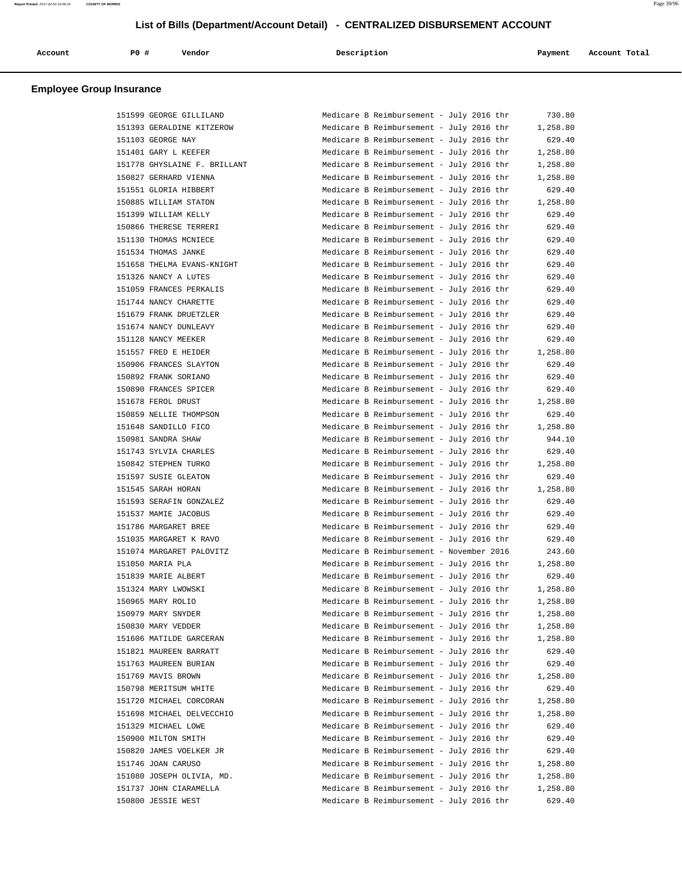| Account | P0 # | Vendor | Description | Payment | Account Total |
|---------|------|--------|-------------|---------|---------------|
|         |      |        |             |         |               |

| 151599 GEORGE GILLILAND      | Medicare B Reimbursement - July 2016 thr | 730.80   |
|------------------------------|------------------------------------------|----------|
| 151393 GERALDINE KITZEROW    | Medicare B Reimbursement - July 2016 thr | 1,258.80 |
| 151103 GEORGE NAY            | Medicare B Reimbursement - July 2016 thr | 629.40   |
| 151401 GARY L KEEFER         | Medicare B Reimbursement - July 2016 thr | 1,258.80 |
| 151778 GHYSLAINE F. BRILLANT | Medicare B Reimbursement - July 2016 thr | 1,258.80 |
| 150827 GERHARD VIENNA        | Medicare B Reimbursement - July 2016 thr | 1,258.80 |
| 151551 GLORIA HIBBERT        | Medicare B Reimbursement - July 2016 thr | 629.40   |
| 150885 WILLIAM STATON        | Medicare B Reimbursement - July 2016 thr | 1,258.80 |
| 151399 WILLIAM KELLY         | Medicare B Reimbursement - July 2016 thr | 629.40   |
| 150866 THERESE TERRERI       | Medicare B Reimbursement - July 2016 thr | 629.40   |
| 151130 THOMAS MCNIECE        | Medicare B Reimbursement - July 2016 thr | 629.40   |
| 151534 THOMAS JANKE          | Medicare B Reimbursement - July 2016 thr | 629.40   |
| 151658 THELMA EVANS-KNIGHT   | Medicare B Reimbursement - July 2016 thr | 629.40   |
|                              |                                          |          |
| 151326 NANCY A LUTES         | Medicare B Reimbursement - July 2016 thr | 629.40   |
| 151059 FRANCES PERKALIS      | Medicare B Reimbursement - July 2016 thr | 629.40   |
| 151744 NANCY CHARETTE        | Medicare B Reimbursement - July 2016 thr | 629.40   |
| 151679 FRANK DRUETZLER       | Medicare B Reimbursement - July 2016 thr | 629.40   |
| 151674 NANCY DUNLEAVY        | Medicare B Reimbursement - July 2016 thr | 629.40   |
| 151128 NANCY MEEKER          | Medicare B Reimbursement - July 2016 thr | 629.40   |
| 151557 FRED E HEIDER         | Medicare B Reimbursement - July 2016 thr | 1,258.80 |
| 150906 FRANCES SLAYTON       | Medicare B Reimbursement - July 2016 thr | 629.40   |
| 150892 FRANK SORIANO         | Medicare B Reimbursement - July 2016 thr | 629.40   |
| 150890 FRANCES SPICER        | Medicare B Reimbursement - July 2016 thr | 629.40   |
| 151678 FEROL DRUST           | Medicare B Reimbursement - July 2016 thr | 1,258.80 |
| 150859 NELLIE THOMPSON       | Medicare B Reimbursement - July 2016 thr | 629.40   |
| 151648 SANDILLO FICO         | Medicare B Reimbursement - July 2016 thr | 1,258.80 |
| 150981 SANDRA SHAW           | Medicare B Reimbursement - July 2016 thr | 944.10   |
| 151743 SYLVIA CHARLES        | Medicare B Reimbursement - July 2016 thr | 629.40   |
| 150842 STEPHEN TURKO         | Medicare B Reimbursement - July 2016 thr | 1,258.80 |
| 151597 SUSIE GLEATON         | Medicare B Reimbursement - July 2016 thr | 629.40   |
| 151545 SARAH HORAN           | Medicare B Reimbursement - July 2016 thr | 1,258.80 |
| 151593 SERAFIN GONZALEZ      | Medicare B Reimbursement - July 2016 thr | 629.40   |
| 151537 MAMIE JACOBUS         | Medicare B Reimbursement - July 2016 thr | 629.40   |
| 151786 MARGARET BREE         | Medicare B Reimbursement - July 2016 thr | 629.40   |
| 151035 MARGARET K RAVO       | Medicare B Reimbursement - July 2016 thr | 629.40   |
|                              |                                          |          |
| 151074 MARGARET PALOVITZ     | Medicare B Reimbursement - November 2016 | 243.60   |
| 151050 MARIA PLA             | Medicare B Reimbursement - July 2016 thr | 1,258.80 |
| 151839 MARIE ALBERT          | Medicare B Reimbursement - July 2016 thr | 629.40   |
| 151324 MARY LWOWSKI          | Medicare B Reimbursement - July 2016 thr | 1,258.80 |
| 150965 MARY ROLIO            | Medicare B Reimbursement - July 2016 thr | 1,258.80 |
| 150979 MARY SNYDER           | Medicare B Reimbursement - July 2016 thr | 1,258.80 |
| 150830 MARY VEDDER           | Medicare B Reimbursement - July 2016 thr | 1,258.80 |
| 151606 MATILDE GARCERAN      | Medicare B Reimbursement - July 2016 thr | 1,258.80 |
| 151821 MAUREEN BARRATT       | Medicare B Reimbursement - July 2016 thr | 629.40   |
| 151763 MAUREEN BURIAN        | Medicare B Reimbursement - July 2016 thr | 629.40   |
| 151769 MAVIS BROWN           | Medicare B Reimbursement - July 2016 thr | 1,258.80 |
| 150798 MERITSUM WHITE        | Medicare B Reimbursement - July 2016 thr | 629.40   |
| 151720 MICHAEL CORCORAN      | Medicare B Reimbursement - July 2016 thr | 1,258.80 |
| 151698 MICHAEL DELVECCHIO    | Medicare B Reimbursement - July 2016 thr | 1,258.80 |
| 151329 MICHAEL LOWE          | Medicare B Reimbursement - July 2016 thr | 629.40   |
| 150900 MILTON SMITH          | Medicare B Reimbursement - July 2016 thr | 629.40   |
| 150820 JAMES VOELKER JR      | Medicare B Reimbursement - July 2016 thr | 629.40   |
| 151746 JOAN CARUSO           | Medicare B Reimbursement - July 2016 thr | 1,258.80 |
| 151080 JOSEPH OLIVIA, MD.    | Medicare B Reimbursement - July 2016 thr | 1,258.80 |
| 151737 JOHN CIARAMELLA       | Medicare B Reimbursement - July 2016 thr | 1,258.80 |
| 150800 JESSIE WEST           | Medicare B Reimbursement - July 2016 thr | 629.40   |
|                              |                                          |          |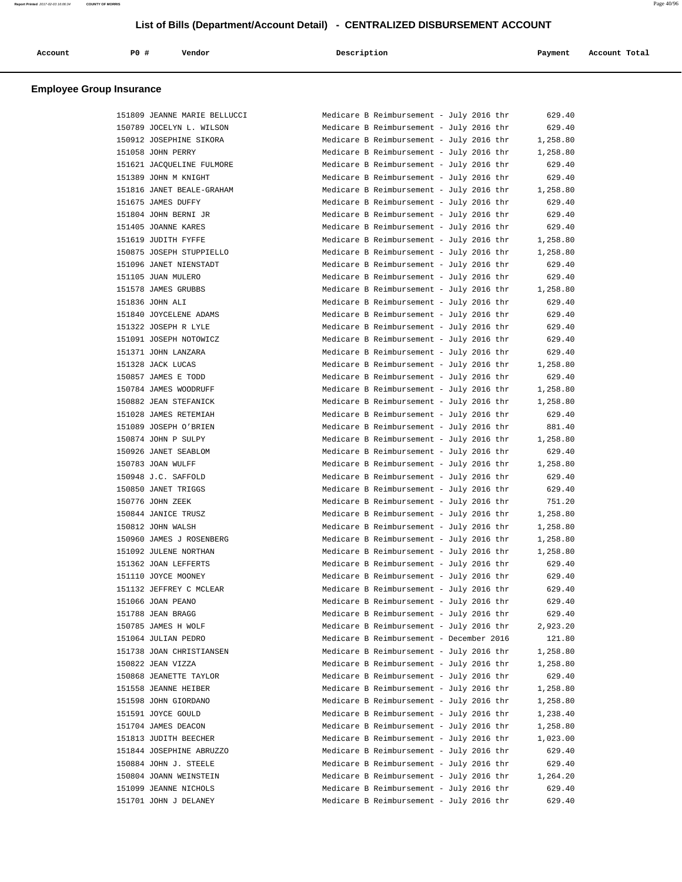| Account<br>. | P0 # | Vendor | Description | Payment | Account Total |
|--------------|------|--------|-------------|---------|---------------|
|              |      |        |             |         |               |

| 151809 JEANNE MARIE BELLUCCI | Medi |
|------------------------------|------|
| 150789 JOCELYN L. WILSON     | Medi |
| 150912 JOSEPHINE SIKORA      | Medi |
| 151058 JOHN PERRY            | Medi |
| 151621 JACQUELINE FULMORE    | Medi |
| 151389 JOHN M KNIGHT         | Medi |
| 151816 JANET BEALE-GRAHAM    | Medi |
| 151675 JAMES DUFFY           | Medi |
| 151804 JOHN BERNI JR         | Medi |
| 151405 JOANNE KARES          | Medi |
| 151619 JUDITH FYFFE          | Medi |
| 150875 JOSEPH STUPPIELLO     | Medi |
| 151096 JANET NIENSTADT       | Medi |
| 151105 JUAN MULERO           | Medi |
| 151578 JAMES GRUBBS          | Medi |
| 151836 JOHN ALI              | Medi |
| 151840 JOYCELENE ADAMS       | Medi |
| 151322 JOSEPH R LYLE         | Medi |
| 151091 JOSEPH NOTOWICZ       | Medi |
| 151371 JOHN LANZARA          | Medi |
| 151328 JACK LUCAS            | Medi |
| 150857 JAMES E TODD          | Medi |
| 150784 JAMES WOODRUFF        | Medi |
| 150882 JEAN STEFANICK        | Medi |
| 151028 JAMES RETEMIAH        | Medi |
| 151089 JOSEPH O'BRIEN        | Medi |
| 150874 JOHN P SULPY          | Medi |
| 150926 JANET SEABLOM         | Medi |
| 150783 JOAN WULFF            | Medi |
| 150948 J.C. SAFFOLD          | Medi |
| 150850 JANET TRIGGS          | Medi |
| 150776 JOHN ZEEK             | Medi |
| 150844 JANICE TRUSZ          | Medi |
| 150812 JOHN WALSH            | Medi |
| 150960 JAMES J ROSENBERG     | Medi |
| 151092 JULENE NORTHAN        | Medi |
| 151362 JOAN LEFFERTS         | Medi |
| 151110 JOYCE MOONEY          | Medi |
| 151132 JEFFREY C MCLEAR      | Medi |
| 151066 JOAN PEANO            | Medi |
| 151788 JEAN BRAGG            | Medi |
| 150785 JAMES H WOLF          | Medi |
| 151064 JULIAN PEDRO          | Medi |
| 151738 JOAN CHRISTIANSEN     | Medi |
| 150822 JEAN VIZZA            | Medi |
| 150868 JEANETTE TAYLOR       | Medi |
| 151558 JEANNE HEIBER         | Medi |
| 151598 JOHN GIORDANO         | Medi |
| 151591 JOYCE GOULD           | Medi |
| 151704 JAMES DEACON          | Medi |
| 151813 JUDITH BEECHER        | Medi |
| 151844 JOSEPHINE ABRUZZO     | Medi |
| 150884 JOHN J. STEELE        | Medi |
| 150804 JOANN WEINSTEIN       | Medi |
| 151099 JEANNE NICHOLS        | Medi |
| 151701 JOHN J DELANEY        | Medi |

| 151809 JEANNE MARIE BELLUCCI | Medicare B Reimbursement - July 2016 thr |  |  | 629.40   |
|------------------------------|------------------------------------------|--|--|----------|
| 150789 JOCELYN L. WILSON     | Medicare B Reimbursement - July 2016 thr |  |  | 629.40   |
| 150912 JOSEPHINE SIKORA      | Medicare B Reimbursement - July 2016 thr |  |  | 1,258.80 |
| 151058 JOHN PERRY            | Medicare B Reimbursement - July 2016 thr |  |  | 1,258.80 |
| 151621 JACQUELINE FULMORE    | Medicare B Reimbursement - July 2016 thr |  |  | 629.40   |
| 151389 JOHN M KNIGHT         | Medicare B Reimbursement - July 2016 thr |  |  | 629.40   |
| 151816 JANET BEALE-GRAHAM    | Medicare B Reimbursement - July 2016 thr |  |  | 1,258.80 |
| 151675 JAMES DUFFY           | Medicare B Reimbursement - July 2016 thr |  |  | 629.40   |
| 151804 JOHN BERNI JR         | Medicare B Reimbursement - July 2016 thr |  |  | 629.40   |
| 151405 JOANNE KARES          | Medicare B Reimbursement - July 2016 thr |  |  | 629.40   |
| 151619 JUDITH FYFFE          | Medicare B Reimbursement - July 2016 thr |  |  | 1,258.80 |
| 150875 JOSEPH STUPPIELLO     | Medicare B Reimbursement - July 2016 thr |  |  | 1,258.80 |
| 151096 JANET NIENSTADT       | Medicare B Reimbursement - July 2016 thr |  |  | 629.40   |
| 151105 JUAN MULERO           | Medicare B Reimbursement - July 2016 thr |  |  | 629.40   |
| 151578 JAMES GRUBBS          | Medicare B Reimbursement - July 2016 thr |  |  | 1,258.80 |
| 151836 JOHN ALI              | Medicare B Reimbursement - July 2016 thr |  |  | 629.40   |
| 151840 JOYCELENE ADAMS       | Medicare B Reimbursement - July 2016 thr |  |  | 629.40   |
| 151322 JOSEPH R LYLE         | Medicare B Reimbursement - July 2016 thr |  |  | 629.40   |
| 151091 JOSEPH NOTOWICZ       | Medicare B Reimbursement - July 2016 thr |  |  | 629.40   |
| 151371 JOHN LANZARA          | Medicare B Reimbursement - July 2016 thr |  |  | 629.40   |
| 151328 JACK LUCAS            | Medicare B Reimbursement - July 2016 thr |  |  | 1,258.80 |
| 150857 JAMES E TODD          | Medicare B Reimbursement - July 2016 thr |  |  | 629.40   |
| 150784 JAMES WOODRUFF        | Medicare B Reimbursement - July 2016 thr |  |  | 1,258.80 |
| 150882 JEAN STEFANICK        | Medicare B Reimbursement - July 2016 thr |  |  | 1,258.80 |
| 151028 JAMES RETEMIAH        | Medicare B Reimbursement - July 2016 thr |  |  | 629.40   |
| 151089 JOSEPH O'BRIEN        | Medicare B Reimbursement - July 2016 thr |  |  | 881.40   |
| 150874 JOHN P SULPY          | Medicare B Reimbursement - July 2016 thr |  |  | 1,258.80 |
| 150926 JANET SEABLOM         | Medicare B Reimbursement - July 2016 thr |  |  | 629.40   |
| 150783 JOAN WULFF            | Medicare B Reimbursement - July 2016 thr |  |  | 1,258.80 |
| 150948 J.C. SAFFOLD          | Medicare B Reimbursement - July 2016 thr |  |  | 629.40   |
| 150850 JANET TRIGGS          | Medicare B Reimbursement - July 2016 thr |  |  | 629.40   |
| 150776 JOHN ZEEK             | Medicare B Reimbursement - July 2016 thr |  |  | 751.20   |
| 150844 JANICE TRUSZ          | Medicare B Reimbursement - July 2016 thr |  |  | 1,258.80 |
| 150812 JOHN WALSH            | Medicare B Reimbursement - July 2016 thr |  |  | 1,258.80 |
| 150960 JAMES J ROSENBERG     | Medicare B Reimbursement - July 2016 thr |  |  | 1,258.80 |
| 151092 JULENE NORTHAN        | Medicare B Reimbursement - July 2016 thr |  |  | 1,258.80 |
| 151362 JOAN LEFFERTS         | Medicare B Reimbursement - July 2016 thr |  |  | 629.40   |
| 151110 JOYCE MOONEY          | Medicare B Reimbursement - July 2016 thr |  |  | 629.40   |
| 151132 JEFFREY C MCLEAR      | Medicare B Reimbursement - July 2016 thr |  |  | 629.40   |
| 151066 JOAN PEANO            | Medicare B Reimbursement - July 2016 thr |  |  | 629.40   |
| 151788 JEAN BRAGG            | Medicare B Reimbursement - July 2016 thr |  |  | 629.40   |
| 150785 JAMES H WOLF          | Medicare B Reimbursement - July 2016 thr |  |  | 2,923.20 |
| 151064 JULIAN PEDRO          | Medicare B Reimbursement - December 2016 |  |  | 121.80   |
| 151738 JOAN CHRISTIANSEN     | Medicare B Reimbursement - July 2016 thr |  |  | 1,258.80 |
| 150822 JEAN VIZZA            | Medicare B Reimbursement - July 2016 thr |  |  | 1,258.80 |
| 150868 JEANETTE TAYLOR       | Medicare B Reimbursement - July 2016 thr |  |  | 629.40   |
| 151558 JEANNE HEIBER         | Medicare B Reimbursement - July 2016 thr |  |  | 1,258.80 |
| 151598 JOHN GIORDANO         | Medicare B Reimbursement - July 2016 thr |  |  | 1,258.80 |
| 151591 JOYCE GOULD           | Medicare B Reimbursement - July 2016 thr |  |  | 1,238.40 |
| 151704 JAMES DEACON          | Medicare B Reimbursement - July 2016 thr |  |  | 1,258.80 |
| 151813 JUDITH BEECHER        | Medicare B Reimbursement - July 2016 thr |  |  | 1,023.00 |
| 151844 JOSEPHINE ABRUZZO     | Medicare B Reimbursement - July 2016 thr |  |  | 629.40   |
| 150884 JOHN J. STEELE        | Medicare B Reimbursement - July 2016 thr |  |  | 629.40   |
|                              |                                          |  |  |          |
| 150804 JOANN WEINSTEIN       | Medicare B Reimbursement - July 2016 thr |  |  | 1,264.20 |
| 151099 JEANNE NICHOLS        | Medicare B Reimbursement - July 2016 thr |  |  | 629.40   |
| 151701 JOHN J DELANEY        | Medicare B Reimbursement - July 2016 thr |  |  | 629.40   |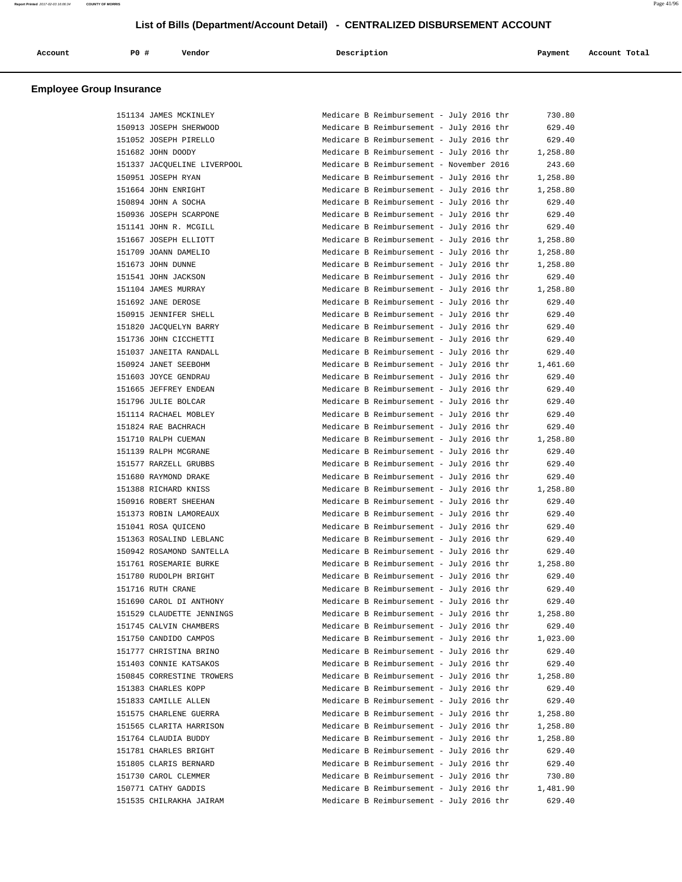| Account | PO# | Vendor | Description | Payment | Account Total |
|---------|-----|--------|-------------|---------|---------------|
|         |     |        |             |         |               |

| 151134 JAMES MCKINLEY       | Medicare B Reimbursement - July 2016 thr |  | 730.80   |
|-----------------------------|------------------------------------------|--|----------|
| 150913 JOSEPH SHERWOOD      | Medicare B Reimbursement - July 2016 thr |  | 629.40   |
| 151052 JOSEPH PIRELLO       | Medicare B Reimbursement - July 2016 thr |  | 629.40   |
| 151682 JOHN DOODY           | Medicare B Reimbursement - July 2016 thr |  | 1,258.80 |
| 151337 JACQUELINE LIVERPOOL | Medicare B Reimbursement - November 2016 |  | 243.60   |
| 150951 JOSEPH RYAN          | Medicare B Reimbursement - July 2016 thr |  | 1,258.80 |
| 151664 JOHN ENRIGHT         | Medicare B Reimbursement - July 2016 thr |  | 1,258.80 |
| 150894 JOHN A SOCHA         | Medicare B Reimbursement - July 2016 thr |  | 629.40   |
| 150936 JOSEPH SCARPONE      | Medicare B Reimbursement - July 2016 thr |  | 629.40   |
| 151141 JOHN R. MCGILL       | Medicare B Reimbursement - July 2016 thr |  | 629.40   |
| 151667 JOSEPH ELLIOTT       | Medicare B Reimbursement - July 2016 thr |  | 1,258.80 |
| 151709 JOANN DAMELIO        | Medicare B Reimbursement - July 2016 thr |  | 1,258.80 |
| 151673 JOHN DUNNE           | Medicare B Reimbursement - July 2016 thr |  | 1,258.80 |
| 151541 JOHN JACKSON         | Medicare B Reimbursement - July 2016 thr |  | 629.40   |
| 151104 JAMES MURRAY         | Medicare B Reimbursement - July 2016 thr |  | 1,258.80 |
| 151692 JANE DEROSE          | Medicare B Reimbursement - July 2016 thr |  | 629.40   |
| 150915 JENNIFER SHELL       | Medicare B Reimbursement - July 2016 thr |  | 629.40   |
| 151820 JACQUELYN BARRY      | Medicare B Reimbursement - July 2016 thr |  | 629.40   |
| 151736 JOHN CICCHETTI       | Medicare B Reimbursement - July 2016 thr |  | 629.40   |
| 151037 JANEITA RANDALL      | Medicare B Reimbursement - July 2016 thr |  | 629.40   |
| 150924 JANET SEEBOHM        | Medicare B Reimbursement - July 2016 thr |  | 1,461.60 |
| 151603 JOYCE GENDRAU        | Medicare B Reimbursement - July 2016 thr |  | 629.40   |
| 151665 JEFFREY ENDEAN       | Medicare B Reimbursement - July 2016 thr |  | 629.40   |
| 151796 JULIE BOLCAR         | Medicare B Reimbursement - July 2016 thr |  | 629.40   |
| 151114 RACHAEL MOBLEY       | Medicare B Reimbursement - July 2016 thr |  | 629.40   |
| 151824 RAE BACHRACH         | Medicare B Reimbursement - July 2016 thr |  | 629.40   |
| 151710 RALPH CUEMAN         | Medicare B Reimbursement - July 2016 thr |  | 1,258.80 |
| 151139 RALPH MCGRANE        | Medicare B Reimbursement - July 2016 thr |  | 629.40   |
| 151577 RARZELL GRUBBS       | Medicare B Reimbursement - July 2016 thr |  | 629.40   |
| 151680 RAYMOND DRAKE        | Medicare B Reimbursement - July 2016 thr |  | 629.40   |
| 151388 RICHARD KNISS        | Medicare B Reimbursement - July 2016 thr |  | 1,258.80 |
| 150916 ROBERT SHEEHAN       | Medicare B Reimbursement - July 2016 thr |  | 629.40   |
| 151373 ROBIN LAMOREAUX      | Medicare B Reimbursement - July 2016 thr |  | 629.40   |
| 151041 ROSA QUICENO         | Medicare B Reimbursement - July 2016 thr |  | 629.40   |
| 151363 ROSALIND LEBLANC     | Medicare B Reimbursement - July 2016 thr |  | 629.40   |
| 150942 ROSAMOND SANTELLA    | Medicare B Reimbursement - July 2016 thr |  | 629.40   |
| 151761 ROSEMARIE BURKE      | Medicare B Reimbursement - July 2016 thr |  | 1,258.80 |
| 151780 RUDOLPH BRIGHT       | Medicare B Reimbursement - July 2016 thr |  | 629.40   |
| 151716 RUTH CRANE           | Medicare B Reimbursement - July 2016 thr |  | 629.40   |
| 151690 CAROL DI ANTHONY     | Medicare B Reimbursement - July 2016 thr |  | 629.40   |
| 151529 CLAUDETTE JENNINGS   | Medicare B Reimbursement - July 2016 thr |  | 1,258.80 |
| 151745 CALVIN CHAMBERS      | Medicare B Reimbursement - July 2016 thr |  | 629.40   |
| 151750 CANDIDO CAMPOS       | Medicare B Reimbursement - July 2016 thr |  | 1,023.00 |
| 151777 CHRISTINA BRINO      | Medicare B Reimbursement - July 2016 thr |  | 629.40   |
| 151403 CONNIE KATSAKOS      | Medicare B Reimbursement - July 2016 thr |  | 629.40   |
| 150845 CORRESTINE TROWERS   | Medicare B Reimbursement - July 2016 thr |  | 1,258.80 |
| 151383 CHARLES KOPP         | Medicare B Reimbursement - July 2016 thr |  | 629.40   |
| 151833 CAMILLE ALLEN        | Medicare B Reimbursement - July 2016 thr |  | 629.40   |
| 151575 CHARLENE GUERRA      | Medicare B Reimbursement - July 2016 thr |  | 1,258.80 |
| 151565 CLARITA HARRISON     | Medicare B Reimbursement - July 2016 thr |  | 1,258.80 |
| 151764 CLAUDIA BUDDY        | Medicare B Reimbursement - July 2016 thr |  | 1,258.80 |
| 151781 CHARLES BRIGHT       | Medicare B Reimbursement - July 2016 thr |  | 629.40   |
| 151805 CLARIS BERNARD       | Medicare B Reimbursement - July 2016 thr |  | 629.40   |
| 151730 CAROL CLEMMER        | Medicare B Reimbursement - July 2016 thr |  | 730.80   |
| 150771 CATHY GADDIS         | Medicare B Reimbursement - July 2016 thr |  | 1,481.90 |
| 151535 CHILRAKHA JAIRAM     | Medicare B Reimbursement - July 2016 thr |  | 629.40   |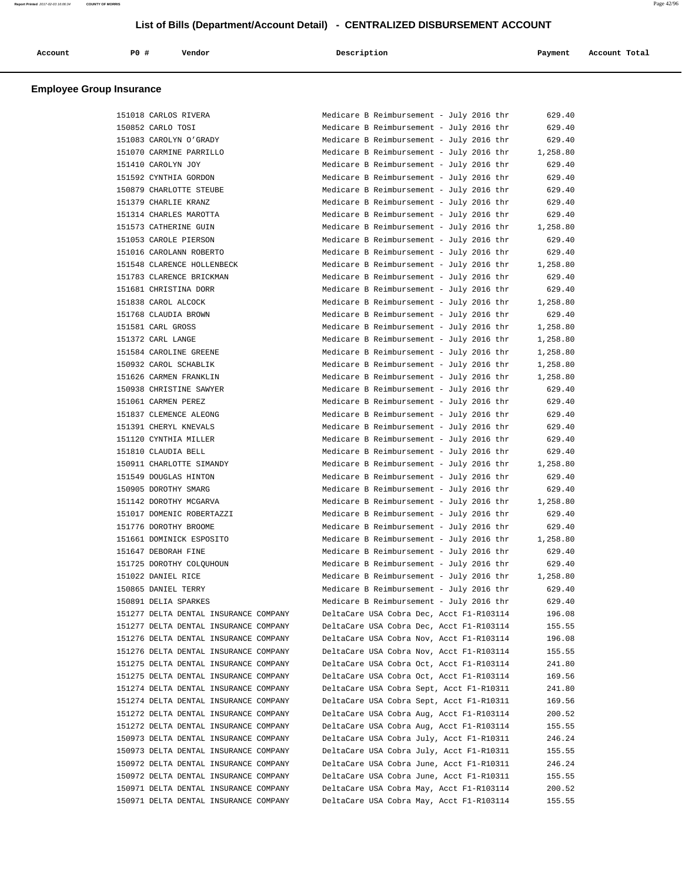| Account<br>. | PO# | Vendor | Description | Payment | Account Total |
|--------------|-----|--------|-------------|---------|---------------|
|              |     |        |             |         |               |

| 151018 CARLOS RIVERA                  | Medicare B Reimbursement - July 2016 thr | 629.40   |
|---------------------------------------|------------------------------------------|----------|
| 150852 CARLO TOSI                     | Medicare B Reimbursement - July 2016 thr | 629.40   |
| 151083 CAROLYN O'GRADY                | Medicare B Reimbursement - July 2016 thr | 629.40   |
| 151070 CARMINE PARRILLO               | Medicare B Reimbursement - July 2016 thr | 1,258.80 |
| 151410 CAROLYN JOY                    | Medicare B Reimbursement - July 2016 thr | 629.40   |
| 151592 CYNTHIA GORDON                 | Medicare B Reimbursement - July 2016 thr | 629.40   |
| 150879 CHARLOTTE STEUBE               | Medicare B Reimbursement - July 2016 thr | 629.40   |
| 151379 CHARLIE KRANZ                  | Medicare B Reimbursement - July 2016 thr | 629.40   |
| 151314 CHARLES MAROTTA                | Medicare B Reimbursement - July 2016 thr | 629.40   |
|                                       |                                          |          |
| 151573 CATHERINE GUIN                 | Medicare B Reimbursement - July 2016 thr | 1,258.80 |
| 151053 CAROLE PIERSON                 | Medicare B Reimbursement - July 2016 thr | 629.40   |
| 151016 CAROLANN ROBERTO               | Medicare B Reimbursement - July 2016 thr | 629.40   |
| 151548 CLARENCE HOLLENBECK            | Medicare B Reimbursement - July 2016 thr | 1,258.80 |
| 151783 CLARENCE BRICKMAN              | Medicare B Reimbursement - July 2016 thr | 629.40   |
| 151681 CHRISTINA DORR                 | Medicare B Reimbursement - July 2016 thr | 629.40   |
| 151838 CAROL ALCOCK                   | Medicare B Reimbursement - July 2016 thr | 1,258.80 |
| 151768 CLAUDIA BROWN                  | Medicare B Reimbursement - July 2016 thr | 629.40   |
| 151581 CARL GROSS                     | Medicare B Reimbursement - July 2016 thr | 1,258.80 |
| 151372 CARL LANGE                     | Medicare B Reimbursement - July 2016 thr | 1,258.80 |
| 151584 CAROLINE GREENE                | Medicare B Reimbursement - July 2016 thr | 1,258.80 |
| 150932 CAROL SCHABLIK                 | Medicare B Reimbursement - July 2016 thr | 1,258.80 |
| 151626 CARMEN FRANKLIN                | Medicare B Reimbursement - July 2016 thr | 1,258.80 |
| 150938 CHRISTINE SAWYER               | Medicare B Reimbursement - July 2016 thr | 629.40   |
| 151061 CARMEN PEREZ                   | Medicare B Reimbursement - July 2016 thr | 629.40   |
| 151837 CLEMENCE ALEONG                | Medicare B Reimbursement - July 2016 thr | 629.40   |
| 151391 CHERYL KNEVALS                 | Medicare B Reimbursement - July 2016 thr | 629.40   |
| 151120 CYNTHIA MILLER                 | Medicare B Reimbursement - July 2016 thr | 629.40   |
|                                       |                                          |          |
| 151810 CLAUDIA BELL                   | Medicare B Reimbursement - July 2016 thr | 629.40   |
| 150911 CHARLOTTE SIMANDY              | Medicare B Reimbursement - July 2016 thr | 1,258.80 |
| 151549 DOUGLAS HINTON                 | Medicare B Reimbursement - July 2016 thr | 629.40   |
| 150905 DOROTHY SMARG                  | Medicare B Reimbursement - July 2016 thr | 629.40   |
| 151142 DOROTHY MCGARVA                | Medicare B Reimbursement - July 2016 thr | 1,258.80 |
| 151017 DOMENIC ROBERTAZZI             | Medicare B Reimbursement - July 2016 thr | 629.40   |
| 151776 DOROTHY BROOME                 | Medicare B Reimbursement - July 2016 thr | 629.40   |
| 151661 DOMINICK ESPOSITO              | Medicare B Reimbursement - July 2016 thr | 1,258.80 |
| 151647 DEBORAH FINE                   | Medicare B Reimbursement - July 2016 thr | 629.40   |
| 151725 DOROTHY COLQUHOUN              | Medicare B Reimbursement - July 2016 thr | 629.40   |
| 151022 DANIEL RICE                    | Medicare B Reimbursement - July 2016 thr | 1,258.80 |
| 150865 DANIEL TERRY                   | Medicare B Reimbursement - July 2016 thr | 629.40   |
| 150891 DELIA SPARKES                  | Medicare B Reimbursement - July 2016 thr | 629.40   |
| 151277 DELTA DENTAL INSURANCE COMPANY | DeltaCare USA Cobra Dec, Acct F1-R103114 | 196.08   |
| 151277 DELTA DENTAL INSURANCE COMPANY | DeltaCare USA Cobra Dec, Acct F1-R103114 | 155.55   |
| 151276 DELTA DENTAL INSURANCE COMPANY | DeltaCare USA Cobra Nov, Acct F1-R103114 | 196.08   |
| 151276 DELTA DENTAL INSURANCE COMPANY | DeltaCare USA Cobra Nov, Acct F1-R103114 | 155.55   |
| 151275 DELTA DENTAL INSURANCE COMPANY | DeltaCare USA Cobra Oct, Acct F1-R103114 |          |
|                                       |                                          | 241.80   |
| 151275 DELTA DENTAL INSURANCE COMPANY | DeltaCare USA Cobra Oct, Acct F1-R103114 | 169.56   |
| 151274 DELTA DENTAL INSURANCE COMPANY | DeltaCare USA Cobra Sept, Acct F1-R10311 | 241.80   |
| 151274 DELTA DENTAL INSURANCE COMPANY | DeltaCare USA Cobra Sept, Acct F1-R10311 | 169.56   |
| 151272 DELTA DENTAL INSURANCE COMPANY | DeltaCare USA Cobra Aug, Acct F1-R103114 | 200.52   |
| 151272 DELTA DENTAL INSURANCE COMPANY | DeltaCare USA Cobra Aug, Acct F1-R103114 | 155.55   |
| 150973 DELTA DENTAL INSURANCE COMPANY | DeltaCare USA Cobra July, Acct F1-R10311 | 246.24   |
| 150973 DELTA DENTAL INSURANCE COMPANY | DeltaCare USA Cobra July, Acct F1-R10311 | 155.55   |
| 150972 DELTA DENTAL INSURANCE COMPANY | DeltaCare USA Cobra June, Acct F1-R10311 | 246.24   |
| 150972 DELTA DENTAL INSURANCE COMPANY | DeltaCare USA Cobra June, Acct F1-R10311 | 155.55   |
| 150971 DELTA DENTAL INSURANCE COMPANY | DeltaCare USA Cobra May, Acct F1-R103114 | 200.52   |
| 150971 DELTA DENTAL INSURANCE COMPANY | DeltaCare USA Cobra May, Acct F1-R103114 | 155.55   |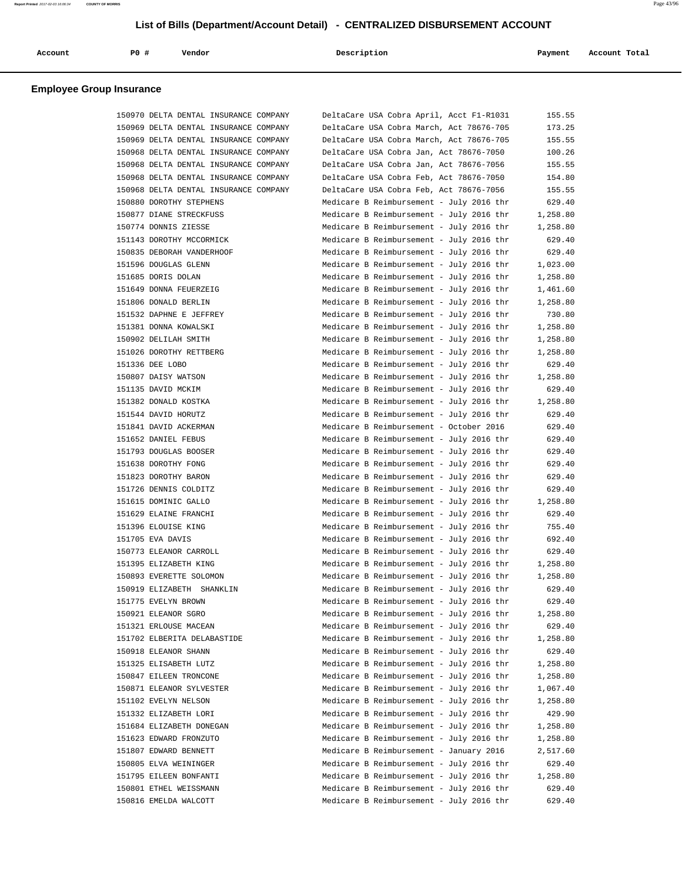| Account | P0 # | Vendor<br>. | Description | Payment | Account Total |
|---------|------|-------------|-------------|---------|---------------|
|         |      |             |             |         |               |

| 150970 DELTA DENTAL INSURANCE COMPANY | DeltaCare USA Cobra April, Acct F1-R1031 | 155.55   |
|---------------------------------------|------------------------------------------|----------|
| 150969 DELTA DENTAL INSURANCE COMPANY | DeltaCare USA Cobra March, Act 78676-705 | 173.25   |
| 150969 DELTA DENTAL INSURANCE COMPANY | DeltaCare USA Cobra March, Act 78676-705 | 155.55   |
| 150968 DELTA DENTAL INSURANCE COMPANY | DeltaCare USA Cobra Jan, Act 78676-7050  | 100.26   |
| 150968 DELTA DENTAL INSURANCE COMPANY | DeltaCare USA Cobra Jan, Act 78676-7056  | 155.55   |
| 150968 DELTA DENTAL INSURANCE COMPANY | DeltaCare USA Cobra Feb, Act 78676-7050  | 154.80   |
| 150968 DELTA DENTAL INSURANCE COMPANY | DeltaCare USA Cobra Feb, Act 78676-7056  | 155.55   |
| 150880 DOROTHY STEPHENS               | Medicare B Reimbursement - July 2016 thr | 629.40   |
| 150877 DIANE STRECKFUSS               | Medicare B Reimbursement - July 2016 thr | 1,258.80 |
| 150774 DONNIS ZIESSE                  | Medicare B Reimbursement - July 2016 thr | 1,258.80 |
| 151143 DOROTHY MCCORMICK              | Medicare B Reimbursement - July 2016 thr | 629.40   |
| 150835 DEBORAH VANDERHOOF             | Medicare B Reimbursement - July 2016 thr | 629.40   |
| 151596 DOUGLAS GLENN                  | Medicare B Reimbursement - July 2016 thr | 1,023.00 |
|                                       |                                          |          |
| 151685 DORIS DOLAN                    | Medicare B Reimbursement - July 2016 thr | 1,258.80 |
| 151649 DONNA FEUERZEIG                | Medicare B Reimbursement - July 2016 thr | 1,461.60 |
| 151806 DONALD BERLIN                  | Medicare B Reimbursement - July 2016 thr | 1,258.80 |
| 151532 DAPHNE E JEFFREY               | Medicare B Reimbursement - July 2016 thr | 730.80   |
| 151381 DONNA KOWALSKI                 | Medicare B Reimbursement - July 2016 thr | 1,258.80 |
| 150902 DELILAH SMITH                  | Medicare B Reimbursement - July 2016 thr | 1,258.80 |
| 151026 DOROTHY RETTBERG               | Medicare B Reimbursement - July 2016 thr | 1,258.80 |
| 151336 DEE LOBO                       | Medicare B Reimbursement - July 2016 thr | 629.40   |
| 150807 DAISY WATSON                   | Medicare B Reimbursement - July 2016 thr | 1,258.80 |
| 151135 DAVID MCKIM                    | Medicare B Reimbursement - July 2016 thr | 629.40   |
| 151382 DONALD KOSTKA                  | Medicare B Reimbursement - July 2016 thr | 1,258.80 |
| 151544 DAVID HORUTZ                   | Medicare B Reimbursement - July 2016 thr | 629.40   |
| 151841 DAVID ACKERMAN                 | Medicare B Reimbursement - October 2016  | 629.40   |
| 151652 DANIEL FEBUS                   | Medicare B Reimbursement - July 2016 thr | 629.40   |
| 151793 DOUGLAS BOOSER                 | Medicare B Reimbursement - July 2016 thr | 629.40   |
| 151638 DOROTHY FONG                   | Medicare B Reimbursement - July 2016 thr | 629.40   |
| 151823 DOROTHY BARON                  | Medicare B Reimbursement - July 2016 thr | 629.40   |
| 151726 DENNIS COLDITZ                 | Medicare B Reimbursement - July 2016 thr | 629.40   |
| 151615 DOMINIC GALLO                  | Medicare B Reimbursement - July 2016 thr | 1,258.80 |
| 151629 ELAINE FRANCHI                 | Medicare B Reimbursement - July 2016 thr | 629.40   |
| 151396 ELOUISE KING                   | Medicare B Reimbursement - July 2016 thr | 755.40   |
| 151705 EVA DAVIS                      | Medicare B Reimbursement - July 2016 thr | 692.40   |
| 150773 ELEANOR CARROLL                | Medicare B Reimbursement - July 2016 thr | 629.40   |
| 151395 ELIZABETH KING                 | Medicare B Reimbursement - July 2016 thr | 1,258.80 |
| 150893 EVERETTE SOLOMON               | Medicare B Reimbursement - July 2016 thr | 1,258.80 |
| 150919 ELIZABETH SHANKLIN             | Medicare B Reimbursement - July 2016 thr | 629.40   |
| 151775 EVELYN BROWN                   | Medicare B Reimbursement - July 2016 thr | 629.40   |
| 150921 ELEANOR SGRO                   | Medicare B Reimbursement - July 2016 thr | 1,258.80 |
| 151321 ERLOUSE MACEAN                 | Medicare B Reimbursement - July 2016 thr | 629.40   |
| 151702 ELBERITA DELABASTIDE           | Medicare B Reimbursement - July 2016 thr | 1,258.80 |
| 150918 ELEANOR SHANN                  | Medicare B Reimbursement - July 2016 thr | 629.40   |
| 151325 ELISABETH LUTZ                 | Medicare B Reimbursement - July 2016 thr | 1,258.80 |
| 150847 EILEEN TRONCONE                | Medicare B Reimbursement - July 2016 thr | 1,258.80 |
| 150871 ELEANOR SYLVESTER              | Medicare B Reimbursement - July 2016 thr | 1,067.40 |
| 151102 EVELYN NELSON                  | Medicare B Reimbursement - July 2016 thr | 1,258.80 |
| 151332 ELIZABETH LORI                 | Medicare B Reimbursement - July 2016 thr | 429.90   |
| 151684 ELIZABETH DONEGAN              | Medicare B Reimbursement - July 2016 thr | 1,258.80 |
| 151623 EDWARD FRONZUTO                | Medicare B Reimbursement - July 2016 thr | 1,258.80 |
| 151807 EDWARD BENNETT                 | Medicare B Reimbursement - January 2016  | 2,517.60 |
| 150805 ELVA WEININGER                 | Medicare B Reimbursement - July 2016 thr | 629.40   |
| 151795 EILEEN BONFANTI                | Medicare B Reimbursement - July 2016 thr | 1,258.80 |
| 150801 ETHEL WEISSMANN                | Medicare B Reimbursement - July 2016 thr | 629.40   |
| 150816 EMELDA WALCOTT                 | Medicare B Reimbursement - July 2016 thr | 629.40   |
|                                       |                                          |          |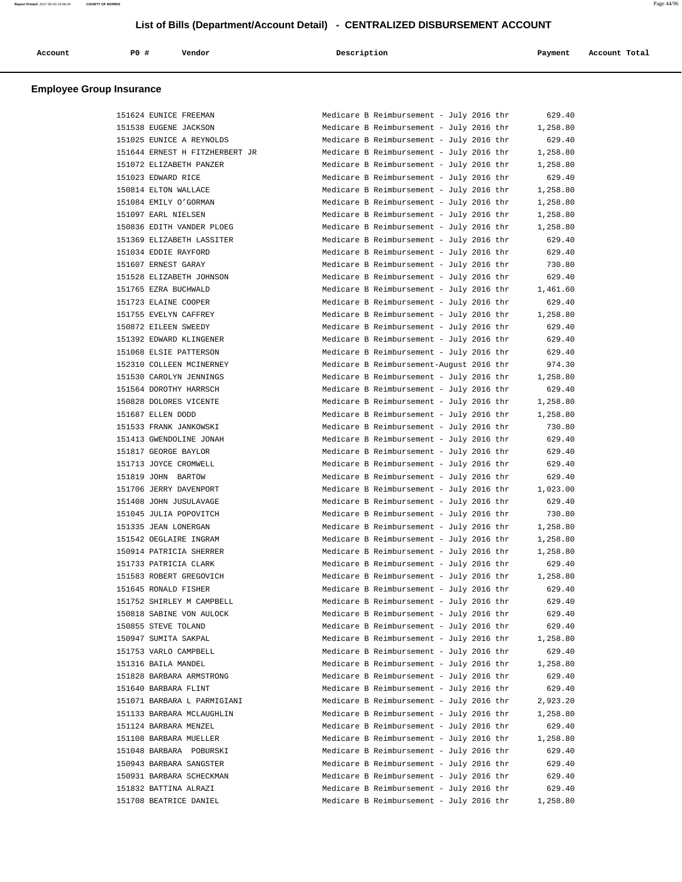| Account | P0 # | Vendor | Description | Payment | Account Total |
|---------|------|--------|-------------|---------|---------------|
|         |      |        |             |         |               |

| 151624 EUNICE FREEMAN          | Medicare B Reimbursement - July 2016 thr | 629.40   |
|--------------------------------|------------------------------------------|----------|
| 151538 EUGENE JACKSON          | Medicare B Reimbursement - July 2016 thr | 1,258.80 |
|                                |                                          |          |
| 151025 EUNICE A REYNOLDS       | Medicare B Reimbursement - July 2016 thr | 629.40   |
| 151644 ERNEST H FITZHERBERT JR | Medicare B Reimbursement - July 2016 thr | 1,258.80 |
| 151072 ELIZABETH PANZER        | Medicare B Reimbursement - July 2016 thr | 1,258.80 |
| 151023 EDWARD RICE             | Medicare B Reimbursement - July 2016 thr | 629.40   |
| 150814 ELTON WALLACE           | Medicare B Reimbursement - July 2016 thr | 1,258.80 |
| 151084 EMILY O'GORMAN          | Medicare B Reimbursement - July 2016 thr | 1,258.80 |
| 151097 EARL NIELSEN            | Medicare B Reimbursement - July 2016 thr | 1,258.80 |
| 150836 EDITH VANDER PLOEG      | Medicare B Reimbursement - July 2016 thr | 1,258.80 |
| 151369 ELIZABETH LASSITER      | Medicare B Reimbursement - July 2016 thr | 629.40   |
| 151034 EDDIE RAYFORD           | Medicare B Reimbursement - July 2016 thr | 629.40   |
| 151607 ERNEST GARAY            | Medicare B Reimbursement - July 2016 thr | 730.80   |
| 151528 ELIZABETH JOHNSON       | Medicare B Reimbursement - July 2016 thr | 629.40   |
| 151765 EZRA BUCHWALD           | Medicare B Reimbursement - July 2016 thr | 1,461.60 |
| 151723 ELAINE COOPER           | Medicare B Reimbursement - July 2016 thr | 629.40   |
| 151755 EVELYN CAFFREY          | Medicare B Reimbursement - July 2016 thr | 1,258.80 |
| 150872 EILEEN SWEEDY           |                                          | 629.40   |
|                                | Medicare B Reimbursement - July 2016 thr |          |
| 151392 EDWARD KLINGENER        | Medicare B Reimbursement - July 2016 thr | 629.40   |
| 151068 ELSIE PATTERSON         | Medicare B Reimbursement - July 2016 thr | 629.40   |
| 152310 COLLEEN MCINERNEY       | Medicare B Reimbursement-August 2016 thr | 974.30   |
| 151530 CAROLYN JENNINGS        | Medicare B Reimbursement - July 2016 thr | 1,258.80 |
| 151564 DOROTHY HARRSCH         | Medicare B Reimbursement - July 2016 thr | 629.40   |
| 150828 DOLORES VICENTE         | Medicare B Reimbursement - July 2016 thr | 1,258.80 |
| 151687 ELLEN DODD              | Medicare B Reimbursement - July 2016 thr | 1,258.80 |
| 151533 FRANK JANKOWSKI         | Medicare B Reimbursement - July 2016 thr | 730.80   |
| 151413 GWENDOLINE JONAH        | Medicare B Reimbursement - July 2016 thr | 629.40   |
| 151817 GEORGE BAYLOR           | Medicare B Reimbursement - July 2016 thr | 629.40   |
| 151713 JOYCE CROMWELL          | Medicare B Reimbursement - July 2016 thr | 629.40   |
| 151819 JOHN BARTOW             | Medicare B Reimbursement - July 2016 thr | 629.40   |
| 151706 JERRY DAVENPORT         | Medicare B Reimbursement - July 2016 thr | 1,023.00 |
| 151408 JOHN JUSULAVAGE         | Medicare B Reimbursement - July 2016 thr | 629.40   |
| 151045 JULIA POPOVITCH         | Medicare B Reimbursement - July 2016 thr | 730.80   |
| 151335 JEAN LONERGAN           | Medicare B Reimbursement - July 2016 thr | 1,258.80 |
| 151542 OEGLAIRE INGRAM         | Medicare B Reimbursement - July 2016 thr | 1,258.80 |
|                                |                                          |          |
| 150914 PATRICIA SHERRER        | Medicare B Reimbursement - July 2016 thr | 1,258.80 |
| 151733 PATRICIA CLARK          | Medicare B Reimbursement - July 2016 thr | 629.40   |
| 151583 ROBERT GREGOVICH        | Medicare B Reimbursement - July 2016 thr | 1,258.80 |
| 151645 RONALD FISHER           | Medicare B Reimbursement - July 2016 thr | 629.40   |
| 151752 SHIRLEY M CAMPBELL      | Medicare B Reimbursement - July 2016 thr | 629.40   |
| 150818 SABINE VON AULOCK       | Medicare B Reimbursement - July 2016 thr | 629.40   |
| 150855 STEVE TOLAND            | Medicare B Reimbursement - July 2016 thr | 629.40   |
| 150947 SUMITA SAKPAL           | Medicare B Reimbursement - July 2016 thr | 1,258.80 |
| 151753 VARLO CAMPBELL          | Medicare B Reimbursement - July 2016 thr | 629.40   |
| 151316 BAILA MANDEL            | Medicare B Reimbursement - July 2016 thr | 1,258.80 |
| 151828 BARBARA ARMSTRONG       | Medicare B Reimbursement - July 2016 thr | 629.40   |
| 151640 BARBARA FLINT           | Medicare B Reimbursement - July 2016 thr | 629.40   |
| 151071 BARBARA L PARMIGIANI    | Medicare B Reimbursement - July 2016 thr | 2,923.20 |
| 151133 BARBARA MCLAUGHLIN      | Medicare B Reimbursement - July 2016 thr | 1,258.80 |
| 151124 BARBARA MENZEL          | Medicare B Reimbursement - July 2016 thr | 629.40   |
| 151108 BARBARA MUELLER         | Medicare B Reimbursement - July 2016 thr | 1,258.80 |
| 151048 BARBARA POBURSKI        | Medicare B Reimbursement - July 2016 thr | 629.40   |
|                                |                                          |          |
| 150943 BARBARA SANGSTER        | Medicare B Reimbursement - July 2016 thr | 629.40   |
| 150931 BARBARA SCHECKMAN       | Medicare B Reimbursement - July 2016 thr | 629.40   |
| 151832 BATTINA ALRAZI          | Medicare B Reimbursement - July 2016 thr | 629.40   |
| 151708 BEATRICE DANIEL         | Medicare B Reimbursement - July 2016 thr | 1,258.80 |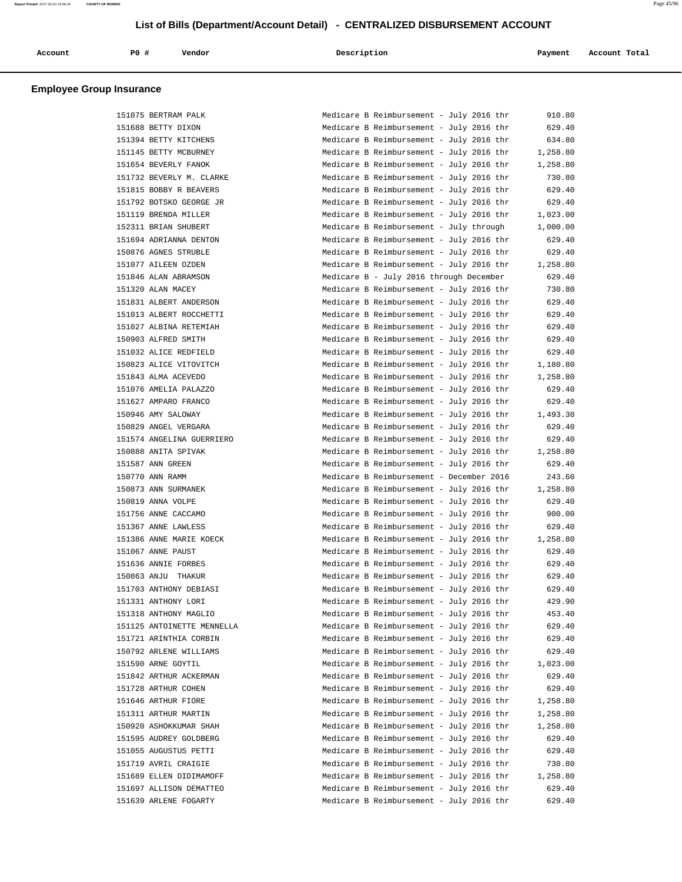| Account | <b>PO #</b> | Vendor | Description | Payment | Account Total<br>. |
|---------|-------------|--------|-------------|---------|--------------------|
|         |             |        |             |         |                    |

| 151075 BERTRAM PALK        | Medicare B Reimbursement - July 2016 thr                                             | 910.80           |
|----------------------------|--------------------------------------------------------------------------------------|------------------|
| 151688 BETTY DIXON         | Medicare B Reimbursement - July 2016 thr                                             | 629.40           |
| 151394 BETTY KITCHENS      | Medicare B Reimbursement - July 2016 thr                                             | 634.80           |
| 151145 BETTY MCBURNEY      | Medicare B Reimbursement - July 2016 thr                                             | 1,258.80         |
| 151654 BEVERLY FANOK       | Medicare B Reimbursement - July 2016 thr                                             | 1,258.80         |
| 151732 BEVERLY M. CLARKE   | Medicare B Reimbursement - July 2016 thr                                             | 730.80           |
| 151815 BOBBY R BEAVERS     | Medicare B Reimbursement - July 2016 thr                                             | 629.40           |
| 151792 BOTSKO GEORGE JR    | Medicare B Reimbursement - July 2016 thr                                             | 629.40           |
| 151119 BRENDA MILLER       | Medicare B Reimbursement - July 2016 thr                                             | 1,023.00         |
| 152311 BRIAN SHUBERT       | Medicare B Reimbursement - July through                                              | 1,000.00         |
| 151694 ADRIANNA DENTON     | Medicare B Reimbursement - July 2016 thr                                             | 629.40           |
| 150876 AGNES STRUBLE       | Medicare B Reimbursement - July 2016 thr                                             | 629.40           |
| 151077 AILEEN OZDEN        | Medicare B Reimbursement - July 2016 thr                                             | 1,258.80         |
| 151846 ALAN ABRAMSON       | Medicare B - July 2016 through December                                              | 629.40           |
| 151320 ALAN MACEY          | Medicare B Reimbursement - July 2016 thr                                             | 730.80           |
| 151831 ALBERT ANDERSON     | Medicare B Reimbursement - July 2016 thr                                             | 629.40           |
| 151013 ALBERT ROCCHETTI    | Medicare B Reimbursement - July 2016 thr                                             | 629.40           |
| 151027 ALBINA RETEMIAH     | Medicare B Reimbursement - July 2016 thr                                             | 629.40           |
| 150903 ALFRED SMITH        | Medicare B Reimbursement - July 2016 thr                                             | 629.40           |
| 151032 ALICE REDFIELD      | Medicare B Reimbursement - July 2016 thr                                             | 629.40           |
| 150823 ALICE VITOVITCH     | Medicare B Reimbursement - July 2016 thr                                             | 1,180.80         |
| 151843 ALMA ACEVEDO        | Medicare B Reimbursement - July 2016 thr                                             | 1,258.80         |
| 151076 AMELIA PALAZZO      | Medicare B Reimbursement - July 2016 thr                                             | 629.40           |
| 151627 AMPARO FRANCO       |                                                                                      | 629.40           |
| 150946 AMY SALOWAY         | Medicare B Reimbursement - July 2016 thr<br>Medicare B Reimbursement - July 2016 thr | 1,493.30         |
| 150829 ANGEL VERGARA       | Medicare B Reimbursement - July 2016 thr                                             | 629.40           |
| 151574 ANGELINA GUERRIERO  | Medicare B Reimbursement - July 2016 thr                                             | 629.40           |
| 150888 ANITA SPIVAK        | Medicare B Reimbursement - July 2016 thr                                             | 1,258.80         |
| 151587 ANN GREEN           | Medicare B Reimbursement - July 2016 thr                                             | 629.40           |
| 150770 ANN RAMM            | Medicare B Reimbursement - December 2016                                             | 243.60           |
| 150873 ANN SURMANEK        | Medicare B Reimbursement - July 2016 thr                                             | 1,258.80         |
| 150819 ANNA VOLPE          | Medicare B Reimbursement - July 2016 thr                                             | 629.40           |
| 151756 ANNE CACCAMO        | Medicare B Reimbursement - July 2016 thr                                             | 900.00           |
| 151367 ANNE LAWLESS        | Medicare B Reimbursement - July 2016 thr                                             | 629.40           |
| 151386 ANNE MARIE KOECK    | Medicare B Reimbursement - July 2016 thr                                             | 1,258.80         |
| 151067 ANNE PAUST          | Medicare B Reimbursement - July 2016 thr                                             | 629.40           |
| 151636 ANNIE FORBES        | Medicare B Reimbursement - July 2016 thr                                             | 629.40           |
| 150863 ANJU THAKUR         | Medicare B Reimbursement - July 2016 thr                                             | 629.40           |
| 151703 ANTHONY DEBIASI     | Medicare B Reimbursement - July 2016 thr                                             | 629.40           |
| 151331 ANTHONY LORI        | Medicare B Reimbursement - July 2016 thr                                             | 429.90           |
| 151318 ANTHONY MAGLIO      |                                                                                      |                  |
| 151125 ANTOINETTE MENNELLA | Medicare B Reimbursement - July 2016 thr<br>Medicare B Reimbursement - July 2016 thr | 453.40<br>629.40 |
|                            |                                                                                      |                  |
| 151721 ARINTHIA CORBIN     | Medicare B Reimbursement - July 2016 thr                                             | 629.40           |
| 150792 ARLENE WILLIAMS     | Medicare B Reimbursement - July 2016 thr                                             | 629.40           |
| 151590 ARNE GOYTIL         | Medicare B Reimbursement - July 2016 thr                                             | 1,023.00         |
| 151842 ARTHUR ACKERMAN     | Medicare B Reimbursement - July 2016 thr                                             | 629.40           |
| 151728 ARTHUR COHEN        | Medicare B Reimbursement - July 2016 thr                                             | 629.40           |
| 151646 ARTHUR FIORE        | Medicare B Reimbursement - July 2016 thr                                             | 1,258.80         |
| 151311 ARTHUR MARTIN       | Medicare B Reimbursement - July 2016 thr                                             | 1,258.80         |
| 150920 ASHOKKUMAR SHAH     | Medicare B Reimbursement - July 2016 thr                                             | 1,258.80         |
| 151595 AUDREY GOLDBERG     | Medicare B Reimbursement - July 2016 thr                                             | 629.40           |
| 151055 AUGUSTUS PETTI      | Medicare B Reimbursement - July 2016 thr                                             | 629.40           |
| 151719 AVRIL CRAIGIE       | Medicare B Reimbursement - July 2016 thr                                             | 730.80           |
| 151689 ELLEN DIDIMAMOFF    | Medicare B Reimbursement - July 2016 thr                                             | 1,258.80         |
| 151697 ALLISON DEMATTEO    | Medicare B Reimbursement - July 2016 thr                                             | 629.40           |
| 151639 ARLENE FOGARTY      | Medicare B Reimbursement - July 2016 thr                                             | 629.40           |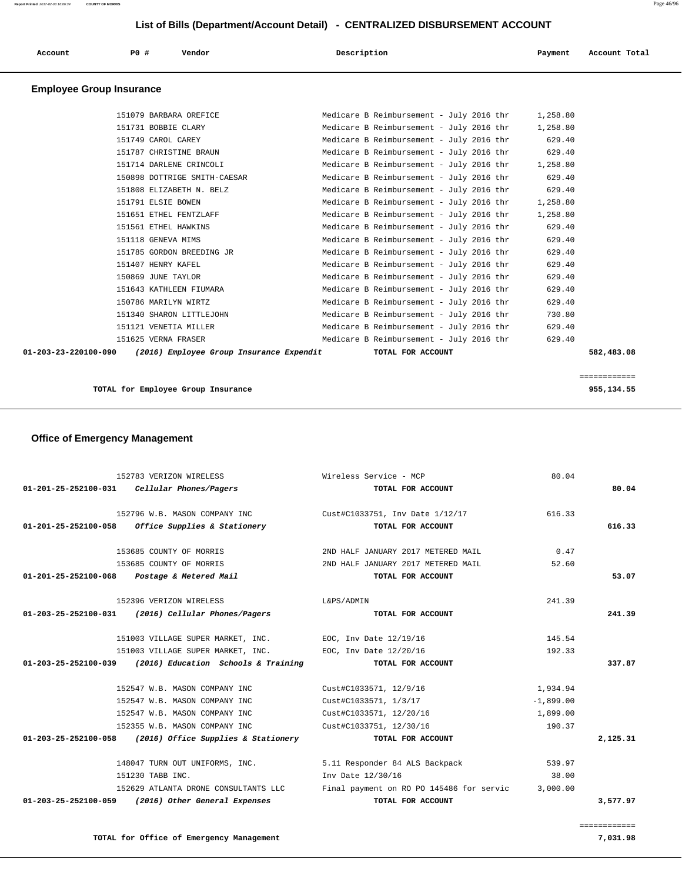| Account                         | PO#<br>Vendor                | Description                                        | Account Total<br>Payment |
|---------------------------------|------------------------------|----------------------------------------------------|--------------------------|
| <b>Employee Group Insurance</b> |                              |                                                    |                          |
|                                 | 151079 BARBARA OREFICE       | Medicare B Reimbursement - July 2016 thr           | 1,258.80                 |
|                                 | 151731 BOBBIE CLARY          | Medicare B Reimbursement - July 2016 thr           | 1,258.80                 |
|                                 | 151749 CAROL CAREY           | Medicare B Reimbursement - July 2016 thr           | 629.40                   |
|                                 | 151787 CHRISTINE BRAUN       | Medicare B Reimbursement - July 2016 thr           | 629.40                   |
|                                 | 151714 DARLENE CRINCOLI      | Medicare B Reimbursement - July 2016 thr           | 1,258.80                 |
|                                 | 150898 DOTTRIGE SMITH-CAESAR | Medicare B Reimbursement - July 2016 thr           | 629.40                   |
|                                 | 151808 ELIZABETH N. BELZ     | Medicare B Reimbursement - July 2016 thr           | 629.40                   |
|                                 | 151791 ELSIE BOWEN           | Medicare B Reimbursement - July 2016 thr           | 1,258.80                 |
|                                 | ססו ומיווחים וסטיוים וS1651  | Modianzo P Poimburgoment - $\text{unit } 2016$ thr | 1 250 00                 |

| 01-203-23-220100-090 | (2016) Employee Group Insurance Expendit | TOTAL FOR ACCOUNT                        | 582,483.08 |
|----------------------|------------------------------------------|------------------------------------------|------------|
|                      | 151625 VERNA FRASER                      | Medicare B Reimbursement - July 2016 thr | 629.40     |
|                      | 151121 VENETIA MILLER                    | Medicare B Reimbursement - July 2016 thr | 629.40     |
|                      | 151340 SHARON LITTLEJOHN                 | Medicare B Reimbursement - July 2016 thr | 730.80     |
|                      | 150786 MARILYN WIRTZ                     | Medicare B Reimbursement - July 2016 thr | 629.40     |
|                      | 151643 KATHLEEN FIUMARA                  | Medicare B Reimbursement - July 2016 thr | 629.40     |
|                      | 150869 JUNE TAYLOR                       | Medicare B Reimbursement - July 2016 thr | 629.40     |
|                      | 151407 HENRY KAFEL                       | Medicare B Reimbursement - July 2016 thr | 629.40     |
|                      | 151785 GORDON BREEDING JR                | Medicare B Reimbursement - July 2016 thr | 629.40     |
|                      | 151118 GENEVA MIMS                       | Medicare B Reimbursement - July 2016 thr | 629.40     |
|                      | 151561 ETHEL HAWKINS                     | Medicare B Reimbursement - July 2016 thr | 629.40     |
|                      | 151651 ETHEL FENTZLAFF                   | Medicare B Reimbursement - July 2016 thr | 1,258.80   |
|                      | 151791 ELSIE BOWEN                       | Medicare B Reimbursement - July 2016 thr | 1,258.80   |

**TOTAL for Employee Group Insurance 955,134.55**

============

# **Office of Emergency Management**

| 152783 VERIZON WIRELESS                                      | Wireless Service - MCP                                        | 80.04       |          |
|--------------------------------------------------------------|---------------------------------------------------------------|-------------|----------|
| 01-201-25-252100-031    Cellular Phones/Pagers               | TOTAL FOR ACCOUNT                                             |             | 80.04    |
| 152796 W.B. MASON COMPANY INC                                | Cust#C1033751, Inv Date 1/12/17                               | 616.33      |          |
| $01-201-25-252100-058$ Office Supplies & Stationery          | TOTAL FOR ACCOUNT                                             |             | 616.33   |
| 153685 COUNTY OF MORRIS                                      | 2ND HALF JANUARY 2017 METERED MAIL                            | 0.47        |          |
| 153685 COUNTY OF MORRIS                                      | 2ND HALF JANUARY 2017 METERED MAIL                            | 52.60       |          |
| 01-201-25-252100-068 Postage & Metered Mail                  | TOTAL FOR ACCOUNT                                             |             | 53.07    |
| 152396 VERIZON WIRELESS                                      | L&PS/ADMIN                                                    | 241.39      |          |
| $01 - 203 - 25 - 252100 - 031$ (2016) Cellular Phones/Pagers | TOTAL FOR ACCOUNT                                             |             | 241.39   |
| 151003 VILLAGE SUPER MARKET, INC. EOC, Inv Date 12/19/16     |                                                               | 145.54      |          |
| 151003 VILLAGE SUPER MARKET, INC. EOC, Inv Date 12/20/16     |                                                               | 192.33      |          |
| $01-203-25-252100-039$ (2016) Education Schools & Training   | TOTAL FOR ACCOUNT                                             |             | 337.87   |
| 152547 W.B. MASON COMPANY INC                                | Cust#C1033571, 12/9/16                                        | 1,934.94    |          |
| 152547 W.B. MASON COMPANY INC                                | Cust#C1033571, 1/3/17                                         | $-1,899.00$ |          |
| 152547 W.B. MASON COMPANY INC                                | Cust#C1033571, 12/20/16                                       | 1,899.00    |          |
| 152355 W.B. MASON COMPANY INC                                | Cust#C1033751, 12/30/16                                       | 190.37      |          |
| 01-203-25-252100-058 (2016) Office Supplies & Stationery     | TOTAL FOR ACCOUNT                                             |             | 2,125.31 |
|                                                              | 148047 TURN OUT UNIFORMS, INC. 5.11 Responder 84 ALS Backpack | 539.97      |          |
| 151230 TABB INC.                                             | Inv Date 12/30/16                                             | 38.00       |          |
| 152629 ATLANTA DRONE CONSULTANTS LLC                         | Final payment on RO PO 145486 for servic                      | 3,000.00    |          |
| 01-203-25-252100-059 (2016) Other General Expenses           | TOTAL FOR ACCOUNT                                             |             | 3,577.97 |
|                                                              |                                                               |             |          |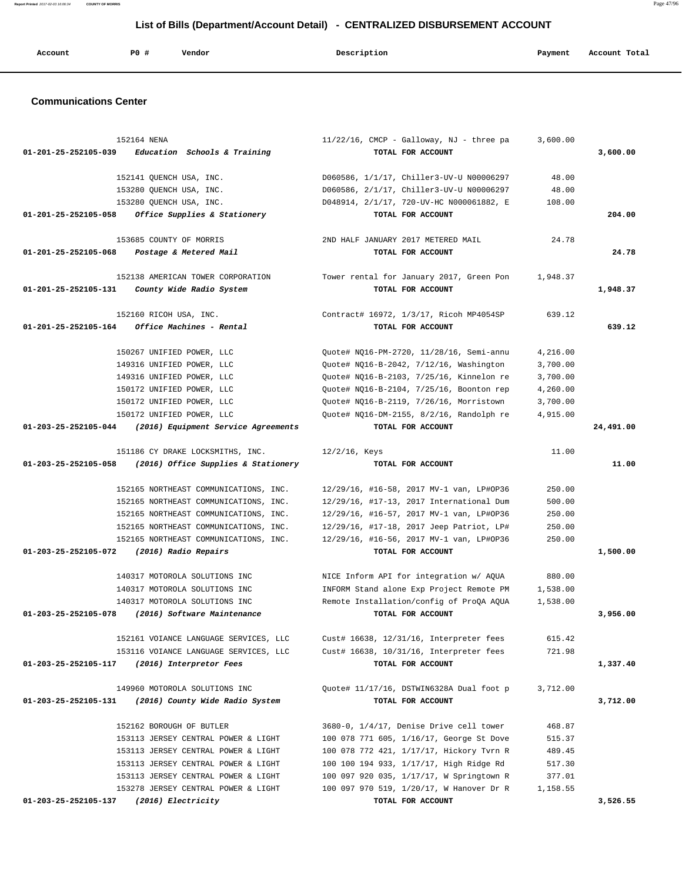| Account | P0 # | Vendor | Description | Payment | Account Total |
|---------|------|--------|-------------|---------|---------------|
|         |      |        |             |         |               |

## **Communications Center**

| 152164 NENA                                                 | $11/22/16$ , CMCP - Galloway, NJ - three pa | 3,600.00 |           |
|-------------------------------------------------------------|---------------------------------------------|----------|-----------|
| Education Schools & Training<br>01-201-25-252105-039        | TOTAL FOR ACCOUNT                           |          | 3,600.00  |
|                                                             |                                             |          |           |
| 152141 OUENCH USA, INC.                                     | D060586, 1/1/17, Chiller3-UV-U N00006297    | 48.00    |           |
| 153280 QUENCH USA, INC.                                     | D060586, 2/1/17, Chiller3-UV-U N00006297    | 48.00    |           |
| 153280 QUENCH USA, INC.                                     | D048914, 2/1/17, 720-UV-HC N000061882, E    | 108.00   |           |
| Office Supplies & Stationery<br>01-201-25-252105-058        | TOTAL FOR ACCOUNT                           |          | 204.00    |
| 153685 COUNTY OF MORRIS                                     | 2ND HALF JANUARY 2017 METERED MAIL          | 24.78    |           |
| 01-201-25-252105-068<br>Postage & Metered Mail              | TOTAL FOR ACCOUNT                           |          | 24.78     |
| 152138 AMERICAN TOWER CORPORATION                           | Tower rental for January 2017, Green Pon    | 1,948.37 |           |
| 01-201-25-252105-131<br>County Wide Radio System            | TOTAL FOR ACCOUNT                           |          | 1,948.37  |
| 152160 RICOH USA, INC.                                      | Contract# 16972, 1/3/17, Ricoh MP4054SP     | 639.12   |           |
| Office Machines - Rental<br>01-201-25-252105-164            | TOTAL FOR ACCOUNT                           |          | 639.12    |
| 150267 UNIFIED POWER, LLC                                   | Quote# NQ16-PM-2720, 11/28/16, Semi-annu    | 4,216.00 |           |
| 149316 UNIFIED POWER, LLC                                   | Quote# NQ16-B-2042, 7/12/16, Washington     | 3,700.00 |           |
| 149316 UNIFIED POWER, LLC                                   | Quote# NQ16-B-2103, 7/25/16, Kinnelon re    | 3,700.00 |           |
| 150172 UNIFIED POWER, LLC                                   | Quote# NQ16-B-2104, 7/25/16, Boonton rep    | 4,260.00 |           |
| 150172 UNIFIED POWER, LLC                                   | Quote# NQ16-B-2119, 7/26/16, Morristown     | 3,700.00 |           |
| 150172 UNIFIED POWER, LLC                                   | Quote# NQ16-DM-2155, 8/2/16, Randolph re    | 4,915.00 |           |
| 01-203-25-252105-044<br>(2016) Equipment Service Agreements | TOTAL FOR ACCOUNT                           |          | 24,491.00 |
| 151186 CY DRAKE LOCKSMITHS, INC.                            | $12/2/16$ , Keys                            | 11.00    |           |
| 01-203-25-252105-058<br>(2016) Office Supplies & Stationery | TOTAL FOR ACCOUNT                           |          | 11.00     |
| 152165 NORTHEAST COMMUNICATIONS, INC.                       | 12/29/16, #16-58, 2017 MV-1 van, LP#OP36    | 250.00   |           |
| 152165 NORTHEAST COMMUNICATIONS, INC.                       | 12/29/16, #17-13, 2017 International Dum    | 500.00   |           |
| 152165 NORTHEAST COMMUNICATIONS, INC.                       | 12/29/16, #16-57, 2017 MV-1 van, LP#OP36    | 250.00   |           |
| 152165 NORTHEAST COMMUNICATIONS, INC.                       | 12/29/16, #17-18, 2017 Jeep Patriot, LP#    | 250.00   |           |
| 152165 NORTHEAST COMMUNICATIONS, INC.                       | 12/29/16, #16-56, 2017 MV-1 van, LP#OP36    | 250.00   |           |
| 01-203-25-252105-072<br>(2016) Radio Repairs                | TOTAL FOR ACCOUNT                           |          | 1,500.00  |
| 140317 MOTOROLA SOLUTIONS INC                               | NICE Inform API for integration w/ AQUA     | 880.00   |           |
| 140317 MOTOROLA SOLUTIONS INC                               | INFORM Stand alone Exp Project Remote PM    | 1,538.00 |           |
| 140317 MOTOROLA SOLUTIONS INC                               | Remote Installation/config of ProQA AQUA    | 1,538.00 |           |
| 01-203-25-252105-078<br>(2016) Software Maintenance         | TOTAL FOR ACCOUNT                           |          | 3,956.00  |
| 152161 VOIANCE LANGUAGE SERVICES, LLC                       | Cust# 16638, 12/31/16, Interpreter fees     | 615.42   |           |
| 153116 VOIANCE LANGUAGE SERVICES, LLC                       | Cust# 16638, 10/31/16, Interpreter fees     | 721.98   |           |
| 01-203-25-252105-117<br>(2016) Interpretor Fees             | TOTAL FOR ACCOUNT                           |          | 1,337.40  |
| 149960 MOTOROLA SOLUTIONS INC                               | Quote# 11/17/16, DSTWIN6328A Dual foot p    | 3,712.00 |           |
| 01-203-25-252105-131<br>(2016) County Wide Radio System     | TOTAL FOR ACCOUNT                           |          | 3,712.00  |
| 152162 BOROUGH OF BUTLER                                    | 3680-0, 1/4/17, Denise Drive cell tower     | 468.87   |           |
| 153113 JERSEY CENTRAL POWER & LIGHT                         | 100 078 771 605, 1/16/17, George St Dove    | 515.37   |           |
| 153113 JERSEY CENTRAL POWER & LIGHT                         | 100 078 772 421, 1/17/17, Hickory Tvrn R    | 489.45   |           |
| 153113 JERSEY CENTRAL POWER & LIGHT                         | 100 100 194 933, 1/17/17, High Ridge Rd     | 517.30   |           |
| 153113 JERSEY CENTRAL POWER & LIGHT                         | 100 097 920 035, 1/17/17, W Springtown R    | 377.01   |           |
| 153278 JERSEY CENTRAL POWER & LIGHT                         | 100 097 970 519, 1/20/17, W Hanover Dr R    | 1,158.55 |           |
| (2016) Electricity<br>01-203-25-252105-137                  | TOTAL FOR ACCOUNT                           |          | 3,526.55  |

**Report Printed** 2017-02-03 16:06:34 **COUNTY OF MORRIS** Page 47/96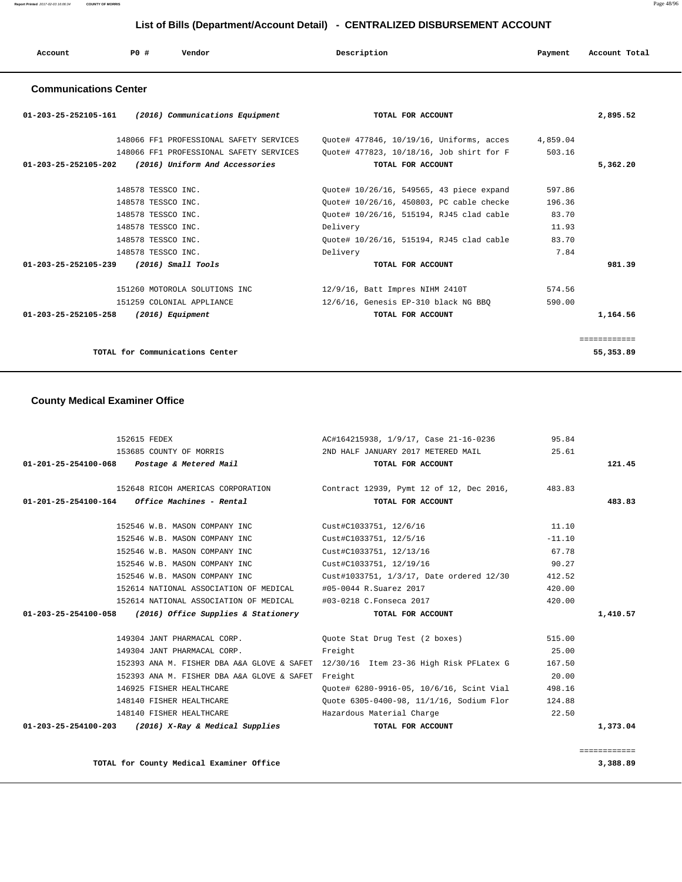| Account | <b>PO#</b> | Vendor | Description | Payment | Account Total |  |
|---------|------------|--------|-------------|---------|---------------|--|
|         |            |        |             |         |               |  |

## **Communications Center**

| $01 - 203 - 25 - 252105 - 161$ (2016) Communications Equipment   | TOTAL FOR ACCOUNT                        | 2,895.52     |
|------------------------------------------------------------------|------------------------------------------|--------------|
| 148066 FF1 PROFESSIONAL SAFETY SERVICES                          | Ouote# 477846, 10/19/16, Uniforms, acces | 4,859.04     |
| 148066 FF1 PROFESSIONAL SAFETY SERVICES                          | Ouote# 477823, 10/18/16, Job shirt for F | 503.16       |
| (2016) Uniform And Accessories<br>$01 - 203 - 25 - 252105 - 202$ | TOTAL FOR ACCOUNT                        | 5,362.20     |
|                                                                  |                                          |              |
| 148578 TESSCO INC.                                               | Ouote# 10/26/16, 549565, 43 piece expand | 597.86       |
| 148578 TESSCO INC.                                               | Quote# 10/26/16, 450803, PC cable checke | 196.36       |
| 148578 TESSCO INC.                                               | Ouote# 10/26/16, 515194, RJ45 clad cable | 83.70        |
| 148578 TESSCO INC.                                               | Delivery                                 | 11.93        |
| 148578 TESSCO INC.                                               | Ouote# 10/26/16, 515194, RJ45 clad cable | 83.70        |
| 148578 TESSCO INC.                                               | Delivery                                 | 7.84         |
| 01-203-25-252105-239 (2016) Small Tools                          | TOTAL FOR ACCOUNT                        | 981.39       |
| 151260 MOTOROLA SOLUTIONS INC                                    | 12/9/16, Batt Impres NIHM 2410T          | 574.56       |
| 151259 COLONIAL APPLIANCE                                        | $12/6/16$ , Genesis EP-310 black NG BBO  | 590.00       |
| 01-203-25-252105-258<br>(2016) Equipment                         | TOTAL FOR ACCOUNT                        | 1,164.56     |
|                                                                  |                                          |              |
|                                                                  |                                          | ============ |
| TOTAL for Communications Center                                  |                                          | 55,353.89    |

## **County Medical Examiner Office**

| 152615 FEDEX                                               |                                                                | AC#164215938, 1/9/17, Case 21-16-0236                                              | 95.84    |          |
|------------------------------------------------------------|----------------------------------------------------------------|------------------------------------------------------------------------------------|----------|----------|
|                                                            |                                                                | 153685 COUNTY OF MORRIS 2ND HALF JANUARY 2017 METERED MAIL                         | 25.61    |          |
| 01-201-25-254100-068  Postage & Metered Mail               |                                                                | TOTAL FOR ACCOUNT                                                                  |          | 121.45   |
|                                                            |                                                                |                                                                                    |          |          |
|                                                            |                                                                | 152648 RICOH AMERICAS CORPORATION Contract 12939, Pymt 12 of 12, Dec 2016, 483.83  |          |          |
| $01-201-25-254100-164$ Office Machines - Rental            |                                                                | TOTAL FOR ACCOUNT                                                                  |          | 483.83   |
|                                                            | 152546 W.B. MASON COMPANY INC                                  | Cust#C1033751, 12/6/16                                                             | 11.10    |          |
|                                                            | 152546 W.B. MASON COMPANY INC                                  | Cust#C1033751, 12/5/16                                                             | $-11.10$ |          |
|                                                            | 152546 W.B. MASON COMPANY INC                                  | Cust#C1033751, 12/13/16                                                            | 67.78    |          |
|                                                            | 152546 W.B. MASON COMPANY INC                                  | Cust#C1033751, 12/19/16                                                            | 90.27    |          |
|                                                            | 152546 W.B. MASON COMPANY INC                                  | Cust#1033751, 1/3/17, Date ordered 12/30                                           | 412.52   |          |
|                                                            | 152614 NATIONAL ASSOCIATION OF MEDICAL                         | #05-0044 R.Suarez 2017                                                             | 420.00   |          |
|                                                            |                                                                |                                                                                    |          |          |
|                                                            | 152614 NATIONAL ASSOCIATION OF MEDICAL #03-0218 C.Fonseca 2017 |                                                                                    | 420.00   |          |
| $01-203-25-254100-058$ (2016) Office Supplies & Stationery |                                                                | TOTAL FOR ACCOUNT                                                                  |          | 1,410.57 |
|                                                            | 149304 JANT PHARMACAL CORP.                                    | Ouote Stat Drug Test (2 boxes)                                                     | 515.00   |          |
|                                                            | 149304 JANT PHARMACAL CORP.                                    | Freight                                                                            | 25.00    |          |
|                                                            |                                                                | 152393 ANA M. FISHER DBA A&A GLOVE & SAFET 12/30/16 Item 23-36 High Risk PFLatex G | 167.50   |          |
|                                                            | 152393 ANA M. FISHER DBA A&A GLOVE & SAFET Freight             |                                                                                    | 20.00    |          |
|                                                            | 146925 FISHER HEALTHCARE                                       | Quote# 6280-9916-05, 10/6/16, Scint Vial                                           | 498.16   |          |
|                                                            | 148140 FISHER HEALTHCARE                                       | Ouote 6305-0400-98, 11/1/16, Sodium Flor                                           | 124.88   |          |
|                                                            |                                                                | 148140 FISHER HEALTHCARE THE Hazardous Material Charge                             | 22.50    |          |
| $01-203-25-254100-203$ (2016) X-Ray & Medical Supplies     |                                                                | TOTAL FOR ACCOUNT                                                                  |          | 1,373.04 |
|                                                            |                                                                |                                                                                    |          |          |

**TOTAL for County Medical Examiner Office 3,388.89**

============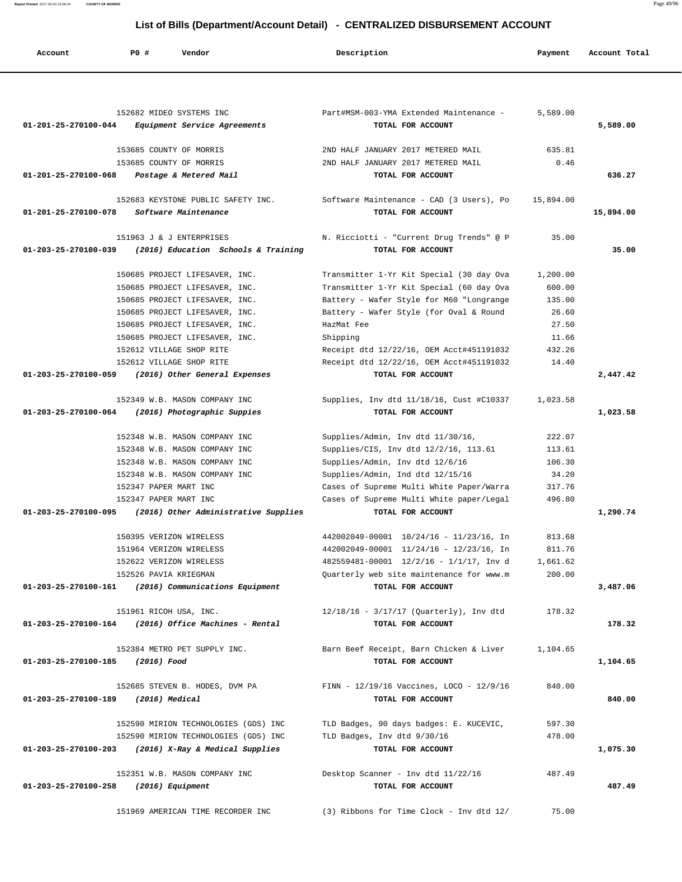**Report Printed** 2017-02-03 16:06:34 **COUNTY OF MORRIS** Page 49/96

# **List of Bills (Department/Account Detail) - CENTRALIZED DISBURSEMENT ACCOUNT**

| Account              | PO#                     | Vendor                                            | Description                                             | Payment   | Account Total |
|----------------------|-------------------------|---------------------------------------------------|---------------------------------------------------------|-----------|---------------|
|                      |                         |                                                   |                                                         |           |               |
|                      |                         | 152682 MIDEO SYSTEMS INC                          | Part#MSM-003-YMA Extended Maintenance -                 | 5,589.00  |               |
| 01-201-25-270100-044 |                         | Equipment Service Agreements                      | TOTAL FOR ACCOUNT                                       |           | 5,589.00      |
|                      |                         | 153685 COUNTY OF MORRIS                           | 2ND HALF JANUARY 2017 METERED MAIL                      | 635.81    |               |
|                      |                         | 153685 COUNTY OF MORRIS                           | 2ND HALF JANUARY 2017 METERED MAIL                      | 0.46      |               |
| 01-201-25-270100-068 |                         | Postage & Metered Mail                            | TOTAL FOR ACCOUNT                                       |           | 636.27        |
|                      |                         | 152683 KEYSTONE PUBLIC SAFETY INC.                | Software Maintenance - CAD (3 Users), Po                | 15,894.00 |               |
| 01-201-25-270100-078 |                         | Software Maintenance                              | TOTAL FOR ACCOUNT                                       |           | 15,894.00     |
|                      |                         | 151963 J & J ENTERPRISES                          | N. Ricciotti - "Current Drug Trends" @ P                | 35.00     |               |
| 01-203-25-270100-039 |                         | (2016) Education Schools & Training               | TOTAL FOR ACCOUNT                                       |           | 35.00         |
|                      |                         | 150685 PROJECT LIFESAVER, INC.                    | Transmitter 1-Yr Kit Special (30 day Ova                | 1,200.00  |               |
|                      |                         | 150685 PROJECT LIFESAVER, INC.                    | Transmitter 1-Yr Kit Special (60 day Ova                | 600.00    |               |
|                      |                         | 150685 PROJECT LIFESAVER, INC.                    | Battery - Wafer Style for M60 "Longrange                | 135.00    |               |
|                      |                         | 150685 PROJECT LIFESAVER, INC.                    | Battery - Wafer Style (for Oval & Round                 | 26.60     |               |
|                      |                         | 150685 PROJECT LIFESAVER, INC.                    | HazMat Fee                                              | 27.50     |               |
|                      |                         | 150685 PROJECT LIFESAVER, INC.                    | Shipping                                                | 11.66     |               |
|                      |                         | 152612 VILLAGE SHOP RITE                          | Receipt dtd 12/22/16, OEM Acct#451191032                | 432.26    |               |
|                      |                         | 152612 VILLAGE SHOP RITE                          | Receipt dtd 12/22/16, OEM Acct#451191032                | 14.40     |               |
| 01-203-25-270100-059 |                         | (2016) Other General Expenses                     | TOTAL FOR ACCOUNT                                       |           | 2,447.42      |
|                      |                         | 152349 W.B. MASON COMPANY INC                     | Supplies, Inv dtd 11/18/16, Cust #C10337                | 1,023.58  |               |
| 01-203-25-270100-064 |                         | (2016) Photographic Suppies                       | TOTAL FOR ACCOUNT                                       |           | 1,023.58      |
|                      |                         | 152348 W.B. MASON COMPANY INC                     | Supplies/Admin, Inv dtd 11/30/16,                       | 222.07    |               |
|                      |                         | 152348 W.B. MASON COMPANY INC                     | Supplies/CIS, Inv dtd 12/2/16, 113.61                   | 113.61    |               |
|                      |                         | 152348 W.B. MASON COMPANY INC                     | Supplies/Admin, Inv dtd 12/6/16                         | 106.30    |               |
|                      |                         | 152348 W.B. MASON COMPANY INC                     | Supplies/Admin, Ind dtd 12/15/16                        | 34.20     |               |
|                      | 152347 PAPER MART INC   |                                                   | Cases of Supreme Multi White Paper/Warra                | 317.76    |               |
|                      | 152347 PAPER MART INC   |                                                   | Cases of Supreme Multi White paper/Legal                | 496.80    |               |
| 01-203-25-270100-095 |                         | (2016) Other Administrative Supplies              | TOTAL FOR ACCOUNT                                       |           | 1,290.74      |
|                      | 150395 VERIZON WIRELESS |                                                   | 442002049-00001 10/24/16 - 11/23/16, In                 | 813.68    |               |
|                      |                         | 151964 VERIZON WIRELESS                           | 442002049-00001 11/24/16 - 12/23/16, In                 | 811.76    |               |
|                      |                         | 152622 VERIZON WIRELESS                           | 482559481-00001 12/2/16 - 1/1/17, Inv d                 | 1,661.62  |               |
|                      | 152526 PAVIA KRIEGMAN   |                                                   | Quarterly web site maintenance for www.m                | 200.00    |               |
| 01-203-25-270100-161 |                         | (2016) Communications Equipment                   | TOTAL FOR ACCOUNT                                       |           | 3,487.06      |
|                      | 151961 RICOH USA, INC.  |                                                   | $12/18/16 - 3/17/17$ (Quarterly), Inv dtd               | 178.32    |               |
| 01-203-25-270100-164 |                         | (2016) Office Machines - Rental                   | TOTAL FOR ACCOUNT                                       |           | 178.32        |
|                      |                         | 152384 METRO PET SUPPLY INC.                      | Barn Beef Receipt, Barn Chicken & Liver                 | 1,104.65  |               |
| 01-203-25-270100-185 | (2016) Food             |                                                   | TOTAL FOR ACCOUNT                                       |           | 1,104.65      |
|                      |                         | 152685 STEVEN B. HODES, DVM PA                    | FINN - 12/19/16 Vaccines, LOCO - 12/9/16                | 840.00    |               |
| 01-203-25-270100-189 | (2016) Medical          |                                                   | TOTAL FOR ACCOUNT                                       |           | 840.00        |
|                      |                         | 152590 MIRION TECHNOLOGIES (GDS) INC              | TLD Badges, 90 days badges: E. KUCEVIC,                 | 597.30    |               |
|                      |                         | 152590 MIRION TECHNOLOGIES (GDS) INC              | TLD Badges, Inv dtd 9/30/16                             | 478.00    |               |
| 01-203-25-270100-203 |                         | (2016) X-Ray & Medical Supplies                   | TOTAL FOR ACCOUNT                                       |           | 1,075.30      |
|                      |                         |                                                   |                                                         |           |               |
| 01-203-25-270100-258 |                         | 152351 W.B. MASON COMPANY INC<br>(2016) Equipment | Desktop Scanner - Inv dtd 11/22/16<br>TOTAL FOR ACCOUNT | 487.49    | 487.49        |
|                      |                         |                                                   |                                                         |           |               |
|                      |                         | 151969 AMERICAN TIME RECORDER INC                 | (3) Ribbons for Time Clock - Inv dtd 12/                | 75.00     |               |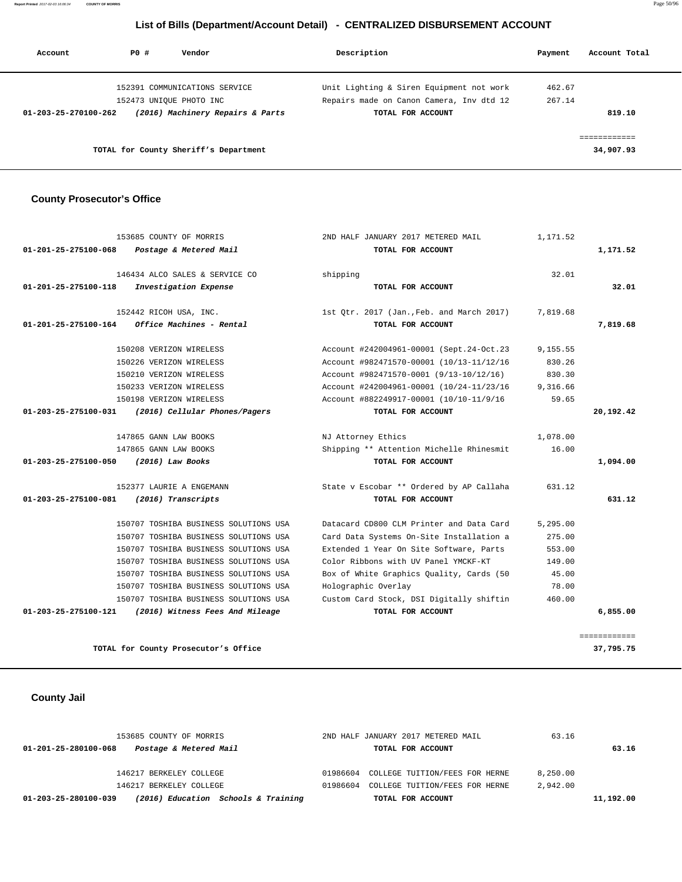**Report Printed** 2017-02-03 16:06:34 **COUNTY OF MORRIS** Page 50/96

# **List of Bills (Department/Account Detail) - CENTRALIZED DISBURSEMENT ACCOUNT**

| Account              | PO# | Vendor                                | Description                              | Payment | Account Total |
|----------------------|-----|---------------------------------------|------------------------------------------|---------|---------------|
|                      |     | 152391 COMMUNICATIONS SERVICE         | Unit Lighting & Siren Equipment not work | 462.67  |               |
|                      |     | 152473 UNIOUE PHOTO INC               | Repairs made on Canon Camera, Inv dtd 12 | 267.14  |               |
| 01-203-25-270100-262 |     | (2016) Machinery Repairs & Parts      | TOTAL FOR ACCOUNT                        |         | 819.10        |
|                      |     |                                       |                                          |         | ------------  |
|                      |     | TOTAL for County Sheriff's Department |                                          |         | 34,907.93     |

## **County Prosecutor's Office**

|           | 1,171.52 | 2ND HALF JANUARY 2017 METERED MAIL        | 153685 COUNTY OF MORRIS               |                      |
|-----------|----------|-------------------------------------------|---------------------------------------|----------------------|
| 1,171.52  |          | TOTAL FOR ACCOUNT                         | Postage & Metered Mail                | 01-201-25-275100-068 |
|           | 32.01    | shipping                                  | 146434 ALCO SALES & SERVICE CO        |                      |
| 32.01     |          | TOTAL FOR ACCOUNT                         | Investigation Expense                 | 01-201-25-275100-118 |
|           | 7,819.68 | 1st Otr. 2017 (Jan., Feb. and March 2017) | 152442 RICOH USA, INC.                |                      |
| 7,819.68  |          | TOTAL FOR ACCOUNT                         | Office Machines - Rental              | 01-201-25-275100-164 |
|           | 9,155.55 | Account #242004961-00001 (Sept.24-Oct.23  | 150208 VERIZON WIRELESS               |                      |
|           | 830.26   | Account #982471570-00001 (10/13-11/12/16  | 150226 VERIZON WIRELESS               |                      |
|           | 830.30   | Account #982471570-0001 (9/13-10/12/16)   | 150210 VERIZON WIRELESS               |                      |
|           | 9,316.66 | Account #242004961-00001 (10/24-11/23/16  | 150233 VERIZON WIRELESS               |                      |
|           | 59.65    | Account #882249917-00001 (10/10-11/9/16   | 150198 VERIZON WIRELESS               |                      |
| 20,192.42 |          | TOTAL FOR ACCOUNT                         | (2016) Cellular Phones/Pagers         | 01-203-25-275100-031 |
|           | 1,078.00 | NJ Attorney Ethics                        | 147865 GANN LAW BOOKS                 |                      |
|           | 16.00    | Shipping ** Attention Michelle Rhinesmit  | 147865 GANN LAW BOOKS                 |                      |
| 1,094.00  |          | TOTAL FOR ACCOUNT                         | $(2016)$ Law Books                    | 01-203-25-275100-050 |
|           | 631.12   | State v Escobar ** Ordered by AP Callaha  | 152377 LAURIE A ENGEMANN              |                      |
| 631.12    |          | TOTAL FOR ACCOUNT                         | (2016) Transcripts                    | 01-203-25-275100-081 |
|           | 5,295.00 | Datacard CD800 CLM Printer and Data Card  | 150707 TOSHIBA BUSINESS SOLUTIONS USA |                      |
|           | 275.00   | Card Data Systems On-Site Installation a  | 150707 TOSHIBA BUSINESS SOLUTIONS USA |                      |
|           | 553.00   | Extended 1 Year On Site Software, Parts   | 150707 TOSHIBA BUSINESS SOLUTIONS USA |                      |
|           | 149.00   | Color Ribbons with UV Panel YMCKF-KT      | 150707 TOSHIBA BUSINESS SOLUTIONS USA |                      |
|           | 45.00    | Box of White Graphics Quality, Cards (50  | 150707 TOSHIBA BUSINESS SOLUTIONS USA |                      |
|           | 78.00    | Holographic Overlay                       | 150707 TOSHIBA BUSINESS SOLUTIONS USA |                      |
|           | 460.00   | Custom Card Stock, DSI Digitally shiftin  | 150707 TOSHIBA BUSINESS SOLUTIONS USA |                      |
|           |          |                                           |                                       |                      |

# **County Jail**

| 153685 COUNTY OF MORRIS                                     | 2ND HALF JANUARY 2017 METERED MAIL      | 63.16     |
|-------------------------------------------------------------|-----------------------------------------|-----------|
| Postage & Metered Mail<br>01-201-25-280100-068              | TOTAL FOR ACCOUNT                       | 63.16     |
|                                                             |                                         |           |
| 146217 BERKELEY COLLEGE                                     | 01986604 COLLEGE TUITION/FEES FOR HERNE | 8.250.00  |
| 146217 BERKELEY COLLEGE                                     | 01986604 COLLEGE TUITION/FEES FOR HERNE | 2,942.00  |
| (2016) Education Schools & Training<br>01-203-25-280100-039 | TOTAL FOR ACCOUNT                       | 11,192.00 |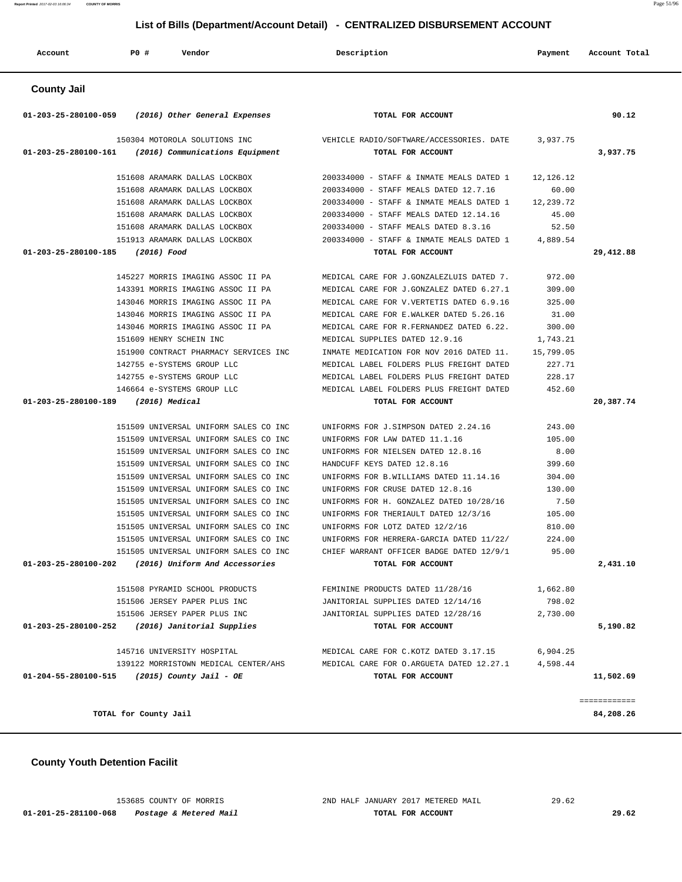### **County Youth Detention Facilit**

| AGGOUNG                             |                                                                                         |                                                                        |          |              |
|-------------------------------------|-----------------------------------------------------------------------------------------|------------------------------------------------------------------------|----------|--------------|
| <b>County Jail</b>                  |                                                                                         |                                                                        |          |              |
|                                     | $01-203-25-280100-059$ (2016) Other General Expenses                                    | TOTAL FOR ACCOUNT                                                      |          | 90.12        |
|                                     | 150304 MOTOROLA SOLUTIONS INC<br>$01-203-25-280100-161$ (2016) Communications Equipment | VEHICLE RADIO/SOFTWARE/ACCESSORIES. DATE 3,937.75<br>TOTAL FOR ACCOUNT |          | 3,937.75     |
|                                     | 151608 ARAMARK DALLAS LOCKBOX                                                           | 200334000 - STAFF & INMATE MEALS DATED 1 12,126.12                     |          |              |
|                                     | 151608 ARAMARK DALLAS LOCKBOX                                                           | 200334000 - STAFF MEALS DATED 12.7.16                                  | 60.00    |              |
|                                     | 151608 ARAMARK DALLAS LOCKBOX                                                           | 200334000 - STAFF & INMATE MEALS DATED 1 12,239.72                     |          |              |
|                                     | 151608 ARAMARK DALLAS LOCKBOX                                                           | 200334000 - STAFF MEALS DATED 12.14.16                                 | 45.00    |              |
|                                     | 151608 ARAMARK DALLAS LOCKBOX                                                           | 200334000 - STAFF MEALS DATED 8.3.16                                   | 52.50    |              |
|                                     | 151913 ARAMARK DALLAS LOCKBOX                                                           | 200334000 - STAFF & INMATE MEALS DATED 1 4,889.54                      |          |              |
| 01-203-25-280100-185 (2016) Food    |                                                                                         | TOTAL FOR ACCOUNT                                                      |          | 29,412.88    |
|                                     | 145227 MORRIS IMAGING ASSOC II PA                                                       | MEDICAL CARE FOR J.GONZALEZLUIS DATED 7.                               | 972.00   |              |
|                                     | 143391 MORRIS IMAGING ASSOC II PA                                                       | MEDICAL CARE FOR J.GONZALEZ DATED 6.27.1                               | 309.00   |              |
|                                     | 143046 MORRIS IMAGING ASSOC II PA                                                       | MEDICAL CARE FOR V.VERTETIS DATED 6.9.16                               | 325.00   |              |
|                                     | 143046 MORRIS IMAGING ASSOC II PA                                                       | MEDICAL CARE FOR E.WALKER DATED 5.26.16                                | 31.00    |              |
|                                     | 143046 MORRIS IMAGING ASSOC II PA                                                       | MEDICAL CARE FOR R.FERNANDEZ DATED 6.22.                               | 300.00   |              |
|                                     | 151609 HENRY SCHEIN INC                                                                 | MEDICAL SUPPLIES DATED 12.9.16                                         | 1,743.21 |              |
|                                     | 151900 CONTRACT PHARMACY SERVICES INC                                                   | INMATE MEDICATION FOR NOV 2016 DATED 11. 15,799.05                     |          |              |
|                                     | 142755 e-SYSTEMS GROUP LLC                                                              | MEDICAL LABEL FOLDERS PLUS FREIGHT DATED                               | 227.71   |              |
|                                     | 142755 e-SYSTEMS GROUP LLC                                                              | MEDICAL LABEL FOLDERS PLUS FREIGHT DATED                               | 228.17   |              |
|                                     | 146664 e-SYSTEMS GROUP LLC                                                              | MEDICAL LABEL FOLDERS PLUS FREIGHT DATED 452.60                        |          |              |
| 01-203-25-280100-189 (2016) Medical |                                                                                         | TOTAL FOR ACCOUNT                                                      |          | 20,387.74    |
|                                     | 151509 UNIVERSAL UNIFORM SALES CO INC                                                   | UNIFORMS FOR J.SIMPSON DATED 2.24.16                                   | 243.00   |              |
|                                     | 151509 UNIVERSAL UNIFORM SALES CO INC                                                   | UNIFORMS FOR LAW DATED 11.1.16                                         | 105.00   |              |
|                                     | 151509 UNIVERSAL UNIFORM SALES CO INC                                                   | UNIFORMS FOR NIELSEN DATED 12.8.16                                     | 8.00     |              |
|                                     | 151509 UNIVERSAL UNIFORM SALES CO INC                                                   | HANDCUFF KEYS DATED 12.8.16                                            | 399.60   |              |
|                                     | 151509 UNIVERSAL UNIFORM SALES CO INC                                                   | UNIFORMS FOR B.WILLIAMS DATED 11.14.16 304.00                          |          |              |
|                                     | 151509 UNIVERSAL UNIFORM SALES CO INC                                                   | UNIFORMS FOR CRUSE DATED 12.8.16                                       | 130.00   |              |
|                                     | 151505 UNIVERSAL UNIFORM SALES CO INC                                                   | UNIFORMS FOR H. GONZALEZ DATED 10/28/16                                | 7.50     |              |
|                                     | 151505 UNIVERSAL UNIFORM SALES CO INC                                                   | UNIFORMS FOR THERIAULT DATED 12/3/16                                   | 105.00   |              |
|                                     | 151505 UNIVERSAL UNIFORM SALES CO INC                                                   | UNIFORMS FOR LOTZ DATED 12/2/16                                        | 810.00   |              |
|                                     | 151505 UNIVERSAL UNIFORM SALES CO INC                                                   | UNIFORMS FOR HERRERA-GARCIA DATED 11/22/                               | 224.00   |              |
|                                     | 151505 UNIVERSAL UNIFORM SALES CO INC                                                   | CHIEF WARRANT OFFICER BADGE DATED 12/9/1                               | 95.00    |              |
| 01-203-25-280100-202                | (2016) Uniform And Accessories                                                          | TOTAL FOR ACCOUNT                                                      |          | 2,431.10     |
|                                     | 151508 PYRAMID SCHOOL PRODUCTS                                                          | FEMININE PRODUCTS DATED 11/28/16                                       | 1,662.80 |              |
|                                     | 151506 JERSEY PAPER PLUS INC                                                            | JANITORIAL SUPPLIES DATED 12/14/16                                     | 798.02   |              |
|                                     | 151506 JERSEY PAPER PLUS INC                                                            | JANITORIAL SUPPLIES DATED 12/28/16                                     | 2,730.00 |              |
| 01-203-25-280100-252                | (2016) Janitorial Supplies                                                              | TOTAL FOR ACCOUNT                                                      |          | 5,190.82     |
|                                     | 145716 UNIVERSITY HOSPITAL                                                              | MEDICAL CARE FOR C.KOTZ DATED 3.17.15                                  | 6,904.25 |              |
|                                     | 139122 MORRISTOWN MEDICAL CENTER/AHS                                                    | MEDICAL CARE FOR O.ARGUETA DATED 12.27.1                               | 4,598.44 |              |
| 01-204-55-280100-515                | (2015) County Jail - OE                                                                 | TOTAL FOR ACCOUNT                                                      |          | 11,502.69    |
|                                     |                                                                                         |                                                                        |          | ============ |
|                                     | TOTAL for County Jail                                                                   |                                                                        |          | 84,208.26    |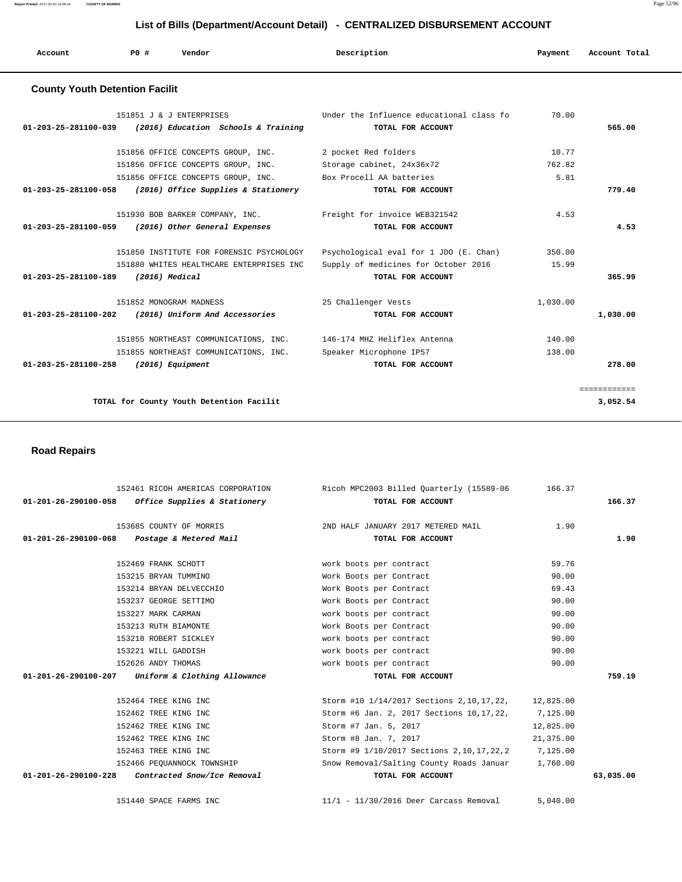| Account                               | PO# | Vendor | Description | Payment | Account Total |
|---------------------------------------|-----|--------|-------------|---------|---------------|
| <b>County Youth Detention Facilit</b> |     |        |             |         |               |

| 70.00                                            | 565.00       |
|--------------------------------------------------|--------------|
| 10.77                                            |              |
| 762.82                                           |              |
| 5.81                                             |              |
|                                                  | 779.40       |
| 4.53                                             |              |
|                                                  | 4.53         |
| Psychological eval for 1 JDO (E. Chan)<br>350.00 |              |
| Supply of medicines for October 2016<br>15.99    |              |
|                                                  | 365.99       |
| 1,030.00                                         |              |
|                                                  | 1,030.00     |
| 140.00                                           |              |
| 138.00                                           |              |
|                                                  | 278.00       |
|                                                  | ============ |
|                                                  | 3,052.54     |
|                                                  |              |

 **Road Repairs** 

|                      | 152461 RICOH AMERICAS CORPORATION                   | Ricoh MPC2003 Billed Quarterly (15589-06               | 166.37    |           |
|----------------------|-----------------------------------------------------|--------------------------------------------------------|-----------|-----------|
|                      | $01-201-26-290100-058$ Office Supplies & Stationery | TOTAL FOR ACCOUNT                                      |           | 166.37    |
|                      | 153685 COUNTY OF MORRIS                             | 2ND HALF JANUARY 2017 METERED MAIL                     | 1.90      |           |
| 01-201-26-290100-068 | Postage & Metered Mail                              | TOTAL FOR ACCOUNT                                      |           | 1.90      |
|                      | 152469 FRANK SCHOTT                                 | work boots per contract                                | 59.76     |           |
|                      | 153215 BRYAN TUMMINO                                | Work Boots per Contract                                | 90.00     |           |
|                      | 153214 BRYAN DELVECCHIO                             | Work Boots per Contract                                | 69.43     |           |
|                      | 153237 GEORGE SETTIMO                               | Work Boots per Contract                                | 90.00     |           |
|                      | 153227 MARK CARMAN                                  | work boots per contract                                | 90.00     |           |
|                      | 153213 RUTH BIAMONTE                                | Work Boots per Contract                                | 90.00     |           |
|                      | 153218 ROBERT SICKLEY                               | work boots per contract                                | 90.00     |           |
|                      | 153221 WILL GADDISH                                 | work boots per contract                                | 90.00     |           |
|                      | 152626 ANDY THOMAS                                  | work boots per contract                                | 90.00     |           |
|                      | 01-201-26-290100-207 Uniform & Clothing Allowance   | TOTAL FOR ACCOUNT                                      |           | 759.19    |
|                      | 152464 TREE KING INC                                | Storm #10 1/14/2017 Sections 2, 10, 17, 22, 12, 825.00 |           |           |
|                      | 152462 TREE KING INC                                | Storm #6 Jan. 2, 2017 Sections 10,17,22,               | 7,125.00  |           |
|                      | 152462 TREE KING INC                                | Storm #7 Jan. 5, 2017                                  | 12,825.00 |           |
|                      | 152462 TREE KING INC                                | Storm #8 Jan. 7, 2017                                  | 21,375.00 |           |
|                      | 152463 TREE KING INC                                | Storm #9 1/10/2017 Sections 2, 10, 17, 22, 2 7, 125.00 |           |           |
|                      | 152466 PEOUANNOCK TOWNSHIP                          | Snow Removal/Salting County Roads Januar 1,760.00      |           |           |
|                      | 01-201-26-290100-228 Contracted Snow/Ice Removal    | TOTAL FOR ACCOUNT                                      |           | 63,035.00 |
|                      | 151440 SPACE FARMS INC                              | 11/1 - 11/30/2016 Deer Carcass Removal                 | 5,040.00  |           |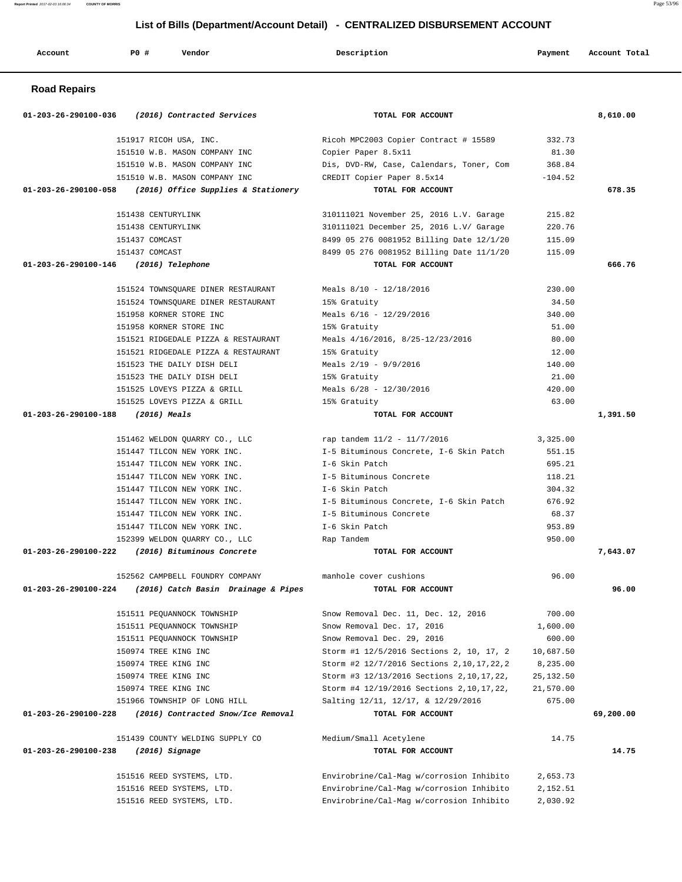**Road Repairs 01-203-26-290100-036 (2016) Contracted Services TOTAL FOR ACCOUNT 8,610.00** 151917 RICOH USA, INC. Ricoh MPC2003 Copier Contract # 15589 332.73 151510 W.B. MASON COMPANY INC Copier Paper 8.5x11 81.30 151510 W.B. MASON COMPANY INC Dis, DVD-RW, Case, Calendars, Toner, Com 368.84 151510 W.B. MASON COMPANY INC CREDIT Copier Paper 8.5x14 -104.52  **01-203-26-290100-058 (2016) Office Supplies & Stationery TOTAL FOR ACCOUNT 678.35** 151438 CENTURYLINK 310111021 November 25, 2016 L.V. Garage 215.82 151438 CENTURYLINK 310111021 December 25, 2016 L.V/ Garage 220.76 151437 COMCAST 8499 05 276 0081952 Billing Date 12/1/20 115.09 151437 COMCAST 8499 05 276 0081952 Billing Date 11/1/20 115.09  **01-203-26-290100-146 (2016) Telephone TOTAL FOR ACCOUNT 666.76** 151524 TOWNSQUARE DINER RESTAURANT Meals 8/10 - 12/18/2016 230.00 151524 TOWNSQUARE DINER RESTAURANT 15% Gratuity 34.50 151958 KORNER STORE INC Meals 6/16 - 12/29/2016 340.00 151958 KORNER STORE INC 15% Gratuity 51.00 151521 RIDGEDALE PIZZA & RESTAURANT Meals 4/16/2016, 8/25-12/23/2016 80.00 151521 RIDGEDALE PIZZA & RESTAURANT 15% Gratuity 12.00 151523 THE DAILY DISH DELI Meals 2/19 - 9/9/2016 140.00 151523 THE DAILY DISH DELI 15% Gratuity 15% Gratuity 21.00 151525 LOVEYS PIZZA & GRILL Meals 6/28 - 12/30/2016 420.00 151525 LOVEYS PIZZA & GRILL 15% Gratuity 63.00  **01-203-26-290100-188 (2016) Meals TOTAL FOR ACCOUNT 1,391.50** 151462 WELDON QUARRY CO., LLC rap tandem 11/2 - 11/7/2016 3,325.00 151447 TILCON NEW YORK INC. I-5 Bituminous Concrete, I-6 Skin Patch 551.15 151447 TILCON NEW YORK INC. I-6 Skin Patch 695.21 151447 TILCON NEW YORK INC. I-5 Bituminous Concrete 118.21 151447 TILCON NEW YORK INC. I-6 Skin Patch 304.32 151447 TILCON NEW YORK INC. I-5 Bituminous Concrete, I-6 Skin Patch 676.92 151447 TILCON NEW YORK INC. I-5 Bituminous Concrete 68.37 151447 TILCON NEW YORK INC. I-6 Skin Patch 953.89 152399 WELDON QUARRY CO., LLC Rap Tandem 950.00  **01-203-26-290100-222 (2016) Bituminous Concrete TOTAL FOR ACCOUNT 7,643.07** 152562 CAMPBELL FOUNDRY COMPANY manhole cover cushions 96.00  **01-203-26-290100-224 (2016) Catch Basin Drainage & Pipes TOTAL FOR ACCOUNT 96.00** 151511 PEQUANNOCK TOWNSHIP Snow Removal Dec. 11, Dec. 12, 2016 700.00 151511 PEQUANNOCK TOWNSHIP Snow Removal Dec. 17, 2016 1,600.00 151511 PEQUANNOCK TOWNSHIP Snow Removal Dec. 29, 2016 600.00 150974 TREE KING INC Storm #1 12/5/2016 Sections 2, 10, 17, 2 10,687.50 150974 TREE KING INC Storm #2 12/7/2016 Sections 2,10,17,22,2 8,235.00 150974 TREE KING INC Storm #3 12/13/2016 Sections 2,10,17,22, 25,132.50 150974 TREE KING INC Storm #4 12/19/2016 Sections 2,10,17,22, 21,570.00 151966 TOWNSHIP OF LONG HILL Salting 12/11, 12/17, & 12/29/2016 675.00  **01-203-26-290100-228 (2016) Contracted Snow/Ice Removal TOTAL FOR ACCOUNT 69,200.00** 151439 COUNTY WELDING SUPPLY CO Medium/Small Acetylene 14.75  **01-203-26-290100-238 (2016) Signage TOTAL FOR ACCOUNT 14.75** 151516 REED SYSTEMS, LTD. Envirobrine/Cal-Mag w/corrosion Inhibito 2,653.73 151516 REED SYSTEMS, LTD. Envirobrine/Cal-Mag w/corrosion Inhibito 2,152.51

151516 REED SYSTEMS, LTD. Envirobrine/Cal-Mag w/corrosion Inhibito 2,030.92

 **Account P0 # Vendor Description Payment Account Total**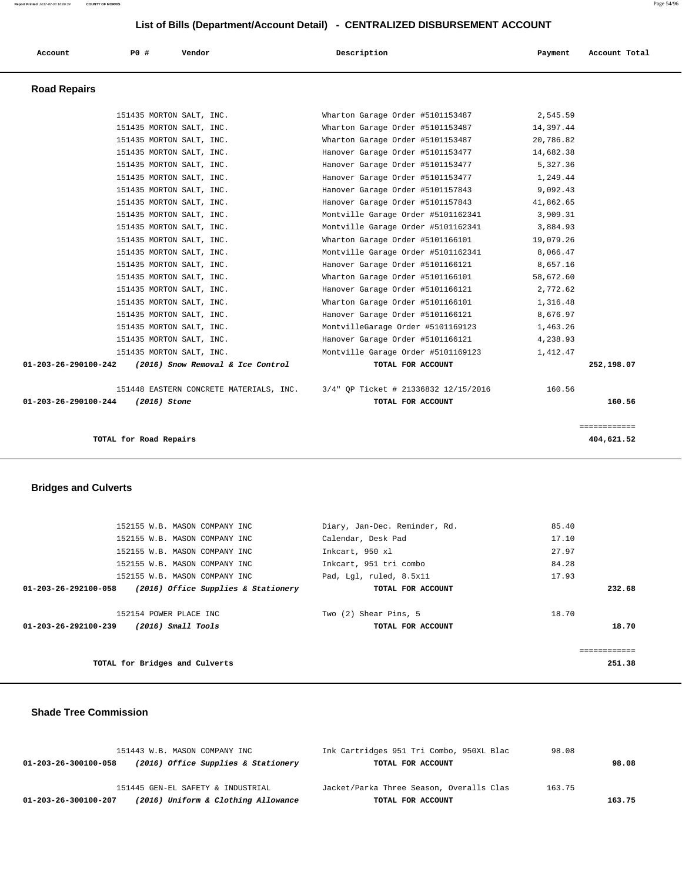| Account                        | PO#                      | Vendor                                  | Description                          | Payment   | Account Total |
|--------------------------------|--------------------------|-----------------------------------------|--------------------------------------|-----------|---------------|
| <b>Road Repairs</b>            |                          |                                         |                                      |           |               |
|                                |                          | 151435 MORTON SALT, INC.                | Wharton Garage Order #5101153487     | 2,545.59  |               |
|                                |                          | 151435 MORTON SALT, INC.                | Wharton Garage Order #5101153487     | 14,397.44 |               |
|                                |                          | 151435 MORTON SALT, INC.                | Wharton Garage Order #5101153487     | 20,786.82 |               |
|                                |                          | 151435 MORTON SALT, INC.                | Hanover Garage Order #5101153477     | 14,682.38 |               |
|                                |                          | 151435 MORTON SALT, INC.                | Hanover Garage Order #5101153477     | 5,327.36  |               |
|                                |                          | 151435 MORTON SALT, INC.                | Hanover Garage Order #5101153477     | 1,249.44  |               |
|                                |                          | 151435 MORTON SALT, INC.                | Hanover Garage Order #5101157843     | 9,092.43  |               |
|                                |                          | 151435 MORTON SALT, INC.                | Hanover Garage Order #5101157843     | 41,862.65 |               |
|                                |                          | 151435 MORTON SALT, INC.                | Montville Garage Order #5101162341   | 3,909.31  |               |
|                                |                          | 151435 MORTON SALT, INC.                | Montville Garage Order #5101162341   | 3,884.93  |               |
|                                |                          | 151435 MORTON SALT, INC.                | Wharton Garage Order #5101166101     | 19,079.26 |               |
|                                | 151435 MORTON SALT, INC. |                                         | Montville Garage Order #5101162341   | 8,066.47  |               |
|                                |                          | 151435 MORTON SALT, INC.                | Hanover Garage Order #5101166121     | 8,657.16  |               |
|                                |                          | 151435 MORTON SALT, INC.                | Wharton Garage Order #5101166101     | 58,672.60 |               |
|                                |                          | 151435 MORTON SALT, INC.                | Hanover Garage Order #5101166121     | 2,772.62  |               |
|                                |                          | 151435 MORTON SALT, INC.                | Wharton Garage Order #5101166101     | 1,316.48  |               |
|                                |                          | 151435 MORTON SALT, INC.                | Hanover Garage Order #5101166121     | 8,676.97  |               |
|                                |                          | 151435 MORTON SALT, INC.                | MontvilleGarage Order #5101169123    | 1,463.26  |               |
|                                |                          | 151435 MORTON SALT, INC.                | Hanover Garage Order #5101166121     | 4,238.93  |               |
|                                |                          | 151435 MORTON SALT, INC.                | Montville Garage Order #5101169123   | 1,412.47  |               |
| $01 - 203 - 26 - 290100 - 242$ |                          | (2016) Snow Removal & Ice Control       | TOTAL FOR ACCOUNT                    |           | 252,198.07    |
|                                |                          | 151448 EASTERN CONCRETE MATERIALS, INC. | 3/4" OP Ticket # 21336832 12/15/2016 | 160.56    |               |
| 01-203-26-290100-244           | (2016) Stone             |                                         | TOTAL FOR ACCOUNT                    |           | 160.56        |
|                                |                          |                                         |                                      |           | ============  |
|                                | TOTAL for Road Repairs   |                                         |                                      |           | 404,621.52    |
|                                |                          |                                         |                                      |           |               |

# **Bridges and Culverts**

|                      | 152155 W.B. MASON COMPANY INC             | Diary, Jan-Dec. Reminder, Rd. | 85.40 |              |
|----------------------|-------------------------------------------|-------------------------------|-------|--------------|
|                      | 152155 W.B. MASON COMPANY INC             | Calendar, Desk Pad            | 17.10 |              |
|                      | 152155 W.B. MASON COMPANY INC             | Inkcart, 950 xl               | 27.97 |              |
|                      | 152155 W.B. MASON COMPANY INC             | Inkcart, 951 tri combo        | 84.28 |              |
|                      | 152155 W.B. MASON COMPANY INC             | Pad, Lql, ruled, 8.5x11       | 17.93 |              |
| 01-203-26-292100-058 | (2016) Office Supplies & Stationery       | TOTAL FOR ACCOUNT             |       | 232.68       |
|                      |                                           |                               |       |              |
|                      | 152154 POWER PLACE INC                    | Two (2) Shear Pins, 5         | 18.70 |              |
|                      | $01-203-26-292100-239$ (2016) Small Tools | TOTAL FOR ACCOUNT             |       | 18.70        |
|                      |                                           |                               |       |              |
|                      |                                           |                               |       | ------------ |
|                      | TOTAL for Bridges and Culverts            |                               |       | 251.38       |
|                      |                                           |                               |       |              |

### **Shade Tree Commission**

|                      | 151443 W.B. MASON COMPANY INC       | Ink Cartridges 951 Tri Combo, 950XL Blac | 98.08  |        |
|----------------------|-------------------------------------|------------------------------------------|--------|--------|
| 01-203-26-300100-058 | (2016) Office Supplies & Stationery | TOTAL FOR ACCOUNT                        |        | 98.08  |
|                      | 151445 GEN-EL SAFETY & INDUSTRIAL   | Jacket/Parka Three Season, Overalls Clas | 163.75 |        |
| 01-203-26-300100-207 | (2016) Uniform & Clothing Allowance | TOTAL FOR ACCOUNT                        |        | 163.75 |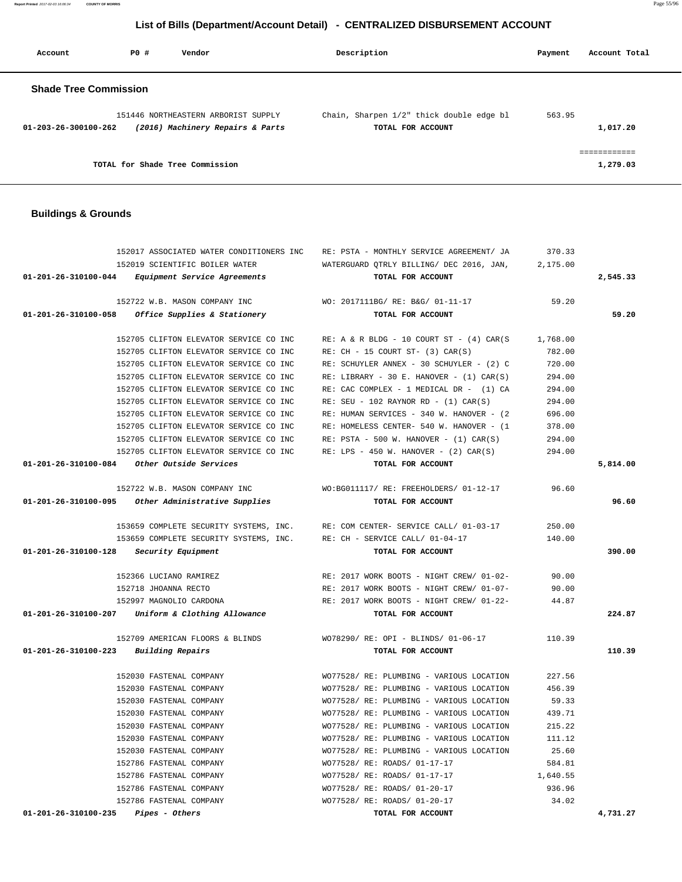**Report Printed** 2017-02-03 16:06:34 **COUNTY OF MORRIS** Page 55/96

# **List of Bills (Department/Account Detail) - CENTRALIZED DISBURSEMENT ACCOUNT**

| Account                      | PO# | Vendor                                                                  | Description       |                                          | Payment | Account Total            |
|------------------------------|-----|-------------------------------------------------------------------------|-------------------|------------------------------------------|---------|--------------------------|
| <b>Shade Tree Commission</b> |     |                                                                         |                   |                                          |         |                          |
| 01-203-26-300100-262         |     | 151446 NORTHEASTERN ARBORIST SUPPLY<br>(2016) Machinery Repairs & Parts | TOTAL FOR ACCOUNT | Chain, Sharpen 1/2" thick double edge bl | 563.95  | 1,017.20                 |
|                              |     | TOTAL for Shade Tree Commission                                         |                   |                                          |         | ------------<br>1,279.03 |

## **Buildings & Grounds**

|                                | 152017 ASSOCIATED WATER CONDITIONERS INC                               | RE: PSTA - MONTHLY SERVICE AGREEMENT/ JA      | 370.33   |          |
|--------------------------------|------------------------------------------------------------------------|-----------------------------------------------|----------|----------|
|                                | 152019 SCIENTIFIC BOILER WATER                                         | WATERGUARD OTRLY BILLING/ DEC 2016, JAN,      | 2,175.00 |          |
| 01-201-26-310100-044           | Equipment Service Agreements                                           | TOTAL FOR ACCOUNT                             |          | 2,545.33 |
|                                | 152722 W.B. MASON COMPANY INC                                          | WO: 2017111BG/ RE: B&G/ 01-11-17              | 59.20    |          |
|                                | 01-201-26-310100-058 Office Supplies & Stationery                      | TOTAL FOR ACCOUNT                             |          | 59.20    |
|                                | 152705 CLIFTON ELEVATOR SERVICE CO INC                                 | $RE: A & R BLDG - 10 COUNT ST - (4) CAR(S)$   | 1,768.00 |          |
|                                | 152705 CLIFTON ELEVATOR SERVICE CO INC                                 | $RE: CH - 15 COURT ST- (3) CAR(S)$            | 782.00   |          |
|                                | 152705 CLIFTON ELEVATOR SERVICE CO INC                                 | RE: SCHUYLER ANNEX - 30 SCHUYLER - (2) C      | 720.00   |          |
|                                | 152705 CLIFTON ELEVATOR SERVICE CO INC                                 | RE: LIBRARY - 30 E. HANOVER - $(1)$ CAR $(S)$ | 294.00   |          |
|                                | 152705 CLIFTON ELEVATOR SERVICE CO INC                                 | RE: CAC COMPLEX - 1 MEDICAL DR - (1) CA       | 294.00   |          |
|                                | 152705 CLIFTON ELEVATOR SERVICE CO INC                                 | RE: SEU - 102 RAYNOR RD - $(1)$ CAR $(S)$     | 294.00   |          |
|                                | 152705 CLIFTON ELEVATOR SERVICE CO INC                                 | RE: HUMAN SERVICES - 340 W. HANOVER - (2      | 696.00   |          |
|                                | 152705 CLIFTON ELEVATOR SERVICE CO INC                                 | RE: HOMELESS CENTER- 540 W. HANOVER - (1      | 378.00   |          |
|                                | 152705 CLIFTON ELEVATOR SERVICE CO INC                                 | $RE: PSTA - 500 W. HANOVER - (1) CAR(S)$      | 294.00   |          |
|                                | 152705 CLIFTON ELEVATOR SERVICE CO INC                                 | RE: LPS - 450 W. HANOVER - $(2)$ CAR $(S)$    | 294.00   |          |
|                                | $01-201-26-310100-084$ Other Outside Services                          | TOTAL FOR ACCOUNT                             |          | 5,814.00 |
|                                | 152722 W.B. MASON COMPANY INC                                          | WO:BG011117/ RE: FREEHOLDERS/ 01-12-17        | 96.60    |          |
| 01-201-26-310100-095           | Other Administrative Supplies                                          | TOTAL FOR ACCOUNT                             |          | 96.60    |
|                                | 153659 COMPLETE SECURITY SYSTEMS, INC.                                 | RE: COM CENTER- SERVICE CALL/ 01-03-17        | 250.00   |          |
|                                | 153659 COMPLETE SECURITY SYSTEMS, INC. RE: CH - SERVICE CALL/ 01-04-17 |                                               | 140.00   |          |
| 01-201-26-310100-128           | Security Equipment                                                     | TOTAL FOR ACCOUNT                             |          | 390.00   |
|                                | 152366 LUCIANO RAMIREZ                                                 | RE: 2017 WORK BOOTS - NIGHT CREW/ 01-02-      | 90.00    |          |
|                                | 152718 JHOANNA RECTO                                                   | RE: 2017 WORK BOOTS - NIGHT CREW/ 01-07-      | 90.00    |          |
|                                | 152997 MAGNOLIO CARDONA                                                | RE: 2017 WORK BOOTS - NIGHT CREW/ 01-22-      | 44.87    |          |
|                                | 01-201-26-310100-207 Uniform & Clothing Allowance                      | TOTAL FOR ACCOUNT                             |          | 224.87   |
|                                | 152709 AMERICAN FLOORS & BLINDS                                        | WO78290/ RE: OPI - BLINDS/ 01-06-17           | 110.39   |          |
| 01-201-26-310100-223           | Building Repairs                                                       | TOTAL FOR ACCOUNT                             |          | 110.39   |
|                                | 152030 FASTENAL COMPANY                                                | WO77528/ RE: PLUMBING - VARIOUS LOCATION      | 227.56   |          |
|                                | 152030 FASTENAL COMPANY                                                | WO77528/ RE: PLUMBING - VARIOUS LOCATION      | 456.39   |          |
|                                | 152030 FASTENAL COMPANY                                                | WO77528/ RE: PLUMBING - VARIOUS LOCATION      | 59.33    |          |
|                                | 152030 FASTENAL COMPANY                                                | WO77528/ RE: PLUMBING - VARIOUS LOCATION      | 439.71   |          |
|                                | 152030 FASTENAL COMPANY                                                | WO77528/ RE: PLUMBING - VARIOUS LOCATION      | 215.22   |          |
|                                | 152030 FASTENAL COMPANY                                                | WO77528/ RE: PLUMBING - VARIOUS LOCATION      | 111.12   |          |
|                                | 152030 FASTENAL COMPANY                                                | WO77528/ RE: PLUMBING - VARIOUS LOCATION      | 25.60    |          |
|                                | 152786 FASTENAL COMPANY                                                | WO77528/ RE: ROADS/ 01-17-17                  | 584.81   |          |
|                                | 152786 FASTENAL COMPANY                                                | WO77528/ RE: ROADS/ 01-17-17                  | 1,640.55 |          |
|                                | 152786 FASTENAL COMPANY                                                | WO77528/ RE: ROADS/ 01-20-17                  | 936.96   |          |
|                                | 152786 FASTENAL COMPANY                                                | WO77528/ RE: ROADS/ 01-20-17                  | 34.02    |          |
| $01 - 201 - 26 - 310100 - 235$ | <i>Pipes - Others</i>                                                  | TOTAL FOR ACCOUNT                             |          | 4,731.27 |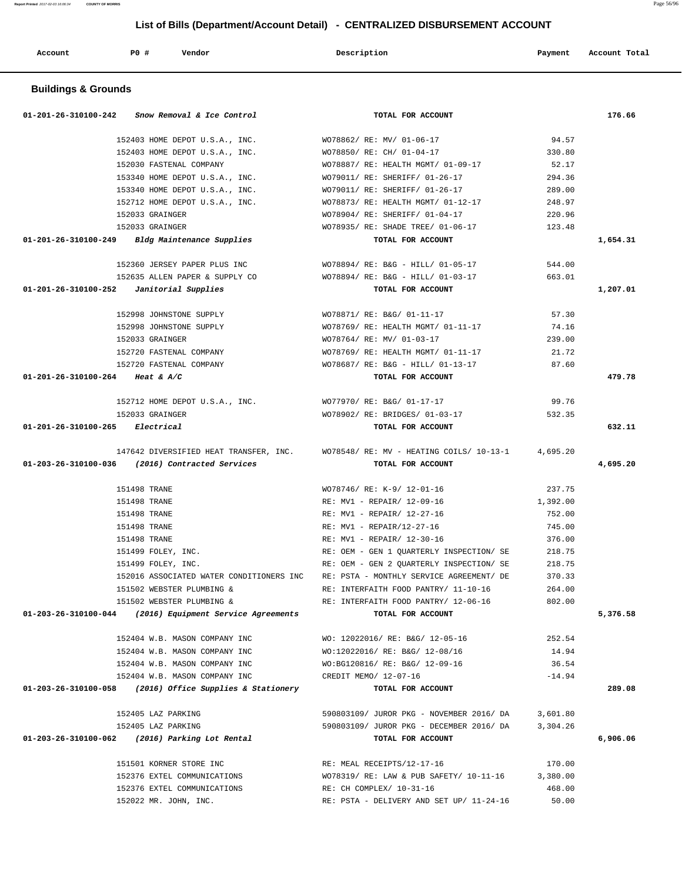| Account | PO# | Vendor | Description | Payment | Account Total |
|---------|-----|--------|-------------|---------|---------------|

## **Buildings & Grounds**

|                                           | $01-201-26-310100-242$ Snow Removal & Ice Control    | TOTAL FOR ACCOUNT                                                                       |                 | 176.66   |
|-------------------------------------------|------------------------------------------------------|-----------------------------------------------------------------------------------------|-----------------|----------|
|                                           |                                                      | 152403 HOME DEPOT U.S.A., INC. WO78862/RE: MV/01-06-17                                  | 94.57           |          |
|                                           |                                                      | 152403 HOME DEPOT U.S.A., INC. WO78850/ RE: CH/ 01-04-17                                | 330.80          |          |
|                                           | 152030 FASTENAL COMPANY                              | WO78887/ RE: HEALTH MGMT/ 01-09-17                                                      | 52.17           |          |
|                                           |                                                      | 153340 HOME DEPOT U.S.A., INC. WO79011/ RE: SHERIFF/ 01-26-17                           | 294.36          |          |
|                                           |                                                      | 153340 HOME DEPOT U.S.A., INC. WO79011/ RE: SHERIFF/ 01-26-17                           | 289.00          |          |
|                                           | 152712 HOME DEPOT U.S.A., INC.                       | WO78873/ RE: HEALTH MGMT/ 01-12-17                                                      | 248.97          |          |
|                                           | 152033 GRAINGER                                      | WO78904/ RE: SHERIFF/ 01-04-17                                                          | 220.96          |          |
|                                           | 152033 GRAINGER                                      | WO78935/ RE: SHADE TREE/ 01-06-17                                                       | 123.48          |          |
|                                           | $01-201-26-310100-249$ Bldg Maintenance Supplies     | TOTAL FOR ACCOUNT                                                                       |                 | 1,654.31 |
|                                           |                                                      | 152360 JERSEY PAPER PLUS INC WO78894/ RE: B&G - HILL/ 01-05-17 544.00                   |                 |          |
|                                           |                                                      | 152635 ALLEN PAPER & SUPPLY CO WO78894/RE: B&G - HILL/ 01-03-17 663.01                  |                 |          |
|                                           | $01-201-26-310100-252$ <i>Janitorial Supplies</i>    | TOTAL FOR ACCOUNT                                                                       |                 | 1,207.01 |
|                                           | 152998 JOHNSTONE SUPPLY                              | WO78871/ RE: B&G/ 01-11-17                                                              | 57.30           |          |
|                                           | 152998 JOHNSTONE SUPPLY                              | WO78769/ RE: HEALTH MGMT/ 01-11-17                                                      | 74.16           |          |
|                                           | 152033 GRAINGER                                      | WO78764/ RE: MV/ 01-03-17                                                               | 239.00          |          |
|                                           | 152720 FASTENAL COMPANY                              | WO78769/RE: HEALTH MGMT/ 01-11-17                                                       | 21.72           |          |
|                                           | 152720 FASTENAL COMPANY                              | WO78687/ RE: B&G - HILL/ 01-13-17 87.60                                                 |                 |          |
| 01-201-26-310100-264 Heat & A/C           |                                                      | TOTAL FOR ACCOUNT                                                                       |                 | 479.78   |
|                                           |                                                      |                                                                                         |                 |          |
|                                           | 152712 HOME DEPOT U.S.A., INC.                       | WO77970/ RE: B&G/ 01-17-17                                                              | 99.76           |          |
|                                           | 152033 GRAINGER                                      | WO78902/ RE: BRIDGES/ 01-03-17                                                          | 532.35          |          |
| $01 - 201 - 26 - 310100 - 265$ Electrical |                                                      | TOTAL FOR ACCOUNT                                                                       |                 | 632.11   |
|                                           |                                                      | 147642 DIVERSIFIED HEAT TRANSFER, INC. WO78548/RE: MV - HEATING COILS/ 10-13-1 4,695.20 |                 |          |
|                                           | 01-203-26-310100-036 (2016) Contracted Services      | TOTAL FOR ACCOUNT                                                                       |                 | 4,695.20 |
|                                           | 151498 TRANE                                         | WO78746/ RE: K-9/ 12-01-16                                                              | 237.75          |          |
|                                           | 151498 TRANE                                         | RE: MV1 - REPAIR/ 12-09-16                                                              | 1,392.00        |          |
|                                           | 151498 TRANE                                         | RE: MV1 - REPAIR/ 12-27-16                                                              | 752.00          |          |
|                                           | 151498 TRANE                                         | RE: MV1 - REPAIR/12-27-16                                                               | 745.00          |          |
|                                           | 151498 TRANE                                         | RE: MV1 - REPAIR/ 12-30-16                                                              | 376.00          |          |
|                                           | 151499 FOLEY, INC.                                   | RE: OEM - GEN 1 OUARTERLY INSPECTION/ SE 218.75                                         |                 |          |
|                                           | 151499 FOLEY, INC.                                   | RE: OEM - GEN 2 OUARTERLY INSPECTION/ SE                                                | 218.75          |          |
|                                           | 152016 ASSOCIATED WATER CONDITIONERS INC             | RE: PSTA - MONTHLY SERVICE AGREEMENT/ DE                                                | 370.33          |          |
|                                           | 151502 WEBSTER PLUMBING &                            | RE: INTERFAITH FOOD PANTRY/ 11-10-16                                                    | 264.00          |          |
|                                           | 151502 WEBSTER PLUMBING &                            | RE: INTERFAITH FOOD PANTRY/ 12-06-16                                                    | 802.00          |          |
| 01-203-26-310100-044                      | (2016) Equipment Service Agreements                  | TOTAL FOR ACCOUNT                                                                       |                 | 5,376.58 |
|                                           | 152404 W.B. MASON COMPANY INC                        | WO: 12022016/ RE: B&G/ 12-05-16                                                         | 252.54          |          |
|                                           | 152404 W.B. MASON COMPANY INC                        | WO:12022016/ RE: B&G/ 12-08/16                                                          | 14.94           |          |
|                                           | 152404 W.B. MASON COMPANY INC                        | WO:BG120816/ RE: B&G/ 12-09-16                                                          | 36.54           |          |
|                                           | 152404 W.B. MASON COMPANY INC                        | CREDIT MEMO/ 12-07-16                                                                   | $-14.94$        |          |
| 01-203-26-310100-058                      | (2016) Office Supplies & Stationery                  | TOTAL FOR ACCOUNT                                                                       |                 | 289.08   |
|                                           | 152405 LAZ PARKING                                   | 590803109/ JUROR PKG - NOVEMBER 2016/ DA                                                | 3,601.80        |          |
|                                           | 152405 LAZ PARKING                                   | 590803109/ JUROR PKG - DECEMBER 2016/ DA                                                | 3,304.26        |          |
|                                           | 01-203-26-310100-062 (2016) Parking Lot Rental       | TOTAL FOR ACCOUNT                                                                       |                 | 6,906.06 |
|                                           |                                                      |                                                                                         |                 |          |
|                                           | 151501 KORNER STORE INC                              | RE: MEAL RECEIPTS/12-17-16                                                              | 170.00          |          |
|                                           |                                                      |                                                                                         |                 |          |
|                                           | 152376 EXTEL COMMUNICATIONS                          | WO78319/ RE: LAW & PUB SAFETY/ 10-11-16                                                 | 3,380.00        |          |
|                                           | 152376 EXTEL COMMUNICATIONS<br>152022 MR. JOHN, INC. | RE: CH COMPLEX/ 10-31-16<br>RE: PSTA - DELIVERY AND SET UP/ 11-24-16                    | 468.00<br>50.00 |          |

**Report Printed** 2017-02-03 16:06:34 **COUNTY OF MORRIS** Page 56/96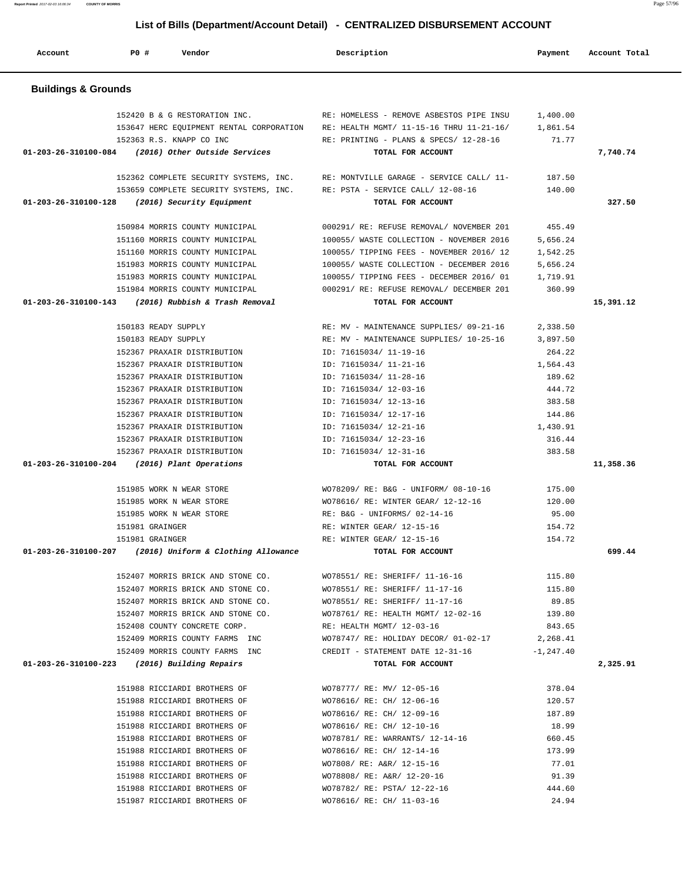**Account P0 # Vendor Description Payment Account Total Buildings & Grounds**  152420 B & G RESTORATION INC. RE: HOMELESS - REMOVE ASBESTOS PIPE INSU 1,400.00 153647 HERC EQUIPMENT RENTAL CORPORATION RE: HEALTH MGMT/ 11-15-16 THRU 11-21-16/ 1,861.54 152363 R.S. KNAPP CO INC RE: PRINTING - PLANS & SPECS/ 12-28-16 71.77  **01-203-26-310100-084 (2016) Other Outside Services TOTAL FOR ACCOUNT 7,740.74** 152362 COMPLETE SECURITY SYSTEMS, INC. RE: MONTVILLE GARAGE - SERVICE CALL/ 11- 187.50 153659 COMPLETE SECURITY SYSTEMS, INC. RE: PSTA - SERVICE CALL/ 12-08-16 140.00  **01-203-26-310100-128 (2016) Security Equipment TOTAL FOR ACCOUNT 327.50** 150984 MORRIS COUNTY MUNICIPAL 000291/ RE: REFUSE REMOVAL/ NOVEMBER 201 455.49 151160 MORRIS COUNTY MUNICIPAL 100055/ WASTE COLLECTION - NOVEMBER 2016 5,656.24 151160 MORRIS COUNTY MUNICIPAL 100055/ TIPPING FEES - NOVEMBER 2016/ 12 1,542.25 151983 MORRIS COUNTY MUNICIPAL 100055/ WASTE COLLECTION - DECEMBER 2016 5,656.24 151983 MORRIS COUNTY MUNICIPAL 100055/ TIPPING FEES - DECEMBER 2016/ 01 1,719.91 151984 MORRIS COUNTY MUNICIPAL 000291/ RE: REFUSE REMOVAL/ DECEMBER 201 360.99  **01-203-26-310100-143 (2016) Rubbish & Trash Removal TOTAL FOR ACCOUNT 15,391.12** 150183 READY SUPPLY RE: MV - MAINTENANCE SUPPLIES/ 09-21-16 2,338.50 150183 READY SUPPLY RE: MV - MAINTENANCE SUPPLIES/ 10-25-16 3,897.50 152367 PRAXAIR DISTRIBUTION ID: 71615034/ 11-19-16 264.22 152367 PRAXAIR DISTRIBUTION ID: 71615034/ 11-21-16 1,564.43 152367 PRAXAIR DISTRIBUTION ID: 71615034/ 11-28-16 189.62 152367 PRAXAIR DISTRIBUTION ID: 71615034/ 12-03-16 444.72 152367 PRAXAIR DISTRIBUTION ID: 71615034/ 12-13-16 383.58 152367 PRAXAIR DISTRIBUTION ID: 71615034/ 12-17-16 144.86 152367 PRAXAIR DISTRIBUTION ID: 71615034/ 12-21-16 1,430.91 152367 PRAXAIR DISTRIBUTION ID: 71615034/ 12-23-16 316.44 152367 PRAXAIR DISTRIBUTION ID: 71615034/ 12-31-16 383.58  **01-203-26-310100-204 (2016) Plant Operations TOTAL FOR ACCOUNT 11,358.36** 151985 WORK N WEAR STORE WO78209/ RE: B&G - UNIFORM/ 08-10-16 175.00 151985 WORK N WEAR STORE WO78616/ RE: WINTER GEAR/ 12-12-16 120.00 151985 WORK N WEAR STORE RE: B&G - UNIFORMS/ 02-14-16 95.00 151981 GRAINGER **RE: WINTER GEAR/** 12-15-16 154.72 151981 GRAINGER 154.72 RE: WINTER GEAR/ 12-15-16 154.72  **01-203-26-310100-207 (2016) Uniform & Clothing Allowance TOTAL FOR ACCOUNT 699.44** 152407 MORRIS BRICK AND STONE CO. WO78551/ RE: SHERIFF/ 11-16-16 115.80 152407 MORRIS BRICK AND STONE CO. WO78551/ RE: SHERIFF/ 11-17-16 115.80 152407 MORRIS BRICK AND STONE CO. WO78551/ RE: SHERIFF/ 11-17-16 89.85 152407 MORRIS BRICK AND STONE CO. WO78761/ RE: HEALTH MGMT/ 12-02-16 139.80 152408 COUNTY CONCRETE CORP. RE: HEALTH MGMT/ 12-03-16 843.65 152409 MORRIS COUNTY FARMS INC WO78747/ RE: HOLIDAY DECOR/ 01-02-17 2,268.41 152409 MORRIS COUNTY FARMS INC CREDIT - STATEMENT DATE 12-31-16 -1,247.40  **01-203-26-310100-223 (2016) Building Repairs TOTAL FOR ACCOUNT 2,325.91** 151988 RICCIARDI BROTHERS OF WO78777/ RE: MV/ 12-05-16 378.04 151988 RICCIARDI BROTHERS OF WO78616/ RE: CH/ 12-06-16 120.57 151988 RICCIARDI BROTHERS OF WO78616/ RE: CH/ 12-09-16 187.89 151988 RICCIARDI BROTHERS OF WO78616/ RE: CH/ 12-10-16 18.99 151988 RICCIARDI BROTHERS OF WO78781/ RE: WARRANTS/ 12-14-16 660.45 151988 RICCIARDI BROTHERS OF WO78616/ RE: CH/ 12-14-16 173.99 151988 RICCIARDI BROTHERS OF WO7808/ RE: A&R/ 12-15-16 77.01 151988 RICCIARDI BROTHERS OF WO78808/ RE: A&R/ 12-20-16 91.39 151988 RICCIARDI BROTHERS OF WO78782/ RE: PSTA/ 12-22-16 444.60

151987 RICCIARDI BROTHERS OF WO78616/ RE: CH/ 11-03-16 24.94

 **List of Bills (Department/Account Detail) - CENTRALIZED DISBURSEMENT ACCOUNT**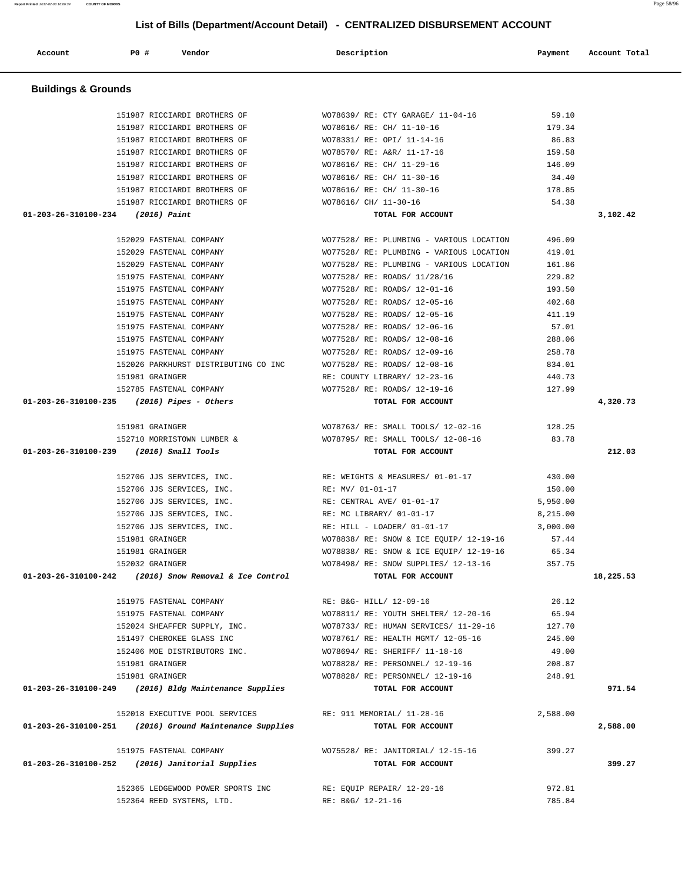| <b>Buildings &amp; Grounds</b>                                                               |                                                             |           |
|----------------------------------------------------------------------------------------------|-------------------------------------------------------------|-----------|
|                                                                                              |                                                             |           |
| 151987 RICCIARDI BROTHERS OF                                                                 | 59.10<br>WO78639/ RE: CTY GARAGE/ 11-04-16                  |           |
| 151987 RICCIARDI BROTHERS OF                                                                 | WO78616/ RE: CH/ 11-10-16<br>179.34                         |           |
| 151987 RICCIARDI BROTHERS OF                                                                 | 86.83<br>WO78331/ RE: OPI/ 11-14-16                         |           |
| 151987 RICCIARDI BROTHERS OF                                                                 | WO78570/ RE: A&R/ 11-17-16<br>159.58                        |           |
| 151987 RICCIARDI BROTHERS OF                                                                 | WO78616/ RE: CH/ 11-29-16<br>146.09                         |           |
| 151987 RICCIARDI BROTHERS OF                                                                 | WO78616/ RE: CH/ 11-30-16<br>34.40                          |           |
| 151987 RICCIARDI BROTHERS OF                                                                 | WO78616/ RE: CH/ 11-30-16<br>178.85                         |           |
| 151987 RICCIARDI BROTHERS OF                                                                 | WO78616/ CH/ 11-30-16<br>54.38                              |           |
| 01-203-26-310100-234 (2016) Paint                                                            | TOTAL FOR ACCOUNT                                           | 3,102.42  |
| 152029 FASTENAL COMPANY                                                                      | WO77528/ RE: PLUMBING - VARIOUS LOCATION<br>496.09          |           |
| 152029 FASTENAL COMPANY                                                                      | 419.01<br>WO77528/ RE: PLUMBING - VARIOUS LOCATION          |           |
| 152029 FASTENAL COMPANY                                                                      | WO77528/ RE: PLUMBING - VARIOUS LOCATION<br>161.86          |           |
| 151975 FASTENAL COMPANY                                                                      | WO77528/ RE: ROADS/ 11/28/16<br>229.82                      |           |
| 151975 FASTENAL COMPANY                                                                      | WO77528/ RE: ROADS/ 12-01-16<br>193.50                      |           |
| 151975 FASTENAL COMPANY                                                                      | WO77528/ RE: ROADS/ 12-05-16<br>402.68                      |           |
| 151975 FASTENAL COMPANY                                                                      | WO77528/ RE: ROADS/ 12-05-16<br>411.19                      |           |
| 151975 FASTENAL COMPANY                                                                      | 57.01<br>WO77528/ RE: ROADS/ 12-06-16                       |           |
| 151975 FASTENAL COMPANY                                                                      | WO77528/ RE: ROADS/ 12-08-16<br>288.06                      |           |
| 151975 FASTENAL COMPANY                                                                      | 258.78<br>WO77528/ RE: ROADS/ 12-09-16                      |           |
| 152026 PARKHURST DISTRIBUTING CO INC                                                         | WO77528/ RE: ROADS/ 12-08-16<br>834.01                      |           |
| 151981 GRAINGER                                                                              | RE: COUNTY LIBRARY/ 12-23-16<br>440.73                      |           |
| 152785 FASTENAL COMPANY                                                                      | WO77528/ RE: ROADS/ 12-19-16<br>127.99                      |           |
| $01-203-26-310100-235$ (2016) Pipes - Others                                                 | TOTAL FOR ACCOUNT                                           | 4,320.73  |
| 151981 GRAINGER                                                                              | WO78763/ RE: SMALL TOOLS/ 12-02-16<br>128.25                |           |
| 152710 MORRISTOWN LUMBER &                                                                   | WO78795/ RE: SMALL TOOLS/ 12-08-16<br>83.78                 |           |
| 01-203-26-310100-239 (2016) Small Tools                                                      | TOTAL FOR ACCOUNT                                           | 212.03    |
|                                                                                              |                                                             |           |
| 152706 JJS SERVICES, INC.                                                                    | RE: WEIGHTS & MEASURES/ 01-01-17<br>430.00                  |           |
| 152706 JJS SERVICES, INC.                                                                    | RE: MV/ 01-01-17<br>150.00                                  |           |
| 152706 JJS SERVICES, INC.                                                                    | RE: CENTRAL AVE/ 01-01-17<br>5,950.00                       |           |
| 152706 JJS SERVICES, INC.                                                                    | RE: MC LIBRARY/ 01-01-17<br>8,215.00                        |           |
| 152706 JJS SERVICES, INC.                                                                    | $RE: HILL$ - LOADER/ 01-01-17<br>3,000.00                   |           |
| 151981 GRAINGER                                                                              | WO78838/ RE: SNOW & ICE EQUIP/ 12-19-16<br>57.44            |           |
| 151981 GRAINGER                                                                              | 65.34<br>WO78838/ RE: SNOW & ICE EQUIP/ 12-19-16            |           |
| 152032 GRAINGER                                                                              | WO78498/ RE: SNOW SUPPLIES/ 12-13-16<br>357.75              |           |
| (2016) Snow Removal & Ice Control<br>01-203-26-310100-242                                    | TOTAL FOR ACCOUNT                                           | 18,225.53 |
| 151975 FASTENAL COMPANY                                                                      | RE: B&G- HILL/ 12-09-16<br>26.12                            |           |
| 151975 FASTENAL COMPANY                                                                      | WO78811/ RE: YOUTH SHELTER/ 12-20-16<br>65.94               |           |
| 152024 SHEAFFER SUPPLY, INC.                                                                 | WO78733/ RE: HUMAN SERVICES/ 11-29-16<br>127.70             |           |
| 151497 CHEROKEE GLASS INC                                                                    | WO78761/ RE: HEALTH MGMT/ 12-05-16<br>245.00                |           |
| 152406 MOE DISTRIBUTORS INC.                                                                 | WO78694/ RE: SHERIFF/ 11-18-16<br>49.00                     |           |
| 151981 GRAINGER                                                                              | WO78828/ RE: PERSONNEL/ 12-19-16<br>208.87                  |           |
| 151981 GRAINGER                                                                              | WO78828/ RE: PERSONNEL/ 12-19-16<br>248.91                  |           |
| 01-203-26-310100-249 (2016) Bldg Maintenance Supplies                                        | TOTAL FOR ACCOUNT                                           | 971.54    |
|                                                                                              |                                                             |           |
| 152018 EXECUTIVE POOL SERVICES<br>(2016) Ground Maintenance Supplies<br>01-203-26-310100-251 | RE: 911 MEMORIAL/ 11-28-16<br>2,588.00<br>TOTAL FOR ACCOUNT |           |
|                                                                                              |                                                             | 2,588.00  |
| 151975 FASTENAL COMPANY                                                                      | WO75528/ RE: JANITORIAL/ 12-15-16<br>399.27                 |           |
| 01-203-26-310100-252<br>(2016) Janitorial Supplies                                           | TOTAL FOR ACCOUNT                                           | 399.27    |
|                                                                                              |                                                             |           |
| 152365 LEDGEWOOD POWER SPORTS INC                                                            | RE: EQUIP REPAIR/ 12-20-16<br>972.81                        |           |
| 152364 REED SYSTEMS, LTD.                                                                    | RE: B&G/ 12-21-16<br>785.84                                 |           |

Account 1990 **PO** # **Vendor 20 20 2012 <b>Description** Payment Account Total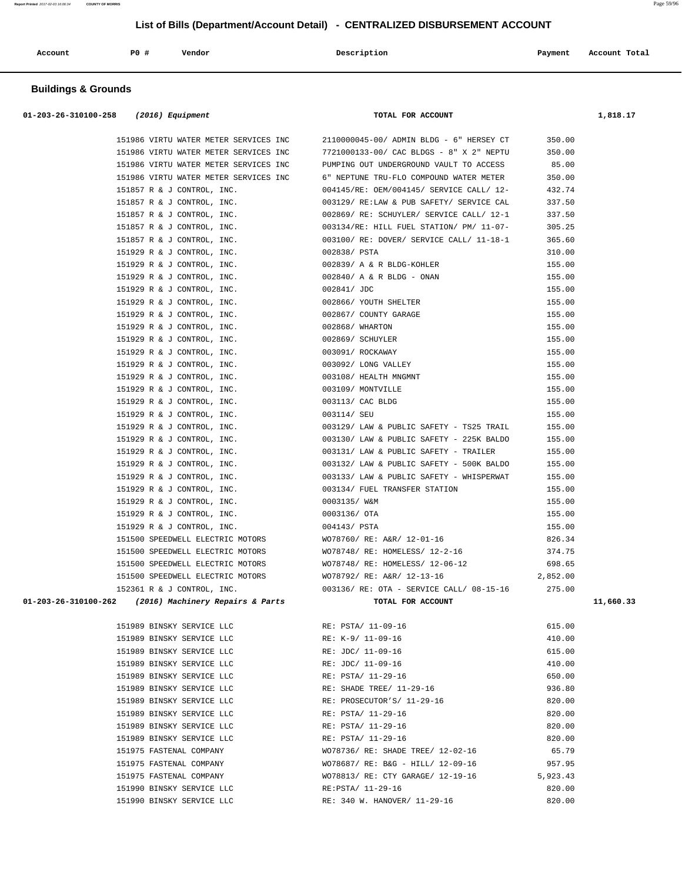| Account | PO# | Vendor | Description | Payment | Account Total |
|---------|-----|--------|-------------|---------|---------------|
|         |     |        |             |         |               |

## **Buildings & Grounds**

| 01-203-26-310100-258 | $(2016)$ Equipment | TOTAL FOR ACCOUNT | .,818.17 |
|----------------------|--------------------|-------------------|----------|
| .                    |                    |                   |          |

| 151986 VIRTU WATER METER SERVICES INC                 | 2110000045-00/ ADMIN BLDG - 6" HERSEY CT       | 350.00   |           |
|-------------------------------------------------------|------------------------------------------------|----------|-----------|
| 151986 VIRTU WATER METER SERVICES INC                 | 7721000133-00/ CAC BLDGS - 8" X 2" NEPTU       | 350.00   |           |
| 151986 VIRTU WATER METER SERVICES INC                 | PUMPING OUT UNDERGROUND VAULT TO ACCESS        | 85.00    |           |
| 151986 VIRTU WATER METER SERVICES INC                 | 6" NEPTUNE TRU-FLO COMPOUND WATER METER        | 350.00   |           |
| 151857 R & J CONTROL, INC.                            | 004145/RE: OEM/004145/ SERVICE CALL/ 12-       | 432.74   |           |
| 151857 R & J CONTROL, INC.                            | 003129/RE:LAW & PUB SAFETY/ SERVICE CAL        | 337.50   |           |
| 151857 R & J CONTROL, INC.                            | 002869/RE: SCHUYLER/ SERVICE CALL/ 12-1        | 337.50   |           |
| 151857 R & J CONTROL, INC.                            | 003134/RE: HILL FUEL STATION/ PM/ 11-07-       | 305.25   |           |
| 151857 R & J CONTROL, INC.                            | 003100/ RE: DOVER/ SERVICE CALL/ 11-18-1       | 365.60   |           |
| 151929 R & J CONTROL, INC.                            | 002838/ PSTA                                   | 310.00   |           |
| 151929 R & J CONTROL, INC.                            | 002839/ A & R BLDG-KOHLER                      | 155.00   |           |
| 151929 R & J CONTROL, INC.                            | 002840/ A & R BLDG - ONAN                      | 155.00   |           |
| 151929 R & J CONTROL, INC.                            | 002841/ JDC                                    | 155.00   |           |
| 151929 R & J CONTROL, INC.                            | 002866/ YOUTH SHELTER                          | 155.00   |           |
| 151929 R & J CONTROL, INC.                            | 002867/ COUNTY GARAGE                          | 155.00   |           |
| 151929 R & J CONTROL, INC.                            | 002868/ WHARTON                                | 155.00   |           |
| 151929 R & J CONTROL, INC.                            | 002869/ SCHUYLER                               | 155.00   |           |
| 151929 R & J CONTROL, INC.                            | 003091/ ROCKAWAY                               | 155.00   |           |
| 151929 R & J CONTROL, INC.                            | 003092/ LONG VALLEY                            | 155.00   |           |
| 151929 R & J CONTROL, INC.                            | 003108/ HEALTH MNGMNT                          | 155.00   |           |
| 151929 R & J CONTROL, INC.                            | 003109/ MONTVILLE                              | 155.00   |           |
| 151929 R & J CONTROL, INC.                            | 003113/ CAC BLDG                               | 155.00   |           |
| 151929 R & J CONTROL, INC.                            | 003114/ SEU                                    | 155.00   |           |
| 151929 R & J CONTROL, INC.                            | 003129/ LAW & PUBLIC SAFETY - TS25 TRAIL       | 155.00   |           |
| 151929 R & J CONTROL, INC.                            | 003130/ LAW & PUBLIC SAFETY - 225K BALDO       | 155.00   |           |
| 151929 R & J CONTROL, INC.                            | 003131/ LAW & PUBLIC SAFETY - TRAILER          | 155.00   |           |
| 151929 R & J CONTROL, INC.                            | 003132/ LAW & PUBLIC SAFETY - 500K BALDO       | 155.00   |           |
| 151929 R & J CONTROL, INC.                            | 003133/ LAW & PUBLIC SAFETY - WHISPERWAT       | 155.00   |           |
| 151929 R & J CONTROL, INC.                            | 003134/ FUEL TRANSFER STATION                  | 155.00   |           |
| 151929 R & J CONTROL, INC.                            | 0003135/ W&M                                   | 155.00   |           |
| 151929 R & J CONTROL, INC.                            | 0003136/ OTA                                   | 155.00   |           |
| 151929 R & J CONTROL, INC.                            | 004143/ PSTA                                   | 155.00   |           |
| 151500 SPEEDWELL ELECTRIC MOTORS                      | WO78760/ RE: A&R/ 12-01-16                     | 826.34   |           |
| 151500 SPEEDWELL ELECTRIC MOTORS                      | WO78748/ RE: HOMELESS/ 12-2-16                 | 374.75   |           |
| 151500 SPEEDWELL ELECTRIC MOTORS                      | WO78748/ RE: HOMELESS/ 12-06-12                | 698.65   |           |
| 151500 SPEEDWELL ELECTRIC MOTORS                      | WO78792/ RE: A&R/ 12-13-16                     | 2,852.00 |           |
| 152361 R & J CONTROL, INC.                            | 003136/RE: OTA - SERVICE CALL/ 08-15-16 275.00 |          |           |
| 01-203-26-310100-262 (2016) Machinery Repairs & Parts | TOTAL FOR ACCOUNT                              |          | 11,660.33 |
| 151989 BINSKY SERVICE LLC                             | RE: PSTA/ 11-09-16                             | 615.00   |           |
| 151989 BINSKY SERVICE LLC                             | RE: K-9/ 11-09-16                              | 410.00   |           |
| 151989 BINSKY SERVICE LLC                             | RE: JDC/ 11-09-16                              | 615.00   |           |
|                                                       |                                                |          |           |

|        | TPTARA RIMSKI SEKATCE PPC |  |
|--------|---------------------------|--|
|        | 151989 BINSKY SERVICE LLC |  |
| 151989 | BINSKY SERVICE LLC        |  |
| 151989 | BINSKY SERVICE LLC        |  |
| 151989 | BINSKY SERVICE LLC        |  |
| 151989 | BINSKY SERVICE LLC        |  |
| 151989 | BINSKY SERVICE LLC        |  |
| 151989 | BINSKY SERVICE LLC        |  |
| 151989 | BINSKY SERVICE LLC        |  |
| 151975 | FASTENAL COMPANY          |  |
| 151975 | FASTENAL COMPANY          |  |
|        | 151975 FASTENAL COMPANY   |  |
|        | 151990 BINSKY SERVICE LLC |  |
|        | 151990 BINSKY SERVICE LLC |  |
|        |                           |  |

| 151989 BINSKY SERVICE LLC | RE: K-9/ 11-09-16                 | 410.00   |
|---------------------------|-----------------------------------|----------|
| 151989 BINSKY SERVICE LLC | RE: JDC/ 11-09-16                 | 615.00   |
| 151989 BINSKY SERVICE LLC | RE: JDC/ 11-09-16                 | 410.00   |
| 151989 BINSKY SERVICE LLC | RE: PSTA/ 11-29-16                | 650.00   |
| 151989 BINSKY SERVICE LLC | RE: SHADE TREE/ 11-29-16          | 936.80   |
| 151989 BINSKY SERVICE LLC | RE: PROSECUTOR'S/ 11-29-16        | 820.00   |
| 151989 BINSKY SERVICE LLC | RE: PSTA/ 11-29-16                | 820.00   |
| 151989 BINSKY SERVICE LLC | RE: PSTA/ 11-29-16                | 820.00   |
| 151989 BINSKY SERVICE LLC | RE: PSTA/ 11-29-16                | 820.00   |
| 151975 FASTENAL COMPANY   | WO78736/ RE: SHADE TREE/ 12-02-16 | 65.79    |
| 151975 FASTENAL COMPANY   | WO78687/ RE: B&G - HILL/ 12-09-16 | 957.95   |
| 151975 FASTENAL COMPANY   | WO78813/ RE: CTY GARAGE/ 12-19-16 | 5,923.43 |
| 151990 BINSKY SERVICE LLC | RE:PSTA/ 11-29-16                 | 820.00   |
| 151990 BINSKY SERVICE LLC | RE: 340 W. HANOVER/ 11-29-16      | 820.00   |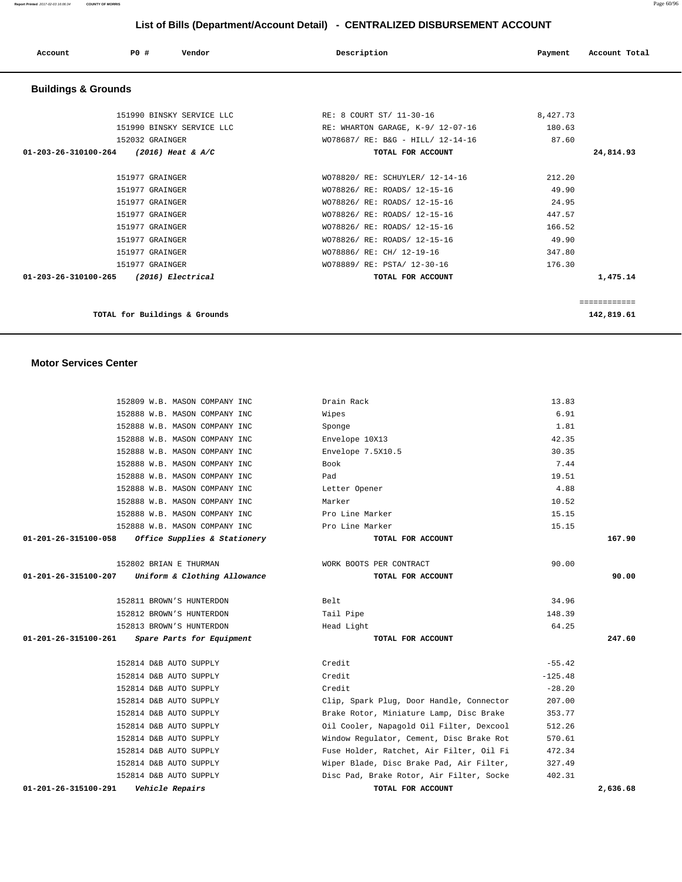| Account                        | Vendor<br>PO#                          | Description                       | Account Total<br>Payment |
|--------------------------------|----------------------------------------|-----------------------------------|--------------------------|
| <b>Buildings &amp; Grounds</b> |                                        |                                   |                          |
|                                | 151990 BINSKY SERVICE LLC              | RE: 8 COURT ST/ 11-30-16          | 8,427.73                 |
|                                | 151990 BINSKY SERVICE LLC              | RE: WHARTON GARAGE, K-9/ 12-07-16 | 180.63                   |
|                                | 152032 GRAINGER                        | WO78687/ RE: B&G - HILL/ 12-14-16 | 87.60                    |
|                                | 01-203-26-310100-264 (2016) Heat & A/C | TOTAL FOR ACCOUNT                 | 24,814.93                |
|                                |                                        |                                   |                          |
|                                | 151977 GRAINGER                        | WO78820/ RE: SCHUYLER/ 12-14-16   | 212.20                   |
|                                | 151977 GRAINGER                        | WO78826/ RE: ROADS/ 12-15-16      | 49.90                    |
|                                | 151977 GRAINGER                        | WO78826/ RE: ROADS/ 12-15-16      | 24.95                    |
|                                | 151977 GRAINGER                        | WO78826/ RE: ROADS/ 12-15-16      | 447.57                   |
|                                | 151977 GRAINGER                        | WO78826/ RE: ROADS/ 12-15-16      | 166.52                   |
|                                | 151977 GRAINGER                        | WO78826/ RE: ROADS/ 12-15-16      | 49.90                    |
|                                | 151977 GRAINGER                        | WO78886/ RE: CH/ 12-19-16         | 347.80                   |
|                                | 151977 GRAINGER                        | WO78889/ RE: PSTA/ 12-30-16       | 176.30                   |
|                                | 01-203-26-310100-265 (2016) Electrical | TOTAL FOR ACCOUNT                 | 1,475.14                 |
|                                |                                        |                                   |                          |
|                                |                                        |                                   | ============             |

**TOTAL for Buildings & Grounds 142,819.61**

### **Motor Services Center**

| 01-201-26-315100-291<br><i><b>Vehicle Repairs</b></i>          | TOTAL FOR ACCOUNT                        |               | 2.636.68 |
|----------------------------------------------------------------|------------------------------------------|---------------|----------|
| 152814 D&B AUTO SUPPLY                                         | Disc Pad, Brake Rotor, Air Filter, Socke | 402.31        |          |
| 152814 D&B AUTO SUPPLY                                         | Wiper Blade, Disc Brake Pad, Air Filter, | 327.49        |          |
| 152814 D&B AUTO SUPPLY                                         | Fuse Holder, Ratchet, Air Filter, Oil Fi | 472.34        |          |
| 152814 D&B AUTO SUPPLY                                         | Window Regulator, Cement, Disc Brake Rot | 570.61        |          |
| 152814 D&B AUTO SUPPLY                                         | Oil Cooler, Napagold Oil Filter, Dexcool | 512.26        |          |
| 152814 D&B AUTO SUPPLY                                         | Brake Rotor, Miniature Lamp, Disc Brake  | 353.77        |          |
| 152814 D&B AUTO SUPPLY                                         | Clip, Spark Plug, Door Handle, Connector | 207.00        |          |
| 152814 D&B AUTO SUPPLY                                         | Credit                                   | $-28.20$      |          |
| 152814 D&B AUTO SUPPLY                                         | Credit                                   | $-125.48$     |          |
| 152814 D&B AUTO SUPPLY                                         | Credit                                   | $-55.42$      |          |
| 01-201-26-315100-261<br>Spare Parts for Equipment              | TOTAL FOR ACCOUNT                        |               | 247.60   |
| 152813 BROWN'S HUNTERDON                                       | Head Light                               | 64.25         |          |
| 152812 BROWN'S HUNTERDON                                       | Tail Pipe                                | 148.39        |          |
| 152811 BROWN'S HUNTERDON                                       | Belt                                     | 34.96         |          |
| Uniform & Clothing Allowance<br>01-201-26-315100-207           | TOTAL FOR ACCOUNT                        |               | 90.00    |
| 152802 BRIAN E THURMAN                                         | WORK BOOTS PER CONTRACT                  | 90.00         |          |
|                                                                |                                          |               |          |
| 01-201-26-315100-058<br>Office Supplies & Stationery           | TOTAL FOR ACCOUNT                        |               | 167.90   |
| 152888 W.B. MASON COMPANY INC                                  | Pro Line Marker                          | 15.15         |          |
| 152888 W.B. MASON COMPANY INC                                  | Pro Line Marker                          | 15.15         |          |
| 152888 W.B. MASON COMPANY INC                                  | Marker                                   | 10.52         |          |
| 152888 W.B. MASON COMPANY INC                                  | Letter Opener                            | 4.88          |          |
| 152888 W.B. MASON COMPANY INC                                  | Pad                                      | 19.51         |          |
| 152888 W.B. MASON COMPANY INC                                  | Book                                     | 7.44          |          |
| 152888 W.B. MASON COMPANY INC<br>152888 W.B. MASON COMPANY INC | Envelope 10X13<br>Envelope 7.5X10.5      | 30.35         |          |
| 152888 W.B. MASON COMPANY INC                                  | Sponge                                   | 1.81<br>42.35 |          |
| 152888 W.B. MASON COMPANY INC                                  | Wipes                                    | 6.91          |          |
| 152809 W.B. MASON COMPANY INC                                  | Drain Rack                               | 13.83         |          |
|                                                                |                                          |               |          |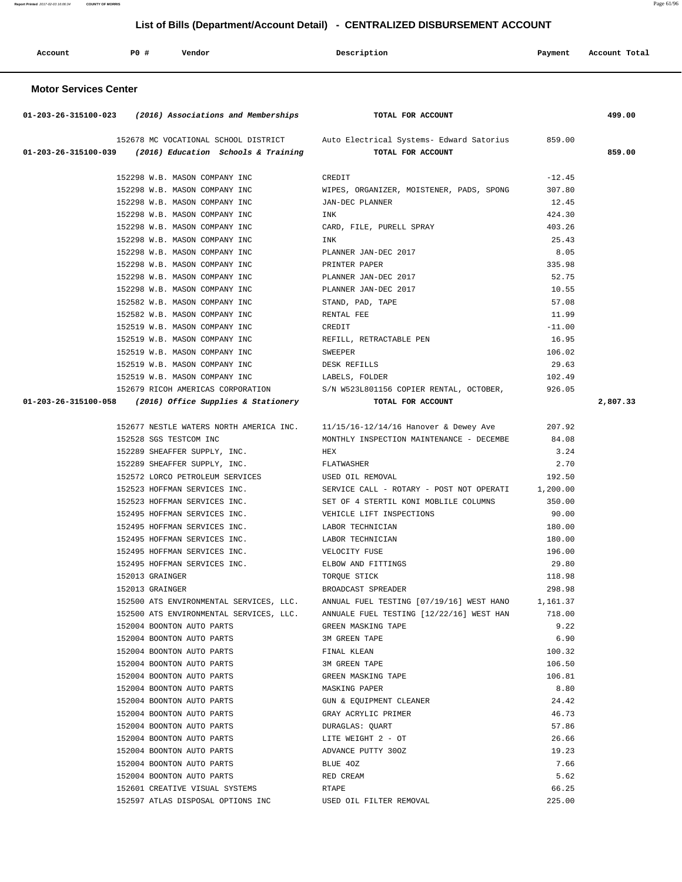| Account | <b>PO #</b> | Vendor | Description | Payment | Account Total |
|---------|-------------|--------|-------------|---------|---------------|
|         |             |        |             |         |               |

## **Motor Services Center**

| $01-203-26-315100-023$ (2016) Associations and Memberships | TOTAL FOR ACCOUNT                                                                         |          | 499.00   |
|------------------------------------------------------------|-------------------------------------------------------------------------------------------|----------|----------|
|                                                            | 152678 MC VOCATIONAL SCHOOL DISTRICT Auto Electrical Systems- Edward Satorius 859.00      |          |          |
| 01-203-26-315100-039 (2016) Education Schools & Training   | TOTAL FOR ACCOUNT                                                                         |          | 859.00   |
| 152298 W.B. MASON COMPANY INC                              | CREDIT                                                                                    | $-12.45$ |          |
| 152298 W.B. MASON COMPANY INC                              | WIPES, ORGANIZER, MOISTENER, PADS, SPONG                                                  | 307.80   |          |
| 152298 W.B. MASON COMPANY INC                              | JAN-DEC PLANNER                                                                           | 12.45    |          |
| 152298 W.B. MASON COMPANY INC                              | INK                                                                                       | 424.30   |          |
| 152298 W.B. MASON COMPANY INC                              | CARD, FILE, PURELL SPRAY                                                                  | 403.26   |          |
| 152298 W.B. MASON COMPANY INC                              | INK                                                                                       | 25.43    |          |
| 152298 W.B. MASON COMPANY INC                              | PLANNER JAN-DEC 2017                                                                      | 8.05     |          |
| 152298 W.B. MASON COMPANY INC                              | PRINTER PAPER                                                                             | 335.98   |          |
| 152298 W.B. MASON COMPANY INC                              | PLANNER JAN-DEC 2017                                                                      | 52.75    |          |
| 152298 W.B. MASON COMPANY INC                              | PLANNER JAN-DEC 2017                                                                      | 10.55    |          |
| 152582 W.B. MASON COMPANY INC                              | STAND, PAD, TAPE                                                                          | 57.08    |          |
| 152582 W.B. MASON COMPANY INC                              | RENTAL FEE                                                                                | 11.99    |          |
| 152519 W.B. MASON COMPANY INC                              | CREDIT                                                                                    | $-11.00$ |          |
| 152519 W.B. MASON COMPANY INC                              | REFILL, RETRACTABLE PEN                                                                   | 16.95    |          |
| 152519 W.B. MASON COMPANY INC                              |                                                                                           | 106.02   |          |
| 152519 W.B. MASON COMPANY INC                              | SWEEPER<br>DESK REFILLS                                                                   | 29.63    |          |
| 152519 W.B. MASON COMPANY INC                              | LABELS, FOLDER                                                                            | 102.49   |          |
|                                                            | 152679 RICOH AMERICAS CORPORATION S/N W523L801156 COPIER RENTAL, OCTOBER, 326.05          |          |          |
| 01-203-26-315100-058 (2016) Office Supplies & Stationery   | TOTAL FOR ACCOUNT                                                                         |          | 2,807.33 |
|                                                            |                                                                                           |          |          |
|                                                            | 152677 NESTLE WATERS NORTH AMERICA INC. 11/15/16-12/14/16 Hanover & Dewey Ave 207.92      |          |          |
| 152528 SGS TESTCOM INC                                     | MONTHLY INSPECTION MAINTENANCE - DECEMBE                                                  | 84.08    |          |
| 152289 SHEAFFER SUPPLY, INC.                               | <b>HEX</b>                                                                                | 3.24     |          |
| 152289 SHEAFFER SUPPLY, INC.                               | FLATWASHER                                                                                | 2.70     |          |
| 152572 LORCO PETROLEUM SERVICES USED OIL REMOVAL           |                                                                                           | 192.50   |          |
|                                                            | 152523 HOFFMAN SERVICES INC. SERVICE CALL - ROTARY - POST NOT OPERATI 1,200.00            |          |          |
|                                                            | 152523 HOFFMAN SERVICES INC. SET OF 4 STERTIL KONI MOBLILE COLUMNS                        | 350.00   |          |
|                                                            | 152495 HOFFMAN SERVICES INC. WEHICLE LIFT INSPECTIONS                                     | 90.00    |          |
| 152495 HOFFMAN SERVICES INC. LABOR TECHNICIAN              |                                                                                           | 180.00   |          |
| 152495 HOFFMAN SERVICES INC.                               | LABOR TECHNICIAN                                                                          | 180.00   |          |
| 152495 HOFFMAN SERVICES INC.                               | VELOCITY FUSE                                                                             | 196.00   |          |
| 152495 HOFFMAN SERVICES INC.                               | ELBOW AND FITTINGS                                                                        | 29.80    |          |
| 152013 GRAINGER                                            | TORQUE STICK                                                                              | 118.98   |          |
| 152013 GRAINGER                                            | BROADCAST SPREADER                                                                        | 298.98   |          |
|                                                            | 152500 ATS ENVIRONMENTAL SERVICES, LLC. ANNUAL FUEL TESTING [07/19/16] WEST HANO 1,161.37 |          |          |
| 152500 ATS ENVIRONMENTAL SERVICES, LLC.                    | ANNUALE FUEL TESTING [12/22/16] WEST HAN                                                  | 718.00   |          |
| 152004 BOONTON AUTO PARTS                                  | GREEN MASKING TAPE                                                                        | 9.22     |          |
| 152004 BOONTON AUTO PARTS                                  | 3M GREEN TAPE                                                                             | 6.90     |          |
| 152004 BOONTON AUTO PARTS                                  | FINAL KLEAN                                                                               | 100.32   |          |
| 152004 BOONTON AUTO PARTS                                  | 3M GREEN TAPE                                                                             | 106.50   |          |
| 152004 BOONTON AUTO PARTS                                  | GREEN MASKING TAPE                                                                        | 106.81   |          |
| 152004 BOONTON AUTO PARTS                                  | MASKING PAPER                                                                             | 8.80     |          |
| 152004 BOONTON AUTO PARTS                                  | GUN & EQUIPMENT CLEANER                                                                   | 24.42    |          |
| 152004 BOONTON AUTO PARTS                                  | GRAY ACRYLIC PRIMER                                                                       | 46.73    |          |
| 152004 BOONTON AUTO PARTS                                  | DURAGLAS: OUART                                                                           | 57.86    |          |
| 152004 BOONTON AUTO PARTS                                  | LITE WEIGHT 2 - OT                                                                        | 26.66    |          |
| 152004 BOONTON AUTO PARTS                                  | ADVANCE PUTTY 300Z                                                                        | 19.23    |          |
| 152004 BOONTON AUTO PARTS                                  | BLUE 40Z                                                                                  | 7.66     |          |
| 152004 BOONTON AUTO PARTS                                  | RED CREAM                                                                                 | 5.62     |          |
| 152601 CREATIVE VISUAL SYSTEMS                             | RTAPE                                                                                     | 66.25    |          |
| 152597 ATLAS DISPOSAL OPTIONS INC                          | USED OIL FILTER REMOVAL                                                                   | 225.00   |          |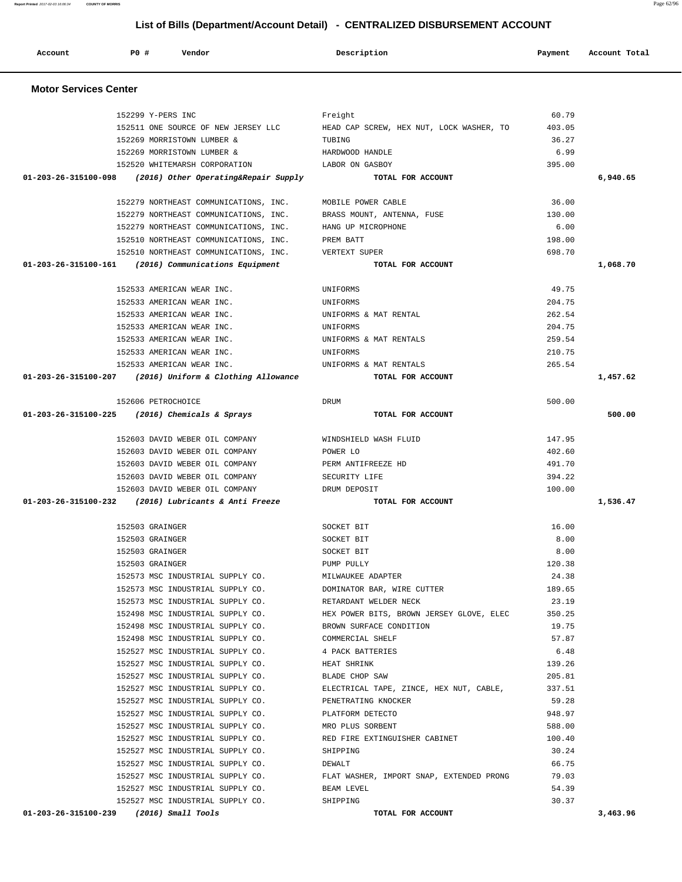**Report Printed** 2017-02-03 16:06:34 **COUNTY OF MORRIS** Page 62/96  **List of Bills (Department/Account Detail) - CENTRALIZED DISBURSEMENT ACCOUNT**

 **Account P0 # Vendor Description Payment Account Total Motor Services Center** 

| 152299 Y-PERS INC                                              | Freight                                  | 60.79            |          |
|----------------------------------------------------------------|------------------------------------------|------------------|----------|
| 152511 ONE SOURCE OF NEW JERSEY LLC                            | HEAD CAP SCREW, HEX NUT, LOCK WASHER, TO | 403.05           |          |
| 152269 MORRISTOWN LUMBER &                                     | TUBING                                   | 36.27            |          |
| 152269 MORRISTOWN LUMBER &                                     | HARDWOOD HANDLE                          | 6.99             |          |
| 152520 WHITEMARSH CORPORATION                                  | LABOR ON GASBOY                          | 395.00           |          |
| $01-203-26-315100-098$ (2016) Other Operating& Repair Supply   | TOTAL FOR ACCOUNT                        |                  | 6,940.65 |
|                                                                |                                          |                  |          |
| 152279 NORTHEAST COMMUNICATIONS, INC.                          | MOBILE POWER CABLE                       | 36.00            |          |
| 152279 NORTHEAST COMMUNICATIONS, INC.                          | BRASS MOUNT, ANTENNA, FUSE               | 130.00           |          |
| 152279 NORTHEAST COMMUNICATIONS, INC.                          | HANG UP MICROPHONE                       | 6.00             |          |
| 152510 NORTHEAST COMMUNICATIONS, INC.                          | PREM BATT                                | 198.00           |          |
| 152510 NORTHEAST COMMUNICATIONS, INC. VERTEXT SUPER            |                                          | 698.70           |          |
| $01 - 203 - 26 - 315100 - 161$ (2016) Communications Equipment | TOTAL FOR ACCOUNT                        |                  | 1,068.70 |
|                                                                |                                          |                  |          |
| 152533 AMERICAN WEAR INC.                                      | UNIFORMS                                 | 49.75            |          |
| 152533 AMERICAN WEAR INC.                                      | UNIFORMS                                 | 204.75           |          |
| 152533 AMERICAN WEAR INC.                                      | UNIFORMS & MAT RENTAL                    | 262.54           |          |
| 152533 AMERICAN WEAR INC.                                      | UNIFORMS                                 | 204.75           |          |
| 152533 AMERICAN WEAR INC.                                      | UNIFORMS & MAT RENTALS                   | 259.54           |          |
| 152533 AMERICAN WEAR INC.                                      | UNIFORMS                                 | 210.75           |          |
| 152533 AMERICAN WEAR INC.                                      | UNIFORMS & MAT RENTALS                   | 265.54           |          |
| $01-203-26-315100-207$ (2016) Uniform & Clothing Allowance     | TOTAL FOR ACCOUNT                        |                  | 1,457.62 |
|                                                                |                                          |                  |          |
| 152606 PETROCHOICE                                             | DRUM                                     | 500.00           |          |
| 01-203-26-315100-225 (2016) Chemicals & Sprays                 | TOTAL FOR ACCOUNT                        |                  | 500.00   |
|                                                                |                                          |                  |          |
| 152603 DAVID WEBER OIL COMPANY                                 | WINDSHIELD WASH FLUID                    | 147.95<br>402.60 |          |
| 152603 DAVID WEBER OIL COMPANY                                 | POWER LO<br>PERM ANTIFREEZE HD           | 491.70           |          |
|                                                                |                                          |                  |          |
| 152603 DAVID WEBER OIL COMPANY                                 |                                          |                  |          |
| 152603 DAVID WEBER OIL COMPANY                                 | SECURITY LIFE                            | 394.22           |          |
| 152603 DAVID WEBER OIL COMPANY                                 | DRUM DEPOSIT                             | 100.00           |          |
| 01-203-26-315100-232 (2016) Lubricants & Anti Freeze           | TOTAL FOR ACCOUNT                        |                  | 1,536.47 |
|                                                                |                                          |                  |          |
| 152503 GRAINGER                                                | SOCKET BIT                               | 16.00            |          |
| 152503 GRAINGER<br>152503 GRAINGER                             | SOCKET BIT                               | 8.00             |          |
| 152503 GRAINGER                                                | SOCKET BIT<br>PUMP PULLY                 | 8.00<br>120.38   |          |
| 152573 MSC INDUSTRIAL SUPPLY CO.                               | MILWAUKEE ADAPTER                        | 24.38            |          |
| 152573 MSC INDUSTRIAL SUPPLY CO.                               | DOMINATOR BAR, WIRE CUTTER               | 189.65           |          |
| 152573 MSC INDUSTRIAL SUPPLY CO.                               | RETARDANT WELDER NECK                    | 23.19            |          |
| 152498 MSC INDUSTRIAL SUPPLY CO.                               | HEX POWER BITS, BROWN JERSEY GLOVE, ELEC | 350.25           |          |
| 152498 MSC INDUSTRIAL SUPPLY CO.                               | BROWN SURFACE CONDITION                  | 19.75            |          |
| 152498 MSC INDUSTRIAL SUPPLY CO.                               | COMMERCIAL SHELF                         | 57.87            |          |
| 152527 MSC INDUSTRIAL SUPPLY CO.                               | 4 PACK BATTERIES                         | 6.48             |          |
| 152527 MSC INDUSTRIAL SUPPLY CO.                               | HEAT SHRINK                              | 139.26           |          |
| 152527 MSC INDUSTRIAL SUPPLY CO.                               | BLADE CHOP SAW                           | 205.81           |          |
| 152527 MSC INDUSTRIAL SUPPLY CO.                               | ELECTRICAL TAPE, ZINCE, HEX NUT, CABLE,  | 337.51           |          |
| 152527 MSC INDUSTRIAL SUPPLY CO.                               | PENETRATING KNOCKER                      | 59.28            |          |
| 152527 MSC INDUSTRIAL SUPPLY CO.                               | PLATFORM DETECTO                         | 948.97           |          |
| 152527 MSC INDUSTRIAL SUPPLY CO.                               | MRO PLUS SORBENT                         | 588.00           |          |
| 152527 MSC INDUSTRIAL SUPPLY CO.                               | RED FIRE EXTINGUISHER CABINET            | 100.40           |          |
| 152527 MSC INDUSTRIAL SUPPLY CO.                               | SHIPPING                                 | 30.24            |          |
| 152527 MSC INDUSTRIAL SUPPLY CO.                               | DEWALT                                   | 66.75            |          |
| 152527 MSC INDUSTRIAL SUPPLY CO.                               | FLAT WASHER, IMPORT SNAP, EXTENDED PRONG | 79.03            |          |
| 152527 MSC INDUSTRIAL SUPPLY CO.                               | BEAM LEVEL                               | 54.39            |          |
| 152527 MSC INDUSTRIAL SUPPLY CO.                               | SHIPPING                                 | 30.37            |          |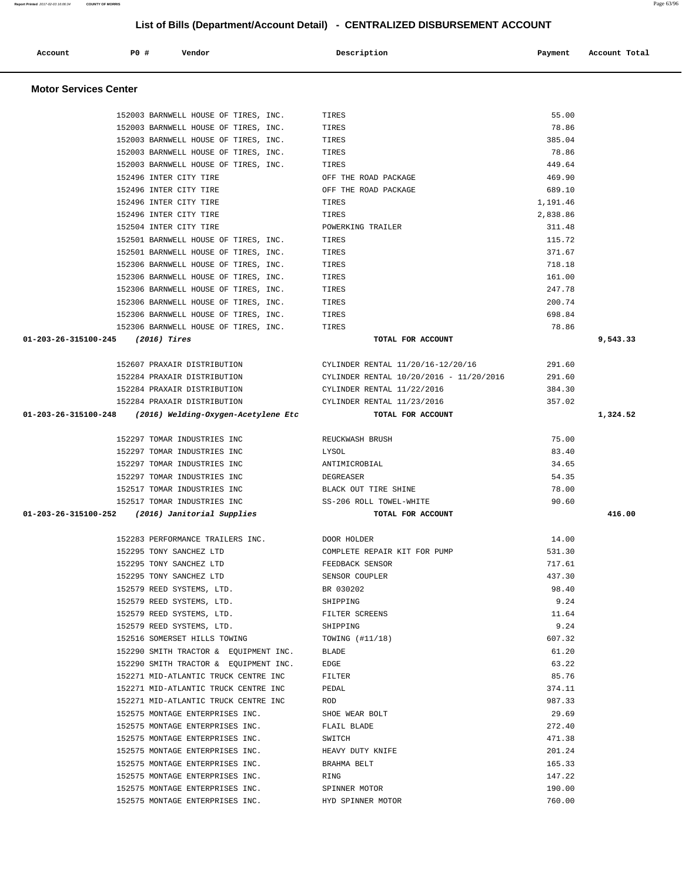|                                   | 152003 BARNWELL HOUSE OF TIRES, INC.                               | TIRES                                   | 78.86            |          |
|-----------------------------------|--------------------------------------------------------------------|-----------------------------------------|------------------|----------|
|                                   | 152003 BARNWELL HOUSE OF TIRES, INC.                               | TIRES                                   | 385.04           |          |
|                                   | 152003 BARNWELL HOUSE OF TIRES, INC.                               | TIRES                                   | 78.86            |          |
|                                   | 152003 BARNWELL HOUSE OF TIRES, INC.                               | TIRES                                   | 449.64           |          |
|                                   | 152496 INTER CITY TIRE                                             | OFF THE ROAD PACKAGE                    | 469.90           |          |
|                                   | 152496 INTER CITY TIRE                                             | OFF THE ROAD PACKAGE                    | 689.10           |          |
|                                   | 152496 INTER CITY TIRE                                             | TIRES                                   | 1,191.46         |          |
|                                   | 152496 INTER CITY TIRE                                             | TIRES                                   | 2,838.86         |          |
|                                   | 152504 INTER CITY TIRE                                             | POWERKING TRAILER                       | 311.48           |          |
|                                   | 152501 BARNWELL HOUSE OF TIRES, INC.                               | TIRES                                   | 115.72           |          |
|                                   | 152501 BARNWELL HOUSE OF TIRES, INC.                               | TIRES                                   | 371.67           |          |
|                                   | 152306 BARNWELL HOUSE OF TIRES, INC.                               | TIRES                                   | 718.18           |          |
|                                   | 152306 BARNWELL HOUSE OF TIRES, INC.                               | TIRES                                   | 161.00           |          |
|                                   | 152306 BARNWELL HOUSE OF TIRES, INC.                               | TIRES                                   | 247.78           |          |
|                                   | 152306 BARNWELL HOUSE OF TIRES, INC.                               | TIRES                                   | 200.74           |          |
|                                   | 152306 BARNWELL HOUSE OF TIRES, INC.                               | TIRES                                   | 698.84           |          |
|                                   | 152306 BARNWELL HOUSE OF TIRES, INC.                               | TIRES                                   | 78.86            |          |
| 01-203-26-315100-245 (2016) Tires |                                                                    | TOTAL FOR ACCOUNT                       |                  | 9,543.33 |
|                                   |                                                                    |                                         |                  |          |
|                                   | 152607 PRAXAIR DISTRIBUTION                                        | CYLINDER RENTAL 11/20/16-12/20/16       | 291.60           |          |
|                                   | 152284 PRAXAIR DISTRIBUTION                                        | CYLINDER RENTAL 10/20/2016 - 11/20/2016 | 291.60           |          |
|                                   | 152284 PRAXAIR DISTRIBUTION                                        | CYLINDER RENTAL 11/22/2016              | 384.30           |          |
|                                   | 152284 PRAXAIR DISTRIBUTION                                        | CYLINDER RENTAL 11/23/2016              | 357.02           |          |
|                                   | 01-203-26-315100-248 (2016) Welding-Oxygen-Acetylene Etc           | TOTAL FOR ACCOUNT                       |                  | 1,324.52 |
|                                   |                                                                    |                                         |                  |          |
|                                   | 152297 TOMAR INDUSTRIES INC                                        | REUCKWASH BRUSH                         | 75.00            |          |
|                                   | 152297 TOMAR INDUSTRIES INC                                        | LYSOL                                   | 83.40            |          |
|                                   | 152297 TOMAR INDUSTRIES INC                                        | ANTIMICROBIAL                           | 34.65            |          |
|                                   | 152297 TOMAR INDUSTRIES INC                                        | DEGREASER                               | 54.35            |          |
|                                   | 152517 TOMAR INDUSTRIES INC                                        | BLACK OUT TIRE SHINE                    | 78.00            |          |
|                                   | 152517 TOMAR INDUSTRIES INC                                        | SS-206 ROLL TOWEL-WHITE                 | 90.60            |          |
|                                   | 01-203-26-315100-252 (2016) Janitorial Supplies                    | TOTAL FOR ACCOUNT                       |                  | 416.00   |
|                                   |                                                                    |                                         |                  |          |
|                                   | 152283 PERFORMANCE TRAILERS INC. 5000 DOOR HOLDER                  |                                         | 14.00            |          |
|                                   |                                                                    |                                         |                  |          |
|                                   |                                                                    |                                         |                  |          |
|                                   | 152295 TONY SANCHEZ LTD                                            | COMPLETE REPAIR KIT FOR PUMP            | 531.30           |          |
|                                   | 152295 TONY SANCHEZ LTD                                            | FEEDBACK SENSOR                         | 717.61           |          |
|                                   | 152295 TONY SANCHEZ LTD                                            | SENSOR COUPLER                          | 437.30           |          |
|                                   | 152579 REED SYSTEMS, LTD.                                          | BR 030202                               | 98.40            |          |
|                                   | 152579 REED SYSTEMS, LTD.                                          | SHIPPING                                | 9.24             |          |
|                                   | 152579 REED SYSTEMS, LTD.                                          | FILTER SCREENS                          | 11.64            |          |
|                                   | 152579 REED SYSTEMS, LTD.                                          | SHIPPING                                | 9.24             |          |
|                                   | 152516 SOMERSET HILLS TOWING                                       | TOWING (#11/18)                         | 607.32           |          |
|                                   | 152290 SMITH TRACTOR & EQUIPMENT INC.                              | BLADE                                   | 61.20            |          |
|                                   | 152290 SMITH TRACTOR & EQUIPMENT INC.                              | EDGE                                    | 63.22            |          |
|                                   | 152271 MID-ATLANTIC TRUCK CENTRE INC                               | FILTER                                  | 85.76            |          |
|                                   | 152271 MID-ATLANTIC TRUCK CENTRE INC                               | PEDAL                                   | 374.11           |          |
|                                   | 152271 MID-ATLANTIC TRUCK CENTRE INC                               | ROD                                     | 987.33           |          |
|                                   | 152575 MONTAGE ENTERPRISES INC.                                    | SHOE WEAR BOLT                          | 29.69            |          |
|                                   | 152575 MONTAGE ENTERPRISES INC.                                    | FLAIL BLADE                             | 272.40           |          |
|                                   | 152575 MONTAGE ENTERPRISES INC.                                    | SWITCH                                  | 471.38           |          |
|                                   | 152575 MONTAGE ENTERPRISES INC.                                    | HEAVY DUTY KNIFE                        | 201.24           |          |
|                                   | 152575 MONTAGE ENTERPRISES INC.                                    | BRAHMA BELT                             | 165.33           |          |
|                                   | 152575 MONTAGE ENTERPRISES INC.                                    | RING                                    | 147.22           |          |
|                                   | 152575 MONTAGE ENTERPRISES INC.<br>152575 MONTAGE ENTERPRISES INC. | SPINNER MOTOR<br>HYD SPINNER MOTOR      | 190.00<br>760.00 |          |

#### **Motor Services Center**

## **List of Bills (Department/Account Detail) - CENTRALIZED DISBURSEMENT ACCOUNT**

Account **PO #** Vendor **Description Payment Account Total** 

152003 BARNWELL HOUSE OF TIRES, INC. TIRES TIRES 55.00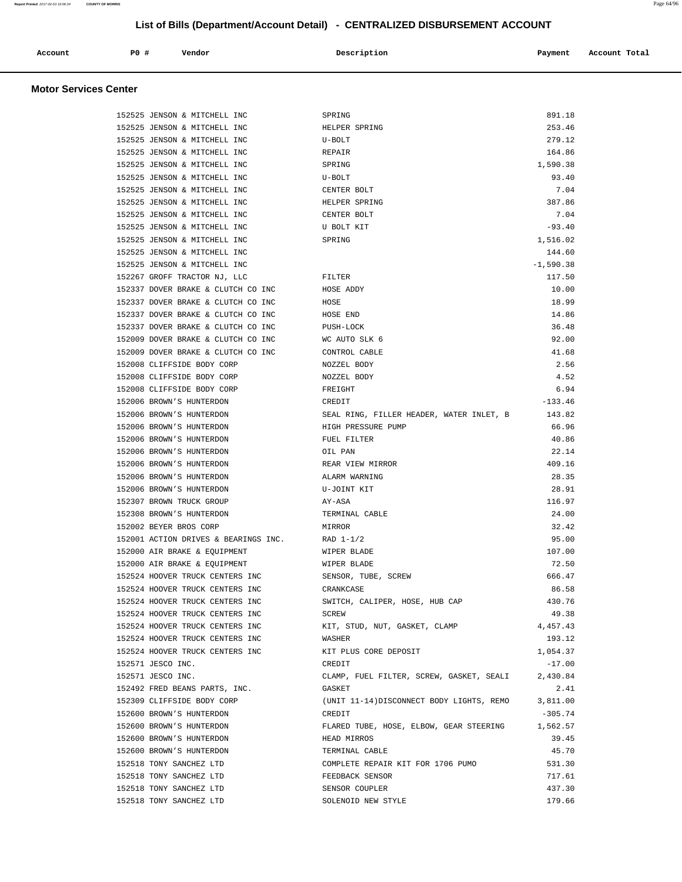|  | Account | <b>PO#</b> | Vendor | Description | Payment | Account Total |
|--|---------|------------|--------|-------------|---------|---------------|
|--|---------|------------|--------|-------------|---------|---------------|

## **Motor Services Center**

| 152525 JENSON & MITCHELL INC                                       | SPRING                                              | 891.18                |
|--------------------------------------------------------------------|-----------------------------------------------------|-----------------------|
| 152525 JENSON & MITCHELL INC                                       | HELPER SPRING                                       | 253.46                |
| 152525 JENSON & MITCHELL INC                                       | U-BOLT                                              | 279.12                |
| 152525 JENSON & MITCHELL INC                                       | REPAIR                                              | 164.86                |
| 152525 JENSON & MITCHELL INC                                       | SPRING                                              | 1,590.38              |
| 152525 JENSON & MITCHELL INC                                       | U-BOLT                                              | 93.40                 |
| 152525 JENSON & MITCHELL INC                                       | CENTER BOLT                                         | 7.04                  |
| 152525 JENSON & MITCHELL INC                                       | HELPER SPRING                                       | 387.86                |
| 152525 JENSON & MITCHELL INC                                       | CENTER BOLT                                         | 7.04                  |
| 152525 JENSON & MITCHELL INC                                       | U BOLT KIT                                          | $-93.40$              |
| 152525 JENSON & MITCHELL INC                                       | SPRING                                              | 1,516.02              |
| 152525 JENSON & MITCHELL INC                                       |                                                     | 144.60                |
| 152525 JENSON & MITCHELL INC                                       |                                                     | $-1,590.38$           |
| 152267 GROFF TRACTOR NJ, LLC                                       | FILTER                                              | 117.50                |
| 152337 DOVER BRAKE & CLUTCH CO INC                                 | HOSE ADDY                                           | 10.00                 |
| 152337 DOVER BRAKE & CLUTCH CO INC                                 | HOSE                                                | 18.99                 |
| 152337 DOVER BRAKE & CLUTCH CO INC                                 | HOSE END                                            | 14.86                 |
| 152337 DOVER BRAKE & CLUTCH CO INC                                 | PUSH-LOCK                                           | 36.48                 |
| 152009 DOVER BRAKE & CLUTCH CO INC                                 | WC AUTO SLK 6                                       | 92.00                 |
| 152009 DOVER BRAKE & CLUTCH CO INC                                 | CONTROL CABLE                                       | 41.68                 |
| 152008 CLIFFSIDE BODY CORP                                         | NOZZEL BODY                                         | 2.56                  |
| 152008 CLIFFSIDE BODY CORP                                         | NOZZEL BODY                                         | 4.52                  |
| 152008 CLIFFSIDE BODY CORP                                         | FREIGHT                                             | 6.94                  |
| 152006 BROWN'S HUNTERDON                                           | CREDIT                                              | $-133.46$             |
| 152006 BROWN'S HUNTERDON                                           | SEAL RING, FILLER HEADER, WATER INLET, B            | 143.82                |
| 152006 BROWN'S HUNTERDON                                           | HIGH PRESSURE PUMP                                  | 66.96                 |
| 152006 BROWN'S HUNTERDON                                           | FUEL FILTER                                         | 40.86                 |
| 152006 BROWN'S HUNTERDON                                           | OIL PAN                                             | 22.14                 |
| 152006 BROWN'S HUNTERDON                                           | REAR VIEW MIRROR                                    | 409.16                |
| 152006 BROWN'S HUNTERDON                                           | ALARM WARNING                                       | 28.35                 |
| 152006 BROWN'S HUNTERDON                                           | U-JOINT KIT                                         | 28.91                 |
| 152307 BROWN TRUCK GROUP                                           | AY-ASA                                              | 116.97                |
| 152308 BROWN'S HUNTERDON                                           | TERMINAL CABLE                                      | 24.00                 |
| 152002 BEYER BROS CORP                                             | MIRROR                                              | 32.42                 |
| 152001 ACTION DRIVES & BEARINGS INC.                               | $RAD$ $1-1/2$                                       | 95.00                 |
|                                                                    |                                                     | 107.00                |
| 152000 AIR BRAKE & EQUIPMENT                                       | WIPER BLADE<br>WIPER BLADE                          | 72.50                 |
| 152000 AIR BRAKE & EQUIPMENT                                       |                                                     | 666.47                |
| 152524 HOOVER TRUCK CENTERS INC                                    | SENSOR, TUBE, SCREW                                 |                       |
| 152524 HOOVER TRUCK CENTERS INC<br>152524 HOOVER TRUCK CENTERS INC | CRANKCASE                                           | 86.58<br>430.76       |
|                                                                    | SWITCH, CALIPER, HOSE, HUB CAP                      |                       |
| 152524 HOOVER TRUCK CENTERS INC<br>152524 HOOVER TRUCK CENTERS INC | SCREW<br>KIT, STUD, NUT, GASKET, CLAMP              | 49.38<br>4, 457. 43   |
| 152524 HOOVER TRUCK CENTERS INC                                    | WASHER                                              |                       |
|                                                                    |                                                     | 193.12                |
| 152524 HOOVER TRUCK CENTERS INC<br>152571 JESCO INC.               | KIT PLUS CORE DEPOSIT                               | 1,054.37              |
|                                                                    | CREDIT<br>CLAMP, FUEL FILTER, SCREW, GASKET, SEALI  | $-17.00$<br>2,430.84  |
| 152571 JESCO INC.                                                  |                                                     |                       |
| 152492 FRED BEANS PARTS, INC.<br>152309 CLIFFSIDE BODY CORP        | GASKET                                              | 2.41                  |
| 152600 BROWN'S HUNTERDON                                           | (UNIT 11-14) DISCONNECT BODY LIGHTS, REMO<br>CREDIT | 3,811.00<br>$-305.74$ |
| 152600 BROWN'S HUNTERDON                                           |                                                     |                       |
|                                                                    | FLARED TUBE, HOSE, ELBOW, GEAR STEERING             | 1,562.57              |
| 152600 BROWN'S HUNTERDON                                           | HEAD MIRROS                                         | 39.45                 |
| 152600 BROWN'S HUNTERDON                                           | TERMINAL CABLE                                      | 45.70                 |
| 152518 TONY SANCHEZ LTD                                            | COMPLETE REPAIR KIT FOR 1706 PUMO                   | 531.30                |
| 152518 TONY SANCHEZ LTD                                            | FEEDBACK SENSOR                                     | 717.61                |
| 152518 TONY SANCHEZ LTD                                            | SENSOR COUPLER                                      | 437.30                |
| 152518 TONY SANCHEZ LTD                                            | SOLENOID NEW STYLE                                  | 179.66                |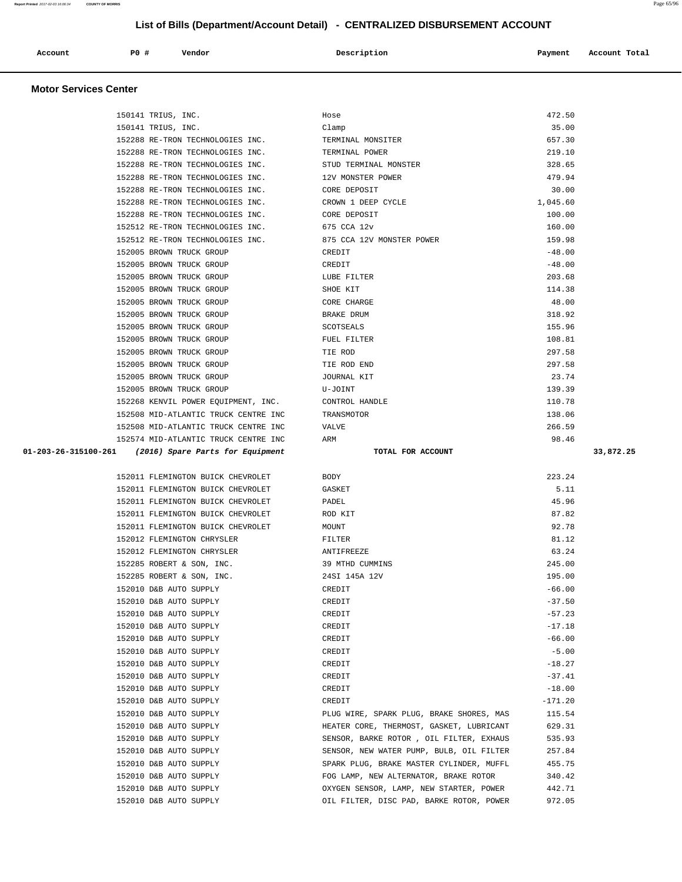| Account | PO# | Vendor | Description | Payment | Account Total |
|---------|-----|--------|-------------|---------|---------------|
|         |     | .      |             |         |               |
|         |     |        |             |         |               |

150141 TRIUS, INC. Hose 472.50

#### **Motor Services Center**

| 150141 TRIUS, INC.                                    |                                                  | Clamp                                                                                | 35.00     |           |
|-------------------------------------------------------|--------------------------------------------------|--------------------------------------------------------------------------------------|-----------|-----------|
|                                                       | 152288 RE-TRON TECHNOLOGIES INC.                 | TERMINAL MONSITER                                                                    | 657.30    |           |
|                                                       | 152288 RE-TRON TECHNOLOGIES INC.                 | TERMINAL POWER                                                                       | 219.10    |           |
|                                                       | 152288 RE-TRON TECHNOLOGIES INC.                 | STUD TERMINAL MONSTER                                                                | 328.65    |           |
|                                                       | 152288 RE-TRON TECHNOLOGIES INC.                 | 12V MONSTER POWER                                                                    | 479.94    |           |
|                                                       | 152288 RE-TRON TECHNOLOGIES INC.                 | CORE DEPOSIT                                                                         | 30.00     |           |
|                                                       | 152288 RE-TRON TECHNOLOGIES INC.                 | CROWN 1 DEEP CYCLE                                                                   | 1,045.60  |           |
|                                                       | 152288 RE-TRON TECHNOLOGIES INC.                 | CORE DEPOSIT                                                                         | 100.00    |           |
|                                                       | 152512 RE-TRON TECHNOLOGIES INC.                 | 675 CCA 12v                                                                          | 160.00    |           |
|                                                       | 152512 RE-TRON TECHNOLOGIES INC.                 | 875 CCA 12V MONSTER POWER                                                            | 159.98    |           |
|                                                       | 152005 BROWN TRUCK GROUP                         | CREDIT                                                                               | $-48.00$  |           |
|                                                       | 152005 BROWN TRUCK GROUP                         | CREDIT                                                                               | $-48.00$  |           |
|                                                       | 152005 BROWN TRUCK GROUP                         | LUBE FILTER                                                                          | 203.68    |           |
|                                                       | 152005 BROWN TRUCK GROUP                         | SHOE KIT                                                                             | 114.38    |           |
|                                                       | 152005 BROWN TRUCK GROUP                         | CORE CHARGE                                                                          | 48.00     |           |
|                                                       | 152005 BROWN TRUCK GROUP                         | BRAKE DRUM                                                                           | 318.92    |           |
|                                                       | 152005 BROWN TRUCK GROUP                         | SCOTSEALS                                                                            | 155.96    |           |
|                                                       | 152005 BROWN TRUCK GROUP                         | FUEL FILTER                                                                          | 108.81    |           |
|                                                       | 152005 BROWN TRUCK GROUP                         | TIE ROD                                                                              | 297.58    |           |
|                                                       | 152005 BROWN TRUCK GROUP                         | TIE ROD END                                                                          | 297.58    |           |
|                                                       | 152005 BROWN TRUCK GROUP                         | JOURNAL KIT                                                                          | 23.74     |           |
|                                                       | 152005 BROWN TRUCK GROUP                         | U-JOINT                                                                              | 139.39    |           |
|                                                       | 152268 KENVIL POWER EQUIPMENT, INC.              | CONTROL HANDLE                                                                       | 110.78    |           |
|                                                       | 152508 MID-ATLANTIC TRUCK CENTRE INC             | TRANSMOTOR                                                                           | 138.06    |           |
|                                                       | 152508 MID-ATLANTIC TRUCK CENTRE INC             | VALVE                                                                                | 266.59    |           |
|                                                       | 152574 MID-ATLANTIC TRUCK CENTRE INC             | ARM                                                                                  | 98.46     |           |
|                                                       |                                                  |                                                                                      |           |           |
| 01-203-26-315100-261 (2016) Spare Parts for Equipment |                                                  | TOTAL FOR ACCOUNT                                                                    |           | 33,872.25 |
|                                                       |                                                  |                                                                                      |           |           |
|                                                       | 152011 FLEMINGTON BUICK CHEVROLET                | BODY                                                                                 | 223.24    |           |
|                                                       | 152011 FLEMINGTON BUICK CHEVROLET                | GASKET                                                                               | 5.11      |           |
|                                                       | 152011 FLEMINGTON BUICK CHEVROLET                | PADEL                                                                                | 45.96     |           |
|                                                       | 152011 FLEMINGTON BUICK CHEVROLET                | ROD KIT                                                                              | 87.82     |           |
|                                                       | 152011 FLEMINGTON BUICK CHEVROLET                | MOUNT                                                                                | 92.78     |           |
|                                                       | 152012 FLEMINGTON CHRYSLER                       | FILTER                                                                               | 81.12     |           |
|                                                       | 152012 FLEMINGTON CHRYSLER                       | ANTIFREEZE                                                                           | 63.24     |           |
|                                                       | 152285 ROBERT & SON, INC.                        | 39 MTHD CUMMINS                                                                      | 245.00    |           |
|                                                       | 152285 ROBERT & SON, INC.                        | 24SI 145A 12V                                                                        | 195.00    |           |
|                                                       | 152010 D&B AUTO SUPPLY                           | CREDIT                                                                               | $-66.00$  |           |
|                                                       | 152010 D&B AUTO SUPPLY                           | CREDIT                                                                               | $-37.50$  |           |
|                                                       | 152010 D&B AUTO SUPPLY                           | CREDIT                                                                               | $-57.23$  |           |
|                                                       | 152010 D&B AUTO SUPPLY                           | CREDIT                                                                               | $-17.18$  |           |
|                                                       | 152010 D&B AUTO SUPPLY                           | CREDIT                                                                               | $-66.00$  |           |
|                                                       | 152010 D&B AUTO SUPPLY                           | CREDIT                                                                               | $-5.00$   |           |
|                                                       | 152010 D&B AUTO SUPPLY                           | CREDIT                                                                               | $-18.27$  |           |
|                                                       | 152010 D&B AUTO SUPPLY                           | CREDIT                                                                               | $-37.41$  |           |
|                                                       | 152010 D&B AUTO SUPPLY                           | CREDIT                                                                               | $-18.00$  |           |
|                                                       | 152010 D&B AUTO SUPPLY                           | CREDIT                                                                               | $-171.20$ |           |
|                                                       | 152010 D&B AUTO SUPPLY                           | PLUG WIRE, SPARK PLUG, BRAKE SHORES, MAS                                             | 115.54    |           |
|                                                       | 152010 D&B AUTO SUPPLY                           | HEATER CORE, THERMOST, GASKET, LUBRICANT                                             | 629.31    |           |
|                                                       | 152010 D&B AUTO SUPPLY                           | SENSOR, BARKE ROTOR , OIL FILTER, EXHAUS                                             | 535.93    |           |
|                                                       | 152010 D&B AUTO SUPPLY<br>152010 D&B AUTO SUPPLY | SENSOR, NEW WATER PUMP, BULB, OIL FILTER<br>SPARK PLUG, BRAKE MASTER CYLINDER, MUFFL | 257.84    |           |

 152010 D&B AUTO SUPPLY FOG LAMP, NEW ALTERNATOR, BRAKE ROTOR 340.42 152010 D&B AUTO SUPPLY OXYGEN SENSOR, LAMP, NEW STARTER, POWER 442.71 152010 D&B AUTO SUPPLY OIL FILTER, DISC PAD, BARKE ROTOR, POWER 972.05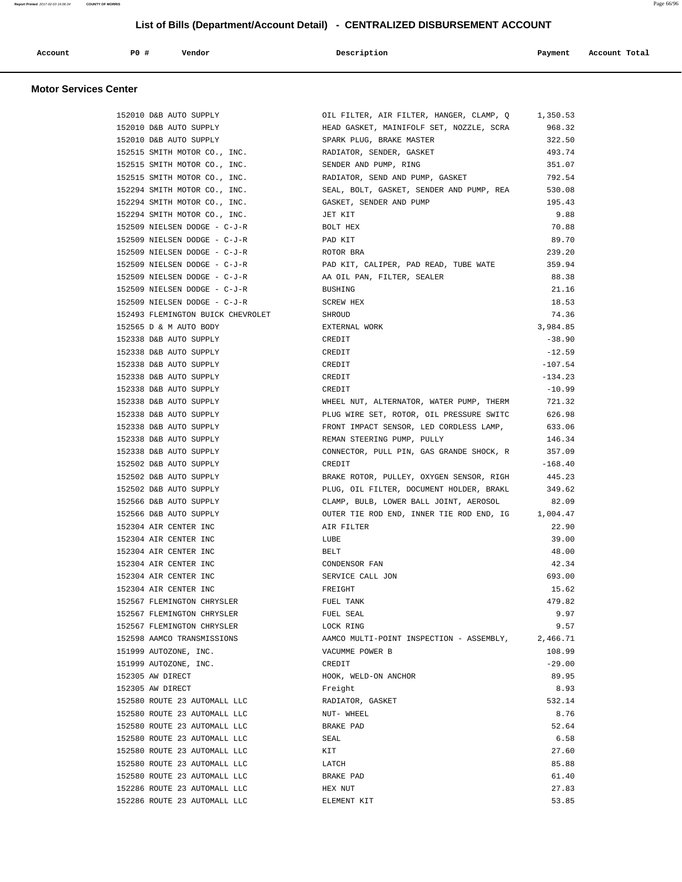| Account<br>. | <b>PO #</b> | Vendor | Description | Payment | Account Total<br>. |
|--------------|-------------|--------|-------------|---------|--------------------|
|              |             |        |             |         |                    |

## **Motor Services Center**

| 152010 D&B AUTO SUPPLY            | OIL FILTER, AIR FILTER, HANGER, CLAMP, Q 1,350.53 |           |
|-----------------------------------|---------------------------------------------------|-----------|
| 152010 D&B AUTO SUPPLY            | HEAD GASKET, MAINIFOLF SET, NOZZLE, SCRA 968.32   |           |
| 152010 D&B AUTO SUPPLY            | SPARK PLUG, BRAKE MASTER                          | 322.50    |
| 152515 SMITH MOTOR CO., INC.      | RADIATOR, SENDER, GASKET                          | 493.74    |
| 152515 SMITH MOTOR CO., INC.      | SENDER AND PUMP, RING                             | 351.07    |
| 152515 SMITH MOTOR CO., INC.      | RADIATOR, SEND AND PUMP, GASKET                   | 792.54    |
| 152294 SMITH MOTOR CO., INC.      | SEAL, BOLT, GASKET, SENDER AND PUMP, REA          | 530.08    |
| 152294 SMITH MOTOR CO., INC.      | GASKET, SENDER AND PUMP                           | 195.43    |
| 152294 SMITH MOTOR CO., INC.      | JET KIT                                           | 9.88      |
| 152509 NIELSEN DODGE - C-J-R      | BOLT HEX                                          | 70.88     |
| 152509 NIELSEN DODGE - C-J-R      | PAD KIT                                           | 89.70     |
| 152509 NIELSEN DODGE - C-J-R      | ROTOR BRA                                         | 239.20    |
| 152509 NIELSEN DODGE - C-J-R      | PAD KIT, CALIPER, PAD READ, TUBE WATE             | 359.94    |
| 152509 NIELSEN DODGE - C-J-R      | AA OIL PAN, FILTER, SEALER                        | 88.38     |
| 152509 NIELSEN DODGE - C-J-R      | <b>BUSHING</b>                                    | 21.16     |
| 152509 NIELSEN DODGE - C-J-R      | SCREW HEX                                         | 18.53     |
| 152493 FLEMINGTON BUICK CHEVROLET | SHROUD                                            | 74.36     |
| 152565 D & M AUTO BODY            | EXTERNAL WORK                                     | 3,984.85  |
| 152338 D&B AUTO SUPPLY            | CREDIT                                            | $-38.90$  |
| 152338 D&B AUTO SUPPLY            | CREDIT                                            | $-12.59$  |
|                                   |                                                   |           |
| 152338 D&B AUTO SUPPLY            | CREDIT                                            | $-107.54$ |
| 152338 D&B AUTO SUPPLY            | CREDIT                                            | $-134.23$ |
| 152338 D&B AUTO SUPPLY            | CREDIT                                            | $-10.99$  |
| 152338 D&B AUTO SUPPLY            | WHEEL NUT, ALTERNATOR, WATER PUMP, THERM          | 721.32    |
| 152338 D&B AUTO SUPPLY            | PLUG WIRE SET, ROTOR, OIL PRESSURE SWITC          | 626.98    |
| 152338 D&B AUTO SUPPLY            | FRONT IMPACT SENSOR, LED CORDLESS LAMP, 633.06    |           |
| 152338 D&B AUTO SUPPLY            | REMAN STEERING PUMP, PULLY                        | 146.34    |
| 152338 D&B AUTO SUPPLY            | CONNECTOR, PULL PIN, GAS GRANDE SHOCK, R          | 357.09    |
| 152502 D&B AUTO SUPPLY            | CREDIT                                            | $-168.40$ |
| 152502 D&B AUTO SUPPLY            | BRAKE ROTOR, PULLEY, OXYGEN SENSOR, RIGH          | 445.23    |
| 152502 D&B AUTO SUPPLY            | PLUG, OIL FILTER, DOCUMENT HOLDER, BRAKL          | 349.62    |
| 152566 D&B AUTO SUPPLY            | CLAMP, BULB, LOWER BALL JOINT, AEROSOL            | 82.09     |
| 152566 D&B AUTO SUPPLY            | OUTER TIE ROD END, INNER TIE ROD END, IG 1,004.47 |           |
| 152304 AIR CENTER INC             | AIR FILTER                                        | 22.90     |
| 152304 AIR CENTER INC             | LUBE                                              | 39.00     |
| 152304 AIR CENTER INC             | BELT                                              | 48.00     |
| 152304 AIR CENTER INC             | CONDENSOR FAN                                     | 42.34     |
| 152304 AIR CENTER INC             | SERVICE CALL JON                                  | 693.00    |
| 152304 AIR CENTER INC             | FREIGHT                                           | 15.62     |
| 152567 FLEMINGTON CHRYSLER        | FUEL TANK                                         | 479.82    |
| 152567 FLEMINGTON CHRYSLER        | FUEL SEAL                                         | 9.97      |
| 152567 FLEMINGTON CHRYSLER        | LOCK RING                                         | 9.57      |
| 152598 AAMCO TRANSMISSIONS        | AAMCO MULTI-POINT INSPECTION - ASSEMBLY,          | 2,466.71  |
| 151999 AUTOZONE, INC.             | VACUMME POWER B                                   | 108.99    |
| 151999 AUTOZONE, INC.             | CREDIT                                            | $-29.00$  |
| 152305 AW DIRECT                  | HOOK, WELD-ON ANCHOR                              | 89.95     |
| 152305 AW DIRECT                  | Freight                                           | 8.93      |
| 152580 ROUTE 23 AUTOMALL LLC      | RADIATOR, GASKET                                  | 532.14    |
| 152580 ROUTE 23 AUTOMALL LLC      | NUT- WHEEL                                        | 8.76      |
| 152580 ROUTE 23 AUTOMALL LLC      | BRAKE PAD                                         | 52.64     |
| 152580 ROUTE 23 AUTOMALL LLC      | SEAL                                              | 6.58      |
| 152580 ROUTE 23 AUTOMALL LLC      | KIT                                               | 27.60     |
| 152580 ROUTE 23 AUTOMALL LLC      | LATCH                                             | 85.88     |
| 152580 ROUTE 23 AUTOMALL LLC      | BRAKE PAD                                         | 61.40     |
| 152286 ROUTE 23 AUTOMALL LLC      | HEX NUT                                           | 27.83     |
| 152286 ROUTE 23 AUTOMALL LLC      | ELEMENT KIT                                       | 53.85     |
|                                   |                                                   |           |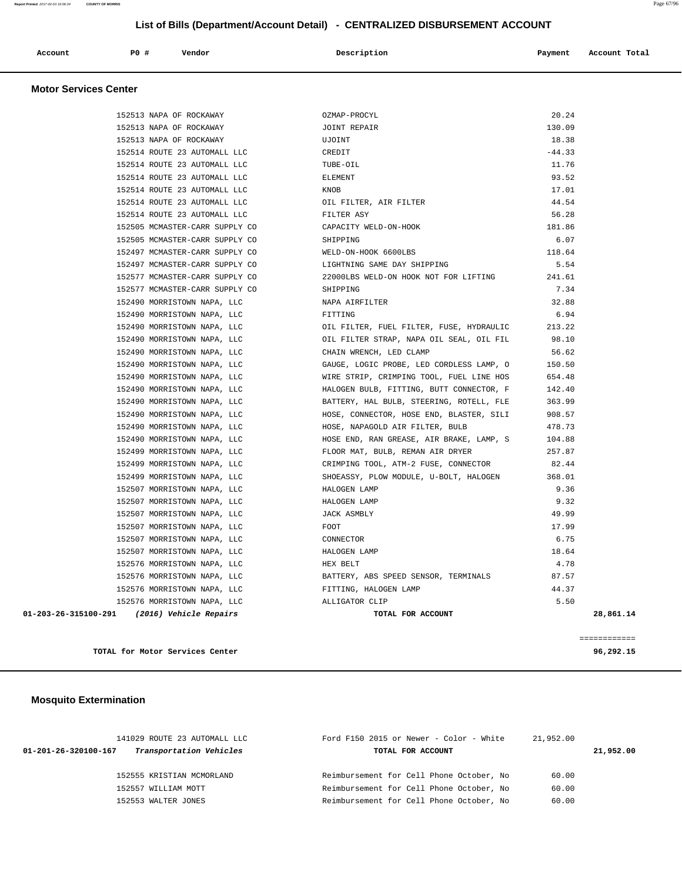| Account | $P0$ $\#$ | Vendor | Description | Payment | Account Total |
|---------|-----------|--------|-------------|---------|---------------|
|         |           |        |             |         |               |

## **Motor Services Center**

| 152513 NAPA OF ROCKAWAY                     | OZMAP-PROCYL                                 | 20.24     |
|---------------------------------------------|----------------------------------------------|-----------|
| 152513 NAPA OF ROCKAWAY                     | JOINT REPAIR                                 | 130.09    |
| 152513 NAPA OF ROCKAWAY                     | UJOINT                                       | 18.38     |
| 152514 ROUTE 23 AUTOMALL LLC                | CREDIT                                       | $-44.33$  |
| 152514 ROUTE 23 AUTOMALL LLC                | TUBE-OIL                                     | 11.76     |
| 152514 ROUTE 23 AUTOMALL LLC                | <b>ELEMENT</b>                               | 93.52     |
| 152514 ROUTE 23 AUTOMALL LLC                | KNOB                                         | 17.01     |
| 152514 ROUTE 23 AUTOMALL LLC                | OIL FILTER, AIR FILTER                       | 44.54     |
| 152514 ROUTE 23 AUTOMALL LLC                | FILTER ASY                                   | 56.28     |
| 152505 MCMASTER-CARR SUPPLY CO              | CAPACITY WELD-ON-HOOK                        | 181.86    |
| 152505 MCMASTER-CARR SUPPLY CO              | SHIPPING                                     | 6.07      |
| 152497 MCMASTER-CARR SUPPLY CO              | WELD-ON-HOOK 6600LBS                         | 118.64    |
| 152497 MCMASTER-CARR SUPPLY CO              | LIGHTNING SAME DAY SHIPPING                  | 5.54      |
| 152577 MCMASTER-CARR SUPPLY CO              | 22000LBS WELD-ON HOOK NOT FOR LIFTING 241.61 |           |
| 152577 MCMASTER-CARR SUPPLY CO              | SHIPPING                                     | 7.34      |
| 152490 MORRISTOWN NAPA, LLC                 | NAPA AIRFILTER                               | 32.88     |
| 152490 MORRISTOWN NAPA, LLC                 | FITTING                                      | 6.94      |
| 152490 MORRISTOWN NAPA, LLC                 | OIL FILTER, FUEL FILTER, FUSE, HYDRAULIC     | 213.22    |
| 152490 MORRISTOWN NAPA, LLC                 | OIL FILTER STRAP, NAPA OIL SEAL, OIL FIL     | 98.10     |
| 152490 MORRISTOWN NAPA, LLC                 | CHAIN WRENCH, LED CLAMP                      | 56.62     |
| 152490 MORRISTOWN NAPA, LLC                 | GAUGE, LOGIC PROBE, LED CORDLESS LAMP, O     | 150.50    |
| 152490 MORRISTOWN NAPA, LLC                 | WIRE STRIP, CRIMPING TOOL, FUEL LINE HOS     | 654.48    |
| 152490 MORRISTOWN NAPA, LLC                 | HALOGEN BULB, FITTING, BUTT CONNECTOR, F     | 142.40    |
| 152490 MORRISTOWN NAPA, LLC                 | BATTERY, HAL BULB, STEERING, ROTELL, FLE     | 363.99    |
| 152490 MORRISTOWN NAPA, LLC                 | HOSE, CONNECTOR, HOSE END, BLASTER, SILI     | 908.57    |
| 152490 MORRISTOWN NAPA, LLC                 | HOSE, NAPAGOLD AIR FILTER, BULB              | 478.73    |
| 152490 MORRISTOWN NAPA, LLC                 | HOSE END, RAN GREASE, AIR BRAKE, LAMP, S     | 104.88    |
| 152499 MORRISTOWN NAPA, LLC                 | FLOOR MAT, BULB, REMAN AIR DRYER             | 257.87    |
| 152499 MORRISTOWN NAPA, LLC                 | CRIMPING TOOL, ATM-2 FUSE, CONNECTOR         | 82.44     |
| 152499 MORRISTOWN NAPA, LLC                 | SHOEASSY, PLOW MODULE, U-BOLT, HALOGEN       | 368.01    |
| 152507 MORRISTOWN NAPA, LLC                 | HALOGEN LAMP                                 | 9.36      |
| 152507 MORRISTOWN NAPA, LLC                 | HALOGEN LAMP                                 | 9.32      |
| 152507 MORRISTOWN NAPA, LLC                 | JACK ASMBLY                                  | 49.99     |
| 152507 MORRISTOWN NAPA, LLC                 | FOOT                                         | 17.99     |
| 152507 MORRISTOWN NAPA, LLC                 | CONNECTOR                                    | 6.75      |
| 152507 MORRISTOWN NAPA, LLC                 | HALOGEN LAMP                                 | 18.64     |
| 152576 MORRISTOWN NAPA, LLC                 | HEX BELT                                     | 4.78      |
| 152576 MORRISTOWN NAPA, LLC                 | BATTERY, ABS SPEED SENSOR, TERMINALS         | 87.57     |
| 152576 MORRISTOWN NAPA, LLC                 | FITTING, HALOGEN LAMP                        | 44.37     |
| 152576 MORRISTOWN NAPA, LLC                 | ALLIGATOR CLIP                               | 5.50      |
| 01-203-26-315100-291 (2016) Vehicle Repairs | TOTAL FOR ACCOUNT                            | 28,861.14 |
|                                             |                                              |           |
|                                             |                                              |           |

**TOTAL for Motor Services Center 96,292.15**

============

## **Mosquito Extermination**

| 141029 ROUTE 23 AUTOMALL LLC                    | Ford F150 2015 or Newer - Color - White<br>21,952.00 |           |
|-------------------------------------------------|------------------------------------------------------|-----------|
| Transportation Vehicles<br>01-201-26-320100-167 | TOTAL FOR ACCOUNT                                    | 21,952.00 |
|                                                 |                                                      |           |
| 152555 KRISTIAN MCMORLAND                       | Reimbursement for Cell Phone October, No<br>60.00    |           |
| 152557 WILLIAM MOTT                             | Reimbursement for Cell Phone October, No<br>60.00    |           |
| 152553 WALTER JONES                             | Reimbursement for Cell Phone October, No<br>60.00    |           |
|                                                 |                                                      |           |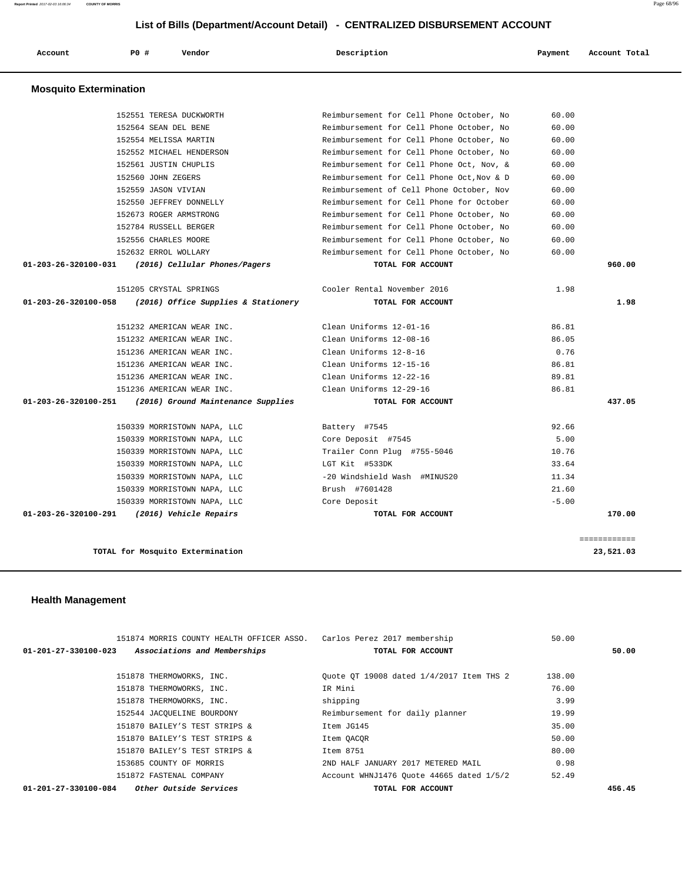| Account                       | PO#                 | Vendor                              | Description                               | Payment | Account Total |
|-------------------------------|---------------------|-------------------------------------|-------------------------------------------|---------|---------------|
| <b>Mosquito Extermination</b> |                     |                                     |                                           |         |               |
|                               |                     | 152551 TERESA DUCKWORTH             | Reimbursement for Cell Phone October, No  | 60.00   |               |
|                               |                     | 152564 SEAN DEL BENE                | Reimbursement for Cell Phone October, No  | 60.00   |               |
|                               |                     | 152554 MELISSA MARTIN               | Reimbursement for Cell Phone October, No  | 60.00   |               |
|                               |                     | 152552 MICHAEL HENDERSON            | Reimbursement for Cell Phone October, No  | 60.00   |               |
|                               |                     | 152561 JUSTIN CHUPLIS               | Reimbursement for Cell Phone Oct, Nov, &  | 60.00   |               |
|                               | 152560 JOHN ZEGERS  |                                     | Reimbursement for Cell Phone Oct, Nov & D | 60.00   |               |
|                               | 152559 JASON VIVIAN |                                     | Reimbursement of Cell Phone October, Nov  | 60.00   |               |
|                               |                     | 152550 JEFFREY DONNELLY             | Reimbursement for Cell Phone for October  | 60.00   |               |
|                               |                     | 152673 ROGER ARMSTRONG              | Reimbursement for Cell Phone October, No  | 60.00   |               |
|                               |                     | 152784 RUSSELL BERGER               | Reimbursement for Cell Phone October, No  | 60.00   |               |
|                               |                     | 152556 CHARLES MOORE                | Reimbursement for Cell Phone October, No  | 60.00   |               |
|                               |                     | 152632 ERROL WOLLARY                | Reimbursement for Cell Phone October, No  | 60.00   |               |
| 01-203-26-320100-031          |                     | (2016) Cellular Phones/Pagers       | TOTAL FOR ACCOUNT                         |         | 960.00        |
|                               |                     | 151205 CRYSTAL SPRINGS              | Cooler Rental November 2016               | 1.98    |               |
| 01-203-26-320100-058          |                     | (2016) Office Supplies & Stationery | TOTAL FOR ACCOUNT                         |         | 1.98          |
|                               |                     | 151232 AMERICAN WEAR INC.           | Clean Uniforms 12-01-16                   | 86.81   |               |
|                               |                     | 151232 AMERICAN WEAR INC.           | Clean Uniforms 12-08-16                   | 86.05   |               |
|                               |                     | 151236 AMERICAN WEAR INC.           | Clean Uniforms 12-8-16                    | 0.76    |               |
|                               |                     | 151236 AMERICAN WEAR INC.           | Clean Uniforms 12-15-16                   | 86.81   |               |
|                               |                     | 151236 AMERICAN WEAR INC.           | Clean Uniforms 12-22-16                   | 89.81   |               |
|                               |                     | 151236 AMERICAN WEAR INC.           | Clean Uniforms 12-29-16                   | 86.81   |               |
| 01-203-26-320100-251          |                     | (2016) Ground Maintenance Supplies  | TOTAL FOR ACCOUNT                         |         | 437.05        |
|                               |                     | 150339 MORRISTOWN NAPA, LLC         | Battery #7545                             | 92.66   |               |
|                               |                     | 150339 MORRISTOWN NAPA, LLC         | Core Deposit #7545                        | 5.00    |               |
|                               |                     | 150339 MORRISTOWN NAPA, LLC         | Trailer Conn Plug #755-5046               | 10.76   |               |
|                               |                     | 150339 MORRISTOWN NAPA, LLC         | LGT Kit #533DK                            | 33.64   |               |
|                               |                     | 150339 MORRISTOWN NAPA, LLC         | -20 Windshield Wash #MINUS20              | 11.34   |               |
|                               |                     | 150339 MORRISTOWN NAPA, LLC         | Brush #7601428                            | 21.60   |               |
|                               |                     | 150339 MORRISTOWN NAPA, LLC         | Core Deposit                              | $-5.00$ |               |
| 01-203-26-320100-291          |                     | (2016) Vehicle Repairs              | TOTAL FOR ACCOUNT                         |         | 170.00        |
|                               |                     |                                     |                                           |         | eeeeeeeeeee   |
|                               |                     | TOTAL for Mosquito Extermination    |                                           |         | 23,521.03     |

## **Health Management**

the control of the control of the control of the control of the control of the control of

| 151874 MORRIS COUNTY HEALTH OFFICER ASSO. Carlos Perez 2017 membership |                                          | 50.00  |        |
|------------------------------------------------------------------------|------------------------------------------|--------|--------|
| Associations and Memberships<br>$01 - 201 - 27 - 330100 - 023$         | TOTAL FOR ACCOUNT                        |        | 50.00  |
|                                                                        |                                          |        |        |
| 151878 THERMOWORKS, INC.                                               | Ouote OT 19008 dated 1/4/2017 Item THS 2 | 138.00 |        |
| 151878 THERMOWORKS, INC.                                               | IR Mini                                  | 76.00  |        |
| 151878 THERMOWORKS, INC.                                               | shipping                                 | 3.99   |        |
| 152544 JACOUELINE BOURDONY                                             | Reimbursement for daily planner          | 19.99  |        |
| 151870 BAILEY'S TEST STRIPS &                                          | Item JG145                               | 35.00  |        |
| 151870 BAILEY'S TEST STRIPS &                                          | Item QACQR                               | 50.00  |        |
| 151870 BAILEY'S TEST STRIPS &                                          | Item 8751                                | 80.00  |        |
| 153685 COUNTY OF MORRIS                                                | 2ND HALF JANUARY 2017 METERED MAIL       | 0.98   |        |
| 151872 FASTENAL COMPANY                                                | Account WHNJ1476 Ouote 44665 dated 1/5/2 | 52.49  |        |
| <i>Other Outside Services</i><br>01-201-27-330100-084                  | TOTAL FOR ACCOUNT                        |        | 456.45 |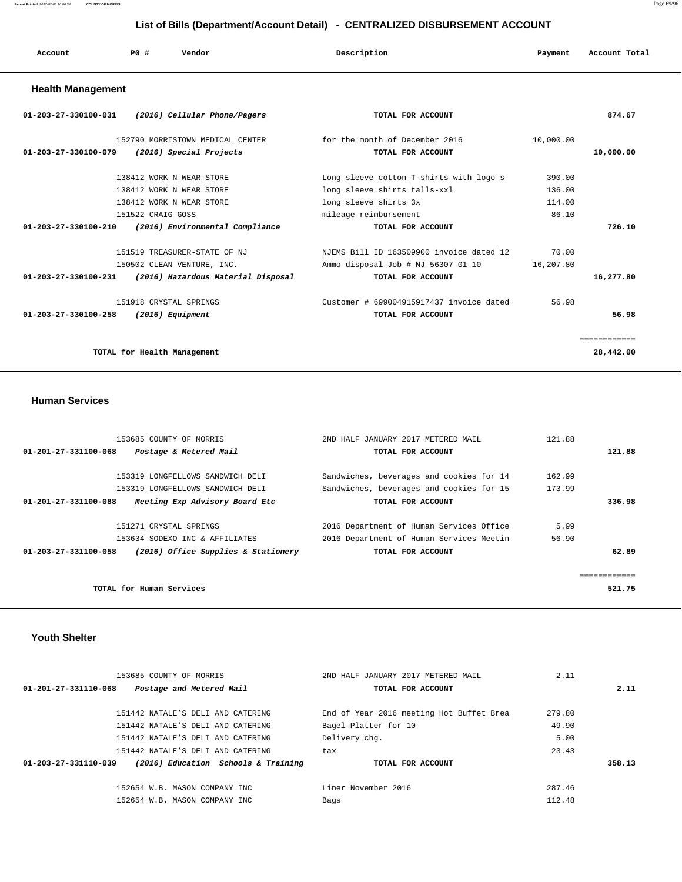| Account | P <sub>0</sub> | Vendor<br>. | Description | Payment | Account Total |
|---------|----------------|-------------|-------------|---------|---------------|
|         |                |             |             |         |               |

## **Health Management**

| 01-203-27-330100-031<br>(2016) Cellular Phone/Pagers              | TOTAL FOR ACCOUNT                        |           | 874.67       |
|-------------------------------------------------------------------|------------------------------------------|-----------|--------------|
| 152790 MORRISTOWN MEDICAL CENTER                                  | for the month of December 2016           | 10,000.00 |              |
| (2016) Special Projects<br>01-203-27-330100-079                   | TOTAL FOR ACCOUNT                        |           | 10,000.00    |
| 138412 WORK N WEAR STORE                                          | Long sleeve cotton T-shirts with logo s- | 390.00    |              |
| 138412 WORK N WEAR STORE                                          | long sleeve shirts talls-xxl             | 136.00    |              |
| 138412 WORK N WEAR STORE                                          | long sleeve shirts 3x                    | 114.00    |              |
| 151522 CRAIG GOSS                                                 | mileage reimbursement                    | 86.10     |              |
| (2016) Environmental Compliance<br>$01 - 203 - 27 - 330100 - 210$ | TOTAL FOR ACCOUNT                        |           | 726.10       |
|                                                                   |                                          |           |              |
| 151519 TREASURER-STATE OF NJ                                      | NJEMS Bill ID 163509900 invoice dated 12 | 70.00     |              |
| 150502 CLEAN VENTURE, INC.                                        | Ammo disposal Job # NJ 56307 01 10       | 16,207.80 |              |
| 01-203-27-330100-231<br>(2016) Hazardous Material Disposal        | TOTAL FOR ACCOUNT                        |           | 16,277.80    |
| 151918 CRYSTAL SPRINGS                                            | Customer # 699004915917437 invoice dated | 56.98     |              |
| $01 - 203 - 27 - 330100 - 258$<br>(2016) Equipment                | TOTAL FOR ACCOUNT                        |           | 56.98        |
|                                                                   |                                          |           |              |
|                                                                   |                                          |           | ------------ |
| TOTAL for Health Management                                       |                                          |           | 28,442.00    |

### **Human Services**

| 153685 COUNTY OF MORRIS                                     | 2ND HALF JANUARY 2017 METERED MAIL       | 121.88 |              |
|-------------------------------------------------------------|------------------------------------------|--------|--------------|
| 01-201-27-331100-068<br>Postage & Metered Mail              | TOTAL FOR ACCOUNT                        |        | 121.88       |
|                                                             |                                          |        |              |
| 153319 LONGFELLOWS SANDWICH DELI                            | Sandwiches, beverages and cookies for 14 | 162.99 |              |
| 153319 LONGFELLOWS SANDWICH DELI                            | Sandwiches, beverages and cookies for 15 | 173.99 |              |
| Meeting Exp Advisory Board Etc<br>01-201-27-331100-088      | TOTAL FOR ACCOUNT                        |        | 336.98       |
| 151271 CRYSTAL SPRINGS                                      | 2016 Department of Human Services Office | 5.99   |              |
| 153634 SODEXO INC & AFFILIATES                              | 2016 Department of Human Services Meetin | 56.90  |              |
| (2016) Office Supplies & Stationery<br>01-203-27-331100-058 | TOTAL FOR ACCOUNT                        |        | 62.89        |
|                                                             |                                          |        | ============ |
| TOTAL for Human Services                                    |                                          |        | 521.75       |
|                                                             |                                          |        |              |

## **Youth Shelter**

| 153685 COUNTY OF MORRIS                                     | 2ND HALF JANUARY 2017 METERED MAIL       | 2.11   |        |
|-------------------------------------------------------------|------------------------------------------|--------|--------|
| Postage and Metered Mail<br>01-201-27-331110-068            | TOTAL FOR ACCOUNT                        |        | 2.11   |
| 151442 NATALE'S DELI AND CATERING                           | End of Year 2016 meeting Hot Buffet Brea | 279.80 |        |
| 151442 NATALE'S DELI AND CATERING                           | Bagel Platter for 10                     | 49.90  |        |
| 151442 NATALE'S DELI AND CATERING                           | Delivery chq.                            | 5.00   |        |
| 151442 NATALE'S DELI AND CATERING                           | tax                                      | 23.43  |        |
| 01-203-27-331110-039<br>(2016) Education Schools & Training | TOTAL FOR ACCOUNT                        |        | 358.13 |
| 152654 W.B. MASON COMPANY INC.                              | Liner November 2016                      | 287.46 |        |
| 152654 W.B. MASON COMPANY INC                               | Bags                                     | 112.48 |        |
|                                                             |                                          |        |        |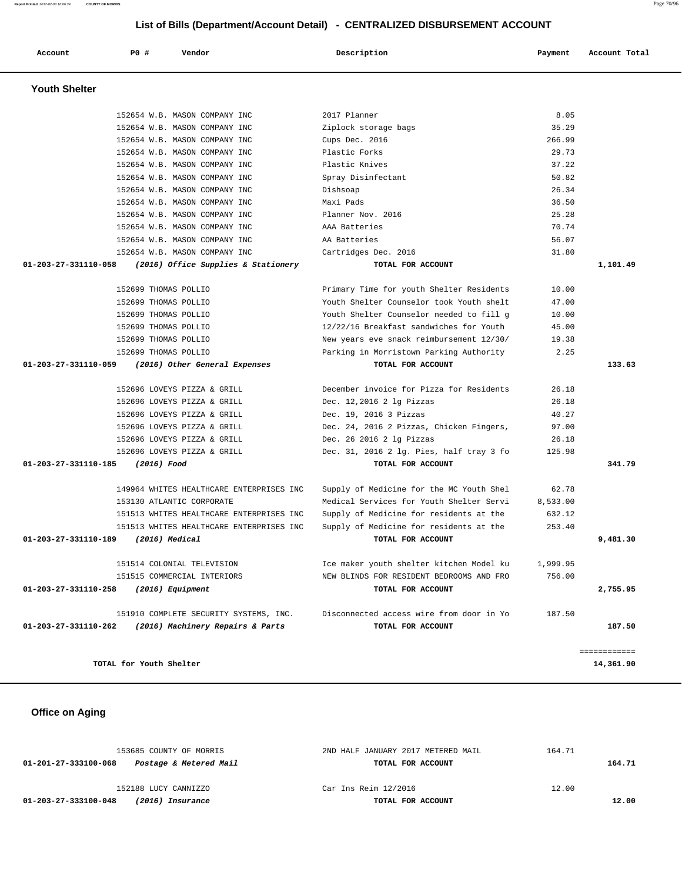| Account              | PO# | Vendor                                   | Description                              | Payment  | Account Total |
|----------------------|-----|------------------------------------------|------------------------------------------|----------|---------------|
| <b>Youth Shelter</b> |     |                                          |                                          |          |               |
|                      |     | 152654 W.B. MASON COMPANY INC            | 2017 Planner                             | 8.05     |               |
|                      |     | 152654 W.B. MASON COMPANY INC            | Ziplock storage bags                     | 35.29    |               |
|                      |     | 152654 W.B. MASON COMPANY INC            | Cups Dec. 2016                           | 266.99   |               |
|                      |     | 152654 W.B. MASON COMPANY INC            | Plastic Forks                            | 29.73    |               |
|                      |     | 152654 W.B. MASON COMPANY INC            | Plastic Knives                           | 37.22    |               |
|                      |     | 152654 W.B. MASON COMPANY INC            | Spray Disinfectant                       | 50.82    |               |
|                      |     | 152654 W.B. MASON COMPANY INC            | Dishsoap                                 | 26.34    |               |
|                      |     | 152654 W.B. MASON COMPANY INC            | Maxi Pads                                | 36.50    |               |
|                      |     | 152654 W.B. MASON COMPANY INC            | Planner Nov. 2016                        | 25.28    |               |
|                      |     | 152654 W.B. MASON COMPANY INC            | AAA Batteries                            | 70.74    |               |
|                      |     | 152654 W.B. MASON COMPANY INC            | AA Batteries                             | 56.07    |               |
|                      |     | 152654 W.B. MASON COMPANY INC            | Cartridges Dec. 2016                     | 31.80    |               |
| 01-203-27-331110-058 |     | (2016) Office Supplies & Stationery      | TOTAL FOR ACCOUNT                        |          | 1,101.49      |
|                      |     |                                          |                                          |          |               |
|                      |     | 152699 THOMAS POLLIO                     | Primary Time for youth Shelter Residents | 10.00    |               |
|                      |     | 152699 THOMAS POLLIO                     | Youth Shelter Counselor took Youth shelt | 47.00    |               |
|                      |     | 152699 THOMAS POLLIO                     | Youth Shelter Counselor needed to fill g | 10.00    |               |
|                      |     | 152699 THOMAS POLLIO                     | 12/22/16 Breakfast sandwiches for Youth  | 45.00    |               |
|                      |     | 152699 THOMAS POLLIO                     | New years eve snack reimbursement 12/30/ | 19.38    |               |
|                      |     | 152699 THOMAS POLLIO                     | Parking in Morristown Parking Authority  | 2.25     |               |
| 01-203-27-331110-059 |     | (2016) Other General Expenses            | TOTAL FOR ACCOUNT                        |          | 133.63        |
|                      |     |                                          |                                          |          |               |
|                      |     | 152696 LOVEYS PIZZA & GRILL              | December invoice for Pizza for Residents | 26.18    |               |
|                      |     | 152696 LOVEYS PIZZA & GRILL              | Dec. 12,2016 2 lg Pizzas                 | 26.18    |               |
|                      |     | 152696 LOVEYS PIZZA & GRILL              | Dec. 19, 2016 3 Pizzas                   | 40.27    |               |
|                      |     | 152696 LOVEYS PIZZA & GRILL              | Dec. 24, 2016 2 Pizzas, Chicken Fingers, | 97.00    |               |
|                      |     | 152696 LOVEYS PIZZA & GRILL              | Dec. 26 2016 2 lg Pizzas                 | 26.18    |               |
|                      |     | 152696 LOVEYS PIZZA & GRILL              | Dec. 31, 2016 2 lg. Pies, half tray 3 fo | 125.98   |               |
| 01-203-27-331110-185 |     | (2016) Food                              | TOTAL FOR ACCOUNT                        |          | 341.79        |
|                      |     |                                          |                                          |          |               |
|                      |     | 149964 WHITES HEALTHCARE ENTERPRISES INC | Supply of Medicine for the MC Youth Shel | 62.78    |               |
|                      |     | 153130 ATLANTIC CORPORATE                | Medical Services for Youth Shelter Servi | 8,533.00 |               |
|                      |     | 151513 WHITES HEALTHCARE ENTERPRISES INC | Supply of Medicine for residents at the  | 632.12   |               |
|                      |     | 151513 WHITES HEALTHCARE ENTERPRISES INC | Supply of Medicine for residents at the  | 253.40   |               |
| 01-203-27-331110-189 |     | (2016) Medical                           | TOTAL FOR ACCOUNT                        |          | 9,481.30      |
|                      |     | 151514 COLONIAL TELEVISION               | Ice maker youth shelter kitchen Model ku | 1,999.95 |               |
|                      |     | 151515 COMMERCIAL INTERIORS              | NEW BLINDS FOR RESIDENT BEDROOMS AND FRO | 756.00   |               |
| 01-203-27-331110-258 |     | $(2016)$ Equipment                       | TOTAL FOR ACCOUNT                        |          | 2,755.95      |
|                      |     | 151910 COMPLETE SECURITY SYSTEMS, INC.   | Disconnected access wire from door in Yo | 187.50   |               |
| 01-203-27-331110-262 |     | (2016) Machinery Repairs & Parts         | TOTAL FOR ACCOUNT                        |          | 187.50        |
|                      |     |                                          |                                          |          | ============  |
|                      |     | TOTAL for Youth Shelter                  |                                          |          | 14,361.90     |

# **Office on Aging**

| 153685 COUNTY OF MORRIS                        | 2ND HALF JANUARY 2017 METERED MAIL | 164.71 |        |  |
|------------------------------------------------|------------------------------------|--------|--------|--|
| Postage & Metered Mail<br>01-201-27-333100-068 | TOTAL FOR ACCOUNT                  |        | 164.71 |  |
| 152188 LUCY CANNIZZO                           | Car Ins Reim 12/2016               | 12.00  |        |  |
| 01-203-27-333100-048<br>(2016) Insurance       | TOTAL FOR ACCOUNT                  |        | 12.00  |  |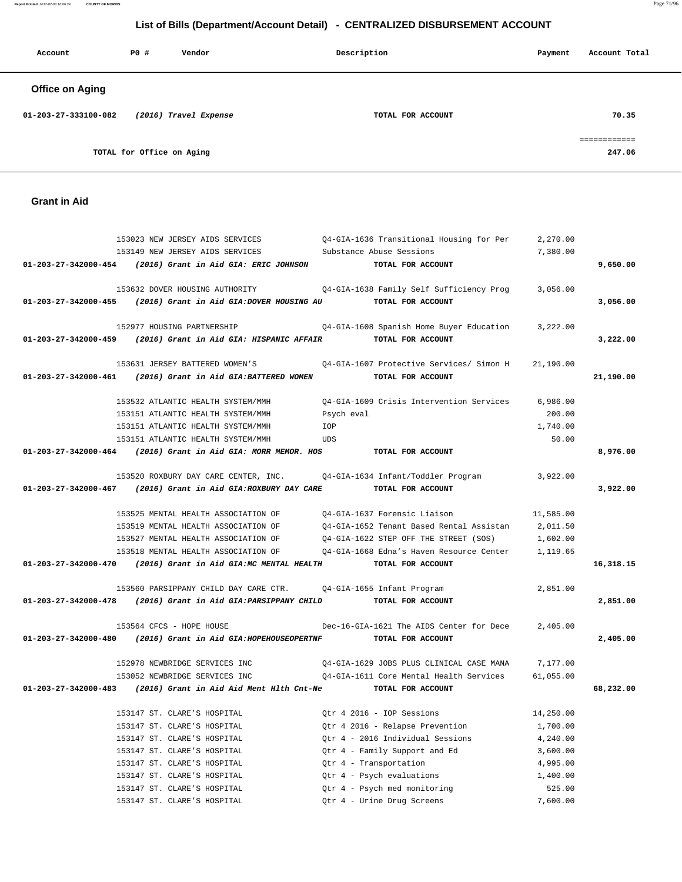**Report Printed** 2017-02-03 16:06:34 **COUNTY OF MORRIS** Page 71/96

# **List of Bills (Department/Account Detail) - CENTRALIZED DISBURSEMENT ACCOUNT**

| Account                | P0 #                      | Vendor                | Description       | Payment | Account Total |
|------------------------|---------------------------|-----------------------|-------------------|---------|---------------|
| <b>Office on Aging</b> |                           |                       |                   |         |               |
| 01-203-27-333100-082   |                           | (2016) Travel Expense | TOTAL FOR ACCOUNT |         | 70.35         |
|                        | TOTAL for Office on Aging |                       |                   |         | 247.06        |

## **Grant in Aid**

| 153023 NEW JERSEY AIDS SERVICES                                                  | Q4-GIA-1636 Transitional Housing for Per                                              | 2,270.00  |           |
|----------------------------------------------------------------------------------|---------------------------------------------------------------------------------------|-----------|-----------|
| 153149 NEW JERSEY AIDS SERVICES                                                  | Substance Abuse Sessions                                                              | 7,380.00  |           |
| 01-203-27-342000-454 (2016) Grant in Aid GIA: ERIC JOHNSON                       | TOTAL FOR ACCOUNT                                                                     |           | 9,650.00  |
|                                                                                  |                                                                                       |           |           |
| 153632 DOVER HOUSING AUTHORITY                                                   | Q4-GIA-1638 Family Self Sufficiency Prog                                              | 3,056.00  |           |
| 01-203-27-342000-455 (2016) Grant in Aid GIA:DOVER HOUSING AU                    | TOTAL FOR ACCOUNT                                                                     |           | 3,056.00  |
|                                                                                  |                                                                                       |           |           |
| 152977 HOUSING PARTNERSHIP                                                       | Q4-GIA-1608 Spanish Home Buyer Education 3,222.00                                     |           |           |
| 01-203-27-342000-459 (2016) Grant in Aid GIA: HISPANIC AFFAIR                    | TOTAL FOR ACCOUNT                                                                     |           | 3,222.00  |
|                                                                                  |                                                                                       |           |           |
| 153631 JERSEY BATTERED WOMEN'S                                                   | 04-GIA-1607 Protective Services/ Simon H                                              | 21,190.00 |           |
| 01-203-27-342000-461 (2016) Grant in Aid GIA:BATTERED WOMEN                      | TOTAL FOR ACCOUNT                                                                     |           | 21,190.00 |
|                                                                                  |                                                                                       |           |           |
| 153532 ATLANTIC HEALTH SYSTEM/MMH                                                | Q4-GIA-1609 Crisis Intervention Services                                              | 6,986.00  |           |
| 153151 ATLANTIC HEALTH SYSTEM/MMH                                                | Psych eval                                                                            | 200.00    |           |
| 153151 ATLANTIC HEALTH SYSTEM/MMH                                                | IOP                                                                                   | 1,740.00  |           |
| 153151 ATLANTIC HEALTH SYSTEM/MMH                                                | <b>UDS</b>                                                                            | 50.00     |           |
| $01-203-27-342000-464$ (2016) Grant in Aid GIA: MORR MEMOR. HOS                  | TOTAL FOR ACCOUNT                                                                     |           | 8,976.00  |
|                                                                                  |                                                                                       |           |           |
| 153520 ROXBURY DAY CARE CENTER, INC. 04-GIA-1634 Infant/Toddler Program          |                                                                                       | 3,922.00  |           |
| 01-203-27-342000-467 (2016) Grant in Aid GIA: ROXBURY DAY CARE TOTAL FOR ACCOUNT |                                                                                       |           | 3,922.00  |
|                                                                                  |                                                                                       |           |           |
| 153525 MENTAL HEALTH ASSOCIATION OF Q4-GIA-1637 Forensic Liaison                 |                                                                                       | 11,585.00 |           |
| 153519 MENTAL HEALTH ASSOCIATION OF                                              | 04-GIA-1652 Tenant Based Rental Assistan                                              | 2,011.50  |           |
| 153527 MENTAL HEALTH ASSOCIATION OF                                              | 04-GIA-1622 STEP OFF THE STREET (SOS)                                                 | 1,602.00  |           |
|                                                                                  | 153518 MENTAL HEALTH ASSOCIATION OF Q4-GIA-1668 Edna's Haven Resource Center 1,119.65 |           |           |
| 01-203-27-342000-470 (2016) Grant in Aid GIA:MC MENTAL HEALTH                    | TOTAL FOR ACCOUNT                                                                     |           | 16,318.15 |
|                                                                                  |                                                                                       |           |           |
| 153560 PARSIPPANY CHILD DAY CARE CTR. 04-GIA-1655 Infant Program                 |                                                                                       | 2,851.00  |           |
| 01-203-27-342000-478 (2016) Grant in Aid GIA: PARSIPPANY CHILD TOTAL FOR ACCOUNT |                                                                                       |           | 2,851.00  |
|                                                                                  |                                                                                       |           |           |
| 153564 CFCS - HOPE HOUSE                                                         | Dec-16-GIA-1621 The AIDS Center for Dece                                              | 2,405.00  |           |
| $01-203-27-342000-480$ (2016) Grant in Aid GIA:HOPEHOUSEOPERTNF                  | TOTAL FOR ACCOUNT                                                                     |           | 2,405.00  |
|                                                                                  |                                                                                       |           |           |
| 152978 NEWBRIDGE SERVICES INC                                                    | Q4-GIA-1629 JOBS PLUS CLINICAL CASE MANA                                              | 7,177.00  |           |
| 153052 NEWBRIDGE SERVICES INC                                                    | Q4-GIA-1611 Core Mental Health Services                                               | 61,055.00 |           |
| $01-203-27-342000-483$ (2016) Grant in Aid Aid Ment Hlth Cnt-Ne                  | TOTAL FOR ACCOUNT                                                                     |           | 68,232.00 |
|                                                                                  |                                                                                       |           |           |
| 153147 ST. CLARE'S HOSPITAL                                                      | Otr 4 2016 - IOP Sessions                                                             | 14,250.00 |           |
| 153147 ST. CLARE'S HOSPITAL                                                      | Qtr 4 2016 - Relapse Prevention                                                       | 1,700.00  |           |
| 153147 ST. CLARE'S HOSPITAL                                                      | Otr 4 - 2016 Individual Sessions                                                      | 4,240.00  |           |
| 153147 ST. CLARE'S HOSPITAL                                                      | Qtr 4 - Family Support and Ed                                                         | 3,600.00  |           |
| 153147 ST. CLARE'S HOSPITAL                                                      | Qtr 4 - Transportation                                                                | 4,995.00  |           |
| 153147 ST. CLARE'S HOSPITAL                                                      | Qtr 4 - Psych evaluations                                                             | 1,400.00  |           |
| 153147 ST. CLARE'S HOSPITAL                                                      | Qtr 4 - Psych med monitoring                                                          | 525.00    |           |
| 153147 ST. CLARE'S HOSPITAL                                                      | Qtr 4 - Urine Drug Screens                                                            | 7,600.00  |           |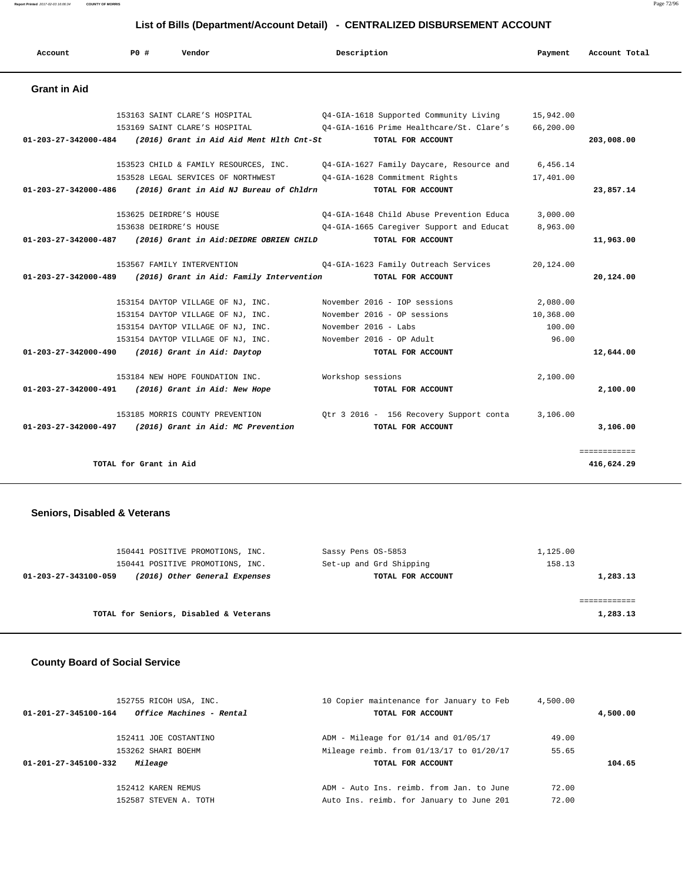**Report Printed** 2017-02-03 16:06:34 **COUNTY OF MORRIS** Page 72/96

## **List of Bills (Department/Account Detail) - CENTRALIZED DISBURSEMENT ACCOUNT**

| Account                                          | PO#                    | Vendor                                   | Description                              | Payment   | Account Total |
|--------------------------------------------------|------------------------|------------------------------------------|------------------------------------------|-----------|---------------|
| <b>Grant in Aid</b>                              |                        |                                          |                                          |           |               |
|                                                  |                        | 153163 SAINT CLARE'S HOSPITAL            | Q4-GIA-1618 Supported Community Living   | 15,942.00 |               |
|                                                  |                        | 153169 SAINT CLARE'S HOSPITAL            | 04-GIA-1616 Prime Healthcare/St. Clare's | 66,200.00 |               |
| 01-203-27-342000-484                             |                        | (2016) Grant in Aid Aid Ment Hlth Cnt-St | TOTAL FOR ACCOUNT                        |           | 203,008.00    |
|                                                  |                        | 153523 CHILD & FAMILY RESOURCES, INC.    | Q4-GIA-1627 Family Daycare, Resource and | 6,456.14  |               |
|                                                  |                        | 153528 LEGAL SERVICES OF NORTHWEST       | Q4-GIA-1628 Commitment Rights            | 17,401.00 |               |
| 01-203-27-342000-486                             |                        | (2016) Grant in Aid NJ Bureau of Chldrn  | TOTAL FOR ACCOUNT                        |           | 23,857.14     |
|                                                  |                        | 153625 DEIRDRE'S HOUSE                   | 04-GIA-1648 Child Abuse Prevention Educa | 3.000.00  |               |
|                                                  |                        | 153638 DEIRDRE'S HOUSE                   | Q4-GIA-1665 Caregiver Support and Educat | 8,963.00  |               |
| 01-203-27-342000-487                             |                        | (2016) Grant in Aid: DEIDRE OBRIEN CHILD | TOTAL FOR ACCOUNT                        |           | 11,963.00     |
|                                                  |                        | 153567 FAMILY INTERVENTION               | Q4-GIA-1623 Family Outreach Services     | 20,124.00 |               |
| $01 - 203 - 27 - 342000 - 489$                   |                        | (2016) Grant in Aid: Family Intervention | TOTAL FOR ACCOUNT                        |           | 20,124.00     |
|                                                  |                        | 153154 DAYTOP VILLAGE OF NJ, INC.        | November 2016 - IOP sessions             | 2,080.00  |               |
|                                                  |                        | 153154 DAYTOP VILLAGE OF NJ, INC.        | November 2016 - OP sessions              | 10,368.00 |               |
|                                                  |                        | 153154 DAYTOP VILLAGE OF NJ, INC.        | November 2016 - Labs                     | 100.00    |               |
|                                                  |                        | 153154 DAYTOP VILLAGE OF NJ, INC.        | November 2016 - OP Adult                 | 96.00     |               |
| 01-203-27-342000-490 (2016) Grant in Aid: Daytop |                        |                                          | TOTAL FOR ACCOUNT                        |           | 12,644.00     |
|                                                  |                        | 153184 NEW HOPE FOUNDATION INC.          | Workshop sessions                        | 2,100.00  |               |
| 01-203-27-342000-491                             |                        | (2016) Grant in Aid: New Hope            | TOTAL FOR ACCOUNT                        |           | 2,100.00      |
|                                                  |                        | 153185 MORRIS COUNTY PREVENTION          | Qtr 3 2016 - 156 Recovery Support conta  | 3,106.00  |               |
| 01-203-27-342000-497                             |                        | (2016) Grant in Aid: MC Prevention       | TOTAL FOR ACCOUNT                        |           | 3,106.00      |
|                                                  |                        |                                          |                                          |           | ============  |
|                                                  | TOTAL for Grant in Aid |                                          |                                          |           | 416,624.29    |

### **Seniors, Disabled & Veterans**

| 150441 POSITIVE PROMOTIONS, INC.                      | Sassy Pens OS-5853      | 1,125.00 |
|-------------------------------------------------------|-------------------------|----------|
| 150441 POSITIVE PROMOTIONS, INC.                      | Set-up and Grd Shipping | 158.13   |
| (2016) Other General Expenses<br>01-203-27-343100-059 | TOTAL FOR ACCOUNT       | 1,283.13 |
|                                                       |                         |          |
|                                                       |                         |          |
| TOTAL for Seniors, Disabled & Veterans                |                         | 1,283.13 |
|                                                       |                         |          |

## **County Board of Social Service**

| 152755 RICOH USA, INC.                           | 10 Copier maintenance for January to Feb | 4,500.00 |          |
|--------------------------------------------------|------------------------------------------|----------|----------|
| Office Machines - Rental<br>01-201-27-345100-164 | TOTAL FOR ACCOUNT                        |          | 4,500.00 |
| 152411 JOE COSTANTINO                            | $ADM - Mileage for 01/14 and 01/05/17$   | 49.00    |          |
| 153262 SHARI BOEHM                               | Mileage reimb. from 01/13/17 to 01/20/17 | 55.65    |          |
| 01-201-27-345100-332<br>Mileage                  | TOTAL FOR ACCOUNT                        |          | 104.65   |
| 152412 KAREN REMUS                               | ADM - Auto Ins. reimb. from Jan. to June | 72.00    |          |
| 152587 STEVEN A. TOTH                            | Auto Ins. reimb. for January to June 201 | 72.00    |          |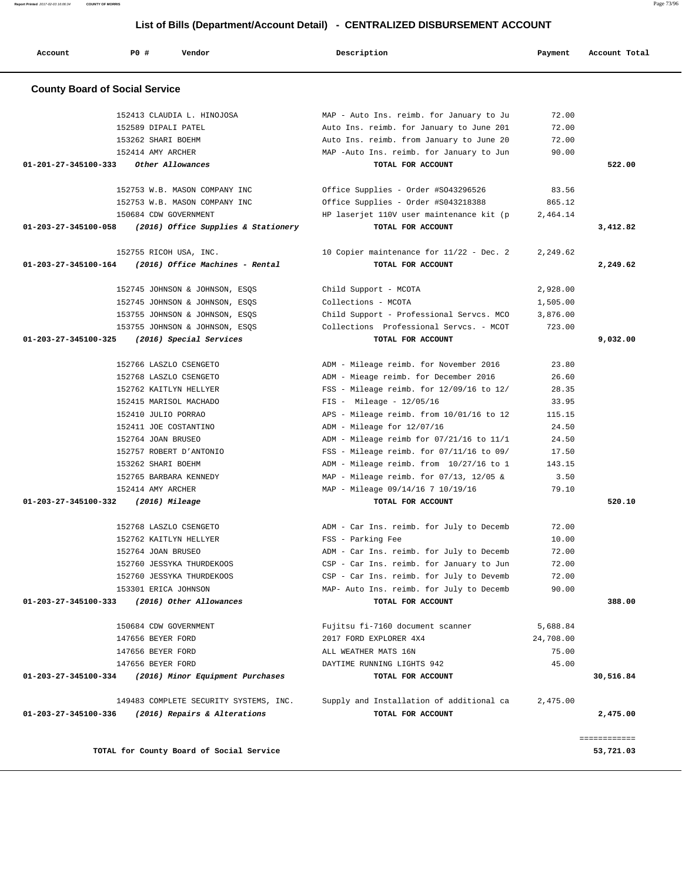| Account                               | PO#<br>Vendor                                         | Description                              | Payment   | Account Total |
|---------------------------------------|-------------------------------------------------------|------------------------------------------|-----------|---------------|
| <b>County Board of Social Service</b> |                                                       |                                          |           |               |
|                                       | 152413 CLAUDIA L. HINOJOSA                            | MAP - Auto Ins. reimb. for January to Ju | 72.00     |               |
|                                       | 152589 DIPALI PATEL                                   | Auto Ins. reimb. for January to June 201 | 72.00     |               |
|                                       | 153262 SHARI BOEHM                                    | Auto Ins. reimb. from January to June 20 | 72.00     |               |
|                                       | 152414 AMY ARCHER                                     | MAP -Auto Ins. reimb. for January to Jun | 90.00     |               |
| 01-201-27-345100-333                  | Other Allowances                                      | TOTAL FOR ACCOUNT                        |           | 522.00        |
|                                       | 152753 W.B. MASON COMPANY INC                         | Office Supplies - Order #S043296526      | 83.56     |               |
|                                       | 152753 W.B. MASON COMPANY INC                         | Office Supplies - Order #S043218388      | 865.12    |               |
|                                       | 150684 CDW GOVERNMENT                                 | HP laserjet 110V user maintenance kit (p | 2,464.14  |               |
| 01-203-27-345100-058                  | (2016) Office Supplies & Stationery                   | TOTAL FOR ACCOUNT                        |           | 3,412.82      |
|                                       | 152755 RICOH USA, INC.                                | 10 Copier maintenance for 11/22 - Dec. 2 | 2,249.62  |               |
| 01-203-27-345100-164                  | (2016) Office Machines - Rental                       | TOTAL FOR ACCOUNT                        |           | 2,249.62      |
|                                       | 152745 JOHNSON & JOHNSON, ESQS                        | Child Support - MCOTA                    | 2,928.00  |               |
|                                       | 152745 JOHNSON & JOHNSON, ESOS                        | Collections - MCOTA                      | 1,505.00  |               |
|                                       | 153755 JOHNSON & JOHNSON, ESQS                        | Child Support - Professional Servcs. MCO | 3,876.00  |               |
|                                       | 153755 JOHNSON & JOHNSON, ESQS                        | Collections Professional Servcs. - MCOT  | 723.00    |               |
| 01-203-27-345100-325                  | (2016) Special Services                               | TOTAL FOR ACCOUNT                        |           | 9,032.00      |
|                                       | 152766 LASZLO CSENGETO                                | ADM - Mileage reimb. for November 2016   | 23.80     |               |
|                                       | 152768 LASZLO CSENGETO                                | ADM - Mieage reimb. for December 2016    | 26.60     |               |
|                                       | 152762 KAITLYN HELLYER                                | FSS - Mileage reimb. for 12/09/16 to 12/ | 28.35     |               |
|                                       | 152415 MARISOL MACHADO                                | $FIS - Mileage - 12/05/16$               | 33.95     |               |
|                                       | 152410 JULIO PORRAO                                   | APS - Mileage reimb. from 10/01/16 to 12 | 115.15    |               |
|                                       | 152411 JOE COSTANTINO                                 | ADM - Mileage for 12/07/16               | 24.50     |               |
|                                       | 152764 JOAN BRUSEO                                    | ADM - Mileage reimb for 07/21/16 to 11/1 | 24.50     |               |
|                                       | 152757 ROBERT D'ANTONIO                               | FSS - Mileage reimb. for 07/11/16 to 09/ | 17.50     |               |
|                                       | 153262 SHARI BOEHM                                    | ADM - Mileage reimb. from 10/27/16 to 1  | 143.15    |               |
|                                       | 152765 BARBARA KENNEDY                                | MAP - Mileage reimb. for 07/13, 12/05 &  | 3.50      |               |
|                                       | 152414 AMY ARCHER                                     | MAP - Mileage 09/14/16 7 10/19/16        | 79.10     |               |
| 01-203-27-345100-332                  | $(2016)$ Mileage                                      | TOTAL FOR ACCOUNT                        |           | 520.10        |
|                                       | 152768 LASZLO CSENGETO                                | ADM - Car Ins. reimb. for July to Decemb | 72.00     |               |
|                                       | 152762 KAITLYN HELLYER                                | FSS - Parking Fee                        | 10.00     |               |
|                                       | 152764 JOAN BRUSEO                                    | ADM - Car Ins. reimb. for July to Decemb | 72.00     |               |
|                                       | 152760 JESSYKA THURDEKOOS                             | CSP - Car Ins. reimb. for January to Jun | 72.00     |               |
|                                       | 152760 JESSYKA THURDEKOOS                             | CSP - Car Ins. reimb. for July to Devemb | 72.00     |               |
|                                       | 153301 ERICA JOHNSON                                  | MAP- Auto Ins. reimb. for July to Decemb | 90.00     |               |
| 01-203-27-345100-333                  | (2016) Other Allowances                               | TOTAL FOR ACCOUNT                        |           | 388.00        |
|                                       | 150684 CDW GOVERNMENT                                 | Fujitsu fi-7160 document scanner         | 5,688.84  |               |
|                                       | 147656 BEYER FORD                                     | 2017 FORD EXPLORER 4X4                   | 24,708.00 |               |
|                                       | 147656 BEYER FORD                                     | ALL WEATHER MATS 16N                     | 75.00     |               |
|                                       | 147656 BEYER FORD                                     | DAYTIME RUNNING LIGHTS 942               | 45.00     |               |
|                                       | 01-203-27-345100-334 (2016) Minor Equipment Purchases | TOTAL FOR ACCOUNT                        |           | 30,516.84     |
|                                       | 149483 COMPLETE SECURITY SYSTEMS, INC.                | Supply and Installation of additional ca | 2,475.00  |               |
|                                       |                                                       |                                          |           |               |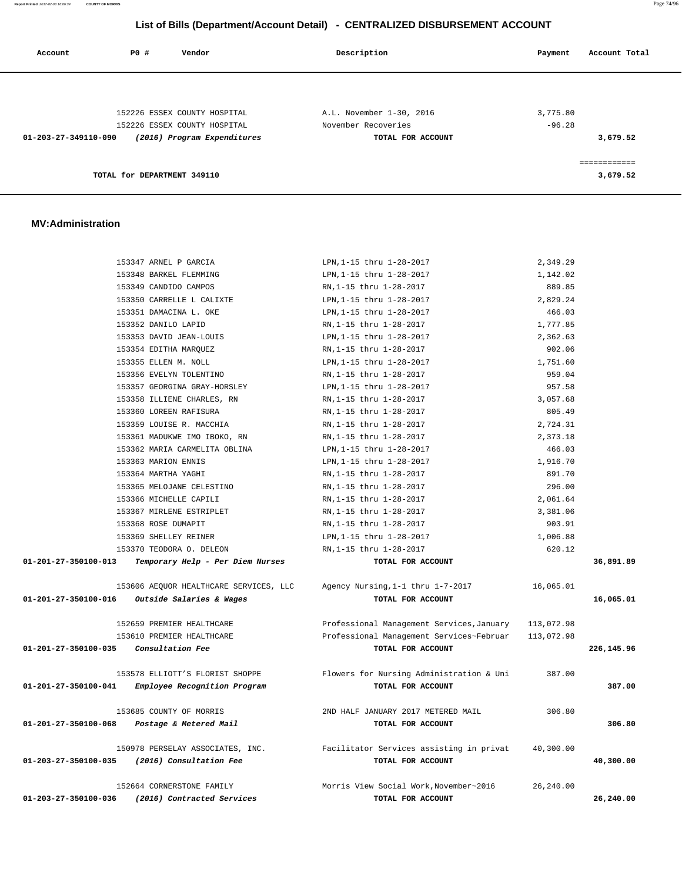| Account              | P0 #                        | Vendor                                                      | Description                              | Account Total<br>Payment |
|----------------------|-----------------------------|-------------------------------------------------------------|------------------------------------------|--------------------------|
|                      |                             |                                                             |                                          |                          |
|                      |                             | 152226 ESSEX COUNTY HOSPITAL                                | A.L. November 1-30, 2016                 | 3,775.80                 |
| 01-203-27-349110-090 |                             | 152226 ESSEX COUNTY HOSPITAL<br>(2016) Program Expenditures | November Recoveries<br>TOTAL FOR ACCOUNT | $-96.28$<br>3,679.52     |
|                      |                             |                                                             |                                          | ============             |
|                      | TOTAL for DEPARTMENT 349110 |                                                             |                                          | 3,679.52                 |

#### **MV:Administration**

|                      | 153347 ARNEL P GARCIA                       | LPN, 1-15 thru 1-28-2017                  | 2,349.29   |            |
|----------------------|---------------------------------------------|-------------------------------------------|------------|------------|
|                      | 153348 BARKEL FLEMMING                      | LPN, 1-15 thru 1-28-2017                  | 1,142.02   |            |
|                      | 153349 CANDIDO CAMPOS                       | RN, 1-15 thru 1-28-2017                   | 889.85     |            |
|                      | 153350 CARRELLE L CALIXTE                   | LPN, 1-15 thru 1-28-2017                  | 2,829.24   |            |
|                      | 153351 DAMACINA L. OKE                      | LPN, 1-15 thru 1-28-2017                  | 466.03     |            |
|                      | 153352 DANILO LAPID                         | RN, 1-15 thru 1-28-2017                   | 1,777.85   |            |
|                      | 153353 DAVID JEAN-LOUIS                     | LPN, 1-15 thru 1-28-2017                  | 2,362.63   |            |
|                      | 153354 EDITHA MAROUEZ                       | RN, 1-15 thru 1-28-2017                   | 902.06     |            |
|                      | 153355 ELLEN M. NOLL                        | LPN, 1-15 thru 1-28-2017                  | 1,751.60   |            |
|                      | 153356 EVELYN TOLENTINO                     | RN, 1-15 thru 1-28-2017                   | 959.04     |            |
|                      | 153357 GEORGINA GRAY-HORSLEY                | LPN, 1-15 thru 1-28-2017                  | 957.58     |            |
|                      | 153358 ILLIENE CHARLES, RN                  | RN, 1-15 thru 1-28-2017                   | 3,057.68   |            |
|                      | 153360 LOREEN RAFISURA                      | RN, 1-15 thru 1-28-2017                   | 805.49     |            |
|                      | 153359 LOUISE R. MACCHIA                    | RN, 1-15 thru 1-28-2017                   | 2,724.31   |            |
|                      | 153361 MADUKWE IMO IBOKO, RN                | RN, 1-15 thru 1-28-2017                   | 2,373.18   |            |
|                      | 153362 MARIA CARMELITA OBLINA               | LPN, 1-15 thru 1-28-2017                  | 466.03     |            |
|                      | 153363 MARION ENNIS                         | LPN, 1-15 thru 1-28-2017                  | 1,916.70   |            |
|                      | 153364 MARTHA YAGHI                         | RN, 1-15 thru 1-28-2017                   | 891.70     |            |
|                      | 153365 MELOJANE CELESTINO                   | RN, 1-15 thru 1-28-2017                   | 296.00     |            |
|                      | 153366 MICHELLE CAPILI                      | RN, 1-15 thru 1-28-2017                   | 2,061.64   |            |
|                      | 153367 MIRLENE ESTRIPLET                    | RN, 1-15 thru 1-28-2017                   | 3,381.06   |            |
|                      | 153368 ROSE DUMAPIT                         | RN, 1-15 thru 1-28-2017                   | 903.91     |            |
|                      | 153369 SHELLEY REINER                       | LPN, 1-15 thru 1-28-2017                  | 1,006.88   |            |
|                      | 153370 TEODORA O. DELEON                    | RN, 1-15 thru 1-28-2017                   | 620.12     |            |
| 01-201-27-350100-013 | Temporary Help - Per Diem Nurses            | TOTAL FOR ACCOUNT                         |            | 36,891.89  |
|                      | 153606 AEQUOR HEALTHCARE SERVICES, LLC      | Agency Nursing, 1-1 thru 1-7-2017         | 16,065.01  |            |
| 01-201-27-350100-016 | Outside Salaries & Wages                    | TOTAL FOR ACCOUNT                         |            | 16,065.01  |
|                      | 152659 PREMIER HEALTHCARE                   | Professional Management Services, January | 113,072.98 |            |
|                      | 153610 PREMIER HEALTHCARE                   | Professional Management Services~Februar  | 113,072.98 |            |
| 01-201-27-350100-035 | Consultation Fee                            | TOTAL FOR ACCOUNT                         |            | 226,145.96 |
|                      | 153578 ELLIOTT'S FLORIST SHOPPE             | Flowers for Nursing Administration & Uni  | 387.00     |            |
| 01-201-27-350100-041 | Employee Recognition Program                | TOTAL FOR ACCOUNT                         |            | 387.00     |
|                      | 153685 COUNTY OF MORRIS                     | 2ND HALF JANUARY 2017 METERED MAIL        | 306.80     |            |
|                      | 01-201-27-350100-068 Postage & Metered Mail | TOTAL FOR ACCOUNT                         |            | 306.80     |
|                      | 150978 PERSELAY ASSOCIATES, INC.            | Facilitator Services assisting in privat  | 40,300.00  |            |
| 01-203-27-350100-035 | (2016) Consultation Fee                     | TOTAL FOR ACCOUNT                         |            | 40,300.00  |
|                      | 152664 CORNERSTONE FAMILY                   | Morris View Social Work, November~2016    | 26,240.00  |            |
| 01-203-27-350100-036 | (2016) Contracted Services                  | TOTAL FOR ACCOUNT                         |            | 26,240.00  |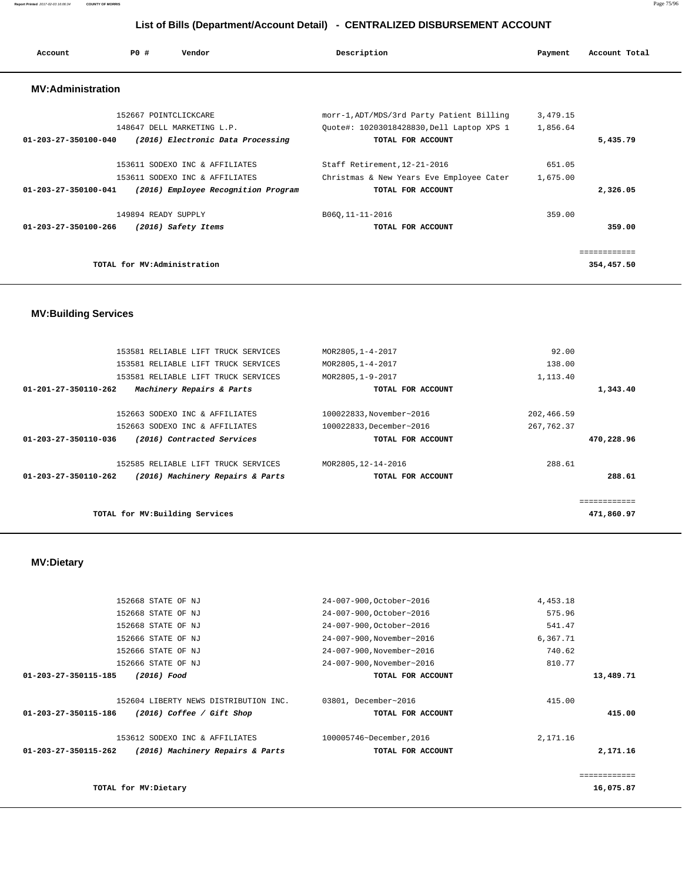| Account                        | PO# | Vendor                              | Description      |                                           | Payment  | Account Total |
|--------------------------------|-----|-------------------------------------|------------------|-------------------------------------------|----------|---------------|
| <b>MV:Administration</b>       |     |                                     |                  |                                           |          |               |
|                                |     | 152667 POINTCLICKCARE               |                  | morr-1, ADT/MDS/3rd Party Patient Billing | 3,479.15 |               |
|                                |     | 148647 DELL MARKETING L.P.          |                  | Ouote#: 10203018428830, Dell Laptop XPS 1 | 1,856.64 |               |
| $01 - 203 - 27 - 350100 - 040$ |     | (2016) Electronic Data Processing   |                  | TOTAL FOR ACCOUNT                         |          | 5,435.79      |
|                                |     | 153611 SODEXO INC & AFFILIATES      |                  | Staff Retirement, 12-21-2016              | 651.05   |               |
|                                |     | 153611 SODEXO INC & AFFILIATES      |                  | Christmas & New Years Eve Employee Cater  | 1,675.00 |               |
| $01 - 203 - 27 - 350100 - 041$ |     | (2016) Employee Recognition Program |                  | TOTAL FOR ACCOUNT                         |          | 2,326.05      |
|                                |     | 149894 READY SUPPLY                 | B060, 11-11-2016 |                                           | 359.00   |               |
| 01-203-27-350100-266           |     | (2016) Safety Items                 |                  | TOTAL FOR ACCOUNT                         |          | 359.00        |
|                                |     |                                     |                  |                                           |          |               |
|                                |     | TOTAL for MV:Administration         |                  |                                           |          | 354,457.50    |

## **MV:Building Services**

|                                 | 153581 RELIABLE LIFT TRUCK SERVICES | MOR2805, 1-4-2017        | 92.00       |            |
|---------------------------------|-------------------------------------|--------------------------|-------------|------------|
|                                 | 153581 RELIABLE LIFT TRUCK SERVICES | MOR2805, 1-4-2017        | 138.00      |            |
|                                 | 153581 RELIABLE LIFT TRUCK SERVICES | MOR2805, 1-9-2017        | 1,113.40    |            |
| 01-201-27-350110-262            | Machinery Repairs & Parts           | TOTAL FOR ACCOUNT        |             | 1,343.40   |
|                                 |                                     |                          |             |            |
|                                 | 152663 SODEXO INC & AFFILIATES      | 100022833, November~2016 | 202,466.59  |            |
|                                 | 152663 SODEXO INC & AFFILIATES      | 100022833, December~2016 | 267, 762.37 |            |
| 01-203-27-350110-036            | (2016) Contracted Services          | TOTAL FOR ACCOUNT        |             | 470,228.96 |
|                                 | 152585 RELIABLE LIFT TRUCK SERVICES | MOR2805, 12-14-2016      | 288.61      |            |
| 01-203-27-350110-262            | (2016) Machinery Repairs & Parts    | TOTAL FOR ACCOUNT        |             | 288.61     |
|                                 |                                     |                          |             |            |
| TOTAL for MV: Building Services |                                     |                          |             | 471,860.97 |

# **MV:Dietary**

|                      |                                       |                           |          | ============ |
|----------------------|---------------------------------------|---------------------------|----------|--------------|
|                      |                                       |                           |          |              |
| 01-203-27-350115-262 | (2016) Machinery Repairs & Parts      | TOTAL FOR ACCOUNT         |          | 2,171.16     |
|                      | 153612 SODEXO INC & AFFILIATES        | 100005746~December, 2016  | 2,171.16 |              |
| 01-203-27-350115-186 | (2016) Coffee / Gift Shop             | TOTAL FOR ACCOUNT         |          | 415.00       |
|                      | 152604 LIBERTY NEWS DISTRIBUTION INC. | 03801, December~2016      | 415.00   |              |
| 01-203-27-350115-185 | (2016) Food                           | TOTAL FOR ACCOUNT         |          | 13,489.71    |
|                      | 152666 STATE OF NJ                    | 24-007-900, November~2016 | 810.77   |              |
|                      | 152666 STATE OF NJ                    | 24-007-900, November~2016 | 740.62   |              |
|                      | 152666 STATE OF NJ                    | 24-007-900, November~2016 | 6,367.71 |              |
|                      | 152668 STATE OF NJ                    | 24-007-900, October~2016  | 541.47   |              |
|                      | 152668 STATE OF NJ                    | 24-007-900, October~2016  | 575.96   |              |
|                      | 152668 STATE OF NJ                    | 24-007-900, October~2016  | 4,453.18 |              |
|                      |                                       |                           |          |              |

**Report Printed** 2017-02-03 16:06:34 **COUNTY OF MORRIS** Page 75/96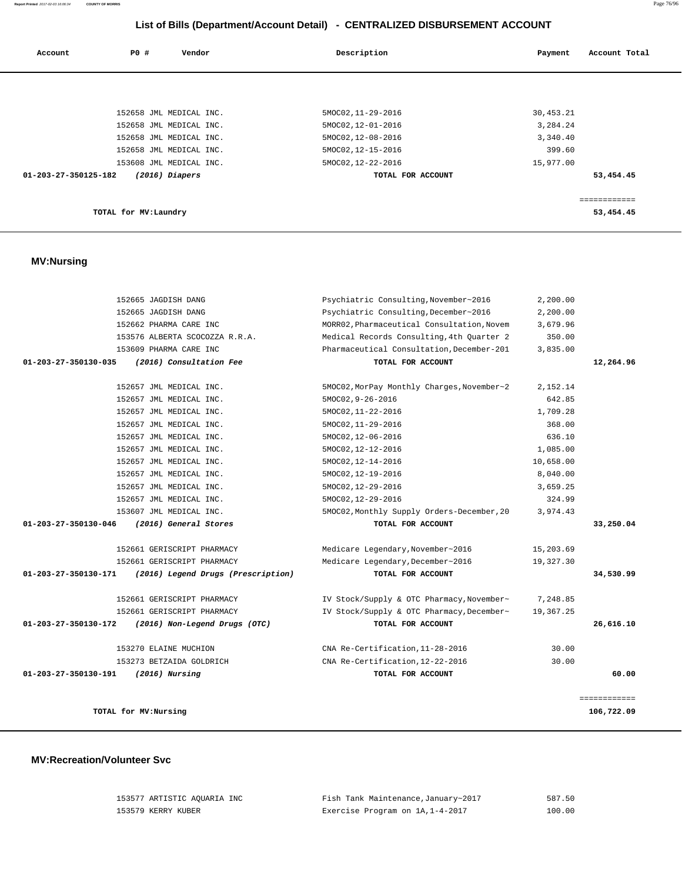| 153577 ARTISTIC AOUARIA INC | Fish Tank Maintenance, January~2017 | 587.50 |
|-----------------------------|-------------------------------------|--------|
| 153579 KERRY KUBER          | Exercise Program on 1A, 1-4-2017    | 100.00 |

#### **MV:Recreation/Volunteer Svc**

|              | 2,200.00  | Psychiatric Consulting, November~2016      | 152665 JAGDISH DANG                |                      |
|--------------|-----------|--------------------------------------------|------------------------------------|----------------------|
|              | 2,200.00  | Psychiatric Consulting, December~2016      | 152665 JAGDISH DANG                |                      |
|              | 3,679.96  | MORR02, Pharmaceutical Consultation, Novem | 152662 PHARMA CARE INC             |                      |
|              | 350.00    | Medical Records Consulting, 4th Quarter 2  | 153576 ALBERTA SCOCOZZA R.R.A.     |                      |
|              | 3,835.00  | Pharmaceutical Consultation, December-201  | 153609 PHARMA CARE INC             |                      |
| 12,264.96    |           | TOTAL FOR ACCOUNT                          | (2016) Consultation Fee            | 01-203-27-350130-035 |
|              | 2,152.14  | 5MOC02, MorPay Monthly Charges, November~2 | 152657 JML MEDICAL INC.            |                      |
|              | 642.85    | 5MOC02, 9-26-2016                          | 152657 JML MEDICAL INC.            |                      |
|              | 1,709.28  | 5MOC02, 11-22-2016                         | 152657 JML MEDICAL INC.            |                      |
|              | 368.00    | 5MOC02, 11-29-2016                         | 152657 JML MEDICAL INC.            |                      |
|              | 636.10    | 5MOC02, 12-06-2016                         | 152657 JML MEDICAL INC.            |                      |
|              | 1,085.00  | 5MOC02, 12-12-2016                         | 152657 JML MEDICAL INC.            |                      |
|              | 10,658.00 | 5MOC02, 12-14-2016                         | 152657 JML MEDICAL INC.            |                      |
|              | 8,040.00  | 5MOC02, 12-19-2016                         | 152657 JML MEDICAL INC.            |                      |
|              | 3,659.25  | 5MOC02, 12-29-2016                         | 152657 JML MEDICAL INC.            |                      |
|              | 324.99    | 5MOC02, 12-29-2016                         | 152657 JML MEDICAL INC.            |                      |
|              | 3,974.43  | 5MOC02, Monthly Supply Orders-December, 20 | 153607 JML MEDICAL INC.            |                      |
| 33,250.04    |           | TOTAL FOR ACCOUNT                          | (2016) General Stores              | 01-203-27-350130-046 |
|              | 15,203.69 | Medicare Legendary, November~2016          | 152661 GERISCRIPT PHARMACY         |                      |
|              | 19,327.30 | Medicare Legendary, December~2016          | 152661 GERISCRIPT PHARMACY         |                      |
| 34,530.99    |           | TOTAL FOR ACCOUNT                          | (2016) Legend Drugs (Prescription) | 01-203-27-350130-171 |
|              | 7,248.85  | IV Stock/Supply & OTC Pharmacy, November~  | 152661 GERISCRIPT PHARMACY         |                      |
|              | 19,367.25 | IV Stock/Supply & OTC Pharmacy, December~  | 152661 GERISCRIPT PHARMACY         |                      |
| 26,616.10    |           | TOTAL FOR ACCOUNT                          | (2016) Non-Legend Drugs (OTC)      | 01-203-27-350130-172 |
|              | 30.00     | CNA Re-Certification, 11-28-2016           | 153270 ELAINE MUCHION              |                      |
|              | 30.00     | CNA Re-Certification, 12-22-2016           | 153273 BETZAIDA GOLDRICH           |                      |
| 60.00        |           | TOTAL FOR ACCOUNT                          | $(2016)$ Nursing                   | 01-203-27-350130-191 |
| ============ |           |                                            |                                    |                      |
| 106,722.09   |           |                                            | TOTAL for MV:Nursing               |                      |
|              |           |                                            |                                    |                      |

## **MV:Nursing**

| Account              | P0 #                  | Vendor                  | Description        | Payment   | Account Total |
|----------------------|-----------------------|-------------------------|--------------------|-----------|---------------|
|                      |                       |                         |                    |           |               |
|                      |                       |                         |                    |           |               |
|                      |                       | 152658 JML MEDICAL INC. | 5MOC02, 11-29-2016 | 30,453.21 |               |
|                      |                       | 152658 JML MEDICAL INC. | 5MOC02, 12-01-2016 | 3,284.24  |               |
|                      |                       | 152658 JML MEDICAL INC. | 5MOC02, 12-08-2016 | 3,340.40  |               |
|                      |                       | 152658 JML MEDICAL INC. | 5MOC02, 12-15-2016 | 399.60    |               |
|                      |                       | 153608 JML MEDICAL INC. | 5MOC02, 12-22-2016 | 15,977.00 |               |
| 01-203-27-350125-182 |                       | $(2016)$ Diapers        | TOTAL FOR ACCOUNT  |           | 53,454.45     |
|                      |                       |                         |                    |           |               |
|                      |                       |                         |                    |           | ============  |
|                      | TOTAL for MV: Laundry |                         |                    |           | 53,454.45     |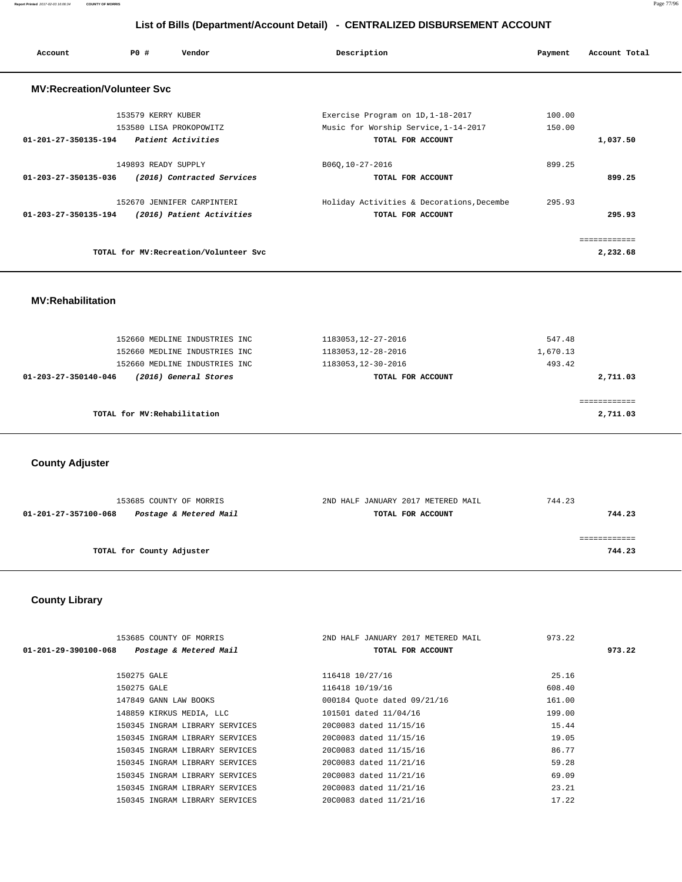| Account                            | PO#                 | Vendor                                 | Description                                                               | Payment          | Account Total |
|------------------------------------|---------------------|----------------------------------------|---------------------------------------------------------------------------|------------------|---------------|
| <b>MV:Recreation/Volunteer Svc</b> |                     |                                        |                                                                           |                  |               |
|                                    | 153579 KERRY KUBER  | 153580 LISA PROKOPOWITZ                | Exercise Program on 1D, 1-18-2017<br>Music for Worship Service, 1-14-2017 | 100.00<br>150.00 |               |
| 01-201-27-350135-194               |                     | <i>Patient Activities</i>              | TOTAL FOR ACCOUNT                                                         |                  | 1,037.50      |
|                                    | 149893 READY SUPPLY |                                        | B060,10-27-2016                                                           | 899.25           |               |
| 01-203-27-350135-036               |                     | (2016) Contracted Services             | TOTAL FOR ACCOUNT                                                         |                  | 899.25        |
|                                    |                     | 152670 JENNIFER CARPINTERI             | Holiday Activities & Decorations, Decembe                                 | 295.93           |               |
| 01-203-27-350135-194               |                     | (2016) Patient Activities              | TOTAL FOR ACCOUNT                                                         |                  | 295.93        |
|                                    |                     |                                        |                                                                           |                  | ============  |
|                                    |                     | TOTAL for MV: Recreation/Volunteer Svc |                                                                           |                  | 2,232.68      |

 **MV:Rehabilitation** 

| 152660 MEDLINE INDUSTRIES INC                 | 1183053, 12-27-2016 | 547.48   |
|-----------------------------------------------|---------------------|----------|
| 152660 MEDLINE INDUSTRIES INC                 | 1183053, 12-28-2016 | 1,670.13 |
| 152660 MEDLINE INDUSTRIES INC                 | 1183053, 12-30-2016 | 493.42   |
| (2016) General Stores<br>01-203-27-350140-046 | TOTAL FOR ACCOUNT   | 2,711.03 |
|                                               |                     |          |
|                                               |                     |          |
| TOTAL for MV:Rehabilitation                   |                     | 2,711.03 |
|                                               |                     |          |

 **County Adjuster** 

| 153685 COUNTY OF MORRIS                        | 2ND HALF JANUARY 2017 METERED MAIL | 744.23 |
|------------------------------------------------|------------------------------------|--------|
| Postage & Metered Mail<br>01-201-27-357100-068 | TOTAL FOR ACCOUNT                  | 744.23 |
|                                                |                                    |        |
|                                                |                                    |        |
| TOTAL for County Adjuster                      |                                    | 744.23 |
|                                                |                                    |        |

# **County Library**

|                      | 153685 COUNTY OF MORRIS        | 2ND HALF JANUARY 2017 METERED MAIL | 973.22 |
|----------------------|--------------------------------|------------------------------------|--------|
| 01-201-29-390100-068 | Postage & Metered Mail         | TOTAL FOR ACCOUNT                  | 973.22 |
|                      |                                |                                    |        |
|                      | 150275 GALE                    | 116418 10/27/16                    | 25.16  |
|                      | 150275 GALE                    | 116418 10/19/16                    | 608.40 |
|                      | 147849 GANN LAW BOOKS          | 000184 Quote dated 09/21/16        | 161.00 |
|                      | 148859 KIRKUS MEDIA, LLC       | 101501 dated 11/04/16              | 199.00 |
|                      | 150345 INGRAM LIBRARY SERVICES | 20C0083 dated 11/15/16             | 15.44  |
|                      | 150345 INGRAM LIBRARY SERVICES | 20C0083 dated 11/15/16             | 19.05  |
|                      | 150345 INGRAM LIBRARY SERVICES | 20C0083 dated 11/15/16             | 86.77  |
|                      | 150345 INGRAM LIBRARY SERVICES | 20C0083 dated 11/21/16             | 59.28  |
|                      | 150345 INGRAM LIBRARY SERVICES | 20C0083 dated 11/21/16             | 69.09  |
|                      | 150345 INGRAM LIBRARY SERVICES | 20C0083 dated 11/21/16             | 23.21  |
|                      | 150345 INGRAM LIBRARY SERVICES | 20C0083 dated 11/21/16             | 17.22  |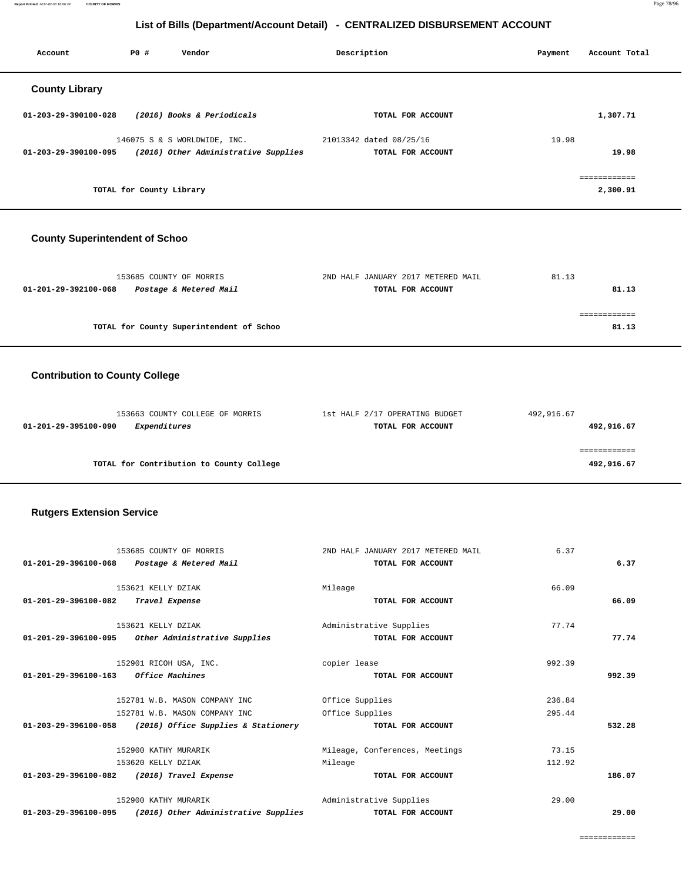**Report Printed** 2017-02-03 16:06:34 **COUNTY OF MORRIS** Page 78/96

## **List of Bills (Department/Account Detail) - CENTRALIZED DISBURSEMENT ACCOUNT**

| Account                        | PO# | Vendor                               | Description             | Payment | Account Total |
|--------------------------------|-----|--------------------------------------|-------------------------|---------|---------------|
| <b>County Library</b>          |     |                                      |                         |         |               |
| $01 - 203 - 29 - 390100 - 028$ |     | (2016) Books & Periodicals           | TOTAL FOR ACCOUNT       |         | 1,307.71      |
|                                |     | 146075 S & S WORLDWIDE, INC.         | 21013342 dated 08/25/16 | 19.98   |               |
| 01-203-29-390100-095           |     | (2016) Other Administrative Supplies | TOTAL FOR ACCOUNT       |         | 19.98         |
|                                |     |                                      |                         |         | ============  |
|                                |     | TOTAL for County Library             |                         |         | 2,300.91      |
|                                |     |                                      |                         |         |               |

## **County Superintendent of Schoo**

| 153685 COUNTY OF MORRIS                        | 2ND HALF JANUARY 2017 METERED MAIL | 81.13 |
|------------------------------------------------|------------------------------------|-------|
| Postage & Metered Mail<br>01-201-29-392100-068 | TOTAL FOR ACCOUNT                  | 81.13 |
|                                                |                                    |       |
|                                                |                                    |       |
| TOTAL for County Superintendent of Schoo       |                                    | 81.13 |

## **Contribution to County College**

| 153663 COUNTY COLLEGE OF MORRIS          | 1st HALF 2/17 OPERATING BUDGET | 492,916.67 |
|------------------------------------------|--------------------------------|------------|
| Expenditures<br>01-201-29-395100-090     | TOTAL FOR ACCOUNT              | 492,916.67 |
|                                          |                                |            |
|                                          |                                |            |
| TOTAL for Contribution to County College |                                | 492,916.67 |

#### **Rutgers Extension Service**

| 153685 COUNTY OF MORRIS                                      | 2ND HALF JANUARY 2017 METERED MAIL | 6.37   |        |
|--------------------------------------------------------------|------------------------------------|--------|--------|
| 01-201-29-396100-068 Postage & Metered Mail                  | TOTAL FOR ACCOUNT                  |        | 6.37   |
|                                                              |                                    |        |        |
| 153621 KELLY DZIAK                                           | Mileage                            | 66.09  |        |
| 01-201-29-396100-082<br>Travel Expense                       | TOTAL FOR ACCOUNT                  |        | 66.09  |
| 153621 KELLY DZIAK                                           | Administrative Supplies            | 77.74  |        |
| 01-201-29-396100-095 Other Administrative Supplies           | TOTAL FOR ACCOUNT                  |        | 77.74  |
|                                                              |                                    |        |        |
| 152901 RICOH USA, INC.                                       | copier lease                       | 992.39 |        |
| 01-201-29-396100-163 Office Machines                         | TOTAL FOR ACCOUNT                  |        | 992.39 |
|                                                              |                                    |        |        |
| 152781 W.B. MASON COMPANY INC                                | Office Supplies                    | 236.84 |        |
| 152781 W.B. MASON COMPANY INC                                | Office Supplies                    | 295.44 |        |
| 01-203-29-396100-058 (2016) Office Supplies & Stationery     | TOTAL FOR ACCOUNT                  |        | 532.28 |
| 152900 KATHY MURARIK                                         | Mileage, Conferences, Meetings     | 73.15  |        |
|                                                              |                                    |        |        |
| 153620 KELLY DZIAK                                           | Mileage                            | 112.92 |        |
| 01-203-29-396100-082 (2016) Travel Expense                   | TOTAL FOR ACCOUNT                  |        | 186.07 |
| 152900 KATHY MURARIK                                         | Administrative Supplies            | 29.00  |        |
| 01-203-29-396100-095<br>(2016) Other Administrative Supplies | TOTAL FOR ACCOUNT                  |        | 29.00  |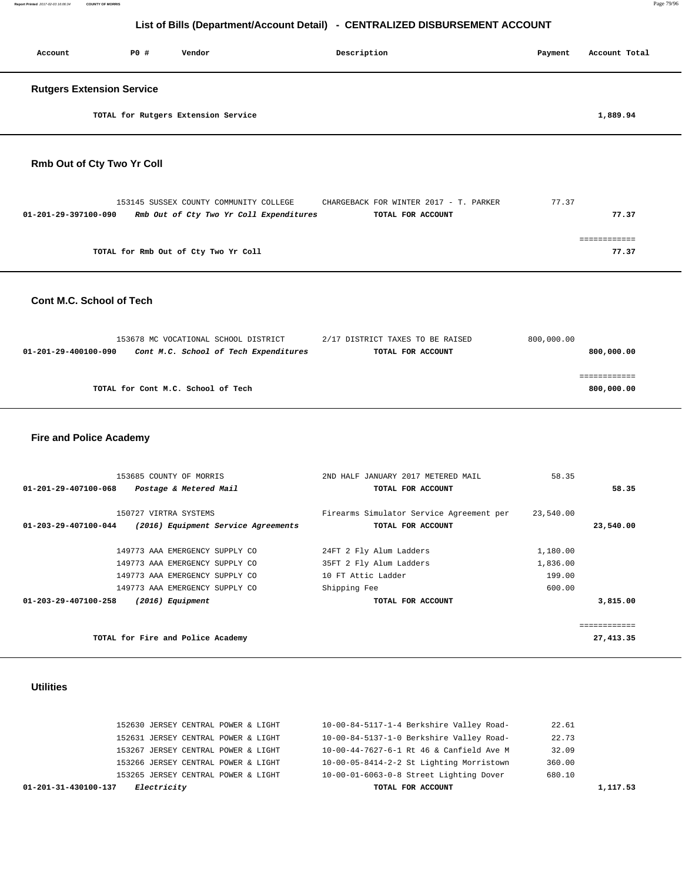| Account                           | P0 #                             | Vendor                              | Description | Payment | Account Total |  |  |
|-----------------------------------|----------------------------------|-------------------------------------|-------------|---------|---------------|--|--|
|                                   | <b>Rutgers Extension Service</b> |                                     |             |         |               |  |  |
|                                   |                                  | TOTAL for Rutgers Extension Service |             |         | 1,889.94      |  |  |
| <b>Rmh Out of Cty Two Yr Coll</b> |                                  |                                     |             |         |               |  |  |

#### **Rmb Out of Cty Two Yr Coll**

|                      | 153145 SUSSEX COUNTY COMMUNITY COLLEGE  | CHARGEBACK FOR WINTER 2017 - T. PARKER | 77.37 |  |
|----------------------|-----------------------------------------|----------------------------------------|-------|--|
| 01-201-29-397100-090 | Rmb Out of Cty Two Yr Coll Expenditures | TOTAL FOR ACCOUNT                      | 77.37 |  |
|                      |                                         |                                        |       |  |
|                      |                                         |                                        |       |  |
|                      | TOTAL for Rmb Out of Cty Two Yr Coll    |                                        | 77.37 |  |

#### **Cont M.C. School of Tech**

|                      | 153678 MC VOCATIONAL SCHOOL DISTRICT  | 2/17 DISTRICT TAXES TO BE RAISED | 800,000.00 |
|----------------------|---------------------------------------|----------------------------------|------------|
| 01-201-29-400100-090 | Cont M.C. School of Tech Expenditures | TOTAL FOR ACCOUNT                | 800,000.00 |
|                      |                                       |                                  |            |
|                      |                                       |                                  |            |
|                      | TOTAL for Cont M.C. School of Tech    |                                  | 800,000.00 |
|                      |                                       |                                  |            |

## **Fire and Police Academy**

| 153685 COUNTY OF MORRIS                                     | 2ND HALF JANUARY 2017 METERED MAIL       | 58.35     |           |
|-------------------------------------------------------------|------------------------------------------|-----------|-----------|
| 01-201-29-407100-068<br>Postage & Metered Mail              | TOTAL FOR ACCOUNT                        |           | 58.35     |
|                                                             |                                          |           |           |
| 150727 VIRTRA SYSTEMS                                       | Firearms Simulator Service Agreement per | 23,540.00 |           |
| 01-203-29-407100-044<br>(2016) Equipment Service Agreements | TOTAL FOR ACCOUNT                        |           | 23,540.00 |
|                                                             |                                          |           |           |
| 149773 AAA EMERGENCY SUPPLY CO                              | 24FT 2 Fly Alum Ladders                  | 1,180.00  |           |
| 149773 AAA EMERGENCY SUPPLY CO                              | 35FT 2 Fly Alum Ladders                  | 1,836.00  |           |
| 149773 AAA EMERGENCY SUPPLY CO                              | 10 FT Attic Ladder                       | 199.00    |           |
| 149773 AAA EMERGENCY SUPPLY CO                              | Shipping Fee                             | 600.00    |           |
| 01-203-29-407100-258<br>$(2016)$ Equipment                  | TOTAL FOR ACCOUNT                        |           | 3,815.00  |
|                                                             |                                          |           |           |
|                                                             |                                          |           |           |
| TOTAL for Fire and Police Academy                           |                                          |           | 27,413.35 |

## **Utilities**

| <i>Electricity</i><br>01-201-31-430100-137 | TOTAL FOR ACCOUNT                                  | 1,117.53 |
|--------------------------------------------|----------------------------------------------------|----------|
| 153265 JERSEY CENTRAL POWER & LIGHT        | 10-00-01-6063-0-8 Street Lighting Dover<br>680.10  |          |
| 153266 JERSEY CENTRAL POWER & LIGHT        | 10-00-05-8414-2-2 St Lighting Morristown<br>360.00 |          |
| 153267 JERSEY CENTRAL POWER & LIGHT        | 32.09<br>10-00-44-7627-6-1 Rt 46 & Canfield Ave M  |          |
| 152631 JERSEY CENTRAL POWER & LIGHT        | 10-00-84-5137-1-0 Berkshire Valley Road-<br>22.73  |          |
| 152630 JERSEY CENTRAL POWER & LIGHT        | 10-00-84-5117-1-4 Berkshire Valley Road-<br>22.61  |          |
|                                            |                                                    |          |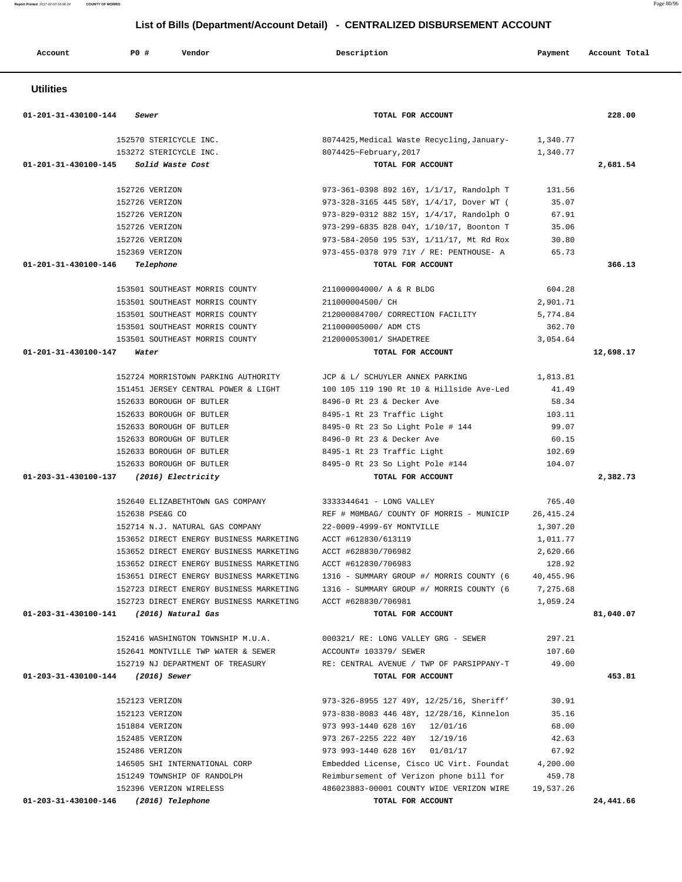| Account              | <b>PO #</b><br>Vendor                                            | Description                                                                          | Payment            | Account Total |
|----------------------|------------------------------------------------------------------|--------------------------------------------------------------------------------------|--------------------|---------------|
| <b>Utilities</b>     |                                                                  |                                                                                      |                    |               |
| 01-201-31-430100-144 | Sewer                                                            | TOTAL FOR ACCOUNT                                                                    |                    | 228.00        |
|                      | 152570 STERICYCLE INC.                                           | 8074425, Medical Waste Recycling, January-                                           | 1,340.77           |               |
|                      | 153272 STERICYCLE INC.                                           | 8074425~February, 2017                                                               | 1,340.77           |               |
| 01-201-31-430100-145 | Solid Waste Cost                                                 | TOTAL FOR ACCOUNT                                                                    |                    | 2,681.54      |
|                      | 152726 VERIZON                                                   | 973-361-0398 892 16Y, 1/1/17, Randolph T                                             | 131.56             |               |
|                      | 152726 VERIZON                                                   | 973-328-3165 445 58Y, 1/4/17, Dover WT (                                             | 35.07              |               |
|                      | 152726 VERIZON                                                   | 973-829-0312 882 15Y, 1/4/17, Randolph O                                             | 67.91              |               |
|                      | 152726 VERIZON                                                   | 973-299-6835 828 04Y, 1/10/17, Boonton T                                             | 35.06              |               |
|                      | 152726 VERIZON                                                   | 973-584-2050 195 53Y, 1/11/17, Mt Rd Rox                                             | 30.80              |               |
|                      | 152369 VERIZON                                                   | 973-455-0378 979 71Y / RE: PENTHOUSE- A                                              | 65.73              |               |
| 01-201-31-430100-146 | Telephone                                                        | TOTAL FOR ACCOUNT                                                                    |                    | 366.13        |
|                      |                                                                  |                                                                                      |                    |               |
|                      | 153501 SOUTHEAST MORRIS COUNTY                                   | 211000004000/ A & R BLDG                                                             | 604.28             |               |
|                      | 153501 SOUTHEAST MORRIS COUNTY                                   | 211000004500/ CH                                                                     | 2,901.71           |               |
|                      | 153501 SOUTHEAST MORRIS COUNTY                                   | 212000084700/ CORRECTION FACILITY                                                    | 5,774.84           |               |
|                      | 153501 SOUTHEAST MORRIS COUNTY<br>153501 SOUTHEAST MORRIS COUNTY | 211000005000/ ADM CTS                                                                | 362.70<br>3,054.64 |               |
| 01-201-31-430100-147 |                                                                  | 212000053001/ SHADETREE<br>TOTAL FOR ACCOUNT                                         |                    | 12,698.17     |
|                      | Water                                                            |                                                                                      |                    |               |
|                      | 152724 MORRISTOWN PARKING AUTHORITY                              | JCP & L/ SCHUYLER ANNEX PARKING                                                      | 1,813.81           |               |
|                      | 151451 JERSEY CENTRAL POWER & LIGHT                              | 100 105 119 190 Rt 10 & Hillside Ave-Led                                             | 41.49              |               |
|                      | 152633 BOROUGH OF BUTLER                                         | 8496-0 Rt 23 & Decker Ave                                                            | 58.34              |               |
|                      | 152633 BOROUGH OF BUTLER                                         | 8495-1 Rt 23 Traffic Light                                                           | 103.11             |               |
|                      | 152633 BOROUGH OF BUTLER                                         | 8495-0 Rt 23 So Light Pole # 144                                                     | 99.07              |               |
|                      | 152633 BOROUGH OF BUTLER                                         | 8496-0 Rt 23 & Decker Ave                                                            | 60.15              |               |
|                      | 152633 BOROUGH OF BUTLER                                         | 8495-1 Rt 23 Traffic Light                                                           | 102.69             |               |
|                      | 152633 BOROUGH OF BUTLER                                         | 8495-0 Rt 23 So Light Pole #144                                                      | 104.07             |               |
| 01-203-31-430100-137 | (2016) Electricity                                               | TOTAL FOR ACCOUNT                                                                    |                    | 2,382.73      |
|                      | 152640 ELIZABETHTOWN GAS COMPANY                                 | 3333344641 - LONG VALLEY                                                             | 765.40             |               |
|                      | 152638 PSE&G CO                                                  | REF # MOMBAG/ COUNTY OF MORRIS - MUNICIP                                             | 26, 415.24         |               |
|                      | 152714 N.J. NATURAL GAS COMPANY                                  | 22-0009-4999-6Y MONTVILLE                                                            | 1,307.20           |               |
|                      | 153652 DIRECT ENERGY BUSINESS MARKETING                          | ACCT #612830/613119                                                                  | 1,011.77           |               |
|                      | 153652 DIRECT ENERGY BUSINESS MARKETING                          | ACCT #628830/706982                                                                  | 2,620.66           |               |
|                      | 153652 DIRECT ENERGY BUSINESS MARKETING                          | ACCT #612830/706983                                                                  | 128.92             |               |
|                      | 153651 DIRECT ENERGY BUSINESS MARKETING                          | 1316 - SUMMARY GROUP #/ MORRIS COUNTY (6                                             | 40,455.96          |               |
|                      | 152723 DIRECT ENERGY BUSINESS MARKETING                          | 1316 - SUMMARY GROUP #/ MORRIS COUNTY (6                                             | 7,275.68           |               |
|                      | 152723 DIRECT ENERGY BUSINESS MARKETING                          | ACCT #628830/706981                                                                  | 1,059.24           |               |
|                      | 01-203-31-430100-141 (2016) Natural Gas                          | TOTAL FOR ACCOUNT                                                                    |                    | 81,040.07     |
|                      | 152416 WASHINGTON TOWNSHIP M.U.A.                                | 000321/ RE: LONG VALLEY GRG - SEWER                                                  | 297.21             |               |
|                      | 152641 MONTVILLE TWP WATER & SEWER                               | ACCOUNT# 103379/ SEWER                                                               | 107.60             |               |
|                      | 152719 NJ DEPARTMENT OF TREASURY                                 | RE: CENTRAL AVENUE / TWP OF PARSIPPANY-T                                             | 49.00              |               |
|                      | 01-203-31-430100-144 (2016) Sewer                                | TOTAL FOR ACCOUNT                                                                    |                    | 453.81        |
|                      | 152123 VERIZON                                                   |                                                                                      | 30.91              |               |
|                      | 152123 VERIZON                                                   | 973-326-8955 127 49Y, 12/25/16, Sheriff'<br>973-838-8083 446 48Y, 12/28/16, Kinnelon | 35.16              |               |
|                      | 151884 VERIZON                                                   | 973 993-1440 628 16Y 12/01/16                                                        | 68.00              |               |
|                      | 152485 VERIZON                                                   | 973 267-2255 222 40Y 12/19/16                                                        | 42.63              |               |
|                      | 152486 VERIZON                                                   | 973 993-1440 628 16Y 01/01/17                                                        | 67.92              |               |
|                      | 146505 SHI INTERNATIONAL CORP                                    | Embedded License, Cisco UC Virt. Foundat                                             | 4,200.00           |               |
|                      | 151249 TOWNSHIP OF RANDOLPH                                      | Reimbursement of Verizon phone bill for                                              | 459.78             |               |
|                      | 152396 VERIZON WIRELESS                                          | 486023883-00001 COUNTY WIDE VERIZON WIRE                                             | 19,537.26          |               |
| 01-203-31-430100-146 | (2016) Telephone                                                 | TOTAL FOR ACCOUNT                                                                    |                    | 24,441.66     |
|                      |                                                                  |                                                                                      |                    |               |

**Report Printed** 2017-02-03 16:06:34 **COUNTY OF MORRIS** Page 80/96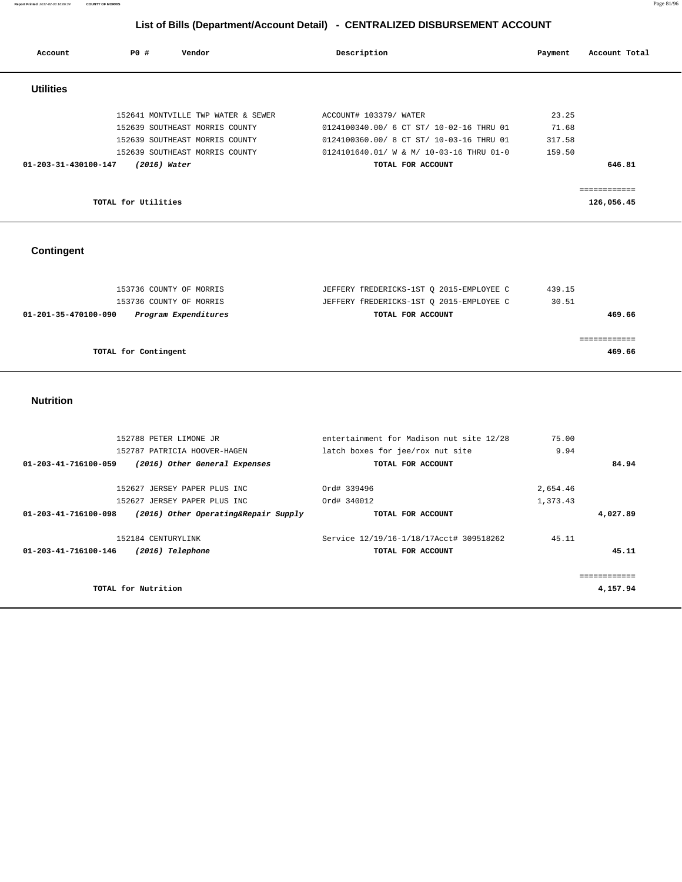**Report Printed** 2017-02-03 16:06:34 **COUNTY OF MORRIS** Page 81/96

# **List of Bills (Department/Account Detail) - CENTRALIZED DISBURSEMENT ACCOUNT**

| Account              | PO#                 | Vendor                             | Description                              | Payment | Account Total |
|----------------------|---------------------|------------------------------------|------------------------------------------|---------|---------------|
| <b>Utilities</b>     |                     |                                    |                                          |         |               |
|                      |                     | 152641 MONTVILLE TWP WATER & SEWER | ACCOUNT# 103379/ WATER                   | 23.25   |               |
|                      |                     | 152639 SOUTHEAST MORRIS COUNTY     | 0124100340.00/ 6 CT ST/ 10-02-16 THRU 01 | 71.68   |               |
|                      |                     | 152639 SOUTHEAST MORRIS COUNTY     | 0124100360.00/ 8 CT ST/ 10-03-16 THRU 01 | 317.58  |               |
|                      |                     | 152639 SOUTHEAST MORRIS COUNTY     | 0124101640.01/ W & M/ 10-03-16 THRU 01-0 | 159.50  |               |
| 01-203-31-430100-147 | $(2016)$ Water      |                                    | TOTAL FOR ACCOUNT                        |         | 646.81        |
|                      |                     |                                    |                                          |         | ============  |
|                      | TOTAL for Utilities |                                    |                                          |         | 126,056.45    |

## **Contingent**

| 153736 COUNTY OF MORRIS                      | JEFFERY fREDERICKS-1ST O 2015-EMPLOYEE C | 439.15 |
|----------------------------------------------|------------------------------------------|--------|
| 153736 COUNTY OF MORRIS                      | JEFFERY fREDERICKS-1ST O 2015-EMPLOYEE C | 30.51  |
| Program Expenditures<br>01-201-35-470100-090 | TOTAL FOR ACCOUNT                        | 469.66 |
|                                              |                                          |        |
|                                              |                                          |        |
| TOTAL for Contingent                         |                                          | 469.66 |

#### **Nutrition**

| 152788 PETER LIMONE JR<br>152787 PATRICIA HOOVER-HAGEN<br>01-203-41-716100-059<br>(2016) Other General Expenses              | entertainment for Madison nut site 12/28<br>latch boxes for jee/rox nut site<br>TOTAL FOR ACCOUNT | 75.00<br>9.94<br>84.94           |  |
|------------------------------------------------------------------------------------------------------------------------------|---------------------------------------------------------------------------------------------------|----------------------------------|--|
| 152627 JERSEY PAPER PLUS INC<br>152627 JERSEY PAPER PLUS INC<br>01-203-41-716100-098<br>(2016) Other Operating&Repair Supply | Ord# 339496<br>Ord# 340012<br>TOTAL FOR ACCOUNT                                                   | 2,654.46<br>1,373.43<br>4,027.89 |  |
| 152184 CENTURYLINK<br>01-203-41-716100-146<br>(2016) Telephone                                                               | Service 12/19/16-1/18/17Acct# 309518262<br>TOTAL FOR ACCOUNT                                      | 45.11<br>45.11                   |  |
| TOTAL for Nutrition                                                                                                          |                                                                                                   | 4,157.94                         |  |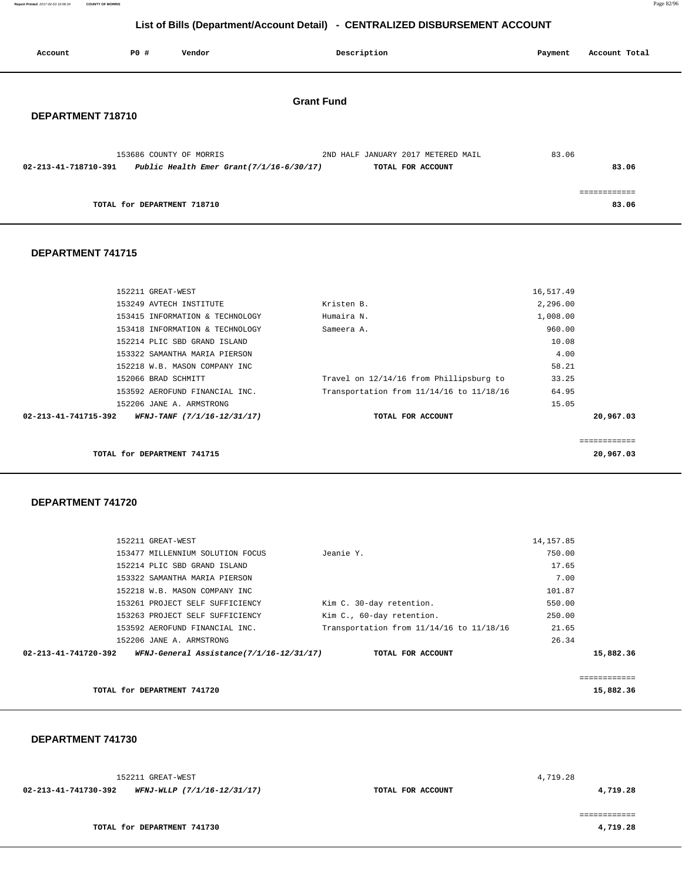**Report Printed** 2017-02-03 16:06:34 **COUNTY OF MORRIS** Page 82/96

## **List of Bills (Department/Account Detail) - CENTRALIZED DISBURSEMENT ACCOUNT**

| Account              | <b>PO #</b>                 | Vendor                                                                 |                   | Description                                             | Payment | Account Total         |
|----------------------|-----------------------------|------------------------------------------------------------------------|-------------------|---------------------------------------------------------|---------|-----------------------|
| DEPARTMENT 718710    |                             |                                                                        | <b>Grant Fund</b> |                                                         |         |                       |
| 02-213-41-718710-391 |                             | 153686 COUNTY OF MORRIS<br>Public Health Emer Grant $(7/1/16-6/30/17)$ |                   | 2ND HALF JANUARY 2017 METERED MAIL<br>TOTAL FOR ACCOUNT | 83.06   | 83.06                 |
|                      | TOTAL for DEPARTMENT 718710 |                                                                        |                   |                                                         |         | ============<br>83.06 |

#### **DEPARTMENT 741715**

|                      | 152211 GREAT-WEST               |                                          | 16,517.49 |           |
|----------------------|---------------------------------|------------------------------------------|-----------|-----------|
|                      | 153249 AVTECH INSTITUTE         | Kristen B.                               | 2,296.00  |           |
|                      | 153415 INFORMATION & TECHNOLOGY | Humaira N.                               | 1,008.00  |           |
|                      | 153418 INFORMATION & TECHNOLOGY | Sameera A.                               | 960.00    |           |
|                      | 152214 PLIC SBD GRAND ISLAND    |                                          | 10.08     |           |
|                      | 153322 SAMANTHA MARIA PIERSON   |                                          | 4.00      |           |
|                      | 152218 W.B. MASON COMPANY INC   |                                          | 58.21     |           |
|                      | 152066 BRAD SCHMITT             | Travel on 12/14/16 from Phillipsburg to  | 33.25     |           |
|                      | 153592 AEROFUND FINANCIAL INC.  | Transportation from 11/14/16 to 11/18/16 | 64.95     |           |
|                      | 152206 JANE A. ARMSTRONG        |                                          | 15.05     |           |
| 02-213-41-741715-392 | WFNJ-TANF (7/1/16-12/31/17)     | TOTAL FOR ACCOUNT                        |           | 20,967.03 |
|                      |                                 |                                          |           |           |
|                      |                                 |                                          |           |           |

**TOTAL for DEPARTMENT 741715 20,967.03**

 **DEPARTMENT 741720** 

| 152211 GREAT-WEST                                                |                                          | 14, 157.85 |           |
|------------------------------------------------------------------|------------------------------------------|------------|-----------|
| 153477 MILLENNIUM SOLUTION FOCUS                                 | Jeanie Y.                                | 750.00     |           |
| 152214 PLIC SBD GRAND ISLAND                                     |                                          | 17.65      |           |
| 153322 SAMANTHA MARIA PIERSON                                    |                                          | 7.00       |           |
| 152218 W.B. MASON COMPANY INC                                    |                                          | 101.87     |           |
| 153261 PROJECT SELF SUFFICIENCY                                  | Kim C. 30-day retention.                 | 550.00     |           |
| 153263 PROJECT SELF SUFFICIENCY                                  | Kim C., 60-day retention.                | 250.00     |           |
| 153592 AEROFUND FINANCIAL INC.                                   | Transportation from 11/14/16 to 11/18/16 | 21.65      |           |
| 152206 JANE A. ARMSTRONG                                         |                                          | 26.34      |           |
| WFNJ-General Assistance(7/1/16-12/31/17)<br>02-213-41-741720-392 | TOTAL FOR ACCOUNT                        |            | 15,882.36 |
|                                                                  |                                          |            |           |
|                                                                  |                                          |            |           |
| TOTAL for DEPARTMENT 741720                                      |                                          |            | 15,882.36 |

 **DEPARTMENT 741730** 

 152211 GREAT-WEST 4,719.28  **02-213-41-741730-392 WFNJ-WLLP (7/1/16-12/31/17) TOTAL FOR ACCOUNT 4,719.28** ============ **TOTAL for DEPARTMENT 741730 4,719.28**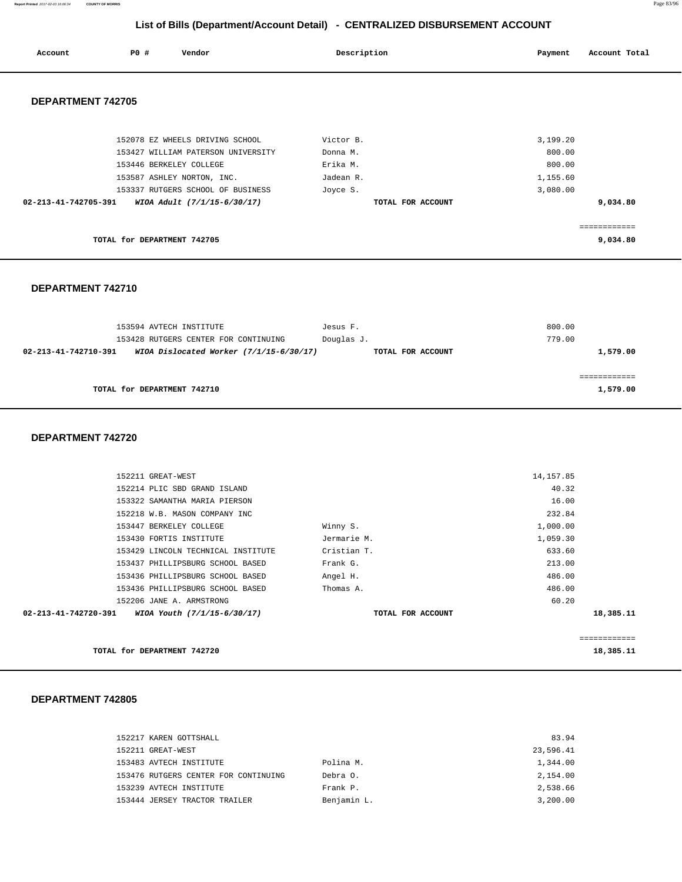**Report Printed** 2017-02-03 16:06:34 **COUNTY OF MORRIS** Page 83/96

## **List of Bills (Department/Account Detail) - CENTRALIZED DISBURSEMENT ACCOUNT**

| Account              | PO#                         | Vendor                             | Description       | Payment  | Account Total |
|----------------------|-----------------------------|------------------------------------|-------------------|----------|---------------|
| DEPARTMENT 742705    |                             |                                    |                   |          |               |
|                      |                             | 152078 EZ WHEELS DRIVING SCHOOL    | Victor B.         | 3,199.20 |               |
|                      |                             | 153427 WILLIAM PATERSON UNIVERSITY | Donna M.          | 800.00   |               |
|                      |                             | 153446 BERKELEY COLLEGE            | Erika M.          | 800.00   |               |
|                      |                             | 153587 ASHLEY NORTON, INC.         | Jadean R.         | 1,155.60 |               |
|                      |                             | 153337 RUTGERS SCHOOL OF BUSINESS  | Joyce S.          | 3,080.00 |               |
| 02-213-41-742705-391 |                             | WIOA Adult (7/1/15-6/30/17)        | TOTAL FOR ACCOUNT |          | 9,034.80      |
|                      |                             |                                    |                   |          | ============  |
|                      | TOTAL for DEPARTMENT 742705 |                                    |                   |          | 9,034.80      |

## **DEPARTMENT 742710**

| 153594 AVTECH INSTITUTE                                           | Jesus F.          | 800.00   |
|-------------------------------------------------------------------|-------------------|----------|
| 153428 RUTGERS CENTER FOR CONTINUING                              | Douglas J.        | 779.00   |
| WIOA Dislocated Worker $(7/1/15-6/30/17)$<br>02-213-41-742710-391 | TOTAL FOR ACCOUNT | 1,579.00 |
|                                                                   |                   |          |
|                                                                   |                   |          |
| TOTAL for DEPARTMENT 742710                                       |                   | 1,579.00 |
|                                                                   |                   |          |

#### **DEPARTMENT 742720**

|                                |                                    |                   |            | ========== |
|--------------------------------|------------------------------------|-------------------|------------|------------|
| $02 - 213 - 41 - 742720 - 391$ | WIOA Youth (7/1/15-6/30/17)        | TOTAL FOR ACCOUNT |            | 18,385.11  |
|                                | 152206 JANE A. ARMSTRONG           |                   | 60.20      |            |
|                                | 153436 PHILLIPSBURG SCHOOL BASED   | Thomas A.         | 486.00     |            |
|                                | 153436 PHILLIPSBURG SCHOOL BASED   | Angel H.          | 486.00     |            |
|                                | 153437 PHILLIPSBURG SCHOOL BASED   | Frank G.          | 213.00     |            |
|                                | 153429 LINCOLN TECHNICAL INSTITUTE | Cristian T.       | 633.60     |            |
|                                | 153430 FORTIS INSTITUTE            | Jermarie M.       | 1,059.30   |            |
|                                | 153447 BERKELEY COLLEGE            | Winny S.          | 1,000.00   |            |
|                                | 152218 W.B. MASON COMPANY INC      |                   | 232.84     |            |
|                                | 153322 SAMANTHA MARIA PIERSON      |                   | 16.00      |            |
|                                | 152214 PLIC SBD GRAND ISLAND       |                   | 40.32      |            |
| 152211 GREAT-WEST              |                                    |                   | 14, 157.85 |            |

**TOTAL for DEPARTMENT 742720 18,385.11** 

| 152217 KAREN GOTTSHALL               |             | 83.94     |
|--------------------------------------|-------------|-----------|
| 152211 GREAT-WEST                    |             | 23,596.41 |
| 153483 AVTECH INSTITUTE              | Polina M.   | 1,344.00  |
| 153476 RUTGERS CENTER FOR CONTINUING | Debra O.    | 2,154.00  |
| 153239 AVTECH INSTITUTE              | Frank P.    | 2,538.66  |
| 153444 JERSEY TRACTOR TRAILER        | Benjamin L. | 3,200.00  |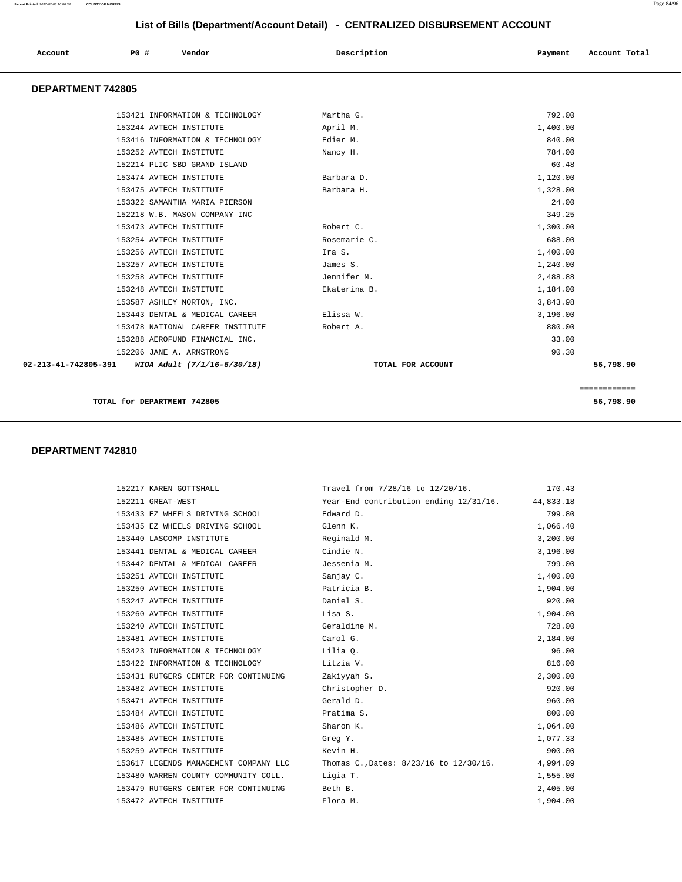| Account                  | PO# | Vendor                           | Description       | Payment  | Account Total |
|--------------------------|-----|----------------------------------|-------------------|----------|---------------|
| <b>DEPARTMENT 742805</b> |     |                                  |                   |          |               |
|                          |     | 153421 INFORMATION & TECHNOLOGY  | Martha G.         | 792.00   |               |
|                          |     | 153244 AVTECH INSTITUTE          | April M.          | 1,400.00 |               |
|                          |     | 153416 INFORMATION & TECHNOLOGY  | Edier M.          | 840.00   |               |
|                          |     | 153252 AVTECH INSTITUTE          | Nancy H.          | 784.00   |               |
|                          |     | 152214 PLIC SBD GRAND ISLAND     |                   | 60.48    |               |
|                          |     | 153474 AVTECH INSTITUTE          | Barbara D.        | 1,120.00 |               |
|                          |     | 153475 AVTECH INSTITUTE          | Barbara H.        | 1,328.00 |               |
|                          |     | 153322 SAMANTHA MARIA PIERSON    |                   | 24.00    |               |
|                          |     | 152218 W.B. MASON COMPANY INC    |                   | 349.25   |               |
|                          |     | 153473 AVTECH INSTITUTE          | Robert C.         | 1,300.00 |               |
|                          |     | 153254 AVTECH INSTITUTE          | Rosemarie C.      | 688.00   |               |
|                          |     | 153256 AVTECH INSTITUTE          | Ira S.            | 1,400.00 |               |
|                          |     | 153257 AVTECH INSTITUTE          | James S.          | 1,240.00 |               |
|                          |     | 153258 AVTECH INSTITUTE          | Jennifer M.       | 2,488.88 |               |
|                          |     | 153248 AVTECH INSTITUTE          | Ekaterina B.      | 1,184.00 |               |
|                          |     | 153587 ASHLEY NORTON, INC.       |                   | 3,843.98 |               |
|                          |     | 153443 DENTAL & MEDICAL CAREER   | Elissa W.         | 3,196.00 |               |
|                          |     | 153478 NATIONAL CAREER INSTITUTE | Robert A.         | 880.00   |               |
|                          |     | 153288 AEROFUND FINANCIAL INC.   |                   | 33.00    |               |
|                          |     | 152206 JANE A. ARMSTRONG         |                   | 90.30    |               |
| 02-213-41-742805-391     |     | WIOA Adult (7/1/16-6/30/18)      | TOTAL FOR ACCOUNT |          | 56,798.90     |
|                          |     |                                  |                   |          | ============  |

**TOTAL for DEPARTMENT 742805 56,798.90**

| 152217 KAREN GOTTSHALL                | Travel from 7/28/16 to 12/20/16.                 | 170.43   |
|---------------------------------------|--------------------------------------------------|----------|
| 152211 GREAT-WEST                     | Year-End contribution ending 12/31/16. 44,833.18 |          |
| 153433 EZ WHEELS DRIVING SCHOOL       | Edward D.                                        | 799.80   |
| 153435 EZ WHEELS DRIVING SCHOOL       | Glenn K.                                         | 1,066.40 |
| 153440 LASCOMP INSTITUTE              | Reginald M.                                      | 3,200.00 |
| 153441 DENTAL & MEDICAL CAREER        | Cindie N.                                        | 3,196.00 |
| 153442 DENTAL & MEDICAL CAREER        | Jessenia M.                                      | 799.00   |
| 153251 AVTECH INSTITUTE               | Sanjay C.                                        | 1,400.00 |
| 153250 AVTECH INSTITUTE               | Patricia B.                                      | 1,904.00 |
| 153247 AVTECH INSTITUTE               | Daniel S.                                        | 920.00   |
| 153260 AVTECH INSTITUTE               | Lisa S.                                          | 1,904.00 |
| 153240 AVTECH INSTITUTE               | Geraldine M.                                     | 728.00   |
| 153481 AVTECH INSTITUTE               | Carol G.                                         | 2,184.00 |
| 153423 INFORMATION & TECHNOLOGY       | Lilia O.                                         | 96.00    |
| 153422 INFORMATION & TECHNOLOGY       | Litzia V.                                        | 816.00   |
| 153431 RUTGERS CENTER FOR CONTINUING  | Zakiyyah S.                                      | 2,300.00 |
| 153482 AVTECH INSTITUTE               | Christopher D.                                   | 920.00   |
| 153471 AVTECH INSTITUTE               | Gerald D.                                        | 960.00   |
| 153484 AVTECH INSTITUTE               | Pratima S.                                       | 800.00   |
| 153486 AVTECH INSTITUTE               | Sharon K.                                        | 1,064.00 |
| 153485 AVTECH INSTITUTE               | Greg Y.                                          | 1,077.33 |
| 153259 AVTECH INSTITUTE               | Kevin H.                                         | 900.00   |
| 153617 LEGENDS MANAGEMENT COMPANY LLC | Thomas C., Dates: 8/23/16 to 12/30/16.           | 4,994.09 |
| 153480 WARREN COUNTY COMMUNITY COLL.  | Ligia T.                                         | 1,555.00 |
| 153479 RUTGERS CENTER FOR CONTINUING  | Beth B.                                          | 2,405.00 |
| 153472 AVTECH INSTITUTE               | Flora M.                                         | 1,904.00 |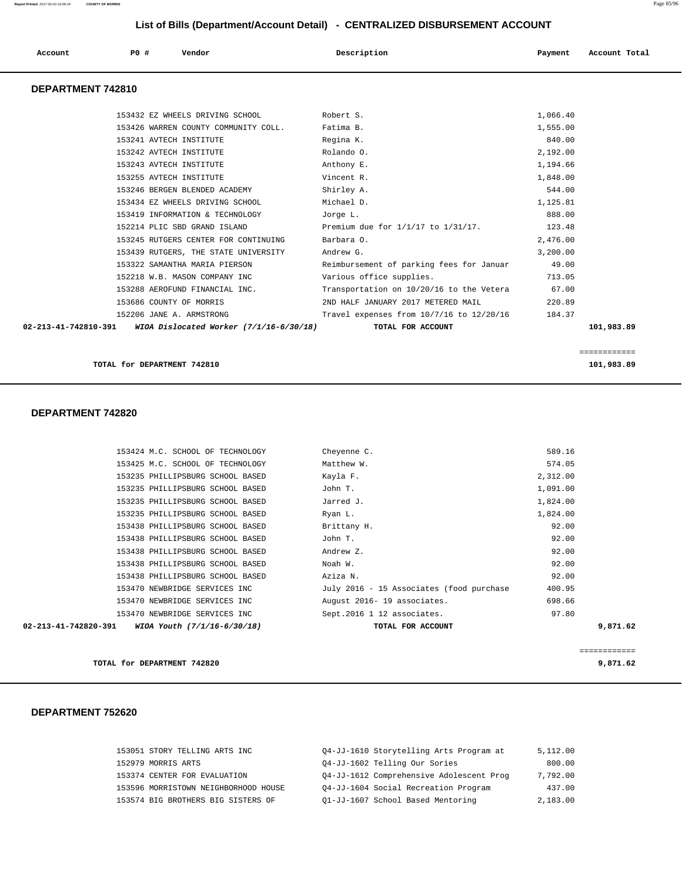| Account              | P0 #<br>Vendor                                                                                                                                                                                                                                                                                                                                                                                                                                                                                                 | Description                                                                                                                                                                                                                                                                                                | Payment                                                                                                                                                          | Account Total |
|----------------------|----------------------------------------------------------------------------------------------------------------------------------------------------------------------------------------------------------------------------------------------------------------------------------------------------------------------------------------------------------------------------------------------------------------------------------------------------------------------------------------------------------------|------------------------------------------------------------------------------------------------------------------------------------------------------------------------------------------------------------------------------------------------------------------------------------------------------------|------------------------------------------------------------------------------------------------------------------------------------------------------------------|---------------|
| DEPARTMENT 742810    |                                                                                                                                                                                                                                                                                                                                                                                                                                                                                                                |                                                                                                                                                                                                                                                                                                            |                                                                                                                                                                  |               |
|                      | 153432 EZ WHEELS DRIVING SCHOOL<br>153426 WARREN COUNTY COMMUNITY COLL.<br>153241 AVTECH INSTITUTE<br>153242 AVTECH INSTITUTE<br>153243 AVTECH INSTITUTE<br>153255 AVTECH INSTITUTE<br>153246 BERGEN BLENDED ACADEMY<br>153434 EZ WHEELS DRIVING SCHOOL<br>153419 INFORMATION & TECHNOLOGY<br>152214 PLIC SBD GRAND ISLAND<br>153245 RUTGERS CENTER FOR CONTINUING<br>153439 RUTGERS, THE STATE UNIVERSITY<br>153322 SAMANTHA MARIA PIERSON<br>152218 W.B. MASON COMPANY INC<br>153288 AEROFUND FINANCIAL INC. | Robert S.<br>Fatima B.<br>Regina K.<br>Rolando O.<br>Anthony E.<br>Vincent R.<br>Shirley A.<br>Michael D.<br>Jorge L.<br>Premium due for 1/1/17 to 1/31/17.<br>Barbara O.<br>Andrew G.<br>Reimbursement of parking fees for Januar<br>Various office supplies.<br>Transportation on 10/20/16 to the Vetera | 1,066.40<br>1,555.00<br>840.00<br>2,192.00<br>1,194.66<br>1,848.00<br>544.00<br>1,125.81<br>888.00<br>123.48<br>2,476.00<br>3,200.00<br>49.00<br>713.05<br>67.00 |               |
| 02-213-41-742810-391 | 153686 COUNTY OF MORRIS<br>152206 JANE A. ARMSTRONG<br>WIOA Dislocated Worker (7/1/16-6/30/18)                                                                                                                                                                                                                                                                                                                                                                                                                 | 2ND HALF JANUARY 2017 METERED MAIL<br>Travel expenses from 10/7/16 to 12/20/16<br>TOTAL FOR ACCOUNT                                                                                                                                                                                                        | 220.89<br>184.37                                                                                                                                                 | 101,983.89    |

**TOTAL for DEPARTMENT 742810 101,983.89 101,983.89** 

### **DEPARTMENT 742820**

| 153424 M.C. SCHOOL OF TECHNOLOGY                 | Cheyenne C.                              | 589.16   |              |
|--------------------------------------------------|------------------------------------------|----------|--------------|
| 153425 M.C. SCHOOL OF TECHNOLOGY                 | Matthew W.                               | 574.05   |              |
| 153235 PHILLIPSBURG SCHOOL BASED                 | Kayla F.                                 | 2,312.00 |              |
| 153235 PHILLIPSBURG SCHOOL BASED                 | John T.                                  | 1,091.00 |              |
| 153235 PHILLIPSBURG SCHOOL BASED                 | Jarred J.                                | 1,824.00 |              |
| 153235 PHILLIPSBURG SCHOOL BASED                 | Ryan L.                                  | 1,824.00 |              |
| 153438 PHILLIPSBURG SCHOOL BASED                 | Brittany H.                              | 92.00    |              |
| 153438 PHILLIPSBURG SCHOOL BASED                 | John T.                                  | 92.00    |              |
| 153438 PHILLIPSBURG SCHOOL BASED                 | Andrew Z.                                | 92.00    |              |
| 153438 PHILLIPSBURG SCHOOL BASED                 | Noah W.                                  | 92.00    |              |
| 153438 PHILLIPSBURG SCHOOL BASED                 | Aziza N.                                 | 92.00    |              |
| 153470 NEWBRIDGE SERVICES INC                    | July 2016 - 15 Associates (food purchase | 400.95   |              |
| 153470 NEWBRIDGE SERVICES INC                    | August 2016- 19 associates.              | 698.66   |              |
| 153470 NEWBRIDGE SERVICES INC                    | Sept.2016 1 12 associates.               | 97.80    |              |
| 02-213-41-742820-391 WIOA Youth (7/1/16-6/30/18) | TOTAL FOR ACCOUNT                        |          | 9,871.62     |
|                                                  |                                          |          |              |
|                                                  |                                          |          | ============ |

============

**TOTAL for DEPARTMENT 742820 9,871.62**

| 04-JJ-1610 Storytelling Arts Program at<br>153051 STORY TELLING ARTS INC     | 5,112.00 |
|------------------------------------------------------------------------------|----------|
| 04-JJ-1602 Telling Our Sories<br>152979 MORRIS ARTS                          | 800.00   |
| 04-JJ-1612 Comprehensive Adolescent Prog<br>153374 CENTER FOR EVALUATION     | 7,792.00 |
| 04-JJ-1604 Social Recreation Program<br>153596 MORRISTOWN NEIGHBORHOOD HOUSE | 437.00   |
| 01-JJ-1607 School Based Mentoring<br>153574 BIG BROTHERS BIG SISTERS OF      | 2,183.00 |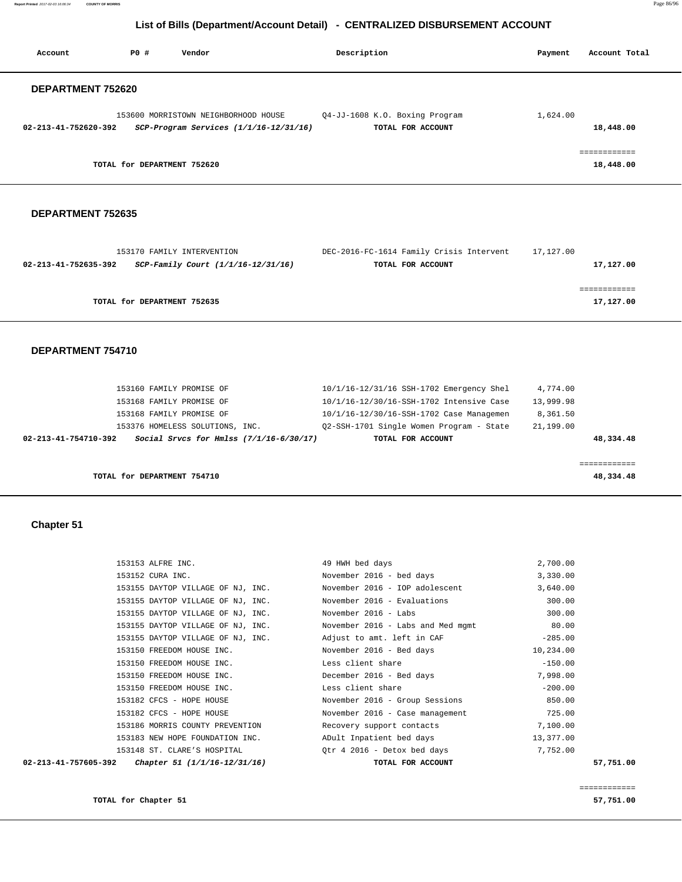**Report Printed** 2017-02-03 16:06:34 **COUNTY OF MORRIS** Page 86/96

## **List of Bills (Department/Account Detail) - CENTRALIZED DISBURSEMENT ACCOUNT**

| Account                  | PO#                         | Vendor                                                                             | Description                                         | Payment  | Account Total             |
|--------------------------|-----------------------------|------------------------------------------------------------------------------------|-----------------------------------------------------|----------|---------------------------|
| <b>DEPARTMENT 752620</b> |                             |                                                                                    |                                                     |          |                           |
| 02-213-41-752620-392     |                             | 153600 MORRISTOWN NEIGHBORHOOD HOUSE<br>$SCP-Program$ Services $(1/1/16-12/31/16)$ | Q4-JJ-1608 K.O. Boxing Program<br>TOTAL FOR ACCOUNT | 1,624.00 | 18,448.00                 |
|                          | TOTAL for DEPARTMENT 752620 |                                                                                    |                                                     |          | ------------<br>18,448.00 |

#### **DEPARTMENT 752635**

| 153170 FAMILY INTERVENTION                                 | DEC-2016-FC-1614 Family Crisis Intervent | 17,127.00 |
|------------------------------------------------------------|------------------------------------------|-----------|
| SCP-Family Court (1/1/16-12/31/16)<br>02-213-41-752635-392 | TOTAL FOR ACCOUNT                        | 17,127.00 |
|                                                            |                                          |           |
|                                                            |                                          |           |
| TOTAL for DEPARTMENT 752635                                |                                          | 17,127.00 |
|                                                            |                                          |           |

#### **DEPARTMENT 754710**

|                      | TOTAL for DEPARTMENT 754710             |                                          |           | 48,334.48 |
|----------------------|-----------------------------------------|------------------------------------------|-----------|-----------|
|                      |                                         |                                          |           |           |
| 02-213-41-754710-392 | Social Srvcs for Hmlss (7/1/16-6/30/17) | TOTAL FOR ACCOUNT                        |           | 48,334.48 |
|                      | 153376 HOMELESS SOLUTIONS, INC.         | 02-SSH-1701 Single Women Program - State | 21,199.00 |           |
|                      | 153168 FAMILY PROMISE OF                | 10/1/16-12/30/16-SSH-1702 Case Managemen | 8,361.50  |           |
|                      | 153168 FAMILY PROMISE OF                | 10/1/16-12/30/16-SSH-1702 Intensive Case | 13,999.98 |           |
|                      | 153160 FAMILY PROMISE OF                | 10/1/16-12/31/16 SSH-1702 Emergency Shel | 4,774.00  |           |
|                      |                                         |                                          |           |           |

## **Chapter 51**

|                      | 153153 ALFRE INC.                 | 49 HWH bed days                   | 2,700.00  |
|----------------------|-----------------------------------|-----------------------------------|-----------|
|                      | 153152 CURA INC.                  | November 2016 - bed days          | 3,330.00  |
|                      | 153155 DAYTOP VILLAGE OF NJ, INC. | November 2016 - IOP adolescent    | 3,640.00  |
|                      | 153155 DAYTOP VILLAGE OF NJ, INC. | November 2016 - Evaluations       | 300.00    |
|                      | 153155 DAYTOP VILLAGE OF NJ, INC. | November 2016 - Labs              | 300.00    |
|                      | 153155 DAYTOP VILLAGE OF NJ, INC. | November 2016 - Labs and Med mgmt | 80.00     |
|                      | 153155 DAYTOP VILLAGE OF NJ, INC. | Adjust to amt. left in CAF        | $-285.00$ |
|                      | 153150 FREEDOM HOUSE INC.         | November 2016 - Bed days          | 10,234.00 |
|                      | 153150 FREEDOM HOUSE INC.         | Less client share                 | $-150.00$ |
|                      | 153150 FREEDOM HOUSE INC.         | December 2016 - Bed days          | 7,998.00  |
|                      | 153150 FREEDOM HOUSE INC.         | Less client share                 | $-200.00$ |
|                      | 153182 CFCS - HOPE HOUSE          | November 2016 - Group Sessions    | 850.00    |
|                      | 153182 CFCS - HOPE HOUSE          | November 2016 - Case management   | 725.00    |
|                      | 153186 MORRIS COUNTY PREVENTION   | Recovery support contacts         | 7,100.00  |
|                      | 153183 NEW HOPE FOUNDATION INC.   | ADult Inpatient bed days          | 13,377.00 |
|                      | 153148 ST. CLARE'S HOSPITAL       | Otr 4 2016 - Detox bed days       | 7,752.00  |
| 02-213-41-757605-392 | Chapter 51 (1/1/16-12/31/16)      | TOTAL FOR ACCOUNT                 | 57,751.00 |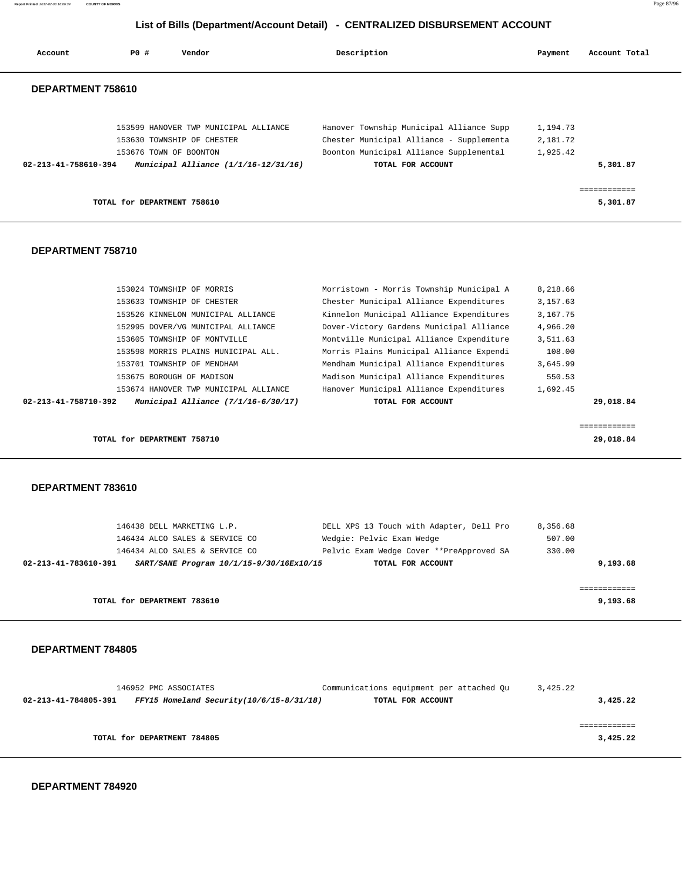| Account              | <b>PO #</b>                 | Vendor                                   | Description                              | Payment  | Account Total             |
|----------------------|-----------------------------|------------------------------------------|------------------------------------------|----------|---------------------------|
| DEPARTMENT 758610    |                             |                                          |                                          |          |                           |
|                      |                             | 153599 HANOVER TWP MUNICIPAL ALLIANCE    | Hanover Township Municipal Alliance Supp | 1,194.73 |                           |
|                      |                             | 153630 TOWNSHIP OF CHESTER               | Chester Municipal Alliance - Supplementa | 2,181.72 |                           |
|                      |                             | 153676 TOWN OF BOONTON                   | Boonton Municipal Alliance Supplemental  | 1,925.42 |                           |
| 02-213-41-758610-394 |                             | Municipal Alliance (1/1/16-12/31/16)     | TOTAL FOR ACCOUNT                        |          | 5,301.87                  |
|                      | TOTAL for DEPARTMENT 758610 |                                          |                                          |          | ============<br>5,301.87  |
| DEPARTMENT 758710    |                             |                                          |                                          |          |                           |
|                      |                             | 153024 TOWNSHIP OF MORRIS                | Morristown - Morris Township Municipal A | 8,218.66 |                           |
|                      |                             | 153633 TOWNSHIP OF CHESTER               | Chester Municipal Alliance Expenditures  | 3,157.63 |                           |
|                      |                             | 153526 KINNELON MUNICIPAL ALLIANCE       | Kinnelon Municipal Alliance Expenditures | 3,167.75 |                           |
|                      |                             | 152995 DOVER/VG MUNICIPAL ALLIANCE       | Dover-Victory Gardens Municipal Alliance | 4,966.20 |                           |
|                      |                             | 153605 TOWNSHIP OF MONTVILLE             | Montville Municipal Alliance Expenditure | 3,511.63 |                           |
|                      |                             | 153598 MORRIS PLAINS MUNICIPAL ALL.      | Morris Plains Municipal Alliance Expendi | 108.00   |                           |
|                      |                             | 153701 TOWNSHIP OF MENDHAM               | Mendham Municipal Alliance Expenditures  | 3,645.99 |                           |
|                      |                             | 153675 BOROUGH OF MADISON                | Madison Municipal Alliance Expenditures  | 550.53   |                           |
|                      |                             | 153674 HANOVER TWP MUNICIPAL ALLIANCE    | Hanover Municipal Alliance Expenditures  | 1,692.45 |                           |
| 02-213-41-758710-392 |                             | Municipal Alliance (7/1/16-6/30/17)      | TOTAL FOR ACCOUNT                        |          | 29,018.84                 |
|                      | TOTAL for DEPARTMENT 758710 |                                          |                                          |          | ============<br>29,018.84 |
| DEPARTMENT 783610    |                             |                                          |                                          |          |                           |
|                      |                             | 146438 DELL MARKETING L.P.               | DELL XPS 13 Touch with Adapter, Dell Pro | 8,356.68 |                           |
|                      |                             | 146434 ALCO SALES & SERVICE CO           | Wedgie: Pelvic Exam Wedge                | 507.00   |                           |
|                      |                             | 146434 ALCO SALES & SERVICE CO           | Pelvic Exam Wedge Cover **PreApproved SA | 330.00   |                           |
| 02-213-41-783610-391 |                             | SART/SANE Program 10/1/15-9/30/16Ex10/15 | TOTAL FOR ACCOUNT                        |          | 9,193.68                  |
|                      | TOTAL for DEPARTMENT 783610 |                                          |                                          |          | 9,193.68                  |
|                      |                             |                                          |                                          |          |                           |

**Report Printed** 2017-02-03 16:06:34 **COUNTY OF MORRIS** Page 87/96

 **DEPARTMENT 784805** 

| 146952 PMC ASSOCIATES                                                  | Communications equipment per attached Ou | 3,425.22 |
|------------------------------------------------------------------------|------------------------------------------|----------|
| $FFY15$ Homeland Security( $10/6/15-8/31/18$ )<br>02-213-41-784805-391 | TOTAL FOR ACCOUNT                        | 3,425.22 |
|                                                                        |                                          |          |
|                                                                        |                                          |          |
| TOTAL for DEPARTMENT 784805                                            |                                          | 3,425.22 |
|                                                                        |                                          |          |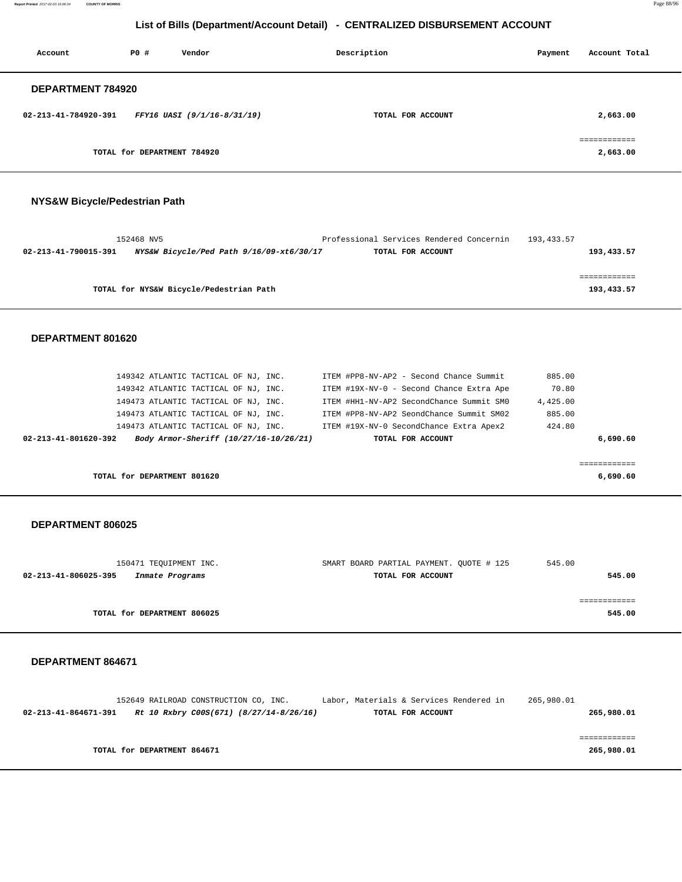**Report Printed** 2017-02-03 16:06:34 **COUNTY OF MORRIS** Page 88/96

## **List of Bills (Department/Account Detail) - CENTRALIZED DISBURSEMENT ACCOUNT**

| Account                  | PO#                         | Vendor                      | Description       | Account Total<br>Payment |
|--------------------------|-----------------------------|-----------------------------|-------------------|--------------------------|
| <b>DEPARTMENT 784920</b> |                             |                             |                   |                          |
| 02-213-41-784920-391     |                             | FFY16 UASI (9/1/16-8/31/19) | TOTAL FOR ACCOUNT | 2,663.00                 |
|                          | TOTAL for DEPARTMENT 784920 |                             |                   | ===========<br>2,663.00  |

## **NYS&W Bicycle/Pedestrian Path**

| 152468 NV5                                                       | Professional Services Rendered Concernin | 193,433.57 |
|------------------------------------------------------------------|------------------------------------------|------------|
| NYS&W Bicycle/Ped Path 9/16/09-xt6/30/17<br>02-213-41-790015-391 | TOTAL FOR ACCOUNT                        | 193,433.57 |
|                                                                  |                                          |            |
|                                                                  |                                          |            |
| TOTAL for NYS&W Bicycle/Pedestrian Path                          |                                          | 193,433.57 |

#### **DEPARTMENT 801620**

| 149342 ATLANTIC TACTICAL OF NJ, INC.                           | ITEM #PP8-NV-AP2 - Second Chance Summit  | 885.00   |
|----------------------------------------------------------------|------------------------------------------|----------|
| 149342 ATLANTIC TACTICAL OF NJ, INC.                           | ITEM #19X-NV-0 - Second Chance Extra Ape | 70.80    |
| 149473 ATLANTIC TACTICAL OF NJ, INC.                           | ITEM #HH1-NV-AP2 SecondChance Summit SM0 | 4,425.00 |
| 149473 ATLANTIC TACTICAL OF NJ, INC.                           | ITEM #PP8-NV-AP2 SeondChance Summit SM02 | 885.00   |
| 149473 ATLANTIC TACTICAL OF NJ, INC.                           | ITEM #19X-NV-0 SecondChance Extra Apex2  | 424.80   |
| Body Armor-Sheriff (10/27/16-10/26/21)<br>02-213-41-801620-392 | TOTAL FOR ACCOUNT                        | 6,690.60 |
|                                                                |                                          |          |
|                                                                |                                          |          |
| TOTAL for DEPARTMENT 801620                                    |                                          | 6,690.60 |

#### **DEPARTMENT 806025**

| 150471 TEOUIPMENT INC.                  | SMART BOARD PARTIAL PAYMENT, QUOTE # 125 | 545.00 |
|-----------------------------------------|------------------------------------------|--------|
| 02-213-41-806025-395<br>Inmate Programs | TOTAL FOR ACCOUNT                        | 545.00 |
|                                         |                                          |        |
|                                         |                                          |        |
| TOTAL for DEPARTMENT 806025             |                                          | 545.00 |
|                                         |                                          |        |

| 265,980.01 |
|------------|
|            |
|            |
|            |
| 265,980.01 |
| 265,980.01 |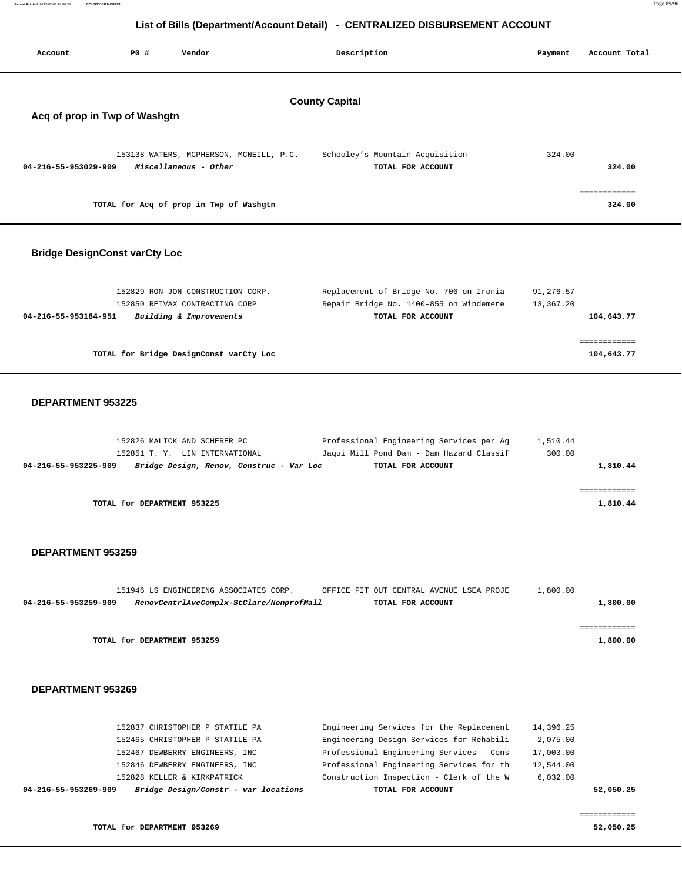| List of Bills (Department/Account Detail) - CENTRALIZED DISBURSEMENT ACCOUNT |                             |                                                                                                            |                                                                                                           |                        |                            |  |  |
|------------------------------------------------------------------------------|-----------------------------|------------------------------------------------------------------------------------------------------------|-----------------------------------------------------------------------------------------------------------|------------------------|----------------------------|--|--|
| Account                                                                      | <b>PO #</b>                 | Vendor                                                                                                     | Description                                                                                               | Payment                | Account Total              |  |  |
| Acq of prop in Twp of Washgtn                                                |                             |                                                                                                            | <b>County Capital</b>                                                                                     |                        |                            |  |  |
| 04-216-55-953029-909                                                         |                             | 153138 WATERS, MCPHERSON, MCNEILL, P.C.<br>Miscellaneous - Other                                           | Schooley's Mountain Acquisition<br>TOTAL FOR ACCOUNT                                                      | 324.00                 | 324.00<br>============     |  |  |
|                                                                              |                             | TOTAL for Acq of prop in Twp of Washgtn                                                                    |                                                                                                           |                        | 324.00                     |  |  |
| <b>Bridge DesignConst varCty Loc</b>                                         |                             |                                                                                                            |                                                                                                           |                        |                            |  |  |
| 04-216-55-953184-951                                                         |                             | 152829 RON-JON CONSTRUCTION CORP.<br>152850 REIVAX CONTRACTING CORP<br>Building & Improvements             | Replacement of Bridge No. 706 on Ironia<br>Repair Bridge No. 1400-855 on Windemere<br>TOTAL FOR ACCOUNT   | 91,276.57<br>13,367.20 | 104,643.77                 |  |  |
|                                                                              |                             | TOTAL for Bridge DesignConst varCty Loc                                                                    |                                                                                                           |                        | ============<br>104,643.77 |  |  |
| DEPARTMENT 953225                                                            |                             |                                                                                                            |                                                                                                           |                        |                            |  |  |
| 04-216-55-953225-909                                                         |                             | 152826 MALICK AND SCHERER PC<br>152851 T. Y. LIN INTERNATIONAL<br>Bridge Design, Renov, Construc - Var Loc | Professional Engineering Services per Ag<br>Jaqui Mill Pond Dam - Dam Hazard Classif<br>TOTAL FOR ACCOUNT | 1,510.44<br>300.00     | 1,810.44                   |  |  |
|                                                                              | TOTAL for DEPARTMENT 953225 |                                                                                                            |                                                                                                           |                        | ============<br>1,810.44   |  |  |
| <b>DEPARTMENT 953259</b>                                                     |                             |                                                                                                            |                                                                                                           |                        |                            |  |  |
| 04-216-55-953259-909                                                         |                             | 151946 LS ENGINEERING ASSOCIATES CORP.<br>RenovCentrlAveComplx-StClare/NonprofMall                         | OFFICE FIT OUT CENTRAL AVENUE LSEA PROJE<br>TOTAL FOR ACCOUNT                                             | 1,800.00               | 1,800.00                   |  |  |
|                                                                              | TOTAL for DEPARTMENT 953259 |                                                                                                            |                                                                                                           |                        | ============<br>1,800.00   |  |  |
| DEPARTMENT 953269                                                            |                             |                                                                                                            |                                                                                                           |                        |                            |  |  |
|                                                                              |                             | 152837 CHRISTOPHER P STATILE PA<br>152465 CHRISTOPHER P STATILE PA                                         | Engineering Services for the Replacement<br>Engineering Design Services for Rehabili                      | 14,396.25<br>2,075.00  |                            |  |  |

| 04-216-55-953269-909<br>Bridge Design/Constr - var locations | TOTAL FOR ACCOUNT                        |           | 52,050.25 |
|--------------------------------------------------------------|------------------------------------------|-----------|-----------|
| 152828 KELLER & KIRKPATRICK                                  | Construction Inspection - Clerk of the W | 6.032.00  |           |
| 152846 DEWBERRY ENGINEERS, INC                               | Professional Engineering Services for th | 12,544.00 |           |

152467 DEWBERRY ENGINEERS, INC Professional Engineering Services - Cons 17,003.00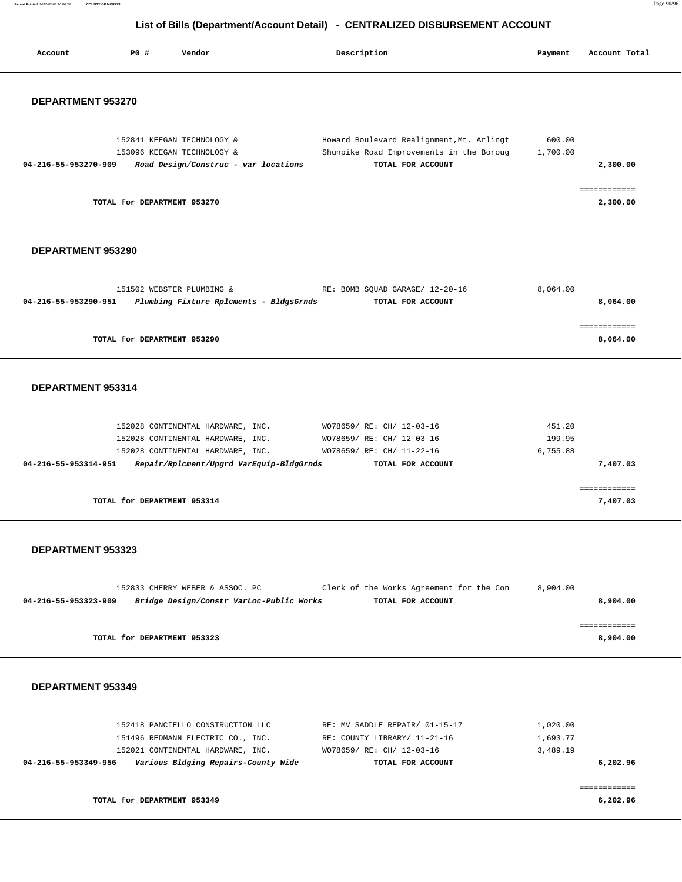**Report Printed** 2017-02-03 16:06:34 **COUNTY OF MORRIS** Page 90/96

# **List of Bills (Department/Account Detail) - CENTRALIZED DISBURSEMENT ACCOUNT**

| Account                  | <b>PO #</b>                 | Vendor                                                                                                                                                  | Description                                                                                                      | Payment                          | Account Total            |
|--------------------------|-----------------------------|---------------------------------------------------------------------------------------------------------------------------------------------------------|------------------------------------------------------------------------------------------------------------------|----------------------------------|--------------------------|
| DEPARTMENT 953270        |                             |                                                                                                                                                         |                                                                                                                  |                                  |                          |
|                          |                             |                                                                                                                                                         |                                                                                                                  |                                  |                          |
| 04-216-55-953270-909     |                             | 152841 KEEGAN TECHNOLOGY &<br>153096 KEEGAN TECHNOLOGY &<br>Road Design/Construc - var locations                                                        | Howard Boulevard Realignment, Mt. Arlingt<br>Shunpike Road Improvements in the Boroug<br>TOTAL FOR ACCOUNT       | 600.00<br>1,700.00               | 2,300.00                 |
|                          | TOTAL for DEPARTMENT 953270 |                                                                                                                                                         |                                                                                                                  |                                  | ============<br>2,300.00 |
| DEPARTMENT 953290        |                             |                                                                                                                                                         |                                                                                                                  |                                  |                          |
| 04-216-55-953290-951     |                             | 151502 WEBSTER PLUMBING &<br>Plumbing Fixture Rplcments - BldgsGrnds                                                                                    | RE: BOMB SQUAD GARAGE/ 12-20-16<br>TOTAL FOR ACCOUNT                                                             | 8,064.00                         | 8,064.00                 |
|                          | TOTAL for DEPARTMENT 953290 |                                                                                                                                                         |                                                                                                                  |                                  | 8,064.00                 |
| DEPARTMENT 953314        |                             |                                                                                                                                                         |                                                                                                                  |                                  |                          |
| 04-216-55-953314-951     |                             | 152028 CONTINENTAL HARDWARE, INC.<br>152028 CONTINENTAL HARDWARE, INC.<br>152028 CONTINENTAL HARDWARE, INC.<br>Repair/Rplcment/Upgrd VarEquip-BldgGrnds | WO78659/ RE: CH/ 12-03-16<br>WO78659/ RE: CH/ 12-03-16<br>WO78659/ RE: CH/ 11-22-16<br>TOTAL FOR ACCOUNT         | 451.20<br>199.95<br>6,755.88     | 7,407.03                 |
|                          | TOTAL for DEPARTMENT 953314 |                                                                                                                                                         |                                                                                                                  |                                  | 7,407.03                 |
| DEPARTMENT 953323        |                             |                                                                                                                                                         |                                                                                                                  |                                  |                          |
| 04-216-55-953323-909     |                             | 152833 CHERRY WEBER & ASSOC. PC<br>Bridge Design/Constr VarLoc-Public Works                                                                             | Clerk of the Works Agreement for the Con<br>TOTAL FOR ACCOUNT                                                    | 8,904.00                         | 8,904.00                 |
|                          | TOTAL for DEPARTMENT 953323 |                                                                                                                                                         |                                                                                                                  |                                  | ============<br>8,904.00 |
| <b>DEPARTMENT 953349</b> |                             |                                                                                                                                                         |                                                                                                                  |                                  |                          |
| 04-216-55-953349-956     |                             | 152418 PANCIELLO CONSTRUCTION LLC<br>151496 REDMANN ELECTRIC CO., INC.<br>152021 CONTINENTAL HARDWARE, INC.<br>Various Bldging Repairs-County Wide      | RE: MV SADDLE REPAIR/ 01-15-17<br>RE: COUNTY LIBRARY/ 11-21-16<br>WO78659/ RE: CH/ 12-03-16<br>TOTAL FOR ACCOUNT | 1,020.00<br>1,693.77<br>3,489.19 | 6,202.96                 |
|                          | TOTAL for DEPARTMENT 953349 |                                                                                                                                                         |                                                                                                                  |                                  | ============<br>6,202.96 |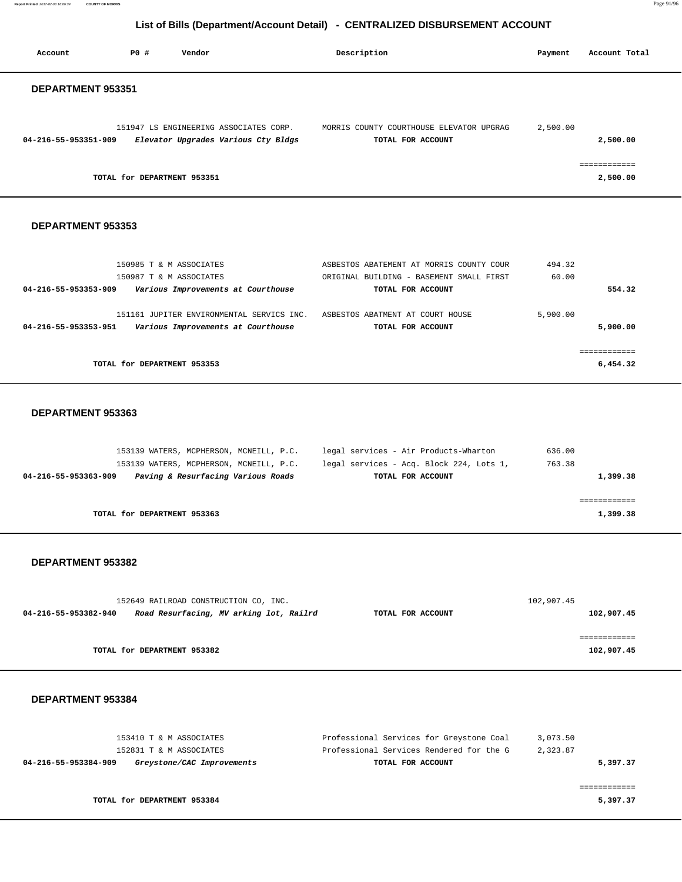**Report Printed** 2017-02-03 16:06:34 **COUNTY OF MORRIS** Page 91/96

## **List of Bills (Department/Account Detail) - CENTRALIZED DISBURSEMENT ACCOUNT**

| Account              | <b>PO #</b>                 | Vendor                                                                        | Description                                                   | Payment  | Account Total |
|----------------------|-----------------------------|-------------------------------------------------------------------------------|---------------------------------------------------------------|----------|---------------|
| DEPARTMENT 953351    |                             |                                                                               |                                                               |          |               |
| 04-216-55-953351-909 |                             | 151947 LS ENGINEERING ASSOCIATES CORP.<br>Elevator Upgrades Various Cty Bldgs | MORRIS COUNTY COURTHOUSE ELEVATOR UPGRAG<br>TOTAL FOR ACCOUNT | 2,500.00 | 2,500.00      |
|                      | TOTAL for DEPARTMENT 953351 |                                                                               |                                                               |          | 2,500.00      |

## **DEPARTMENT 953353**

|                      | 150985 T & M ASSOCIATES                   | ASBESTOS ABATEMENT AT MORRIS COUNTY COUR | 494.32   |
|----------------------|-------------------------------------------|------------------------------------------|----------|
|                      | 150987 T & M ASSOCIATES                   | ORIGINAL BUILDING - BASEMENT SMALL FIRST | 60.00    |
| 04-216-55-953353-909 | Various Improvements at Courthouse        | TOTAL FOR ACCOUNT                        | 554.32   |
|                      |                                           |                                          |          |
|                      | 151161 JUPITER ENVIRONMENTAL SERVICS INC. | ASBESTOS ABATMENT AT COURT HOUSE         | 5,900.00 |
| 04-216-55-953353-951 | Various Improvements at Courthouse        | TOTAL FOR ACCOUNT                        | 5,900,00 |
|                      |                                           |                                          |          |
|                      |                                           |                                          |          |
|                      | TOTAL for DEPARTMENT 953353               |                                          | 6,454.32 |
|                      |                                           |                                          |          |

#### **DEPARTMENT 953363**

|                      | 153139 WATERS, MCPHERSON, MCNEILL, P.C. |                                    |  | legal services - Air Products-Wharton    | 636.00   |
|----------------------|-----------------------------------------|------------------------------------|--|------------------------------------------|----------|
|                      | 153139 WATERS, MCPHERSON, MCNEILL, P.C. |                                    |  | legal services - Acq. Block 224, Lots 1, | 763.38   |
| 04-216-55-953363-909 |                                         | Paving & Resurfacing Various Roads |  | TOTAL FOR ACCOUNT                        | 1,399.38 |
|                      |                                         |                                    |  |                                          |          |
|                      |                                         |                                    |  |                                          |          |
|                      | TOTAL for DEPARTMENT 953363             |                                    |  |                                          | 1,399.38 |
|                      |                                         |                                    |  |                                          |          |

#### **DEPARTMENT 953382**

| 152649 RAILROAD CONSTRUCTION CO, INC. |                                         | 102,907.45        |            |
|---------------------------------------|-----------------------------------------|-------------------|------------|
| 04-216-55-953382-940                  | Road Resurfacing, MV arking lot, Railrd | TOTAL FOR ACCOUNT | 102,907.45 |
|                                       |                                         |                   |            |
|                                       |                                         |                   |            |
|                                       | TOTAL for DEPARTMENT 953382             |                   | 102,907.45 |

| 153410 T & M ASSOCIATES                            | Professional Services for Greystone Coal | 3,073.50 |
|----------------------------------------------------|------------------------------------------|----------|
| 152831 T & M ASSOCIATES                            | Professional Services Rendered for the G | 2,323.87 |
| 04-216-55-953384-909<br>Greystone/CAC Improvements | TOTAL FOR ACCOUNT                        | 5,397.37 |
|                                                    |                                          |          |
|                                                    |                                          |          |
| TOTAL for DEPARTMENT 953384                        |                                          | 5,397.37 |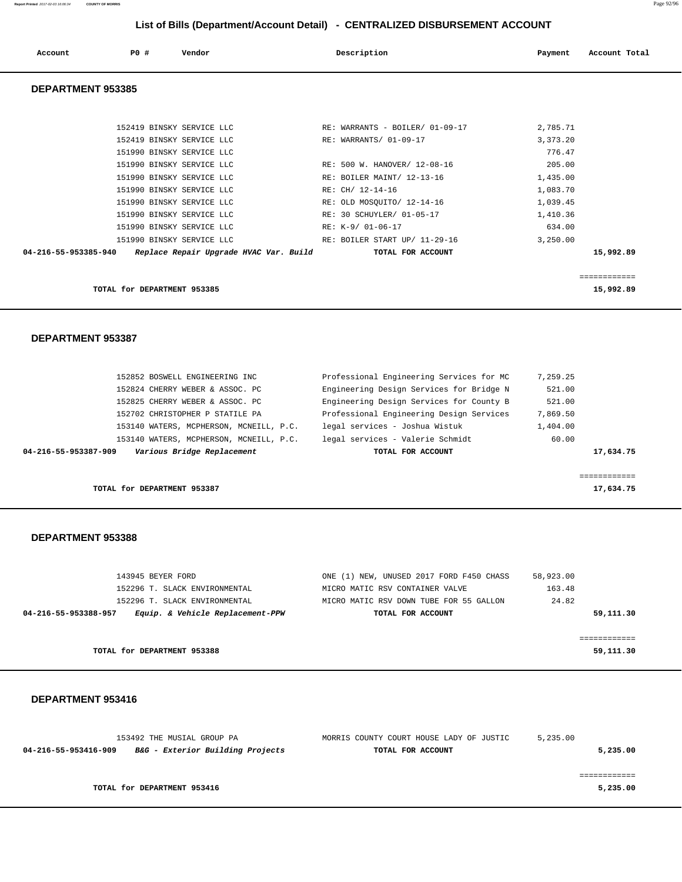| Account                  | PO# | Vendor | Description | Payment | Account Total |
|--------------------------|-----|--------|-------------|---------|---------------|
| <b>DEDARTMENT AFAAAF</b> |     |        |             |         |               |

#### **DEPARTMENT 953385**

| TOTAL for DEPARTMENT 953385 |                                 | 15,992.89    |
|-----------------------------|---------------------------------|--------------|
|                             |                                 | ------------ |
| 04-216-55-953385-940        |                                 | 15,992.89    |
| 151990 BINSKY SERVICE LLC   | RE: BOILER START UP/ 11-29-16   | 3.250.00     |
| 151990 BINSKY SERVICE LLC   | RE: K-9/ 01-06-17               | 634.00       |
| 151990 BINSKY SERVICE LLC   | RE: 30 SCHUYLER/ 01-05-17       | 1,410.36     |
| 151990 BINSKY SERVICE LLC   | RE: OLD MOSOUITO/ 12-14-16      | 1,039.45     |
| 151990 BINSKY SERVICE LLC   | RE: CH/ 12-14-16                | 1,083.70     |
| 151990 BINSKY SERVICE LLC   | RE: BOILER MAINT/ 12-13-16      | 1,435.00     |
| 151990 BINSKY SERVICE LLC   | RE: 500 W. HANOVER/ 12-08-16    | 205.00       |
| 151990 BINSKY SERVICE LLC   |                                 | 776.47       |
| 152419 BINSKY SERVICE LLC   | RE: WARRANTS/ 01-09-17          | 3,373.20     |
| 152419 BINSKY SERVICE LLC   | RE: WARRANTS - BOILER/ 01-09-17 | 2,785.71     |
|                             |                                 |              |

#### **DEPARTMENT 953387**

| 152852 BOSWELL ENGINEERING INC                     | Professional Engineering Services for MC | 7.259.25  |
|----------------------------------------------------|------------------------------------------|-----------|
| 152824 CHERRY WEBER & ASSOC. PC                    | Engineering Design Services for Bridge N | 521.00    |
| 152825 CHERRY WEBER & ASSOC. PC                    | Engineering Design Services for County B | 521.00    |
| 152702 CHRISTOPHER P STATILE PA                    | Professional Engineering Design Services | 7,869.50  |
| 153140 WATERS, MCPHERSON, MCNEILL, P.C.            | legal services - Joshua Wistuk           | 1,404.00  |
| 153140 WATERS, MCPHERSON, MCNEILL, P.C.            | legal services - Valerie Schmidt         | 60.00     |
| Various Bridge Replacement<br>04-216-55-953387-909 | TOTAL FOR ACCOUNT                        | 17,634.75 |
|                                                    |                                          |           |
|                                                    |                                          |           |
| TOTAL for DEPARTMENT 953387                        |                                          | 17,634.75 |

#### **DEPARTMENT 953388**

| 143945 BEYER FORD                                        | ONE (1) NEW, UNUSED 2017 FORD F450 CHASS | 58,923.00 |
|----------------------------------------------------------|------------------------------------------|-----------|
| 152296 T. SLACK ENVIRONMENTAL                            | MICRO MATIC RSV CONTAINER VALVE          | 163.48    |
| 152296 T. SLACK ENVIRONMENTAL                            | MICRO MATIC RSV DOWN TUBE FOR 55 GALLON  | 24.82     |
| Equip. & Vehicle Replacement-PPW<br>04-216-55-953388-957 | TOTAL FOR ACCOUNT                        | 59,111.30 |
|                                                          |                                          |           |
|                                                          |                                          |           |
| TOTAL for DEPARTMENT 953388                              |                                          | 59,111.30 |
|                                                          |                                          |           |

| 153492 THE MUSIAL GROUP PA                                          | MORRIS COUNTY COURT HOUSE LADY OF JUSTIC | 5,235.00 |
|---------------------------------------------------------------------|------------------------------------------|----------|
| <i>B&amp;G - Exterior Building Projects</i><br>04-216-55-953416-909 | TOTAL FOR ACCOUNT                        | 5,235.00 |
|                                                                     |                                          |          |
|                                                                     |                                          |          |
| TOTAL for DEPARTMENT 953416                                         |                                          | 5,235.00 |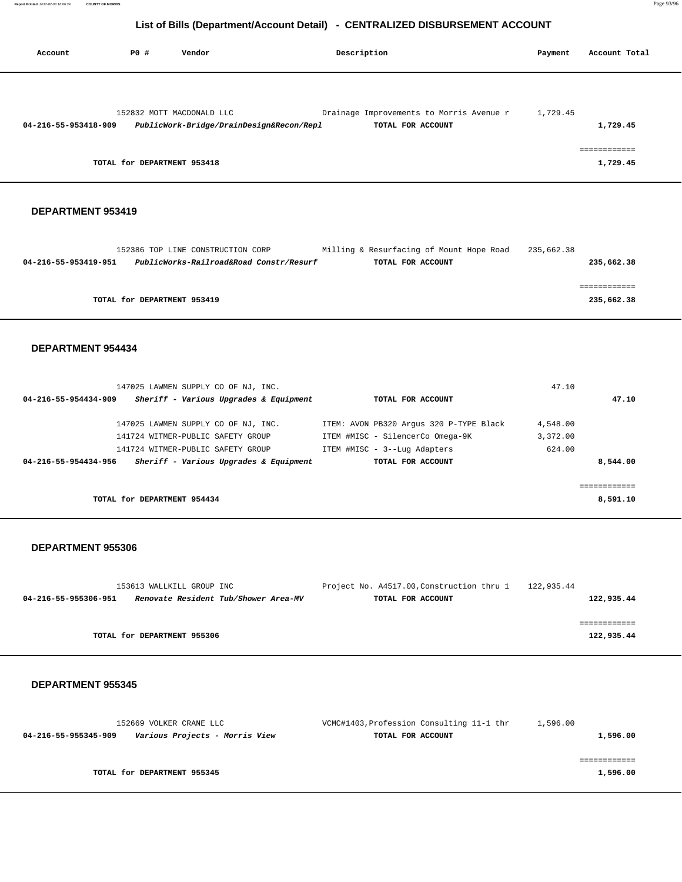| Account              | PO#                         | Vendor                                   | Description                              | Payment  | Account Total                           |
|----------------------|-----------------------------|------------------------------------------|------------------------------------------|----------|-----------------------------------------|
|                      |                             | 152832 MOTT MACDONALD LLC                | Drainage Improvements to Morris Avenue r | 1,729.45 |                                         |
| 04-216-55-953418-909 |                             | PublicWork-Bridge/DrainDesign&Recon/Repl | TOTAL FOR ACCOUNT                        |          | 1,729.45                                |
|                      | TOTAL for DEPARTMENT 953418 |                                          |                                          |          | ------------<br>-----------<br>1,729.45 |

### **DEPARTMENT 953419**

| Milling & Resurfacing of Mount Hope Road                         | 235,662.38                              |
|------------------------------------------------------------------|-----------------------------------------|
| TOTAL FOR ACCOUNT                                                | 235,662.38                              |
|                                                                  |                                         |
|                                                                  |                                         |
|                                                                  | 235,662.38                              |
| 152386 TOP LINE CONSTRUCTION CORP<br>TOTAL for DEPARTMENT 953419 | PublicWorks-Railroad&Road Constr/Resurf |

#### **DEPARTMENT 954434**

| 147025 LAWMEN SUPPLY CO OF NJ, INC.                            |                                         | 47.10     |
|----------------------------------------------------------------|-----------------------------------------|-----------|
| Sheriff - Various Upgrades & Equipment<br>04-216-55-954434-909 | TOTAL FOR ACCOUNT                       | 47.10     |
| 147025 LAWMEN SUPPLY CO OF NJ, INC.                            | ITEM: AVON PB320 Arqus 320 P-TYPE Black | 4,548.00  |
|                                                                |                                         |           |
| 141724 WITMER-PUBLIC SAFETY GROUP                              | ITEM #MISC - SilencerCo Omega-9K        | 3,372.00  |
| 141724 WITMER-PUBLIC SAFETY GROUP                              | ITEM #MISC - 3--Lug Adapters            | 624.00    |
| 04-216-55-954434-956<br>Sheriff - Various Upgrades & Equipment | TOTAL FOR ACCOUNT                       | 8,544.00  |
|                                                                |                                         | --------- |
| TOTAL for DEPARTMENT 954434                                    |                                         | 8,591.10  |

#### **DEPARTMENT 955306**

|                      | 153613 WALLKILL GROUP INC            | Project No. A4517.00, Construction thru 1 122, 935.44 |             |
|----------------------|--------------------------------------|-------------------------------------------------------|-------------|
| 04-216-55-955306-951 | Renovate Resident Tub/Shower Area-MV | TOTAL FOR ACCOUNT                                     | 122,935.44  |
|                      |                                      |                                                       |             |
|                      |                                      |                                                       | ----------- |
|                      | TOTAL for DEPARTMENT 955306          |                                                       | 122,935.44  |

| 152669 VOLKER CRANE LLC                                | VCMC#1403, Profession Consulting 11-1 thr | 1,596.00 |
|--------------------------------------------------------|-------------------------------------------|----------|
| Various Projects - Morris View<br>04-216-55-955345-909 | TOTAL FOR ACCOUNT                         | 1,596.00 |
|                                                        |                                           |          |
|                                                        |                                           |          |
| TOTAL for DEPARTMENT 955345                            |                                           | 1,596.00 |
|                                                        |                                           |          |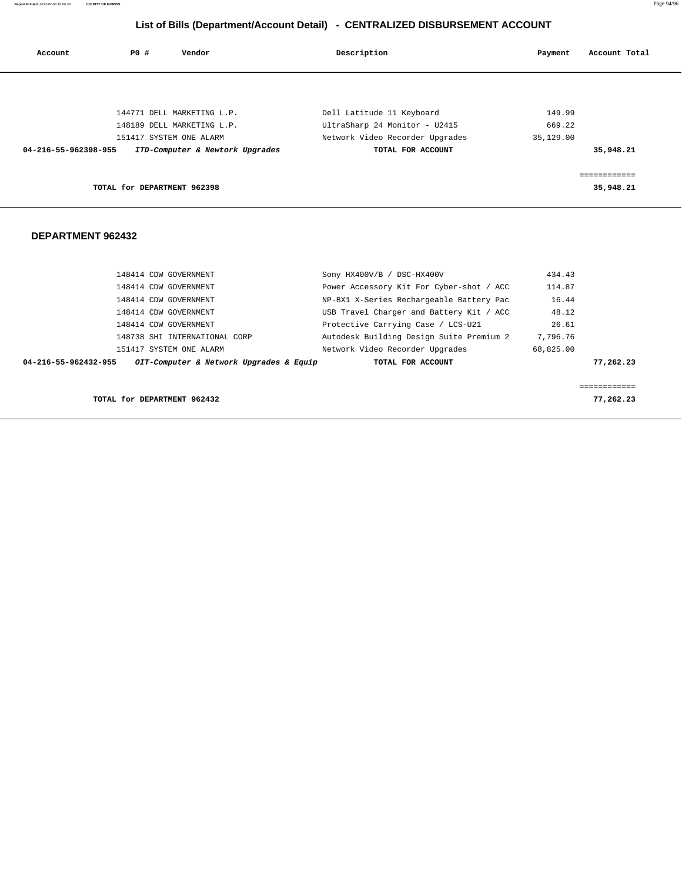**Report Printed** 2017-02-03 16:06:34 **COUNTY OF MORRIS** Page 94/96

# **List of Bills (Department/Account Detail) - CENTRALIZED DISBURSEMENT ACCOUNT**

| Account              | P0 #                        | Vendor                          | Description                     | Account Total<br>Payment |  |
|----------------------|-----------------------------|---------------------------------|---------------------------------|--------------------------|--|
|                      |                             |                                 |                                 |                          |  |
|                      |                             | 144771 DELL MARKETING L.P.      | Dell Latitude 11 Keyboard       | 149.99                   |  |
|                      |                             | 148189 DELL MARKETING L.P.      | UltraSharp 24 Monitor - U2415   | 669.22                   |  |
|                      |                             | 151417 SYSTEM ONE ALARM         | Network Video Recorder Upgrades | 35,129.00                |  |
| 04-216-55-962398-955 |                             | ITD-Computer & Newtork Upgrades | TOTAL FOR ACCOUNT               | 35,948.21                |  |
|                      |                             |                                 |                                 | ============             |  |
|                      | TOTAL for DEPARTMENT 962398 |                                 |                                 | 35,948.21                |  |
|                      |                             |                                 |                                 |                          |  |

| 148414 CDW GOVERNMENT                                           | Sony HX400V/B / DSC-HX400V               | 434.43                  |
|-----------------------------------------------------------------|------------------------------------------|-------------------------|
| 148414 CDW GOVERNMENT                                           | Power Accessory Kit For Cyber-shot / ACC | 114.87                  |
| 148414 CDW GOVERNMENT                                           | NP-BX1 X-Series Rechargeable Battery Pac | 16.44                   |
| 148414 CDW GOVERNMENT                                           | USB Travel Charger and Battery Kit / ACC | 48.12                   |
| 148414 CDW GOVERNMENT                                           | Protective Carrying Case / LCS-U21       | 26.61                   |
| 148738 SHI INTERNATIONAL CORP                                   | Autodesk Building Design Suite Premium 2 | 7,796.76                |
| 151417 SYSTEM ONE ALARM                                         | Network Video Recorder Upgrades          | 68,825.00               |
| OIT-Computer & Network Upgrades & Equip<br>04-216-55-962432-955 | TOTAL FOR ACCOUNT                        | 77,262.23               |
|                                                                 |                                          |                         |
|                                                                 |                                          | . _ _ _ _ _ _ _ _ _ _ _ |
| TOTAL for DEPARTMENT 962432                                     |                                          | 77,262.23               |
|                                                                 |                                          |                         |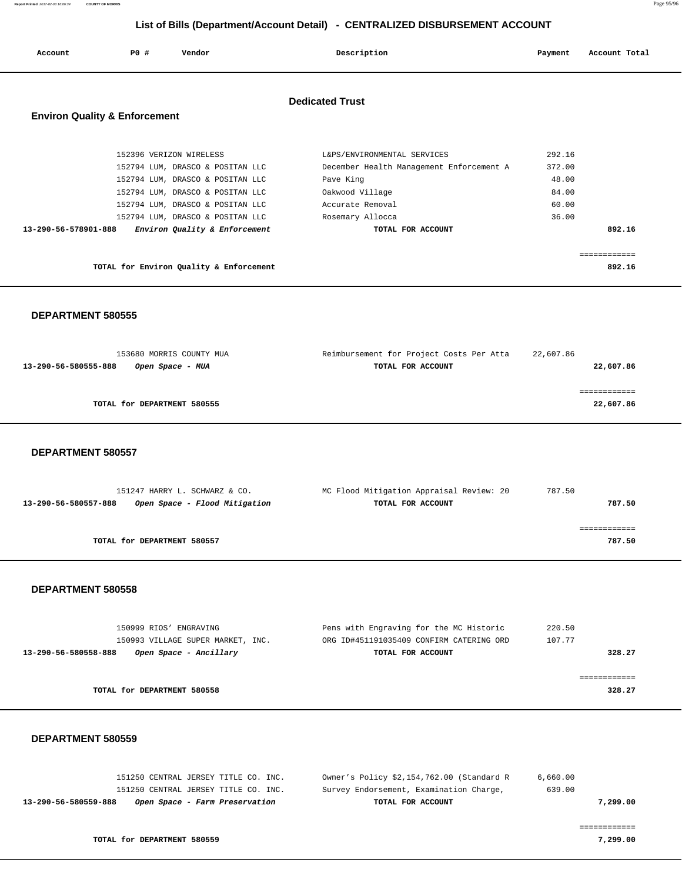| Account                                  | PO# | Vendor                                                                                                                              | Description                                                                                             | Payment                            | Account Total          |
|------------------------------------------|-----|-------------------------------------------------------------------------------------------------------------------------------------|---------------------------------------------------------------------------------------------------------|------------------------------------|------------------------|
| <b>Environ Quality &amp; Enforcement</b> |     |                                                                                                                                     | <b>Dedicated Trust</b>                                                                                  |                                    |                        |
|                                          |     | 152396 VERIZON WIRELESS<br>152794 LUM, DRASCO & POSITAN LLC<br>152794 LUM, DRASCO & POSITAN LLC<br>152794 LUM, DRASCO & POSITAN LLC | L&PS/ENVIRONMENTAL SERVICES<br>December Health Management Enforcement A<br>Pave King<br>Oakwood Village | 292.16<br>372.00<br>48.00<br>84.00 |                        |
| 13-290-56-578901-888                     |     | 152794 LUM, DRASCO & POSITAN LLC<br>152794 LUM, DRASCO & POSITAN LLC<br>Environ Quality & Enforcement                               | Accurate Removal<br>Rosemary Allocca<br>TOTAL FOR ACCOUNT                                               | 60.00<br>36.00                     | 892.16<br>------------ |
|                                          |     | TOTAL for Environ Quality & Enforcement                                                                                             |                                                                                                         |                                    | 892.16                 |

#### **DEPARTMENT 580555**

| 153680 MORRIS COUNTY MUA                 | Reimbursement for Project Costs Per Atta | 22,607.86 |
|------------------------------------------|------------------------------------------|-----------|
| 13-290-56-580555-888<br>Open Space - MUA | TOTAL FOR ACCOUNT                        | 22,607.86 |
|                                          |                                          |           |
|                                          |                                          |           |
| TOTAL for DEPARTMENT 580555              |                                          | 22,607.86 |
|                                          |                                          |           |

 **DEPARTMENT 580557** 

| 151247 HARRY L. SCHWARZ & CO.                         | MC Flood Mitigation Appraisal Review: 20 | 787.50 |
|-------------------------------------------------------|------------------------------------------|--------|
| 13-290-56-580557-888<br>Open Space - Flood Mitigation | TOTAL FOR ACCOUNT                        | 787.50 |
|                                                       |                                          |        |
|                                                       |                                          |        |
| TOTAL for DEPARTMENT 580557                           |                                          | 787.50 |
|                                                       |                                          |        |

#### **DEPARTMENT 580558**

| 150999 RIOS' ENGRAVING                         | Pens with Engraving for the MC Historic  | 220.50 |
|------------------------------------------------|------------------------------------------|--------|
| 150993 VILLAGE SUPER MARKET, INC.              | ORG ID#451191035409 CONFIRM CATERING ORD | 107.77 |
| 13-290-56-580558-888<br>Open Space - Ancillary | TOTAL FOR ACCOUNT                        | 328.27 |
|                                                |                                          |        |
|                                                |                                          |        |
| TOTAL for DEPARTMENT 580558                    |                                          | 328.27 |
|                                                |                                          |        |

#### **DEPARTMENT 580559**

| 151250 CENTRAL JERSEY TITLE CO. INC.                   | Owner's Policy \$2,154,762.00 (Standard R | 6,660.00 |
|--------------------------------------------------------|-------------------------------------------|----------|
| 151250 CENTRAL JERSEY TITLE CO. INC.                   | Survey Endorsement, Examination Charge,   | 639.00   |
| 13-290-56-580559-888<br>Open Space - Farm Preservation | TOTAL FOR ACCOUNT                         | 7,299.00 |
|                                                        |                                           |          |

============